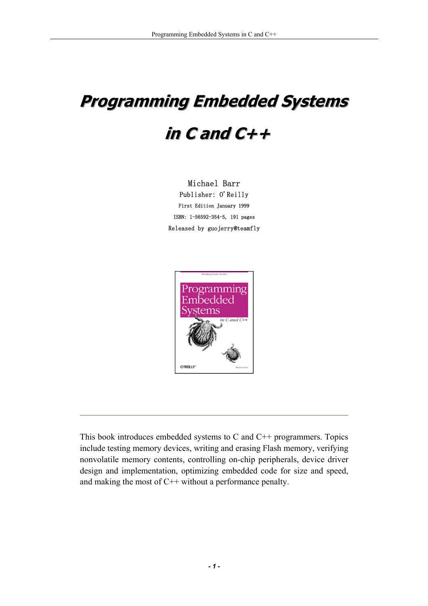# **Programming Embedded Systems** in C and C++

Michael Barr Publisher: O'Reilly First Edition January 1999 ISBN: 1-56592-354-5, 191 pages Released by guojerry@teamfly



This book introduces embedded systems to  $C$  and  $C^{++}$  programmers. Topics include testing memory devices, writing and erasing Flash memory, verifying nonvolatile memory contents, controlling on-chip peripherals, device driver design and implementation, optimizing embedded code for size and speed, and making the most of C++ without a performance penalty.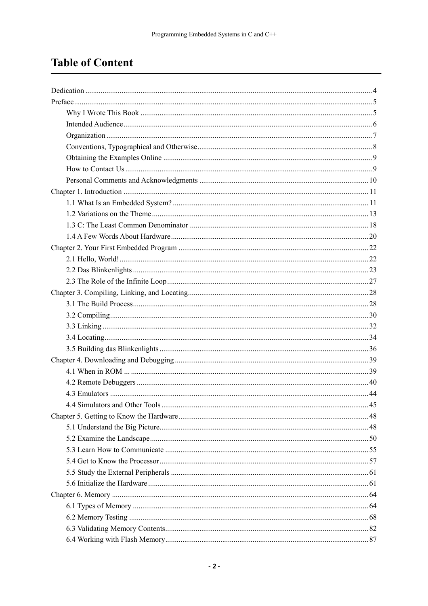# **Table of Content**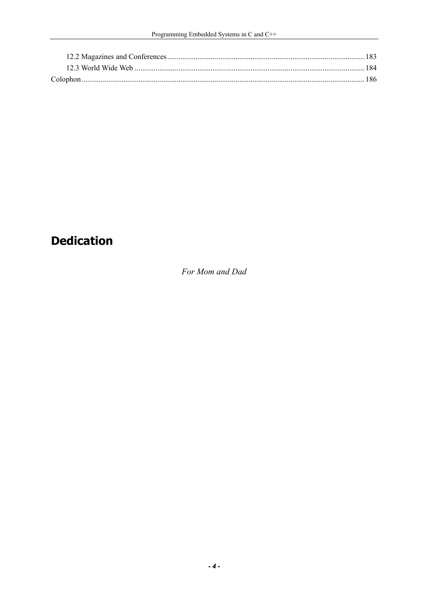# **Dedication**

#### For Mom and Dad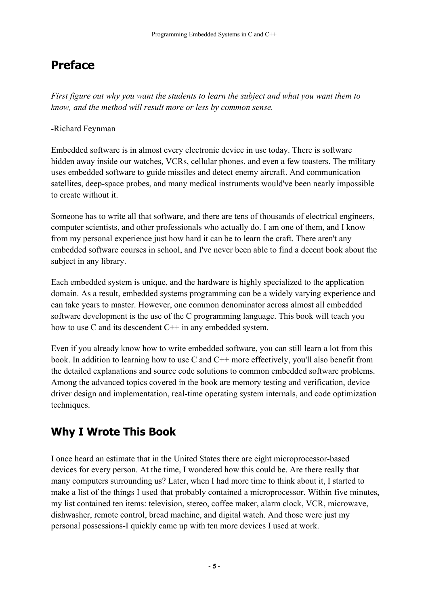# **Preface**

*First figure out why you want the students to learn the subject and what you want them to know, and the method will result more or less by common sense.* 

#### -Richard Feynman

Embedded software is in almost every electronic device in use today. There is software hidden away inside our watches, VCRs, cellular phones, and even a few toasters. The military uses embedded software to guide missiles and detect enemy aircraft. And communication satellites, deep-space probes, and many medical instruments would've been nearly impossible to create without it.

Someone has to write all that software, and there are tens of thousands of electrical engineers, computer scientists, and other professionals who actually do. I am one of them, and I know from my personal experience just how hard it can be to learn the craft. There aren't any embedded software courses in school, and I've never been able to find a decent book about the subject in any library.

Each embedded system is unique, and the hardware is highly specialized to the application domain. As a result, embedded systems programming can be a widely varying experience and can take years to master. However, one common denominator across almost all embedded software development is the use of the C programming language. This book will teach you how to use C and its descendent C<sup>++</sup> in any embedded system.

Even if you already know how to write embedded software, you can still learn a lot from this book. In addition to learning how to use C and C++ more effectively, you'll also benefit from the detailed explanations and source code solutions to common embedded software problems. Among the advanced topics covered in the book are memory testing and verification, device driver design and implementation, real-time operating system internals, and code optimization techniques.

# **Why I Wrote This Book**

I once heard an estimate that in the United States there are eight microprocessor-based devices for every person. At the time, I wondered how this could be. Are there really that many computers surrounding us? Later, when I had more time to think about it, I started to make a list of the things I used that probably contained a microprocessor. Within five minutes, my list contained ten items: television, stereo, coffee maker, alarm clock, VCR, microwave, dishwasher, remote control, bread machine, and digital watch. And those were just my personal possessions-I quickly came up with ten more devices I used at work.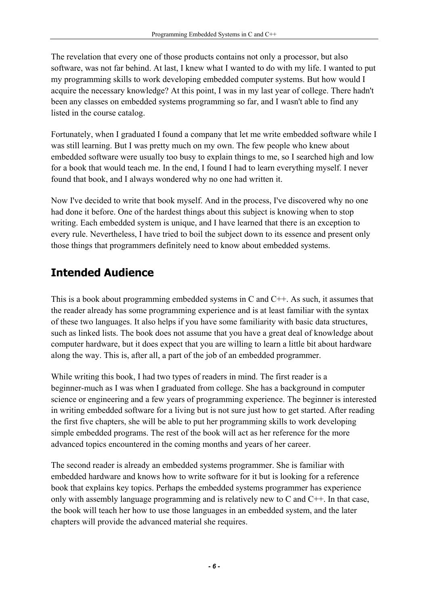The revelation that every one of those products contains not only a processor, but also software, was not far behind. At last, I knew what I wanted to do with my life. I wanted to put my programming skills to work developing embedded computer systems. But how would I acquire the necessary knowledge? At this point, I was in my last year of college. There hadn't been any classes on embedded systems programming so far, and I wasn't able to find any listed in the course catalog.

Fortunately, when I graduated I found a company that let me write embedded software while I was still learning. But I was pretty much on my own. The few people who knew about embedded software were usually too busy to explain things to me, so I searched high and low for a book that would teach me. In the end, I found I had to learn everything myself. I never found that book, and I always wondered why no one had written it.

Now I've decided to write that book myself. And in the process, I've discovered why no one had done it before. One of the hardest things about this subject is knowing when to stop writing. Each embedded system is unique, and I have learned that there is an exception to every rule. Nevertheless, I have tried to boil the subject down to its essence and present only those things that programmers definitely need to know about embedded systems.

# **Intended Audience**

This is a book about programming embedded systems in C and  $C_{++}$ . As such, it assumes that the reader already has some programming experience and is at least familiar with the syntax of these two languages. It also helps if you have some familiarity with basic data structures, such as linked lists. The book does not assume that you have a great deal of knowledge about computer hardware, but it does expect that you are willing to learn a little bit about hardware along the way. This is, after all, a part of the job of an embedded programmer.

While writing this book, I had two types of readers in mind. The first reader is a beginner-much as I was when I graduated from college. She has a background in computer science or engineering and a few years of programming experience. The beginner is interested in writing embedded software for a living but is not sure just how to get started. After reading the first five chapters, she will be able to put her programming skills to work developing simple embedded programs. The rest of the book will act as her reference for the more advanced topics encountered in the coming months and years of her career.

The second reader is already an embedded systems programmer. She is familiar with embedded hardware and knows how to write software for it but is looking for a reference book that explains key topics. Perhaps the embedded systems programmer has experience only with assembly language programming and is relatively new to C and C++. In that case, the book will teach her how to use those languages in an embedded system, and the later chapters will provide the advanced material she requires.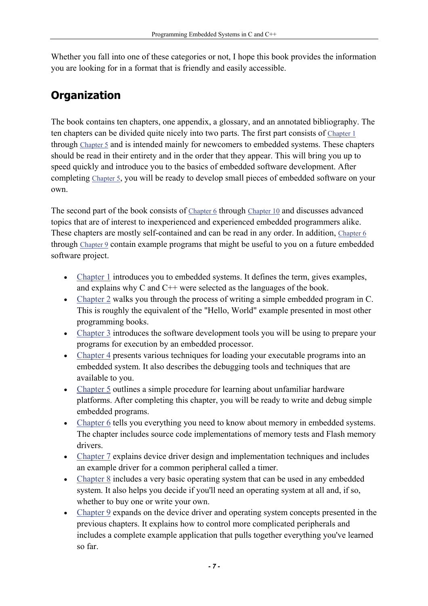Whether you fall into one of these categories or not, I hope this book provides the information you are looking for in a format that is friendly and easily accessible.

# **Organization**

The book contains ten chapters, one appendix, a glossary, and an annotated bibliography. The ten chapters can be divided quite nicely into two parts. The first part consists of Chapter 1 through Chapter 5 and is intended mainly for newcomers to embedded systems. These chapters should be read in their entirety and in the order that they appear. This will bring you up to speed quickly and introduce you to the basics of embedded software development. After completing Chapter 5, you will be ready to develop small pieces of embedded software on your own.

The second part of the book consists of Chapter 6 through Chapter 10 and discusses advanced topics that are of interest to inexperienced and experienced embedded programmers alike. These chapters are mostly self-contained and can be read in any order. In addition, Chapter 6 through Chapter 9 contain example programs that might be useful to you on a future embedded software project.

- Chapter 1 introduces you to embedded systems. It defines the term, gives examples, and explains why C and C++ were selected as the languages of the book.
- Chapter 2 walks you through the process of writing a simple embedded program in C. This is roughly the equivalent of the "Hello, World" example presented in most other programming books.
- Chapter 3 introduces the software development tools you will be using to prepare your programs for execution by an embedded processor.
- Chapter 4 presents various techniques for loading your executable programs into an embedded system. It also describes the debugging tools and techniques that are available to you.
- Chapter 5 outlines a simple procedure for learning about unfamiliar hardware platforms. After completing this chapter, you will be ready to write and debug simple embedded programs.
- Chapter 6 tells you everything you need to know about memory in embedded systems. The chapter includes source code implementations of memory tests and Flash memory drivers.
- Chapter 7 explains device driver design and implementation techniques and includes an example driver for a common peripheral called a timer.
- Chapter 8 includes a very basic operating system that can be used in any embedded system. It also helps you decide if you'll need an operating system at all and, if so, whether to buy one or write your own.
- Chapter 9 expands on the device driver and operating system concepts presented in the previous chapters. It explains how to control more complicated peripherals and includes a complete example application that pulls together everything you've learned so far.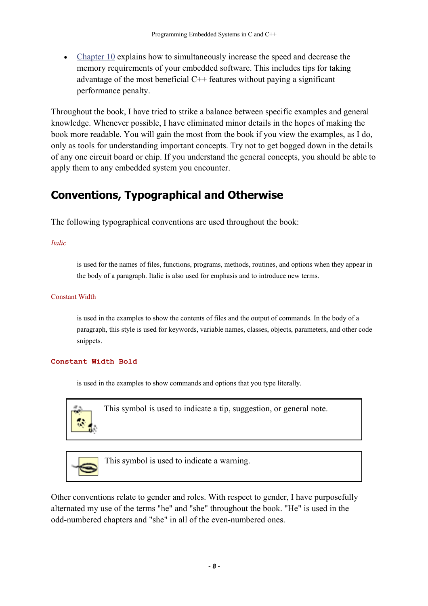• Chapter 10 explains how to simultaneously increase the speed and decrease the memory requirements of your embedded software. This includes tips for taking advantage of the most beneficial C++ features without paying a significant performance penalty.

Throughout the book, I have tried to strike a balance between specific examples and general knowledge. Whenever possible, I have eliminated minor details in the hopes of making the book more readable. You will gain the most from the book if you view the examples, as I do, only as tools for understanding important concepts. Try not to get bogged down in the details of any one circuit board or chip. If you understand the general concepts, you should be able to apply them to any embedded system you encounter.

### **Conventions, Typographical and Otherwise**

The following typographical conventions are used throughout the book:

#### *Italic*

is used for the names of files, functions, programs, methods, routines, and options when they appear in the body of a paragraph. Italic is also used for emphasis and to introduce new terms.

#### Constant Width

is used in the examples to show the contents of files and the output of commands. In the body of a paragraph, this style is used for keywords, variable names, classes, objects, parameters, and other code snippets.

#### **Constant Width Bold**

is used in the examples to show commands and options that you type literally.



This symbol is used to indicate a tip, suggestion, or general note.



This symbol is used to indicate a warning.

Other conventions relate to gender and roles. With respect to gender, I have purposefully alternated my use of the terms "he" and "she" throughout the book. "He" is used in the odd-numbered chapters and "she" in all of the even-numbered ones.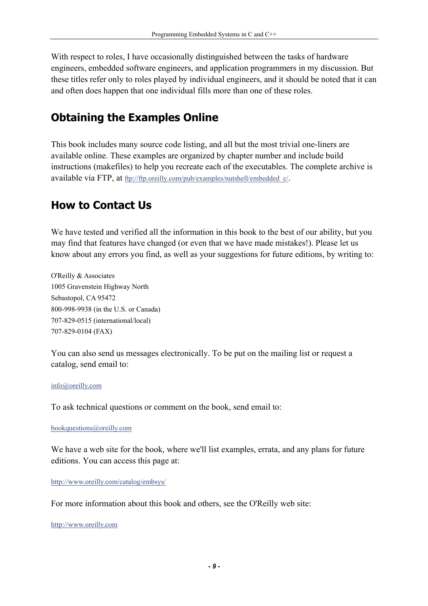With respect to roles, I have occasionally distinguished between the tasks of hardware engineers, embedded software engineers, and application programmers in my discussion. But these titles refer only to roles played by individual engineers, and it should be noted that it can and often does happen that one individual fills more than one of these roles.

# **Obtaining the Examples Online**

This book includes many source code listing, and all but the most trivial one-liners are available online. These examples are organized by chapter number and include build instructions (makefiles) to help you recreate each of the executables. The complete archive is available via FTP, at ftp://ftp.oreilly.com/pub/examples/nutshell/embedded\_c/.

# **How to Contact Us**

We have tested and verified all the information in this book to the best of our ability, but you may find that features have changed (or even that we have made mistakes!). Please let us know about any errors you find, as well as your suggestions for future editions, by writing to:

O'Reilly & Associates 1005 Gravenstein Highway North Sebastopol, CA 95472 800-998-9938 (in the U.S. or Canada) 707-829-0515 (international/local) 707-829-0104 (FAX)

You can also send us messages electronically. To be put on the mailing list or request a catalog, send email to:

#### info@oreilly.com

To ask technical questions or comment on the book, send email to:

#### bookquestions@oreilly.com

We have a web site for the book, where we'll list examples, errata, and any plans for future editions. You can access this page at:

#### http://www.oreilly.com/catalog/embsys/

For more information about this book and others, see the O'Reilly web site:

#### http://www.oreilly.com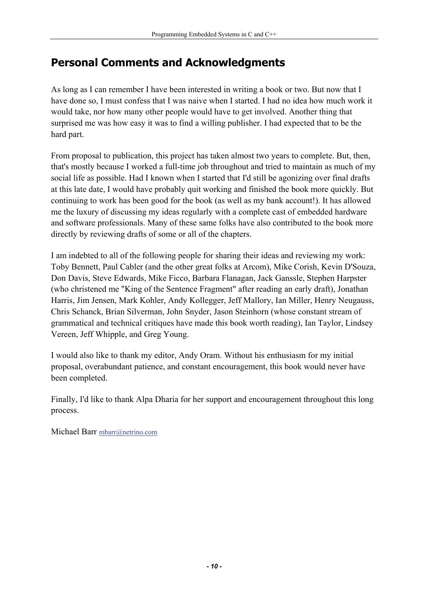### **Personal Comments and Acknowledgments**

As long as I can remember I have been interested in writing a book or two. But now that I have done so, I must confess that I was naive when I started. I had no idea how much work it would take, nor how many other people would have to get involved. Another thing that surprised me was how easy it was to find a willing publisher. I had expected that to be the hard part.

From proposal to publication, this project has taken almost two years to complete. But, then, that's mostly because I worked a full-time job throughout and tried to maintain as much of my social life as possible. Had I known when I started that I'd still be agonizing over final drafts at this late date, I would have probably quit working and finished the book more quickly. But continuing to work has been good for the book (as well as my bank account!). It has allowed me the luxury of discussing my ideas regularly with a complete cast of embedded hardware and software professionals. Many of these same folks have also contributed to the book more directly by reviewing drafts of some or all of the chapters.

I am indebted to all of the following people for sharing their ideas and reviewing my work: Toby Bennett, Paul Cabler (and the other great folks at Arcom), Mike Corish, Kevin D'Souza, Don Davis, Steve Edwards, Mike Ficco, Barbara Flanagan, Jack Ganssle, Stephen Harpster (who christened me "King of the Sentence Fragment" after reading an early draft), Jonathan Harris, Jim Jensen, Mark Kohler, Andy Kollegger, Jeff Mallory, Ian Miller, Henry Neugauss, Chris Schanck, Brian Silverman, John Snyder, Jason Steinhorn (whose constant stream of grammatical and technical critiques have made this book worth reading), Ian Taylor, Lindsey Vereen, Jeff Whipple, and Greg Young.

I would also like to thank my editor, Andy Oram. Without his enthusiasm for my initial proposal, overabundant patience, and constant encouragement, this book would never have been completed.

Finally, I'd like to thank Alpa Dharia for her support and encouragement throughout this long process.

Michael Barr mbarr@netrino.com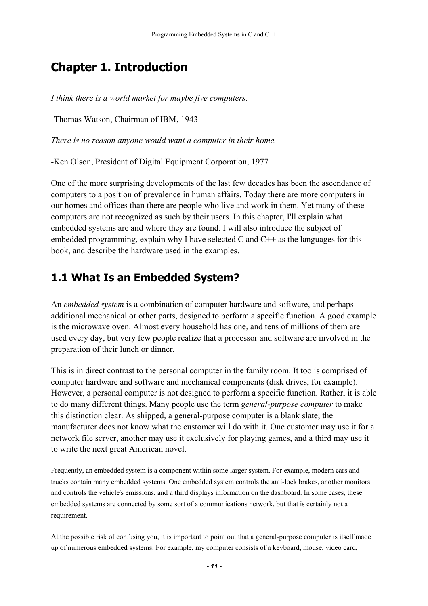### **Chapter 1. Introduction**

*I think there is a world market for maybe five computers.*

-Thomas Watson, Chairman of IBM, 1943

*There is no reason anyone would want a computer in their home.*

-Ken Olson, President of Digital Equipment Corporation, 1977

One of the more surprising developments of the last few decades has been the ascendance of computers to a position of prevalence in human affairs. Today there are more computers in our homes and offices than there are people who live and work in them. Yet many of these computers are not recognized as such by their users. In this chapter, I'll explain what embedded systems are and where they are found. I will also introduce the subject of embedded programming, explain why I have selected C and  $C++$  as the languages for this book, and describe the hardware used in the examples.

### **1.1 What Is an Embedded System?**

An *embedded system* is a combination of computer hardware and software, and perhaps additional mechanical or other parts, designed to perform a specific function. A good example is the microwave oven. Almost every household has one, and tens of millions of them are used every day, but very few people realize that a processor and software are involved in the preparation of their lunch or dinner.

This is in direct contrast to the personal computer in the family room. It too is comprised of computer hardware and software and mechanical components (disk drives, for example). However, a personal computer is not designed to perform a specific function. Rather, it is able to do many different things. Many people use the term *general-purpose computer* to make this distinction clear. As shipped, a general-purpose computer is a blank slate; the manufacturer does not know what the customer will do with it. One customer may use it for a network file server, another may use it exclusively for playing games, and a third may use it to write the next great American novel.

Frequently, an embedded system is a component within some larger system. For example, modern cars and trucks contain many embedded systems. One embedded system controls the anti-lock brakes, another monitors and controls the vehicle's emissions, and a third displays information on the dashboard. In some cases, these embedded systems are connected by some sort of a communications network, but that is certainly not a requirement.

At the possible risk of confusing you, it is important to point out that a general-purpose computer is itself made up of numerous embedded systems. For example, my computer consists of a keyboard, mouse, video card,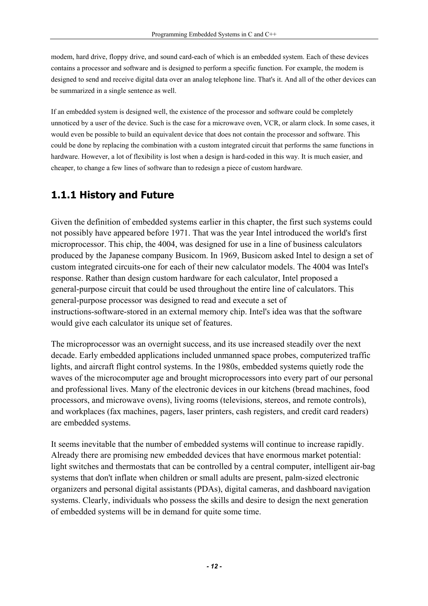modem, hard drive, floppy drive, and sound card-each of which is an embedded system. Each of these devices contains a processor and software and is designed to perform a specific function. For example, the modem is designed to send and receive digital data over an analog telephone line. That's it. And all of the other devices can be summarized in a single sentence as well.

If an embedded system is designed well, the existence of the processor and software could be completely unnoticed by a user of the device. Such is the case for a microwave oven, VCR, or alarm clock. In some cases, it would even be possible to build an equivalent device that does not contain the processor and software. This could be done by replacing the combination with a custom integrated circuit that performs the same functions in hardware. However, a lot of flexibility is lost when a design is hard-coded in this way. It is much easier, and cheaper, to change a few lines of software than to redesign a piece of custom hardware.

### **1.1.1 History and Future**

Given the definition of embedded systems earlier in this chapter, the first such systems could not possibly have appeared before 1971. That was the year Intel introduced the world's first microprocessor. This chip, the 4004, was designed for use in a line of business calculators produced by the Japanese company Busicom. In 1969, Busicom asked Intel to design a set of custom integrated circuits-one for each of their new calculator models. The 4004 was Intel's response. Rather than design custom hardware for each calculator, Intel proposed a general-purpose circuit that could be used throughout the entire line of calculators. This general-purpose processor was designed to read and execute a set of instructions-software-stored in an external memory chip. Intel's idea was that the software would give each calculator its unique set of features.

The microprocessor was an overnight success, and its use increased steadily over the next decade. Early embedded applications included unmanned space probes, computerized traffic lights, and aircraft flight control systems. In the 1980s, embedded systems quietly rode the waves of the microcomputer age and brought microprocessors into every part of our personal and professional lives. Many of the electronic devices in our kitchens (bread machines, food processors, and microwave ovens), living rooms (televisions, stereos, and remote controls), and workplaces (fax machines, pagers, laser printers, cash registers, and credit card readers) are embedded systems.

It seems inevitable that the number of embedded systems will continue to increase rapidly. Already there are promising new embedded devices that have enormous market potential: light switches and thermostats that can be controlled by a central computer, intelligent air-bag systems that don't inflate when children or small adults are present, palm-sized electronic organizers and personal digital assistants (PDAs), digital cameras, and dashboard navigation systems. Clearly, individuals who possess the skills and desire to design the next generation of embedded systems will be in demand for quite some time.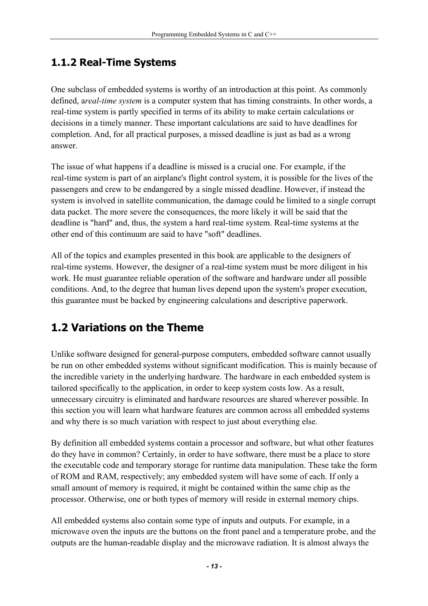### **1.1.2 Real-Time Systems**

One subclass of embedded systems is worthy of an introduction at this point. As commonly defined, a*real-time system* is a computer system that has timing constraints. In other words, a real-time system is partly specified in terms of its ability to make certain calculations or decisions in a timely manner. These important calculations are said to have deadlines for completion. And, for all practical purposes, a missed deadline is just as bad as a wrong answer.

The issue of what happens if a deadline is missed is a crucial one. For example, if the real-time system is part of an airplane's flight control system, it is possible for the lives of the passengers and crew to be endangered by a single missed deadline. However, if instead the system is involved in satellite communication, the damage could be limited to a single corrupt data packet. The more severe the consequences, the more likely it will be said that the deadline is "hard" and, thus, the system a hard real-time system. Real-time systems at the other end of this continuum are said to have "soft" deadlines.

All of the topics and examples presented in this book are applicable to the designers of real-time systems. However, the designer of a real-time system must be more diligent in his work. He must guarantee reliable operation of the software and hardware under all possible conditions. And, to the degree that human lives depend upon the system's proper execution, this guarantee must be backed by engineering calculations and descriptive paperwork.

# **1.2 Variations on the Theme**

Unlike software designed for general-purpose computers, embedded software cannot usually be run on other embedded systems without significant modification. This is mainly because of the incredible variety in the underlying hardware. The hardware in each embedded system is tailored specifically to the application, in order to keep system costs low. As a result, unnecessary circuitry is eliminated and hardware resources are shared wherever possible. In this section you will learn what hardware features are common across all embedded systems and why there is so much variation with respect to just about everything else.

By definition all embedded systems contain a processor and software, but what other features do they have in common? Certainly, in order to have software, there must be a place to store the executable code and temporary storage for runtime data manipulation. These take the form of ROM and RAM, respectively; any embedded system will have some of each. If only a small amount of memory is required, it might be contained within the same chip as the processor. Otherwise, one or both types of memory will reside in external memory chips.

All embedded systems also contain some type of inputs and outputs. For example, in a microwave oven the inputs are the buttons on the front panel and a temperature probe, and the outputs are the human-readable display and the microwave radiation. It is almost always the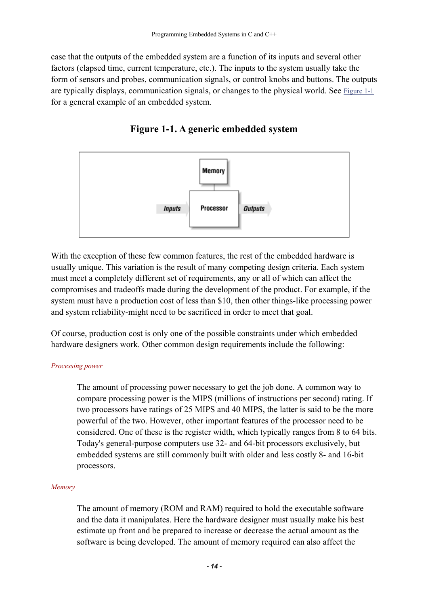case that the outputs of the embedded system are a function of its inputs and several other factors (elapsed time, current temperature, etc.). The inputs to the system usually take the form of sensors and probes, communication signals, or control knobs and buttons. The outputs are typically displays, communication signals, or changes to the physical world. See Figure 1-1 for a general example of an embedded system.





With the exception of these few common features, the rest of the embedded hardware is usually unique. This variation is the result of many competing design criteria. Each system must meet a completely different set of requirements, any or all of which can affect the compromises and tradeoffs made during the development of the product. For example, if the system must have a production cost of less than \$10, then other things-like processing power and system reliability-might need to be sacrificed in order to meet that goal.

Of course, production cost is only one of the possible constraints under which embedded hardware designers work. Other common design requirements include the following:

#### *Processing power*

The amount of processing power necessary to get the job done. A common way to compare processing power is the MIPS (millions of instructions per second) rating. If two processors have ratings of 25 MIPS and 40 MIPS, the latter is said to be the more powerful of the two. However, other important features of the processor need to be considered. One of these is the register width, which typically ranges from 8 to 64 bits. Today's general-purpose computers use 32- and 64-bit processors exclusively, but embedded systems are still commonly built with older and less costly 8- and 16-bit processors.

#### *Memory*

The amount of memory (ROM and RAM) required to hold the executable software and the data it manipulates. Here the hardware designer must usually make his best estimate up front and be prepared to increase or decrease the actual amount as the software is being developed. The amount of memory required can also affect the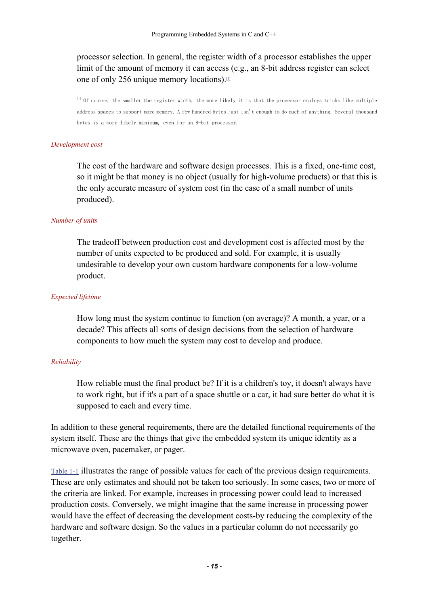processor selection. In general, the register width of a processor establishes the upper limit of the amount of memory it can access (e.g., an 8-bit address register can select one of only 256 unique memory locations). $\Box$ 

 $^{[1]}$  Of course, the smaller the register width, the more likely it is that the processor employs tricks like multiple address spaces to support more memory. A few hundred bytes just isn't enough to do much of anything. Several thousand bytes is a more likely minimum, even for an 8-bit processor.

#### *Development cost*

The cost of the hardware and software design processes. This is a fixed, one-time cost, so it might be that money is no object (usually for high-volume products) or that this is the only accurate measure of system cost (in the case of a small number of units produced).

#### *Number of units*

The tradeoff between production cost and development cost is affected most by the number of units expected to be produced and sold. For example, it is usually undesirable to develop your own custom hardware components for a low-volume product.

#### *Expected lifetime*

How long must the system continue to function (on average)? A month, a year, or a decade? This affects all sorts of design decisions from the selection of hardware components to how much the system may cost to develop and produce.

#### *Reliability*

How reliable must the final product be? If it is a children's toy, it doesn't always have to work right, but if it's a part of a space shuttle or a car, it had sure better do what it is supposed to each and every time.

In addition to these general requirements, there are the detailed functional requirements of the system itself. These are the things that give the embedded system its unique identity as a microwave oven, pacemaker, or pager.

Table 1-1 illustrates the range of possible values for each of the previous design requirements. These are only estimates and should not be taken too seriously. In some cases, two or more of the criteria are linked. For example, increases in processing power could lead to increased production costs. Conversely, we might imagine that the same increase in processing power would have the effect of decreasing the development costs-by reducing the complexity of the hardware and software design. So the values in a particular column do not necessarily go together.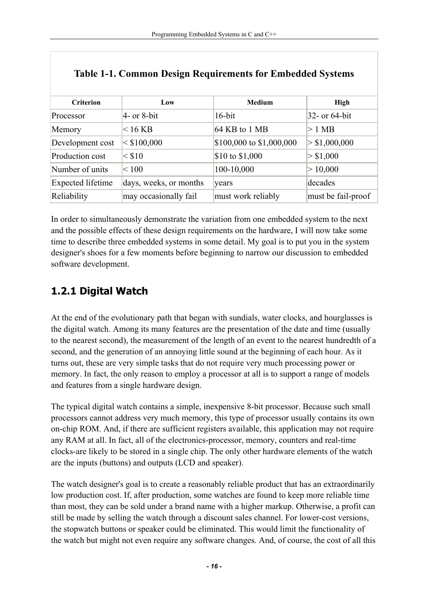| Table 1 Tr Common Design Teepan ements for Embedded Dystems |                        |                          |                    |  |
|-------------------------------------------------------------|------------------------|--------------------------|--------------------|--|
| <b>Criterion</b>                                            | Low                    | Medium                   | <b>High</b>        |  |
| Processor                                                   | $4$ - or 8-bit         | $16$ -bit                | 32- or 64-bit      |  |
| Memory                                                      | $< 16$ KB              | 64 KB to 1 MB            | $>1$ MB            |  |
| Development cost                                            | $<$ \$100,000          | \$100,000 to \$1,000,000 | > \$1,000,000      |  |
| Production cost                                             | $<$ \$10               | \$10 to \$1,000          | > \$1,000          |  |
| Number of units                                             | ${}_{\leq 100}$        | 100-10,000               | > 10,000           |  |
| <b>Expected lifetime</b>                                    | days, weeks, or months | vears                    | decades            |  |
| Reliability                                                 | may occasionally fail  | must work reliably       | must be fail-proof |  |

### **Table 1-1. Common Design Requirements for Embedded Systems**

In order to simultaneously demonstrate the variation from one embedded system to the next and the possible effects of these design requirements on the hardware, I will now take some time to describe three embedded systems in some detail. My goal is to put you in the system designer's shoes for a few moments before beginning to narrow our discussion to embedded software development.

### **1.2.1 Digital Watch**

At the end of the evolutionary path that began with sundials, water clocks, and hourglasses is the digital watch. Among its many features are the presentation of the date and time (usually to the nearest second), the measurement of the length of an event to the nearest hundredth of a second, and the generation of an annoying little sound at the beginning of each hour. As it turns out, these are very simple tasks that do not require very much processing power or memory. In fact, the only reason to employ a processor at all is to support a range of models and features from a single hardware design.

The typical digital watch contains a simple, inexpensive 8-bit processor. Because such small processors cannot address very much memory, this type of processor usually contains its own on-chip ROM. And, if there are sufficient registers available, this application may not require any RAM at all. In fact, all of the electronics-processor, memory, counters and real-time clocks-are likely to be stored in a single chip. The only other hardware elements of the watch are the inputs (buttons) and outputs (LCD and speaker).

The watch designer's goal is to create a reasonably reliable product that has an extraordinarily low production cost. If, after production, some watches are found to keep more reliable time than most, they can be sold under a brand name with a higher markup. Otherwise, a profit can still be made by selling the watch through a discount sales channel. For lower-cost versions, the stopwatch buttons or speaker could be eliminated. This would limit the functionality of the watch but might not even require any software changes. And, of course, the cost of all this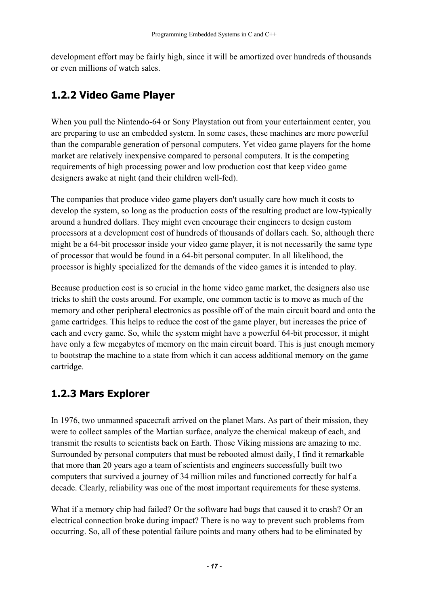development effort may be fairly high, since it will be amortized over hundreds of thousands or even millions of watch sales.

### **1.2.2 Video Game Player**

When you pull the Nintendo-64 or Sony Playstation out from your entertainment center, you are preparing to use an embedded system. In some cases, these machines are more powerful than the comparable generation of personal computers. Yet video game players for the home market are relatively inexpensive compared to personal computers. It is the competing requirements of high processing power and low production cost that keep video game designers awake at night (and their children well-fed).

The companies that produce video game players don't usually care how much it costs to develop the system, so long as the production costs of the resulting product are low-typically around a hundred dollars. They might even encourage their engineers to design custom processors at a development cost of hundreds of thousands of dollars each. So, although there might be a 64-bit processor inside your video game player, it is not necessarily the same type of processor that would be found in a 64-bit personal computer. In all likelihood, the processor is highly specialized for the demands of the video games it is intended to play.

Because production cost is so crucial in the home video game market, the designers also use tricks to shift the costs around. For example, one common tactic is to move as much of the memory and other peripheral electronics as possible off of the main circuit board and onto the game cartridges. This helps to reduce the cost of the game player, but increases the price of each and every game. So, while the system might have a powerful 64-bit processor, it might have only a few megabytes of memory on the main circuit board. This is just enough memory to bootstrap the machine to a state from which it can access additional memory on the game cartridge.

### **1.2.3 Mars Explorer**

In 1976, two unmanned spacecraft arrived on the planet Mars. As part of their mission, they were to collect samples of the Martian surface, analyze the chemical makeup of each, and transmit the results to scientists back on Earth. Those Viking missions are amazing to me. Surrounded by personal computers that must be rebooted almost daily, I find it remarkable that more than 20 years ago a team of scientists and engineers successfully built two computers that survived a journey of 34 million miles and functioned correctly for half a decade. Clearly, reliability was one of the most important requirements for these systems.

What if a memory chip had failed? Or the software had bugs that caused it to crash? Or an electrical connection broke during impact? There is no way to prevent such problems from occurring. So, all of these potential failure points and many others had to be eliminated by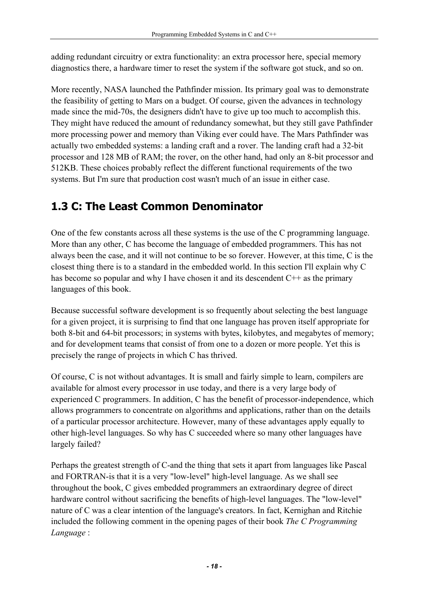adding redundant circuitry or extra functionality: an extra processor here, special memory diagnostics there, a hardware timer to reset the system if the software got stuck, and so on.

More recently, NASA launched the Pathfinder mission. Its primary goal was to demonstrate the feasibility of getting to Mars on a budget. Of course, given the advances in technology made since the mid-70s, the designers didn't have to give up too much to accomplish this. They might have reduced the amount of redundancy somewhat, but they still gave Pathfinder more processing power and memory than Viking ever could have. The Mars Pathfinder was actually two embedded systems: a landing craft and a rover. The landing craft had a 32-bit processor and 128 MB of RAM; the rover, on the other hand, had only an 8-bit processor and 512KB. These choices probably reflect the different functional requirements of the two systems. But I'm sure that production cost wasn't much of an issue in either case.

# **1.3 C: The Least Common Denominator**

One of the few constants across all these systems is the use of the C programming language. More than any other, C has become the language of embedded programmers. This has not always been the case, and it will not continue to be so forever. However, at this time, C is the closest thing there is to a standard in the embedded world. In this section I'll explain why C has become so popular and why I have chosen it and its descendent C++ as the primary languages of this book.

Because successful software development is so frequently about selecting the best language for a given project, it is surprising to find that one language has proven itself appropriate for both 8-bit and 64-bit processors; in systems with bytes, kilobytes, and megabytes of memory; and for development teams that consist of from one to a dozen or more people. Yet this is precisely the range of projects in which C has thrived.

Of course, C is not without advantages. It is small and fairly simple to learn, compilers are available for almost every processor in use today, and there is a very large body of experienced C programmers. In addition, C has the benefit of processor-independence, which allows programmers to concentrate on algorithms and applications, rather than on the details of a particular processor architecture. However, many of these advantages apply equally to other high-level languages. So why has C succeeded where so many other languages have largely failed?

Perhaps the greatest strength of C-and the thing that sets it apart from languages like Pascal and FORTRAN-is that it is a very "low-level" high-level language. As we shall see throughout the book, C gives embedded programmers an extraordinary degree of direct hardware control without sacrificing the benefits of high-level languages. The "low-level" nature of C was a clear intention of the language's creators. In fact, Kernighan and Ritchie included the following comment in the opening pages of their book *The C Programming Language* :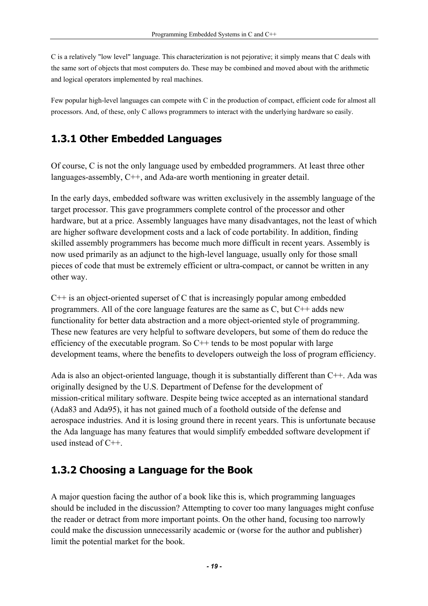C is a relatively "low level" language. This characterization is not pejorative; it simply means that C deals with the same sort of objects that most computers do. These may be combined and moved about with the arithmetic and logical operators implemented by real machines.

Few popular high-level languages can compete with C in the production of compact, efficient code for almost all processors. And, of these, only C allows programmers to interact with the underlying hardware so easily.

### **1.3.1 Other Embedded Languages**

Of course, C is not the only language used by embedded programmers. At least three other languages-assembly, C++, and Ada-are worth mentioning in greater detail.

In the early days, embedded software was written exclusively in the assembly language of the target processor. This gave programmers complete control of the processor and other hardware, but at a price. Assembly languages have many disadvantages, not the least of which are higher software development costs and a lack of code portability. In addition, finding skilled assembly programmers has become much more difficult in recent years. Assembly is now used primarily as an adjunct to the high-level language, usually only for those small pieces of code that must be extremely efficient or ultra-compact, or cannot be written in any other way.

C++ is an object-oriented superset of C that is increasingly popular among embedded programmers. All of the core language features are the same as C, but C++ adds new functionality for better data abstraction and a more object-oriented style of programming. These new features are very helpful to software developers, but some of them do reduce the efficiency of the executable program. So  $C++$  tends to be most popular with large development teams, where the benefits to developers outweigh the loss of program efficiency.

Ada is also an object-oriented language, though it is substantially different than  $C_{++}$ . Ada was originally designed by the U.S. Department of Defense for the development of mission-critical military software. Despite being twice accepted as an international standard (Ada83 and Ada95), it has not gained much of a foothold outside of the defense and aerospace industries. And it is losing ground there in recent years. This is unfortunate because the Ada language has many features that would simplify embedded software development if used instead of C++

### **1.3.2 Choosing a Language for the Book**

A major question facing the author of a book like this is, which programming languages should be included in the discussion? Attempting to cover too many languages might confuse the reader or detract from more important points. On the other hand, focusing too narrowly could make the discussion unnecessarily academic or (worse for the author and publisher) limit the potential market for the book.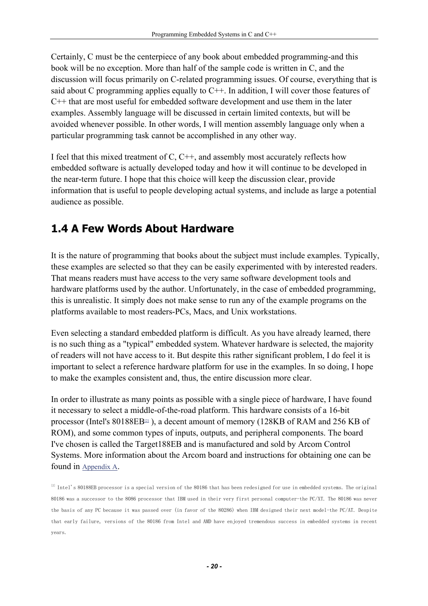Certainly, C must be the centerpiece of any book about embedded programming-and this book will be no exception. More than half of the sample code is written in C, and the discussion will focus primarily on C-related programming issues. Of course, everything that is said about C programming applies equally to C++. In addition, I will cover those features of C++ that are most useful for embedded software development and use them in the later examples. Assembly language will be discussed in certain limited contexts, but will be avoided whenever possible. In other words, I will mention assembly language only when a particular programming task cannot be accomplished in any other way.

I feel that this mixed treatment of C, C++, and assembly most accurately reflects how embedded software is actually developed today and how it will continue to be developed in the near-term future. I hope that this choice will keep the discussion clear, provide information that is useful to people developing actual systems, and include as large a potential audience as possible.

# **1.4 A Few Words About Hardware**

It is the nature of programming that books about the subject must include examples. Typically, these examples are selected so that they can be easily experimented with by interested readers. That means readers must have access to the very same software development tools and hardware platforms used by the author. Unfortunately, in the case of embedded programming, this is unrealistic. It simply does not make sense to run any of the example programs on the platforms available to most readers-PCs, Macs, and Unix workstations.

Even selecting a standard embedded platform is difficult. As you have already learned, there is no such thing as a "typical" embedded system. Whatever hardware is selected, the majority of readers will not have access to it. But despite this rather significant problem, I do feel it is important to select a reference hardware platform for use in the examples. In so doing, I hope to make the examples consistent and, thus, the entire discussion more clear.

In order to illustrate as many points as possible with a single piece of hardware, I have found it necessary to select a middle-of-the-road platform. This hardware consists of a 16-bit processor (Intel's  $80188EB^{\text{m}}$ ), a decent amount of memory (128KB of RAM and 256 KB of ROM), and some common types of inputs, outputs, and peripheral components. The board I've chosen is called the Target188EB and is manufactured and sold by Arcom Control Systems. More information about the Arcom board and instructions for obtaining one can be found in Appendix A.

 $[2]$  Intel's 80188EB processor is a special version of the 80186 that has been redesigned for use in embedded systems. The original 80186 was a successor to the 8086 processor that IBM used in their very first personal computer-the PC/XT. The 80186 was never the basis of any PC because it was passed over (in favor of the 80286) when IBM designed their next model-the PC/AT. Despite that early failure, versions of the 80186 from Intel and AMD have enjoyed tremendous success in embedded systems in recent years.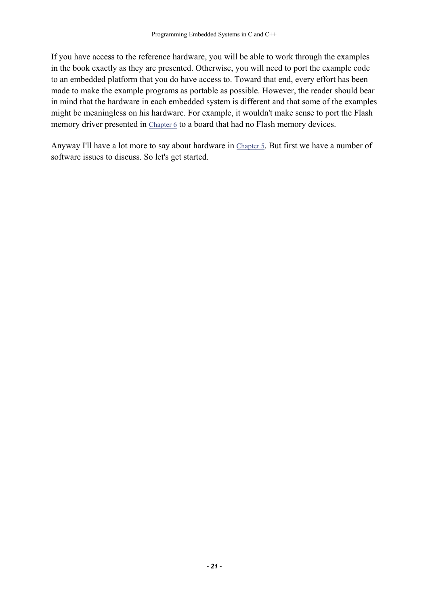If you have access to the reference hardware, you will be able to work through the examples in the book exactly as they are presented. Otherwise, you will need to port the example code to an embedded platform that you do have access to. Toward that end, every effort has been made to make the example programs as portable as possible. However, the reader should bear in mind that the hardware in each embedded system is different and that some of the examples might be meaningless on his hardware. For example, it wouldn't make sense to port the Flash memory driver presented in Chapter 6 to a board that had no Flash memory devices.

Anyway I'll have a lot more to say about hardware in Chapter 5. But first we have a number of software issues to discuss. So let's get started.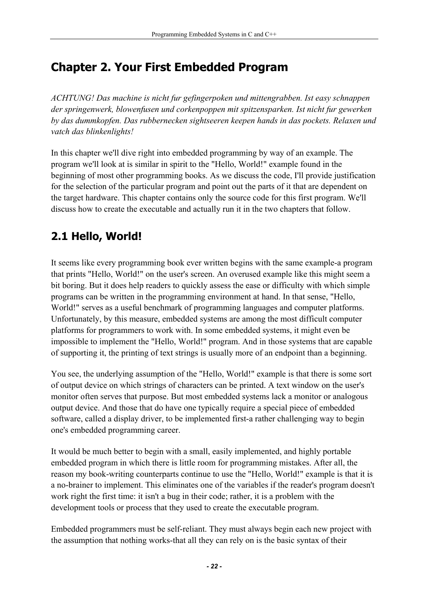# **Chapter 2. Your First Embedded Program**

*ACHTUNG! Das machine is nicht fur gefingerpoken und mittengrabben. Ist easy schnappen der springenwerk, blowenfusen und corkenpoppen mit spitzensparken. Ist nicht fur gewerken by das dummkopfen. Das rubbernecken sightseeren keepen hands in das pockets. Relaxen und vatch das blinkenlights!* 

In this chapter we'll dive right into embedded programming by way of an example. The program we'll look at is similar in spirit to the "Hello, World!" example found in the beginning of most other programming books. As we discuss the code, I'll provide justification for the selection of the particular program and point out the parts of it that are dependent on the target hardware. This chapter contains only the source code for this first program. We'll discuss how to create the executable and actually run it in the two chapters that follow.

# **2.1 Hello, World!**

It seems like every programming book ever written begins with the same example-a program that prints "Hello, World!" on the user's screen. An overused example like this might seem a bit boring. But it does help readers to quickly assess the ease or difficulty with which simple programs can be written in the programming environment at hand. In that sense, "Hello, World!" serves as a useful benchmark of programming languages and computer platforms. Unfortunately, by this measure, embedded systems are among the most difficult computer platforms for programmers to work with. In some embedded systems, it might even be impossible to implement the "Hello, World!" program. And in those systems that are capable of supporting it, the printing of text strings is usually more of an endpoint than a beginning.

You see, the underlying assumption of the "Hello, World!" example is that there is some sort of output device on which strings of characters can be printed. A text window on the user's monitor often serves that purpose. But most embedded systems lack a monitor or analogous output device. And those that do have one typically require a special piece of embedded software, called a display driver, to be implemented first-a rather challenging way to begin one's embedded programming career.

It would be much better to begin with a small, easily implemented, and highly portable embedded program in which there is little room for programming mistakes. After all, the reason my book-writing counterparts continue to use the "Hello, World!" example is that it is a no-brainer to implement. This eliminates one of the variables if the reader's program doesn't work right the first time: it isn't a bug in their code; rather, it is a problem with the development tools or process that they used to create the executable program.

Embedded programmers must be self-reliant. They must always begin each new project with the assumption that nothing works-that all they can rely on is the basic syntax of their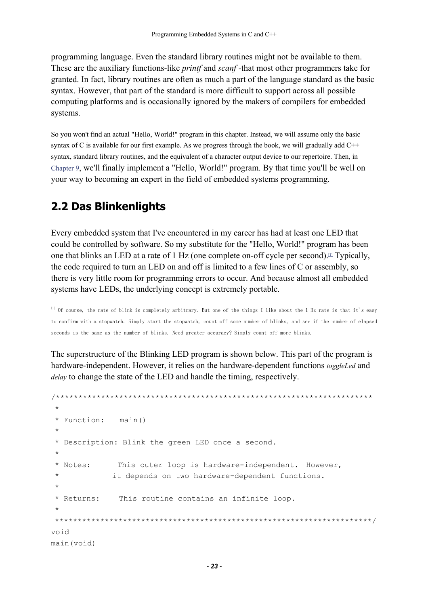programming language. Even the standard library routines might not be available to them. These are the auxiliary functions-like *printf* and *scanf -*that most other programmers take for granted. In fact, library routines are often as much a part of the language standard as the basic syntax. However, that part of the standard is more difficult to support across all possible computing platforms and is occasionally ignored by the makers of compilers for embedded systems.

So you won't find an actual "Hello, World!" program in this chapter. Instead, we will assume only the basic syntax of C is available for our first example. As we progress through the book, we will gradually add C++ syntax, standard library routines, and the equivalent of a character output device to our repertoire. Then, in Chapter 9, we'll finally implement a "Hello, World!" program. By that time you'll be well on your way to becoming an expert in the field of embedded systems programming.

### **2.2 Das Blinkenlights**

Every embedded system that I've encountered in my career has had at least one LED that could be controlled by software. So my substitute for the "Hello, World!" program has been one that blinks an LED at a rate of 1 Hz (one complete on-off cycle per second).<sup>[1]</sup> Typically, the code required to turn an LED on and off is limited to a few lines of C or assembly, so there is very little room for programming errors to occur. And because almost all embedded systems have LEDs, the underlying concept is extremely portable.

[1] Of course, the rate of blink is completely arbitrary. But one of the things I like about the 1 Hz rate is that it's easy to confirm with a stopwatch. Simply start the stopwatch, count off some number of blinks, and see if the number of elapsed seconds is the same as the number of blinks. Need greater accuracy? Simply count off more blinks.

The superstructure of the Blinking LED program is shown below. This part of the program is hardware-independent. However, it relies on the hardware-dependent functions *toggleLed* and *delay* to change the state of the LED and handle the timing, respectively.

```
/********************************************************************** 
 * 
  * Function: main() 
 * 
  * Description: Blink the green LED once a second. 
 * 
  * Notes: This outer loop is hardware-independent. However, 
              it depends on two hardware-dependent functions.
 * 
  * Returns: This routine contains an infinite loop. 
 * 
  **********************************************************************/ 
void 
main(void)
```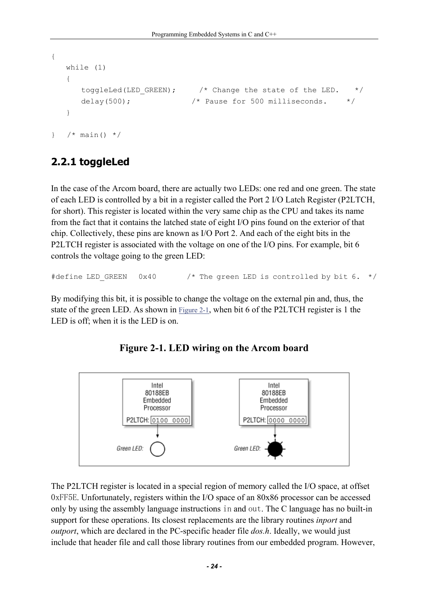```
{ 
    while (1) 
    { 
      toggleLed(LED GREEN); /* Change the state of the LED. */
      delay(500); \frac{1}{2} /* Pause for 500 milliseconds. */
    } 
\} /* main() */
```
### **2.2.1 toggleLed**

In the case of the Arcom board, there are actually two LEDs: one red and one green. The state of each LED is controlled by a bit in a register called the Port 2 I/O Latch Register (P2LTCH, for short). This register is located within the very same chip as the CPU and takes its name from the fact that it contains the latched state of eight I/O pins found on the exterior of that chip. Collectively, these pins are known as I/O Port 2. And each of the eight bits in the P2LTCH register is associated with the voltage on one of the I/O pins. For example, bit 6 controls the voltage going to the green LED:

#define LED GREEN  $0x40$  /\* The green LED is controlled by bit 6. \*/

By modifying this bit, it is possible to change the voltage on the external pin and, thus, the state of the green LED. As shown in Figure 2-1, when bit 6 of the P2LTCH register is 1 the LED is off; when it is the LED is on.





The P2LTCH register is located in a special region of memory called the I/O space, at offset 0xFF5E. Unfortunately, registers within the I/O space of an 80x86 processor can be accessed only by using the assembly language instructions in and out. The C language has no built-in support for these operations. Its closest replacements are the library routines *inport* and *outport*, which are declared in the PC-specific header file *dos.h*. Ideally, we would just include that header file and call those library routines from our embedded program. However,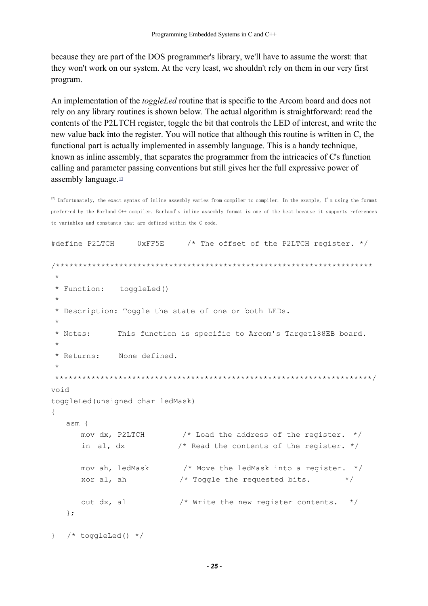because they are part of the DOS programmer's library, we'll have to assume the worst: that they won't work on our system. At the very least, we shouldn't rely on them in our very first program.

An implementation of the *toggleLed* routine that is specific to the Arcom board and does not rely on any library routines is shown below. The actual algorithm is straightforward: read the contents of the P2LTCH register, toggle the bit that controls the LED of interest, and write the new value back into the register. You will notice that although this routine is written in C, the functional part is actually implemented in assembly language. This is a handy technique, known as inline assembly, that separates the programmer from the intricacies of C's function calling and parameter passing conventions but still gives her the full expressive power of assembly language.[2]

 $[2]$  Unfortunately, the exact syntax of inline assembly varies from compiler to compiler. In the example, I'm using the format preferred by the Borland C++ compiler. Borland's inline assembly format is one of the best because it supports references to variables and constants that are defined within the C code.

```
#define P2LTCH 0xFF5E /* The offset of the P2LTCH register. */ 
/********************************************************************** 
 * 
 * Function: toggleLed() 
 * 
 * Description: Toggle the state of one or both LEDs. 
 * 
 * Notes: This function is specific to Arcom's Target188EB board. 
 * 
 * Returns: None defined. 
 * 
 **********************************************************************/ 
void 
toggleLed(unsigned char ledMask) 
{ 
    asm { 
       mov dx, P2LTCH /* Load the address of the register. */ 
      in al, dx /* Read the contents of the register. */
       mov ah, ledMask /* Move the ledMask into a register. */ 
      xor al, ah \frac{1}{2} /* Toggle the requested bits. \frac{1}{2} out dx, al /* Write the new register contents. */ 
    }; 
} /* toggleLed() */
```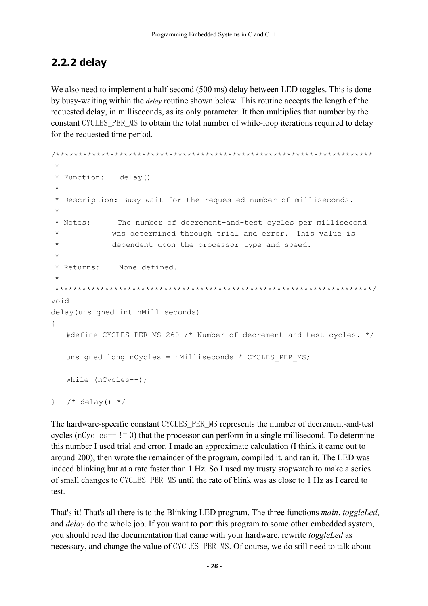### **2.2.2 delay**

We also need to implement a half-second (500 ms) delay between LED toggles. This is done by busy-waiting within the *delay* routine shown below. This routine accepts the length of the requested delay, in milliseconds, as its only parameter. It then multiplies that number by the constant CYCLES\_PER\_MS to obtain the total number of while-loop iterations required to delay for the requested time period.

```
/********************************************************************** 
 * 
 * Function: delay() 
 * 
 * Description: Busy-wait for the requested number of milliseconds. 
 * 
 * Notes: The number of decrement-and-test cycles per millisecond 
             was determined through trial and error. This value is
 * dependent upon the processor type and speed. 
 * 
 * Returns: None defined. 
 * 
 **********************************************************************/ 
void 
delay(unsigned int nMilliseconds) 
{ 
   #define CYCLES PER MS 260 /* Number of decrement-and-test cycles. */
   unsigned long nCycles = nMilliseconds * CYCLES PER MS;
    while (nCycles--); 
\frac{1}{2} /* delay() */
```
The hardware-specific constant CYCLES\_PER\_MS represents the number of decrement-and-test cycles  $(nCycles - 1 = 0)$  that the processor can perform in a single millisecond. To determine this number I used trial and error. I made an approximate calculation (I think it came out to around 200), then wrote the remainder of the program, compiled it, and ran it. The LED was indeed blinking but at a rate faster than 1 Hz. So I used my trusty stopwatch to make a series of small changes to CYCLES\_PER\_MS until the rate of blink was as close to 1 Hz as I cared to test.

That's it! That's all there is to the Blinking LED program. The three functions *main*, *toggleLed*, and *delay* do the whole job. If you want to port this program to some other embedded system, you should read the documentation that came with your hardware, rewrite *toggleLed* as necessary, and change the value of CYCLES\_PER\_MS. Of course, we do still need to talk about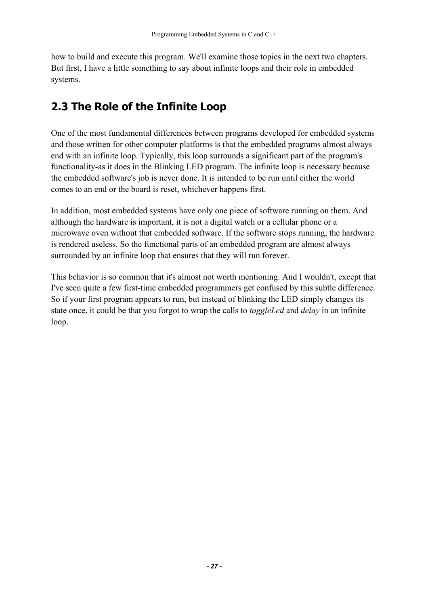how to build and execute this program. We'll examine those topics in the next two chapters. But first, I have a little something to say about infinite loops and their role in embedded systems.

# **2.3 The Role of the Infinite Loop**

One of the most fundamental differences between programs developed for embedded systems and those written for other computer platforms is that the embedded programs almost always end with an infinite loop. Typically, this loop surrounds a significant part of the program's functionality-as it does in the Blinking LED program. The infinite loop is necessary because the embedded software's job is never done. It is intended to be run until either the world comes to an end or the board is reset, whichever happens first.

In addition, most embedded systems have only one piece of software running on them. And although the hardware is important, it is not a digital watch or a cellular phone or a microwave oven without that embedded software. If the software stops running, the hardware is rendered useless. So the functional parts of an embedded program are almost always surrounded by an infinite loop that ensures that they will run forever.

This behavior is so common that it's almost not worth mentioning. And I wouldn't, except that I've seen quite a few first-time embedded programmers get confused by this subtle difference. So if your first program appears to run, but instead of blinking the LED simply changes its state once, it could be that you forgot to wrap the calls to *toggleLed* and *delay* in an infinite loop.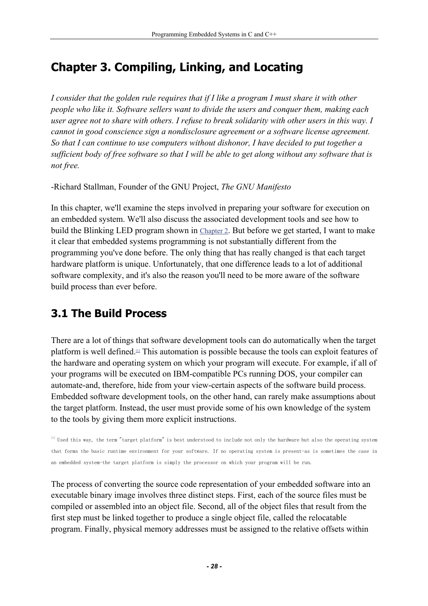# **Chapter 3. Compiling, Linking, and Locating**

*I consider that the golden rule requires that if I like a program I must share it with other people who like it. Software sellers want to divide the users and conquer them, making each user agree not to share with others. I refuse to break solidarity with other users in this way. I cannot in good conscience sign a nondisclosure agreement or a software license agreement. So that I can continue to use computers without dishonor, I have decided to put together a sufficient body of free software so that I will be able to get along without any software that is not free.* 

-Richard Stallman, Founder of the GNU Project, *The GNU Manifesto*

In this chapter, we'll examine the steps involved in preparing your software for execution on an embedded system. We'll also discuss the associated development tools and see how to build the Blinking LED program shown in Chapter 2. But before we get started, I want to make it clear that embedded systems programming is not substantially different from the programming you've done before. The only thing that has really changed is that each target hardware platform is unique. Unfortunately, that one difference leads to a lot of additional software complexity, and it's also the reason you'll need to be more aware of the software build process than ever before.

### **3.1 The Build Process**

There are a lot of things that software development tools can do automatically when the target platform is well defined.<sup> $\mu$ </sup> This automation is possible because the tools can exploit features of the hardware and operating system on which your program will execute. For example, if all of your programs will be executed on IBM-compatible PCs running DOS, your compiler can automate-and, therefore, hide from your view-certain aspects of the software build process. Embedded software development tools, on the other hand, can rarely make assumptions about the target platform. Instead, the user must provide some of his own knowledge of the system to the tools by giving them more explicit instructions.

[1] Used this way, the term "target platform" is best understood to include not only the hardware but also the operating system that forms the basic runtime environment for your software. If no operating system is present-as is sometimes the case in an embedded system-the target platform is simply the processor on which your program will be run.

The process of converting the source code representation of your embedded software into an executable binary image involves three distinct steps. First, each of the source files must be compiled or assembled into an object file. Second, all of the object files that result from the first step must be linked together to produce a single object file, called the relocatable program. Finally, physical memory addresses must be assigned to the relative offsets within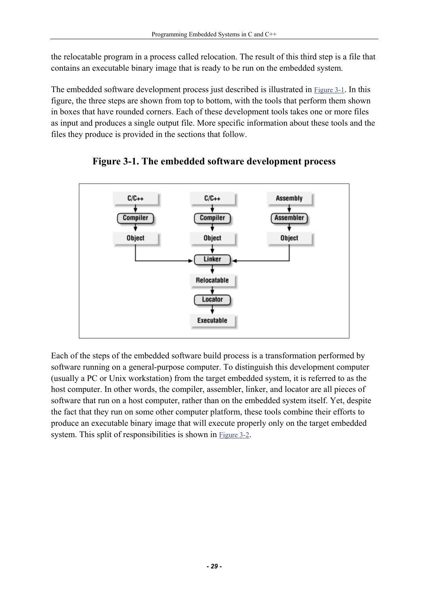the relocatable program in a process called relocation. The result of this third step is a file that contains an executable binary image that is ready to be run on the embedded system.

The embedded software development process just described is illustrated in **Figure 3-1**. In this figure, the three steps are shown from top to bottom, with the tools that perform them shown in boxes that have rounded corners. Each of these development tools takes one or more files as input and produces a single output file. More specific information about these tools and the files they produce is provided in the sections that follow.





Each of the steps of the embedded software build process is a transformation performed by software running on a general-purpose computer. To distinguish this development computer (usually a PC or Unix workstation) from the target embedded system, it is referred to as the host computer. In other words, the compiler, assembler, linker, and locator are all pieces of software that run on a host computer, rather than on the embedded system itself. Yet, despite the fact that they run on some other computer platform, these tools combine their efforts to produce an executable binary image that will execute properly only on the target embedded system. This split of responsibilities is shown in Figure 3-2.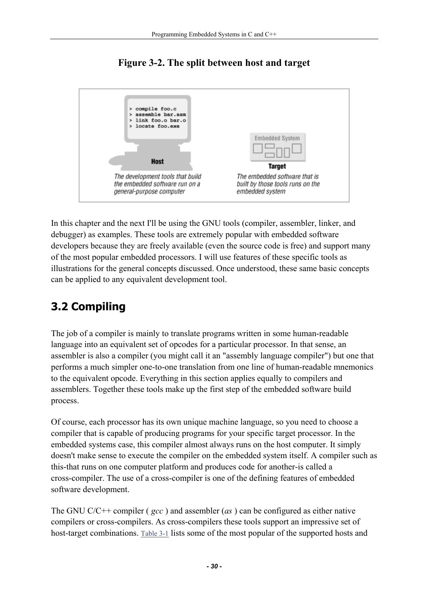

### **Figure 3-2. The split between host and target**

In this chapter and the next I'll be using the GNU tools (compiler, assembler, linker, and debugger) as examples. These tools are extremely popular with embedded software developers because they are freely available (even the source code is free) and support many of the most popular embedded processors. I will use features of these specific tools as illustrations for the general concepts discussed. Once understood, these same basic concepts can be applied to any equivalent development tool.

# **3.2 Compiling**

The job of a compiler is mainly to translate programs written in some human-readable language into an equivalent set of opcodes for a particular processor. In that sense, an assembler is also a compiler (you might call it an "assembly language compiler") but one that performs a much simpler one-to-one translation from one line of human-readable mnemonics to the equivalent opcode. Everything in this section applies equally to compilers and assemblers. Together these tools make up the first step of the embedded software build process.

Of course, each processor has its own unique machine language, so you need to choose a compiler that is capable of producing programs for your specific target processor. In the embedded systems case, this compiler almost always runs on the host computer. It simply doesn't make sense to execute the compiler on the embedded system itself. A compiler such as this-that runs on one computer platform and produces code for another-is called a cross-compiler. The use of a cross-compiler is one of the defining features of embedded software development.

The GNU C/C++ compiler ( *gcc* ) and assembler (*as* ) can be configured as either native compilers or cross-compilers. As cross-compilers these tools support an impressive set of host-target combinations. Table 3-1 lists some of the most popular of the supported hosts and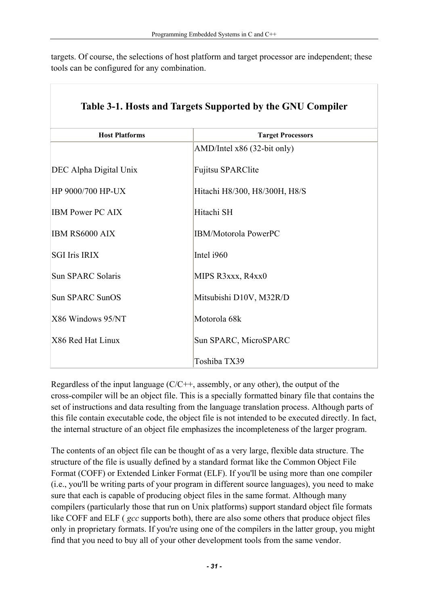targets. Of course, the selections of host platform and target processor are independent; these tools can be configured for any combination.

| <b>Host Platforms</b>    | <b>Target Processors</b>      |  |  |  |
|--------------------------|-------------------------------|--|--|--|
|                          | $AMD/Intel x86 (32-bit only)$ |  |  |  |
| DEC Alpha Digital Unix   | <b>Fujitsu SPARClite</b>      |  |  |  |
| HP 9000/700 HP-UX        | Hitachi H8/300, H8/300H, H8/S |  |  |  |
| <b>IBM Power PC AIX</b>  | Hitachi SH                    |  |  |  |
| IBM RS6000 AIX           | <b>IBM/Motorola PowerPC</b>   |  |  |  |
| <b>SGI Iris IRIX</b>     | Intel i960                    |  |  |  |
| <b>Sun SPARC Solaris</b> | MIPS R3xxx, R4xx0             |  |  |  |
| <b>Sun SPARC SunOS</b>   | Mitsubishi D10V, M32R/D       |  |  |  |
| X86 Windows 95/NT        | Motorola 68k                  |  |  |  |
| X86 Red Hat Linux        | Sun SPARC, MicroSPARC         |  |  |  |
|                          | Toshiba TX39                  |  |  |  |

### **Table 3-1. Hosts and Targets Supported by the GNU Compiler**

Regardless of the input language  $(C/C^{++}$ , assembly, or any other), the output of the cross-compiler will be an object file. This is a specially formatted binary file that contains the set of instructions and data resulting from the language translation process. Although parts of this file contain executable code, the object file is not intended to be executed directly. In fact, the internal structure of an object file emphasizes the incompleteness of the larger program.

The contents of an object file can be thought of as a very large, flexible data structure. The structure of the file is usually defined by a standard format like the Common Object File Format (COFF) or Extended Linker Format (ELF). If you'll be using more than one compiler (i.e., you'll be writing parts of your program in different source languages), you need to make sure that each is capable of producing object files in the same format. Although many compilers (particularly those that run on Unix platforms) support standard object file formats like COFF and ELF ( *gcc* supports both), there are also some others that produce object files only in proprietary formats. If you're using one of the compilers in the latter group, you might find that you need to buy all of your other development tools from the same vendor.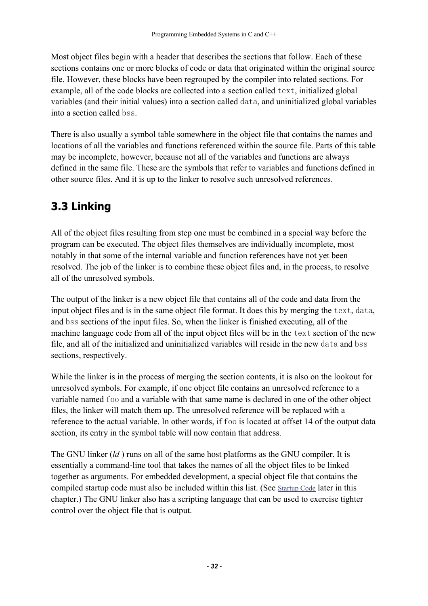Most object files begin with a header that describes the sections that follow. Each of these sections contains one or more blocks of code or data that originated within the original source file. However, these blocks have been regrouped by the compiler into related sections. For example, all of the code blocks are collected into a section called text, initialized global variables (and their initial values) into a section called data, and uninitialized global variables into a section called bss.

There is also usually a symbol table somewhere in the object file that contains the names and locations of all the variables and functions referenced within the source file. Parts of this table may be incomplete, however, because not all of the variables and functions are always defined in the same file. These are the symbols that refer to variables and functions defined in other source files. And it is up to the linker to resolve such unresolved references.

# **3.3 Linking**

All of the object files resulting from step one must be combined in a special way before the program can be executed. The object files themselves are individually incomplete, most notably in that some of the internal variable and function references have not yet been resolved. The job of the linker is to combine these object files and, in the process, to resolve all of the unresolved symbols.

The output of the linker is a new object file that contains all of the code and data from the input object files and is in the same object file format. It does this by merging the text, data, and bss sections of the input files. So, when the linker is finished executing, all of the machine language code from all of the input object files will be in the text section of the new file, and all of the initialized and uninitialized variables will reside in the new data and bss sections, respectively.

While the linker is in the process of merging the section contents, it is also on the lookout for unresolved symbols. For example, if one object file contains an unresolved reference to a variable named foo and a variable with that same name is declared in one of the other object files, the linker will match them up. The unresolved reference will be replaced with a reference to the actual variable. In other words, if foo is located at offset 14 of the output data section, its entry in the symbol table will now contain that address.

The GNU linker (*ld* ) runs on all of the same host platforms as the GNU compiler. It is essentially a command-line tool that takes the names of all the object files to be linked together as arguments. For embedded development, a special object file that contains the compiled startup code must also be included within this list. (See Startup Code later in this chapter.) The GNU linker also has a scripting language that can be used to exercise tighter control over the object file that is output.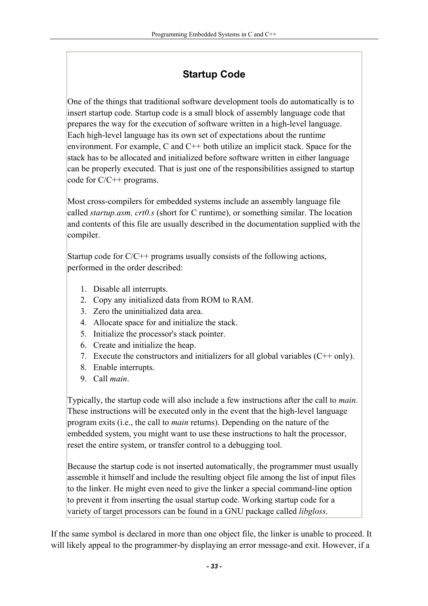### **Startup Code**

One of the things that traditional software development tools do automatically is to insert startup code. Startup code is a small block of assembly language code that prepares the way for the execution of software written in a high-level language. Each high-level language has its own set of expectations about the runtime environment. For example, C and C++ both utilize an implicit stack. Space for the stack has to be allocated and initialized before software written in either language can be properly executed. That is just one of the responsibilities assigned to startup code for C/C++ programs.

Most cross-compilers for embedded systems include an assembly language file called *startup.asm, crt0.s* (short for C runtime), or something similar. The location and contents of this file are usually described in the documentation supplied with the compiler.

Startup code for  $C/C$ ++ programs usually consists of the following actions, performed in the order described:

- 1. Disable all interrupts.
- 2. Copy any initialized data from ROM to RAM.
- 3. Zero the uninitialized data area.
- 4. Allocate space for and initialize the stack.
- 5. Initialize the processor's stack pointer.
- 6. Create and initialize the heap.
- 7. Execute the constructors and initializers for all global variables (C++ only).
- 8. Enable interrupts.
- 9. Call *main*.

Typically, the startup code will also include a few instructions after the call to *main*. These instructions will be executed only in the event that the high-level language program exits (i.e., the call to *main* returns). Depending on the nature of the embedded system, you might want to use these instructions to halt the processor, reset the entire system, or transfer control to a debugging tool.

Because the startup code is not inserted automatically, the programmer must usually assemble it himself and include the resulting object file among the list of input files to the linker. He might even need to give the linker a special command-line option to prevent it from inserting the usual startup code. Working startup code for a variety of target processors can be found in a GNU package called *libgloss*.

If the same symbol is declared in more than one object file, the linker is unable to proceed. It will likely appeal to the programmer-by displaying an error message-and exit. However, if a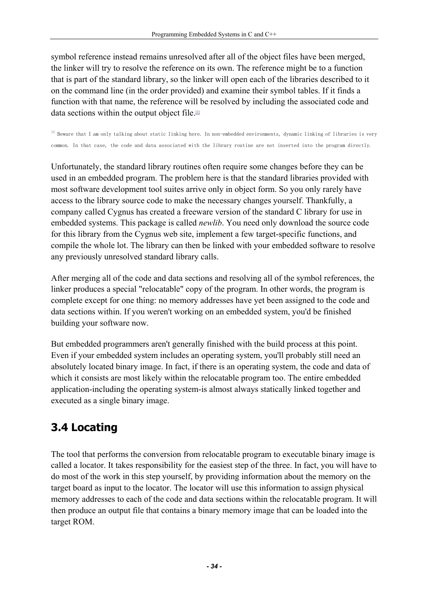symbol reference instead remains unresolved after all of the object files have been merged, the linker will try to resolve the reference on its own. The reference might be to a function that is part of the standard library, so the linker will open each of the libraries described to it on the command line (in the order provided) and examine their symbol tables. If it finds a function with that name, the reference will be resolved by including the associated code and data sections within the output object file.<sup>[2]</sup>

<sup>[2]</sup> Beware that I am only talking about static linking here. In non-embedded environments, dynamic linking of libraries is very common. In that case, the code and data associated with the library routine are not inserted into the program directly.

Unfortunately, the standard library routines often require some changes before they can be used in an embedded program. The problem here is that the standard libraries provided with most software development tool suites arrive only in object form. So you only rarely have access to the library source code to make the necessary changes yourself. Thankfully, a company called Cygnus has created a freeware version of the standard C library for use in embedded systems. This package is called *newlib*. You need only download the source code for this library from the Cygnus web site, implement a few target-specific functions, and compile the whole lot. The library can then be linked with your embedded software to resolve any previously unresolved standard library calls.

After merging all of the code and data sections and resolving all of the symbol references, the linker produces a special "relocatable" copy of the program. In other words, the program is complete except for one thing: no memory addresses have yet been assigned to the code and data sections within. If you weren't working on an embedded system, you'd be finished building your software now.

But embedded programmers aren't generally finished with the build process at this point. Even if your embedded system includes an operating system, you'll probably still need an absolutely located binary image. In fact, if there is an operating system, the code and data of which it consists are most likely within the relocatable program too. The entire embedded application-including the operating system-is almost always statically linked together and executed as a single binary image.

# **3.4 Locating**

The tool that performs the conversion from relocatable program to executable binary image is called a locator. It takes responsibility for the easiest step of the three. In fact, you will have to do most of the work in this step yourself, by providing information about the memory on the target board as input to the locator. The locator will use this information to assign physical memory addresses to each of the code and data sections within the relocatable program. It will then produce an output file that contains a binary memory image that can be loaded into the target ROM.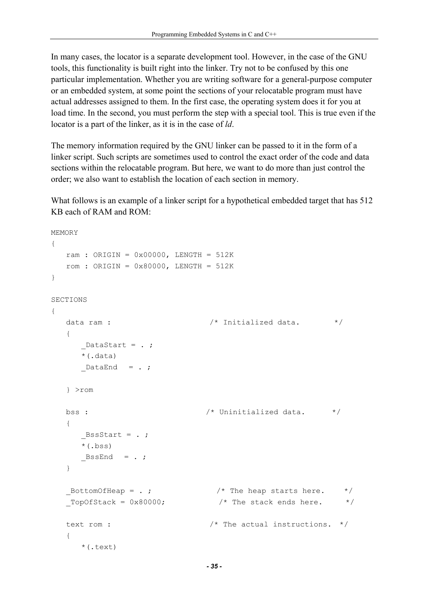In many cases, the locator is a separate development tool. However, in the case of the GNU tools, this functionality is built right into the linker. Try not to be confused by this one particular implementation. Whether you are writing software for a general-purpose computer or an embedded system, at some point the sections of your relocatable program must have actual addresses assigned to them. In the first case, the operating system does it for you at load time. In the second, you must perform the step with a special tool. This is true even if the locator is a part of the linker, as it is in the case of *ld*.

The memory information required by the GNU linker can be passed to it in the form of a linker script. Such scripts are sometimes used to control the exact order of the code and data sections within the relocatable program. But here, we want to do more than just control the order; we also want to establish the location of each section in memory.

What follows is an example of a linker script for a hypothetical embedded target that has 512 KB each of RAM and ROM:

```
MEMORY 
{ 
    ram : ORIGIN = 0x00000, LENGTH = 512K 
   rom : ORIGIN = 0x80000, LENGTH = 512K} 
SECTIONS 
{ 
   data ram : \frac{1}{2} /* Initialized data. \frac{1}{2} { 
      DataStart = .;
      *(.\text{data})DataEnd = .;
    } >rom 
   bss : \frac{1}{2} /* Uninitialized data. \frac{1}{2} { 
      BssStart = .;
       *(.bss) 
      BssEnd = .; } 
   BottomOfHeap = . ; /* The heap starts here. */
   TopOfStack = 0x80000; \frac{x}{10} /* The stack ends here. */
   text rom : \frac{1}{2} /* The actual instructions. */
    { 
       *(.text)
```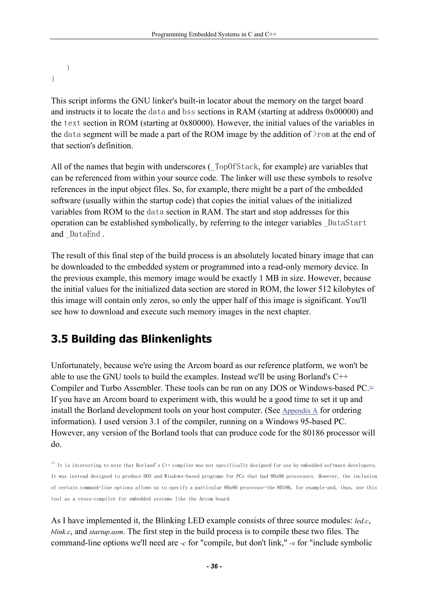}

}

This script informs the GNU linker's built-in locator about the memory on the target board and instructs it to locate the data and bss sections in RAM (starting at address 0x00000) and the text section in ROM (starting at 0x80000). However, the initial values of the variables in the data segment will be made a part of the ROM image by the addition of  $\gamma$  com at the end of that section's definition.

All of the names that begin with underscores ( $TopOfStack$ , for example) are variables that can be referenced from within your source code. The linker will use these symbols to resolve references in the input object files. So, for example, there might be a part of the embedded software (usually within the startup code) that copies the initial values of the initialized variables from ROM to the data section in RAM. The start and stop addresses for this operation can be established symbolically, by referring to the integer variables \_DataStart and DataEnd.

The result of this final step of the build process is an absolutely located binary image that can be downloaded to the embedded system or programmed into a read-only memory device. In the previous example, this memory image would be exactly 1 MB in size. However, because the initial values for the initialized data section are stored in ROM, the lower 512 kilobytes of this image will contain only zeros, so only the upper half of this image is significant. You'll see how to download and execute such memory images in the next chapter.

### **3.5 Building das Blinkenlights**

Unfortunately, because we're using the Arcom board as our reference platform, we won't be able to use the GNU tools to build the examples. Instead we'll be using Borland's C++ Compiler and Turbo Assembler. These tools can be run on any DOS or Windows-based PC.[3] If you have an Arcom board to experiment with, this would be a good time to set it up and install the Borland development tools on your host computer. (See Appendix A for ordering information). I used version 3.1 of the compiler, running on a Windows 95-based PC. However, any version of the Borland tools that can produce code for the 80186 processor will do.

 $^{[3]}$  It is interesting to note that Borland's C++ compiler was not specifically designed for use by embedded software developers. It was instead designed to produce DOS and Windows-based programs for PCs that had 80x86 processors. However, the inclusion of certain command-line options allows us to specify a particular 80x86 processor-the 80186, for example-and, thus, use this tool as a cross-compiler for embedded systems like the Arcom board.

As I have implemented it, the Blinking LED example consists of three source modules: *led.c*, *blink.c*, and *startup.asm*. The first step in the build process is to compile these two files. The command-line options we'll need are *-c* for "compile, but don't link," *-v* for "include symbolic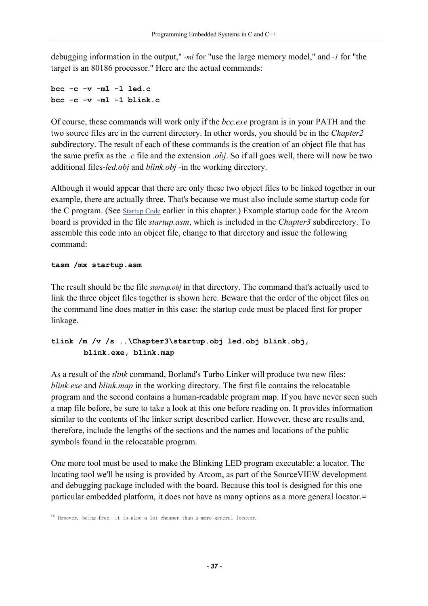debugging information in the output," *-ml* for "use the large memory model," and *-1* for "the target is an 80186 processor." Here are the actual commands:

**bcc -c -v -ml -1 led.c bcc -c -v -ml -1 blink.c**

Of course, these commands will work only if the *bcc.exe* program is in your PATH and the two source files are in the current directory. In other words, you should be in the *Chapter2* subdirectory. The result of each of these commands is the creation of an object file that has the same prefix as the *.c* file and the extension *.obj*. So if all goes well, there will now be two additional files-*led.obj* and *blink.obj -*in the working directory.

Although it would appear that there are only these two object files to be linked together in our example, there are actually three. That's because we must also include some startup code for the C program. (See Startup Code earlier in this chapter.) Example startup code for the Arcom board is provided in the file *startup.asm*, which is included in the *Chapter3* subdirectory. To assemble this code into an object file, change to that directory and issue the following command:

#### **tasm /mx startup.asm**

The result should be the file *startup.obj* in that directory. The command that's actually used to link the three object files together is shown here. Beware that the order of the object files on the command line does matter in this case: the startup code must be placed first for proper linkage.

#### **tlink /m /v /s ..\Chapter3\startup.obj led.obj blink.obj, blink.exe, blink.map**

As a result of the *tlink* command, Borland's Turbo Linker will produce two new files: *blink.exe* and *blink.map* in the working directory. The first file contains the relocatable program and the second contains a human-readable program map. If you have never seen such a map file before, be sure to take a look at this one before reading on. It provides information similar to the contents of the linker script described earlier. However, these are results and, therefore, include the lengths of the sections and the names and locations of the public symbols found in the relocatable program.

One more tool must be used to make the Blinking LED program executable: a locator. The locating tool we'll be using is provided by Arcom, as part of the SourceVIEW development and debugging package included with the board. Because this tool is designed for this one particular embedded platform, it does not have as many options as a more general locator.<sup>[4]</sup>

 $[4]$  However, being free, it is also a lot cheaper than a more general locator.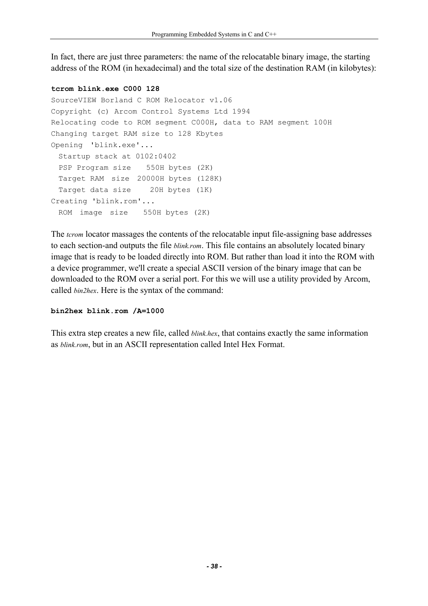In fact, there are just three parameters: the name of the relocatable binary image, the starting address of the ROM (in hexadecimal) and the total size of the destination RAM (in kilobytes):

#### **tcrom blink.exe C000 128**

```
SourceVIEW Borland C ROM Relocator v1.06 
Copyright (c) Arcom Control Systems Ltd 1994 
Relocating code to ROM segment C000H, data to RAM segment 100H 
Changing target RAM size to 128 Kbytes 
Opening 'blink.exe'... 
  Startup stack at 0102:0402 
  PSP Program size 550H bytes (2K) 
  Target RAM size 20000H bytes (128K) 
  Target data size 20H bytes (1K) 
Creating 'blink.rom'... 
  ROM image size 550H bytes (2K)
```
The *tcrom* locator massages the contents of the relocatable input file-assigning base addresses to each section-and outputs the file *blink.rom*. This file contains an absolutely located binary image that is ready to be loaded directly into ROM. But rather than load it into the ROM with a device programmer, we'll create a special ASCII version of the binary image that can be downloaded to the ROM over a serial port. For this we will use a utility provided by Arcom, called *bin2hex*. Here is the syntax of the command:

#### **bin2hex blink.rom /A=1000**

This extra step creates a new file, called *blink.hex*, that contains exactly the same information as *blink.rom*, but in an ASCII representation called Intel Hex Format.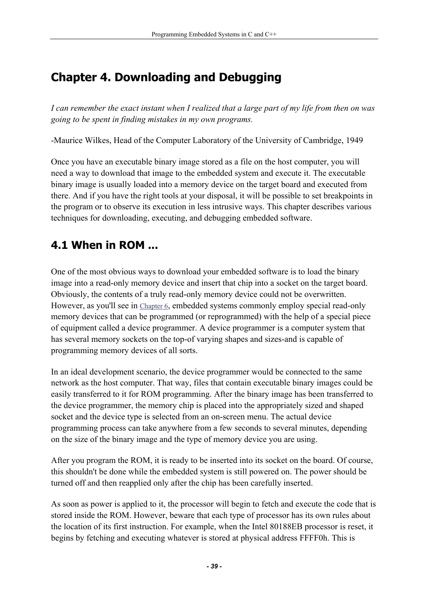# **Chapter 4. Downloading and Debugging**

*I can remember the exact instant when I realized that a large part of my life from then on was going to be spent in finding mistakes in my own programs.* 

-Maurice Wilkes, Head of the Computer Laboratory of the University of Cambridge, 1949

Once you have an executable binary image stored as a file on the host computer, you will need a way to download that image to the embedded system and execute it. The executable binary image is usually loaded into a memory device on the target board and executed from there. And if you have the right tools at your disposal, it will be possible to set breakpoints in the program or to observe its execution in less intrusive ways. This chapter describes various techniques for downloading, executing, and debugging embedded software.

## **4.1 When in ROM ...**

One of the most obvious ways to download your embedded software is to load the binary image into a read-only memory device and insert that chip into a socket on the target board. Obviously, the contents of a truly read-only memory device could not be overwritten. However, as you'll see in Chapter 6, embedded systems commonly employ special read-only memory devices that can be programmed (or reprogrammed) with the help of a special piece of equipment called a device programmer. A device programmer is a computer system that has several memory sockets on the top-of varying shapes and sizes-and is capable of programming memory devices of all sorts.

In an ideal development scenario, the device programmer would be connected to the same network as the host computer. That way, files that contain executable binary images could be easily transferred to it for ROM programming. After the binary image has been transferred to the device programmer, the memory chip is placed into the appropriately sized and shaped socket and the device type is selected from an on-screen menu. The actual device programming process can take anywhere from a few seconds to several minutes, depending on the size of the binary image and the type of memory device you are using.

After you program the ROM, it is ready to be inserted into its socket on the board. Of course, this shouldn't be done while the embedded system is still powered on. The power should be turned off and then reapplied only after the chip has been carefully inserted.

As soon as power is applied to it, the processor will begin to fetch and execute the code that is stored inside the ROM. However, beware that each type of processor has its own rules about the location of its first instruction. For example, when the Intel 80188EB processor is reset, it begins by fetching and executing whatever is stored at physical address FFFF0h. This is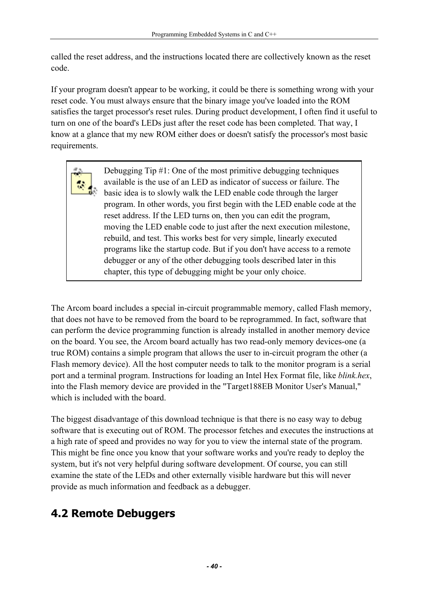called the reset address, and the instructions located there are collectively known as the reset code.

If your program doesn't appear to be working, it could be there is something wrong with your reset code. You must always ensure that the binary image you've loaded into the ROM satisfies the target processor's reset rules. During product development, I often find it useful to turn on one of the board's LEDs just after the reset code has been completed. That way, I know at a glance that my new ROM either does or doesn't satisfy the processor's most basic requirements.

> Debugging Tip  $#1$ : One of the most primitive debugging techniques available is the use of an LED as indicator of success or failure. The basic idea is to slowly walk the LED enable code through the larger program. In other words, you first begin with the LED enable code at the reset address. If the LED turns on, then you can edit the program, moving the LED enable code to just after the next execution milestone, rebuild, and test. This works best for very simple, linearly executed programs like the startup code. But if you don't have access to a remote debugger or any of the other debugging tools described later in this chapter, this type of debugging might be your only choice.

The Arcom board includes a special in-circuit programmable memory, called Flash memory, that does not have to be removed from the board to be reprogrammed. In fact, software that can perform the device programming function is already installed in another memory device on the board. You see, the Arcom board actually has two read-only memory devices-one (a true ROM) contains a simple program that allows the user to in-circuit program the other (a Flash memory device). All the host computer needs to talk to the monitor program is a serial port and a terminal program. Instructions for loading an Intel Hex Format file, like *blink.hex*, into the Flash memory device are provided in the "Target188EB Monitor User's Manual," which is included with the board.

The biggest disadvantage of this download technique is that there is no easy way to debug software that is executing out of ROM. The processor fetches and executes the instructions at a high rate of speed and provides no way for you to view the internal state of the program. This might be fine once you know that your software works and you're ready to deploy the system, but it's not very helpful during software development. Of course, you can still examine the state of the LEDs and other externally visible hardware but this will never provide as much information and feedback as a debugger.

# **4.2 Remote Debuggers**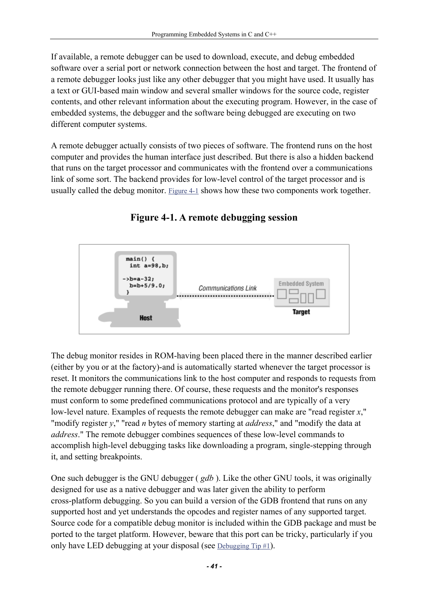If available, a remote debugger can be used to download, execute, and debug embedded software over a serial port or network connection between the host and target. The frontend of a remote debugger looks just like any other debugger that you might have used. It usually has a text or GUI-based main window and several smaller windows for the source code, register contents, and other relevant information about the executing program. However, in the case of embedded systems, the debugger and the software being debugged are executing on two different computer systems.

A remote debugger actually consists of two pieces of software. The frontend runs on the host computer and provides the human interface just described. But there is also a hidden backend that runs on the target processor and communicates with the frontend over a communications link of some sort. The backend provides for low-level control of the target processor and is usually called the debug monitor. Figure 4-1 shows how these two components work together.



#### **Figure 4-1. A remote debugging session**

The debug monitor resides in ROM-having been placed there in the manner described earlier (either by you or at the factory)-and is automatically started whenever the target processor is reset. It monitors the communications link to the host computer and responds to requests from the remote debugger running there. Of course, these requests and the monitor's responses must conform to some predefined communications protocol and are typically of a very low-level nature. Examples of requests the remote debugger can make are "read register *x*," "modify register *y*," "read *n* bytes of memory starting at *address*," and "modify the data at *address*." The remote debugger combines sequences of these low-level commands to accomplish high-level debugging tasks like downloading a program, single-stepping through it, and setting breakpoints.

One such debugger is the GNU debugger ( *gdb* ). Like the other GNU tools, it was originally designed for use as a native debugger and was later given the ability to perform cross-platform debugging. So you can build a version of the GDB frontend that runs on any supported host and yet understands the opcodes and register names of any supported target. Source code for a compatible debug monitor is included within the GDB package and must be ported to the target platform. However, beware that this port can be tricky, particularly if you only have LED debugging at your disposal (see Debugging Tip #1).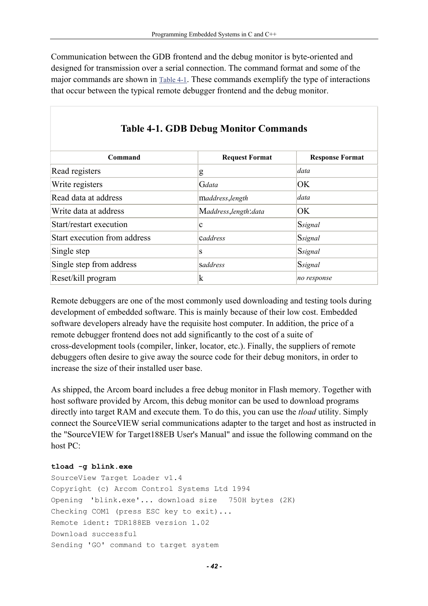Communication between the GDB frontend and the debug monitor is byte-oriented and designed for transmission over a serial connection. The command format and some of the major commands are shown in Table 4-1. These commands exemplify the type of interactions that occur between the typical remote debugger frontend and the debug monitor.

| <b>Table 4-1. GDB Debug Monitor Commands</b> |                        |                        |  |  |  |
|----------------------------------------------|------------------------|------------------------|--|--|--|
| Command                                      | <b>Request Format</b>  | <b>Response Format</b> |  |  |  |
| Read registers                               | g                      | data                   |  |  |  |
| Write registers                              | Gdata                  | <b>OK</b>              |  |  |  |
| Read data at address                         | maddress, length       | data                   |  |  |  |
| Write data at address                        | Maddress, length: data | <b>OK</b>              |  |  |  |
| Start/restart execution                      | c                      | Ssignal                |  |  |  |
| Start execution from address                 | Caddress               | Ssignal                |  |  |  |
| Single step                                  | S                      | Ssignal                |  |  |  |
| Single step from address                     | Saddress               | Ssignal                |  |  |  |
| Reset/kill program                           | k                      | no response            |  |  |  |

### **Table 4-1. GDB Debug Monitor Commands**

Remote debuggers are one of the most commonly used downloading and testing tools during development of embedded software. This is mainly because of their low cost. Embedded software developers already have the requisite host computer. In addition, the price of a remote debugger frontend does not add significantly to the cost of a suite of cross-development tools (compiler, linker, locator, etc.). Finally, the suppliers of remote debuggers often desire to give away the source code for their debug monitors, in order to increase the size of their installed user base.

As shipped, the Arcom board includes a free debug monitor in Flash memory. Together with host software provided by Arcom, this debug monitor can be used to download programs directly into target RAM and execute them. To do this, you can use the *tload* utility. Simply connect the SourceVIEW serial communications adapter to the target and host as instructed in the "SourceVIEW for Target188EB User's Manual" and issue the following command on the host PC:

#### **tload -g blink.exe**

```
SourceView Target Loader v1.4 
Copyright (c) Arcom Control Systems Ltd 1994 
Opening 'blink.exe'... download size 750H bytes (2K) 
Checking COM1 (press ESC key to exit)... 
Remote ident: TDR188EB version 1.02 
Download successful 
Sending 'GO' command to target system
```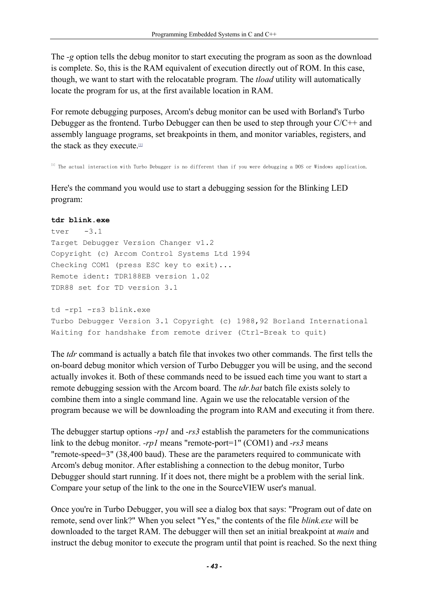The *-g* option tells the debug monitor to start executing the program as soon as the download is complete. So, this is the RAM equivalent of execution directly out of ROM. In this case, though, we want to start with the relocatable program. The *tload* utility will automatically locate the program for us, at the first available location in RAM.

For remote debugging purposes, Arcom's debug monitor can be used with Borland's Turbo Debugger as the frontend. Turbo Debugger can then be used to step through your C/C++ and assembly language programs, set breakpoints in them, and monitor variables, registers, and the stack as they execute.<sup>[1]</sup>

[1] The actual interaction with Turbo Debugger is no different than if you were debugging a DOS or Windows application.

Here's the command you would use to start a debugging session for the Blinking LED program:

#### **tdr blink.exe**

tver  $-3.1$ Target Debugger Version Changer v1.2 Copyright (c) Arcom Control Systems Ltd 1994 Checking COM1 (press ESC key to exit)... Remote ident: TDR188EB version 1.02 TDR88 set for TD version 3.1

```
td -rp1 -rs3 blink.exe 
Turbo Debugger Version 3.1 Copyright (c) 1988,92 Borland International 
Waiting for handshake from remote driver (Ctrl-Break to quit)
```
The *tdr* command is actually a batch file that invokes two other commands. The first tells the on-board debug monitor which version of Turbo Debugger you will be using, and the second actually invokes it. Both of these commands need to be issued each time you want to start a remote debugging session with the Arcom board. The *tdr.bat* batch file exists solely to combine them into a single command line. Again we use the relocatable version of the program because we will be downloading the program into RAM and executing it from there.

The debugger startup options *-rp1* and *-rs3* establish the parameters for the communications link to the debug monitor. *-rp1* means "remote-port=1" (COM1) and *-rs3* means "remote-speed=3" (38,400 baud). These are the parameters required to communicate with Arcom's debug monitor. After establishing a connection to the debug monitor, Turbo Debugger should start running. If it does not, there might be a problem with the serial link. Compare your setup of the link to the one in the SourceVIEW user's manual.

Once you're in Turbo Debugger, you will see a dialog box that says: "Program out of date on remote, send over link?" When you select "Yes," the contents of the file *blink.exe* will be downloaded to the target RAM. The debugger will then set an initial breakpoint at *main* and instruct the debug monitor to execute the program until that point is reached. So the next thing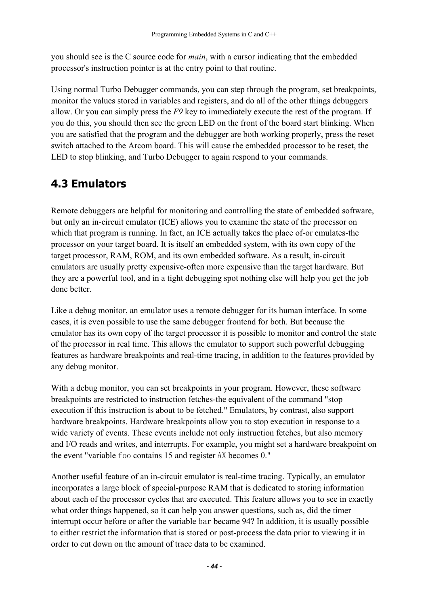you should see is the C source code for *main*, with a cursor indicating that the embedded processor's instruction pointer is at the entry point to that routine.

Using normal Turbo Debugger commands, you can step through the program, set breakpoints, monitor the values stored in variables and registers, and do all of the other things debuggers allow. Or you can simply press the *F9* key to immediately execute the rest of the program. If you do this, you should then see the green LED on the front of the board start blinking. When you are satisfied that the program and the debugger are both working properly, press the reset switch attached to the Arcom board. This will cause the embedded processor to be reset, the LED to stop blinking, and Turbo Debugger to again respond to your commands.

## **4.3 Emulators**

Remote debuggers are helpful for monitoring and controlling the state of embedded software, but only an in-circuit emulator (ICE) allows you to examine the state of the processor on which that program is running. In fact, an ICE actually takes the place of-or emulates-the processor on your target board. It is itself an embedded system, with its own copy of the target processor, RAM, ROM, and its own embedded software. As a result, in-circuit emulators are usually pretty expensive-often more expensive than the target hardware. But they are a powerful tool, and in a tight debugging spot nothing else will help you get the job done better.

Like a debug monitor, an emulator uses a remote debugger for its human interface. In some cases, it is even possible to use the same debugger frontend for both. But because the emulator has its own copy of the target processor it is possible to monitor and control the state of the processor in real time. This allows the emulator to support such powerful debugging features as hardware breakpoints and real-time tracing, in addition to the features provided by any debug monitor.

With a debug monitor, you can set breakpoints in your program. However, these software breakpoints are restricted to instruction fetches-the equivalent of the command "stop execution if this instruction is about to be fetched." Emulators, by contrast, also support hardware breakpoints. Hardware breakpoints allow you to stop execution in response to a wide variety of events. These events include not only instruction fetches, but also memory and I/O reads and writes, and interrupts. For example, you might set a hardware breakpoint on the event "variable foo contains 15 and register AX becomes 0."

Another useful feature of an in-circuit emulator is real-time tracing. Typically, an emulator incorporates a large block of special-purpose RAM that is dedicated to storing information about each of the processor cycles that are executed. This feature allows you to see in exactly what order things happened, so it can help you answer questions, such as, did the timer interrupt occur before or after the variable bar became 94? In addition, it is usually possible to either restrict the information that is stored or post-process the data prior to viewing it in order to cut down on the amount of trace data to be examined.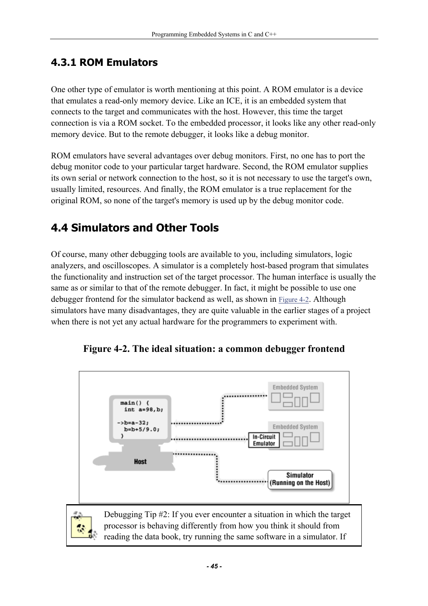## **4.3.1 ROM Emulators**

One other type of emulator is worth mentioning at this point. A ROM emulator is a device that emulates a read-only memory device. Like an ICE, it is an embedded system that connects to the target and communicates with the host. However, this time the target connection is via a ROM socket. To the embedded processor, it looks like any other read-only memory device. But to the remote debugger, it looks like a debug monitor.

ROM emulators have several advantages over debug monitors. First, no one has to port the debug monitor code to your particular target hardware. Second, the ROM emulator supplies its own serial or network connection to the host, so it is not necessary to use the target's own, usually limited, resources. And finally, the ROM emulator is a true replacement for the original ROM, so none of the target's memory is used up by the debug monitor code.

# **4.4 Simulators and Other Tools**

Of course, many other debugging tools are available to you, including simulators, logic analyzers, and oscilloscopes. A simulator is a completely host-based program that simulates the functionality and instruction set of the target processor. The human interface is usually the same as or similar to that of the remote debugger. In fact, it might be possible to use one debugger frontend for the simulator backend as well, as shown in Figure 4-2. Although simulators have many disadvantages, they are quite valuable in the earlier stages of a project when there is not yet any actual hardware for the programmers to experiment with.



**Figure 4-2. The ideal situation: a common debugger frontend**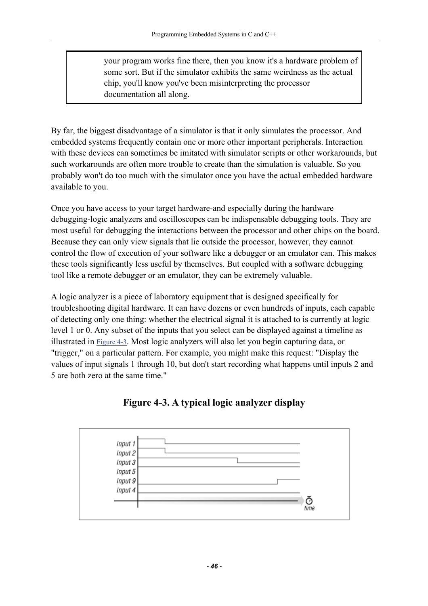your program works fine there, then you know it's a hardware problem of some sort. But if the simulator exhibits the same weirdness as the actual chip, you'll know you've been misinterpreting the processor documentation all along.

By far, the biggest disadvantage of a simulator is that it only simulates the processor. And embedded systems frequently contain one or more other important peripherals. Interaction with these devices can sometimes be imitated with simulator scripts or other workarounds, but such workarounds are often more trouble to create than the simulation is valuable. So you probably won't do too much with the simulator once you have the actual embedded hardware available to you.

Once you have access to your target hardware-and especially during the hardware debugging-logic analyzers and oscilloscopes can be indispensable debugging tools. They are most useful for debugging the interactions between the processor and other chips on the board. Because they can only view signals that lie outside the processor, however, they cannot control the flow of execution of your software like a debugger or an emulator can. This makes these tools significantly less useful by themselves. But coupled with a software debugging tool like a remote debugger or an emulator, they can be extremely valuable.

A logic analyzer is a piece of laboratory equipment that is designed specifically for troubleshooting digital hardware. It can have dozens or even hundreds of inputs, each capable of detecting only one thing: whether the electrical signal it is attached to is currently at logic level 1 or 0. Any subset of the inputs that you select can be displayed against a timeline as illustrated in Figure 4-3. Most logic analyzers will also let you begin capturing data, or "trigger," on a particular pattern. For example, you might make this request: "Display the values of input signals 1 through 10, but don't start recording what happens until inputs 2 and 5 are both zero at the same time."



#### **Figure 4-3. A typical logic analyzer display**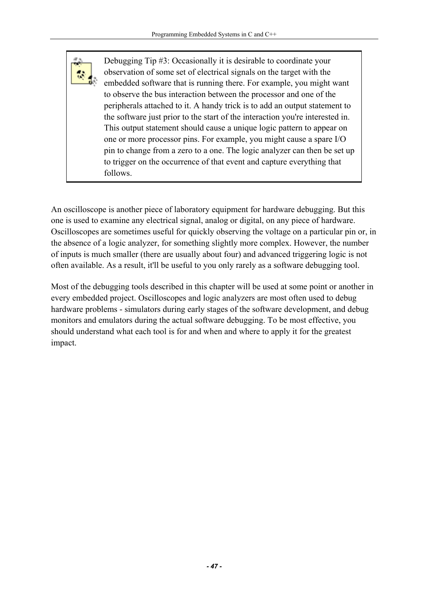

Debugging Tip #3: Occasionally it is desirable to coordinate your observation of some set of electrical signals on the target with the embedded software that is running there. For example, you might want to observe the bus interaction between the processor and one of the peripherals attached to it. A handy trick is to add an output statement to the software just prior to the start of the interaction you're interested in. This output statement should cause a unique logic pattern to appear on one or more processor pins. For example, you might cause a spare I/O pin to change from a zero to a one. The logic analyzer can then be set up to trigger on the occurrence of that event and capture everything that follows.

An oscilloscope is another piece of laboratory equipment for hardware debugging. But this one is used to examine any electrical signal, analog or digital, on any piece of hardware. Oscilloscopes are sometimes useful for quickly observing the voltage on a particular pin or, in the absence of a logic analyzer, for something slightly more complex. However, the number of inputs is much smaller (there are usually about four) and advanced triggering logic is not often available. As a result, it'll be useful to you only rarely as a software debugging tool.

Most of the debugging tools described in this chapter will be used at some point or another in every embedded project. Oscilloscopes and logic analyzers are most often used to debug hardware problems - simulators during early stages of the software development, and debug monitors and emulators during the actual software debugging. To be most effective, you should understand what each tool is for and when and where to apply it for the greatest impact.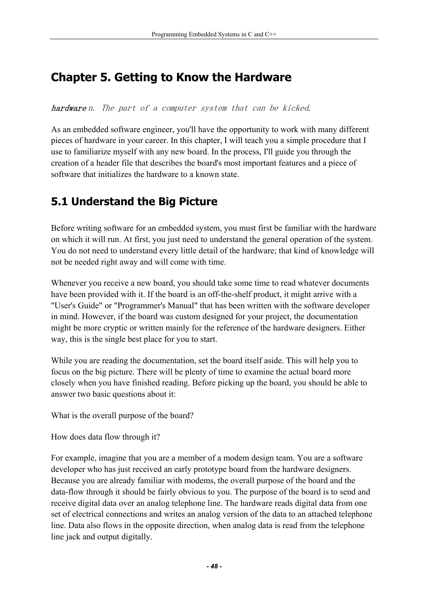# **Chapter 5. Getting to Know the Hardware**

**hardware** n. The part of a computer system that can be kicked.

As an embedded software engineer, you'll have the opportunity to work with many different pieces of hardware in your career. In this chapter, I will teach you a simple procedure that I use to familiarize myself with any new board. In the process, I'll guide you through the creation of a header file that describes the board's most important features and a piece of software that initializes the hardware to a known state.

# **5.1 Understand the Big Picture**

Before writing software for an embedded system, you must first be familiar with the hardware on which it will run. At first, you just need to understand the general operation of the system. You do not need to understand every little detail of the hardware; that kind of knowledge will not be needed right away and will come with time.

Whenever you receive a new board, you should take some time to read whatever documents have been provided with it. If the board is an off-the-shelf product, it might arrive with a "User's Guide" or "Programmer's Manual" that has been written with the software developer in mind. However, if the board was custom designed for your project, the documentation might be more cryptic or written mainly for the reference of the hardware designers. Either way, this is the single best place for you to start.

While you are reading the documentation, set the board itself aside. This will help you to focus on the big picture. There will be plenty of time to examine the actual board more closely when you have finished reading. Before picking up the board, you should be able to answer two basic questions about it:

What is the overall purpose of the board?

How does data flow through it?

For example, imagine that you are a member of a modem design team. You are a software developer who has just received an early prototype board from the hardware designers. Because you are already familiar with modems, the overall purpose of the board and the data-flow through it should be fairly obvious to you. The purpose of the board is to send and receive digital data over an analog telephone line. The hardware reads digital data from one set of electrical connections and writes an analog version of the data to an attached telephone line. Data also flows in the opposite direction, when analog data is read from the telephone line jack and output digitally.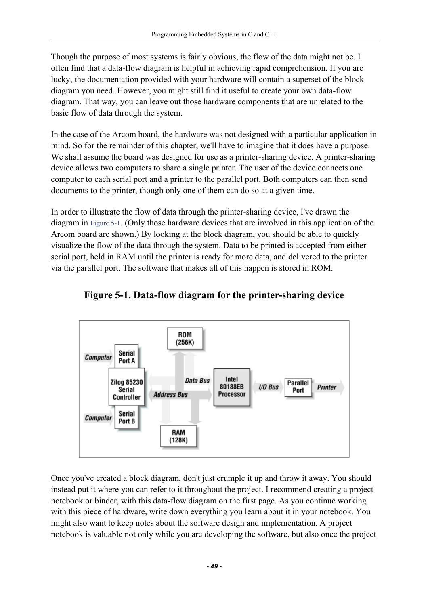Though the purpose of most systems is fairly obvious, the flow of the data might not be. I often find that a data-flow diagram is helpful in achieving rapid comprehension. If you are lucky, the documentation provided with your hardware will contain a superset of the block diagram you need. However, you might still find it useful to create your own data-flow diagram. That way, you can leave out those hardware components that are unrelated to the basic flow of data through the system.

In the case of the Arcom board, the hardware was not designed with a particular application in mind. So for the remainder of this chapter, we'll have to imagine that it does have a purpose. We shall assume the board was designed for use as a printer-sharing device. A printer-sharing device allows two computers to share a single printer. The user of the device connects one computer to each serial port and a printer to the parallel port. Both computers can then send documents to the printer, though only one of them can do so at a given time.

In order to illustrate the flow of data through the printer-sharing device, I've drawn the diagram in Figure 5-1. (Only those hardware devices that are involved in this application of the Arcom board are shown.) By looking at the block diagram, you should be able to quickly visualize the flow of the data through the system. Data to be printed is accepted from either serial port, held in RAM until the printer is ready for more data, and delivered to the printer via the parallel port. The software that makes all of this happen is stored in ROM.



**Figure 5-1. Data-flow diagram for the printer-sharing device**

Once you've created a block diagram, don't just crumple it up and throw it away. You should instead put it where you can refer to it throughout the project. I recommend creating a project notebook or binder, with this data-flow diagram on the first page. As you continue working with this piece of hardware, write down everything you learn about it in your notebook. You might also want to keep notes about the software design and implementation. A project notebook is valuable not only while you are developing the software, but also once the project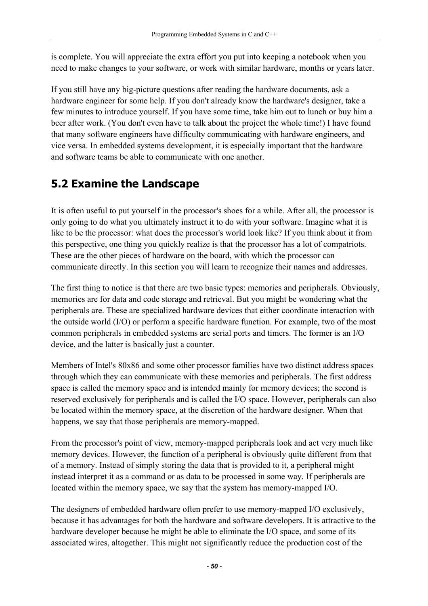is complete. You will appreciate the extra effort you put into keeping a notebook when you need to make changes to your software, or work with similar hardware, months or years later.

If you still have any big-picture questions after reading the hardware documents, ask a hardware engineer for some help. If you don't already know the hardware's designer, take a few minutes to introduce yourself. If you have some time, take him out to lunch or buy him a beer after work. (You don't even have to talk about the project the whole time!) I have found that many software engineers have difficulty communicating with hardware engineers, and vice versa. In embedded systems development, it is especially important that the hardware and software teams be able to communicate with one another.

# **5.2 Examine the Landscape**

It is often useful to put yourself in the processor's shoes for a while. After all, the processor is only going to do what you ultimately instruct it to do with your software. Imagine what it is like to be the processor: what does the processor's world look like? If you think about it from this perspective, one thing you quickly realize is that the processor has a lot of compatriots. These are the other pieces of hardware on the board, with which the processor can communicate directly. In this section you will learn to recognize their names and addresses.

The first thing to notice is that there are two basic types: memories and peripherals. Obviously, memories are for data and code storage and retrieval. But you might be wondering what the peripherals are. These are specialized hardware devices that either coordinate interaction with the outside world (I/O) or perform a specific hardware function. For example, two of the most common peripherals in embedded systems are serial ports and timers. The former is an I/O device, and the latter is basically just a counter.

Members of Intel's 80x86 and some other processor families have two distinct address spaces through which they can communicate with these memories and peripherals. The first address space is called the memory space and is intended mainly for memory devices; the second is reserved exclusively for peripherals and is called the I/O space. However, peripherals can also be located within the memory space, at the discretion of the hardware designer. When that happens, we say that those peripherals are memory-mapped.

From the processor's point of view, memory-mapped peripherals look and act very much like memory devices. However, the function of a peripheral is obviously quite different from that of a memory. Instead of simply storing the data that is provided to it, a peripheral might instead interpret it as a command or as data to be processed in some way. If peripherals are located within the memory space, we say that the system has memory-mapped I/O.

The designers of embedded hardware often prefer to use memory-mapped I/O exclusively, because it has advantages for both the hardware and software developers. It is attractive to the hardware developer because he might be able to eliminate the I/O space, and some of its associated wires, altogether. This might not significantly reduce the production cost of the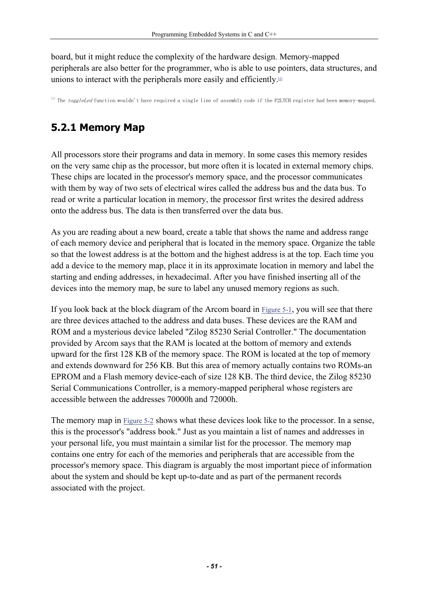board, but it might reduce the complexity of the hardware design. Memory-mapped peripherals are also better for the programmer, who is able to use pointers, data structures, and unions to interact with the peripherals more easily and efficiently. $\mathbb{I}$ 

 $^{[1]}$  The *toggleLed* function wouldn't have required a single line of assembly code if the P2LTCH register had been memory-mapped.

# **5.2.1 Memory Map**

All processors store their programs and data in memory. In some cases this memory resides on the very same chip as the processor, but more often it is located in external memory chips. These chips are located in the processor's memory space, and the processor communicates with them by way of two sets of electrical wires called the address bus and the data bus. To read or write a particular location in memory, the processor first writes the desired address onto the address bus. The data is then transferred over the data bus.

As you are reading about a new board, create a table that shows the name and address range of each memory device and peripheral that is located in the memory space. Organize the table so that the lowest address is at the bottom and the highest address is at the top. Each time you add a device to the memory map, place it in its approximate location in memory and label the starting and ending addresses, in hexadecimal. After you have finished inserting all of the devices into the memory map, be sure to label any unused memory regions as such.

If you look back at the block diagram of the Arcom board in Figure 5-1, you will see that there are three devices attached to the address and data buses. These devices are the RAM and ROM and a mysterious device labeled "Zilog 85230 Serial Controller." The documentation provided by Arcom says that the RAM is located at the bottom of memory and extends upward for the first 128 KB of the memory space. The ROM is located at the top of memory and extends downward for 256 KB. But this area of memory actually contains two ROMs-an EPROM and a Flash memory device-each of size 128 KB. The third device, the Zilog 85230 Serial Communications Controller, is a memory-mapped peripheral whose registers are accessible between the addresses 70000h and 72000h.

The memory map in Figure 5-2 shows what these devices look like to the processor. In a sense, this is the processor's "address book." Just as you maintain a list of names and addresses in your personal life, you must maintain a similar list for the processor. The memory map contains one entry for each of the memories and peripherals that are accessible from the processor's memory space. This diagram is arguably the most important piece of information about the system and should be kept up-to-date and as part of the permanent records associated with the project.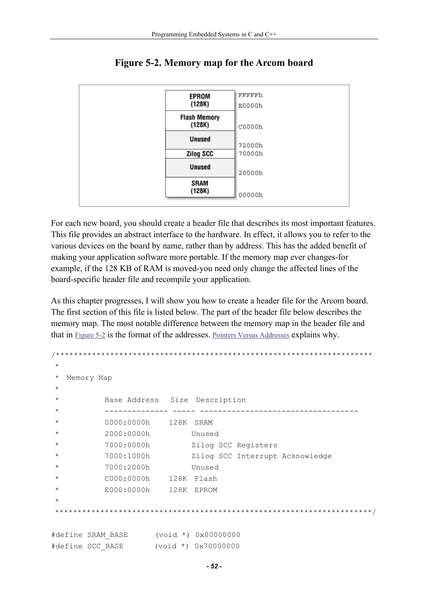| <b>EPROM</b>                  | FFFFFh |
|-------------------------------|--------|
| (128K)                        | E0000h |
| <b>Flash Memory</b><br>(128K) | C0000h |
| <b>Unused</b>                 | 72000h |
| <b>Zilog SCC</b>              | 70000h |
| <b>Unused</b>                 | 20000h |
| SRAM<br>(128K)                | 00000h |

**Figure 5-2. Memory map for the Arcom board**

For each new board, you should create a header file that describes its most important features. This file provides an abstract interface to the hardware. In effect, it allows you to refer to the various devices on the board by name, rather than by address. This has the added benefit of making your application software more portable. If the memory map ever changes-for example, if the 128 KB of RAM is moved-you need only change the affected lines of the board-specific header file and recompile your application.

As this chapter progresses, I will show you how to create a header file for the Arcom board. The first section of this file is listed below. The part of the header file below describes the memory map. The most notable difference between the memory map in the header file and that in Figure 5-2 is the format of the addresses. Pointers Versus Addresses explains why.

```
/********************************************************************** 
 * 
 * Memory Map 
 * 
 * Base Address Size Description 
           * -------------- ----- ----------------------------------- 
 * 0000:0000h 128K SRAM 
 * 2000:0000h Unused 
          7000:0000h Zilog SCC Registers
 * 7000:1000h Zilog SCC Interrupt Acknowledge 
           * 7000:2000h Unused 
 * C000:0000h 128K Flash 
          E000:0000h 128K EPROM
 * 
 **********************************************************************/ 
#define SRAM_BASE (void *) 0x00000000 
#define SCC_BASE (void *) 0x70000000
```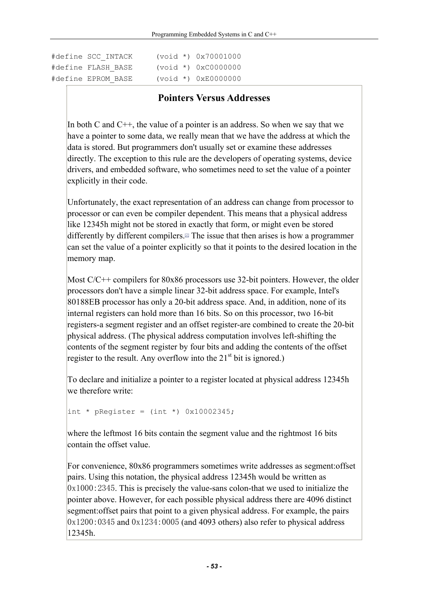```
#define SCC_INTACK (void *) 0x70001000 
#define FLASH_BASE (void *) 0xC0000000 
#define EPROM_BASE (void *) 0xE0000000
```
#### **Pointers Versus Addresses**

In both C and  $C_{++}$ , the value of a pointer is an address. So when we say that we have a pointer to some data, we really mean that we have the address at which the data is stored. But programmers don't usually set or examine these addresses directly. The exception to this rule are the developers of operating systems, device drivers, and embedded software, who sometimes need to set the value of a pointer explicitly in their code.

Unfortunately, the exact representation of an address can change from processor to processor or can even be compiler dependent. This means that a physical address like 12345h might not be stored in exactly that form, or might even be stored differently by different compilers.<sup>[2]</sup> The issue that then arises is how a programmer can set the value of a pointer explicitly so that it points to the desired location in the memory map.

Most C/C++ compilers for 80x86 processors use 32-bit pointers. However, the older processors don't have a simple linear 32-bit address space. For example, Intel's 80188EB processor has only a 20-bit address space. And, in addition, none of its internal registers can hold more than 16 bits. So on this processor, two 16-bit registers-a segment register and an offset register-are combined to create the 20-bit physical address. (The physical address computation involves left-shifting the contents of the segment register by four bits and adding the contents of the offset register to the result. Any overflow into the  $21<sup>st</sup>$  bit is ignored.)

To declare and initialize a pointer to a register located at physical address 12345h we therefore write:

```
int * pRegister = (int * ) 0x10002345;
```
where the leftmost 16 bits contain the segment value and the rightmost 16 bits contain the offset value.

For convenience, 80x86 programmers sometimes write addresses as segment:offset pairs. Using this notation, the physical address 12345h would be written as  $0x1000:2345$ . This is precisely the value-sans colon-that we used to initialize the pointer above. However, for each possible physical address there are 4096 distinct segment:offset pairs that point to a given physical address. For example, the pairs  $0x1200:0345$  and  $0x1234:0005$  (and 4093 others) also refer to physical address 12345h.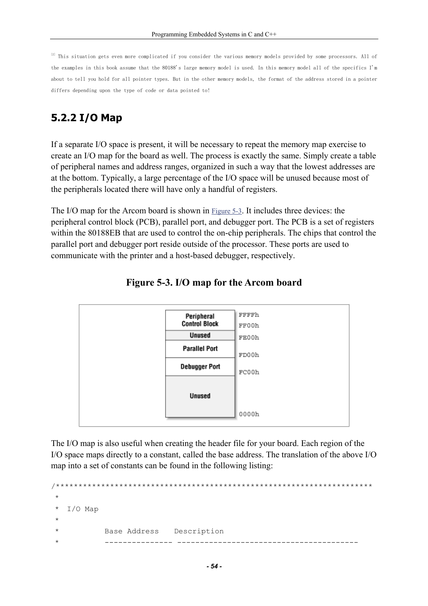$[2]$  This situation gets even more complicated if you consider the various memory models provided by some processors. All of the examples in this book assume that the 80188's large memory model is used. In this memory model all of the specifics I'm about to tell you hold for all pointer types. But in the other memory models, the format of the address stored in a pointer differs depending upon the type of code or data pointed to!

### **5.2.2 I/O Map**

If a separate I/O space is present, it will be necessary to repeat the memory map exercise to create an I/O map for the board as well. The process is exactly the same. Simply create a table of peripheral names and address ranges, organized in such a way that the lowest addresses are at the bottom. Typically, a large percentage of the I/O space will be unused because most of the peripherals located there will have only a handful of registers.

The I/O map for the Arcom board is shown in Figure 5-3. It includes three devices: the peripheral control block (PCB), parallel port, and debugger port. The PCB is a set of registers within the 80188EB that are used to control the on-chip peripherals. The chips that control the parallel port and debugger port reside outside of the processor. These ports are used to communicate with the printer and a host-based debugger, respectively.

| Peripheral           | FFFFh |
|----------------------|-------|
| <b>Control Block</b> | FF00h |
| <b>Unused</b>        | FE00h |
| <b>Parallel Port</b> | FD00h |
| <b>Debugger Port</b> | FC00h |
| <b>Unused</b>        |       |
|                      | 0000h |

**Figure 5-3. I/O map for the Arcom board**

The I/O map is also useful when creating the header file for your board. Each region of the I/O space maps directly to a constant, called the base address. The translation of the above I/O map into a set of constants can be found in the following listing:

/\*\*\*\*\*\*\*\*\*\*\*\*\*\*\*\*\*\*\*\*\*\*\*\*\*\*\*\*\*\*\*\*\*\*\*\*\*\*\*\*\*\*\*\*\*\*\*\*\*\*\*\*\*\*\*\*\*\*\*\*\*\*\*\*\*\*\*\*\*\* \* \* I/O Map \* \* Base Address Description \* --------------- ----------------------------------------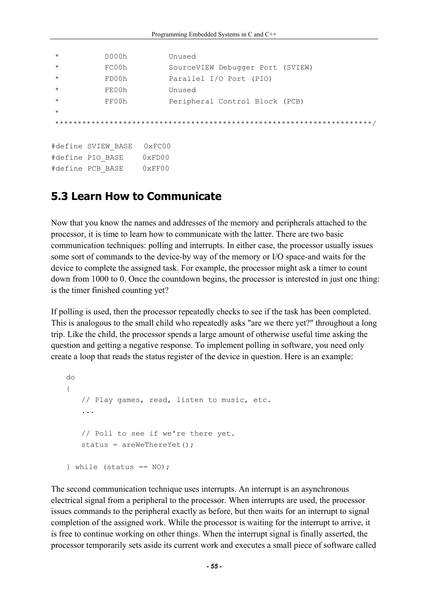| $\star$ | 0000h              | Unused                           |
|---------|--------------------|----------------------------------|
| $\star$ | FC00h              | SourceVIEW Debugger Port (SVIEW) |
| $\star$ | FD00h              | Parallel I/O Port (PIO)          |
| $\star$ | FE00h              | Unused                           |
| $\star$ | FF00h              | Peripheral Control Block (PCB)   |
| $\star$ |                    |                                  |
|         |                    |                                  |
|         |                    |                                  |
|         | #define SVIEW BASE | 0xFC00                           |
|         | #define PIO BASE   | 0xFD00                           |
|         | #define PCB BASE   | $0 \times F F 00$                |
|         |                    |                                  |

#### **5.3 Learn How to Communicate**

Now that you know the names and addresses of the memory and peripherals attached to the processor, it is time to learn how to communicate with the latter. There are two basic communication techniques: polling and interrupts. In either case, the processor usually issues some sort of commands to the device-by way of the memory or I/O space-and waits for the device to complete the assigned task. For example, the processor might ask a timer to count down from 1000 to 0. Once the countdown begins, the processor is interested in just one thing: is the timer finished counting yet?

If polling is used, then the processor repeatedly checks to see if the task has been completed. This is analogous to the small child who repeatedly asks "are we there yet?" throughout a long trip. Like the child, the processor spends a large amount of otherwise useful time asking the question and getting a negative response. To implement polling in software, you need only create a loop that reads the status register of the device in question. Here is an example:

```
 do 
 { 
    // Play games, read, listen to music, etc. 
    ... 
    // Poll to see if we're there yet. 
   status = areWerheeret();
\} while (status == NO);
```
The second communication technique uses interrupts. An interrupt is an asynchronous electrical signal from a peripheral to the processor. When interrupts are used, the processor issues commands to the peripheral exactly as before, but then waits for an interrupt to signal completion of the assigned work. While the processor is waiting for the interrupt to arrive, it is free to continue working on other things. When the interrupt signal is finally asserted, the processor temporarily sets aside its current work and executes a small piece of software called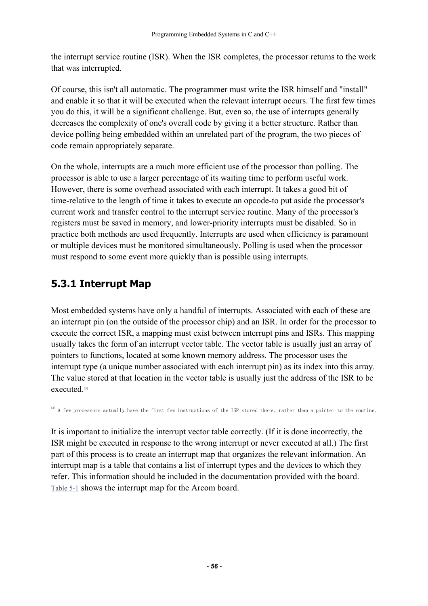the interrupt service routine (ISR). When the ISR completes, the processor returns to the work that was interrupted.

Of course, this isn't all automatic. The programmer must write the ISR himself and "install" and enable it so that it will be executed when the relevant interrupt occurs. The first few times you do this, it will be a significant challenge. But, even so, the use of interrupts generally decreases the complexity of one's overall code by giving it a better structure. Rather than device polling being embedded within an unrelated part of the program, the two pieces of code remain appropriately separate.

On the whole, interrupts are a much more efficient use of the processor than polling. The processor is able to use a larger percentage of its waiting time to perform useful work. However, there is some overhead associated with each interrupt. It takes a good bit of time-relative to the length of time it takes to execute an opcode-to put aside the processor's current work and transfer control to the interrupt service routine. Many of the processor's registers must be saved in memory, and lower-priority interrupts must be disabled. So in practice both methods are used frequently. Interrupts are used when efficiency is paramount or multiple devices must be monitored simultaneously. Polling is used when the processor must respond to some event more quickly than is possible using interrupts.

### **5.3.1 Interrupt Map**

Most embedded systems have only a handful of interrupts. Associated with each of these are an interrupt pin (on the outside of the processor chip) and an ISR. In order for the processor to execute the correct ISR, a mapping must exist between interrupt pins and ISRs. This mapping usually takes the form of an interrupt vector table. The vector table is usually just an array of pointers to functions, located at some known memory address. The processor uses the interrupt type (a unique number associated with each interrupt pin) as its index into this array. The value stored at that location in the vector table is usually just the address of the ISR to be executed.<sup>[3]</sup>

<sup>[3]</sup> A few processors actually have the first few instructions of the ISR stored there, rather than a pointer to the routine.

It is important to initialize the interrupt vector table correctly. (If it is done incorrectly, the ISR might be executed in response to the wrong interrupt or never executed at all.) The first part of this process is to create an interrupt map that organizes the relevant information. An interrupt map is a table that contains a list of interrupt types and the devices to which they refer. This information should be included in the documentation provided with the board. Table 5-1 shows the interrupt map for the Arcom board.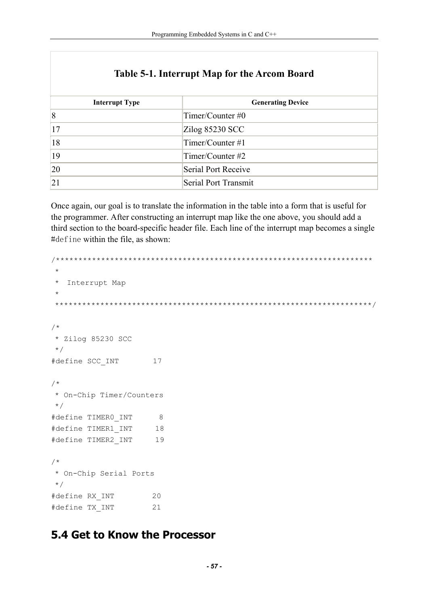| Table 5-1. Interrupt Map for the Arcom Board      |                      |  |  |  |
|---------------------------------------------------|----------------------|--|--|--|
| <b>Generating Device</b><br><b>Interrupt Type</b> |                      |  |  |  |
| 8                                                 | Timer/Counter #0     |  |  |  |
| 17                                                | Zilog $85230$ SCC    |  |  |  |
| 18                                                | Timer/Counter $#1$   |  |  |  |
| 19                                                | Timer/Counter #2     |  |  |  |
| 20                                                | Serial Port Receive  |  |  |  |
| 21                                                | Serial Port Transmit |  |  |  |

Once again, our goal is to translate the information in the table into a form that is useful for the programmer. After constructing an interrupt map like the one above, you should add a third section to the board-specific header file. Each line of the interrupt map becomes a single #define within the file, as shown:

```
/********************************************************************** 
 * 
 * Interrupt Map 
 * 
 **********************************************************************/ 
/* 
 * Zilog 85230 SCC 
 */ 
#define SCC_INT 17 
/* 
 * On-Chip Timer/Counters 
 */ 
#define TIMER0_INT 8 
#define TIMER1_INT 18 
#define TIMER2_INT 19 
/* 
 * On-Chip Serial Ports 
 */ 
#define RX_INT 20 
#define TX_INT 21
```
## **5.4 Get to Know the Processor**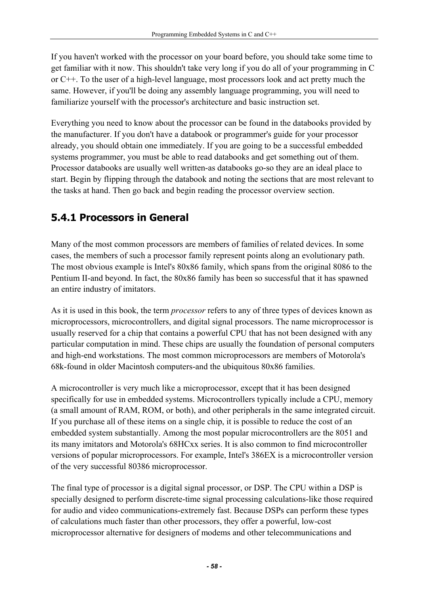If you haven't worked with the processor on your board before, you should take some time to get familiar with it now. This shouldn't take very long if you do all of your programming in C or C++. To the user of a high-level language, most processors look and act pretty much the same. However, if you'll be doing any assembly language programming, you will need to familiarize yourself with the processor's architecture and basic instruction set.

Everything you need to know about the processor can be found in the databooks provided by the manufacturer. If you don't have a databook or programmer's guide for your processor already, you should obtain one immediately. If you are going to be a successful embedded systems programmer, you must be able to read databooks and get something out of them. Processor databooks are usually well written-as databooks go-so they are an ideal place to start. Begin by flipping through the databook and noting the sections that are most relevant to the tasks at hand. Then go back and begin reading the processor overview section.

### **5.4.1 Processors in General**

Many of the most common processors are members of families of related devices. In some cases, the members of such a processor family represent points along an evolutionary path. The most obvious example is Intel's 80x86 family, which spans from the original 8086 to the Pentium II-and beyond. In fact, the 80x86 family has been so successful that it has spawned an entire industry of imitators.

As it is used in this book, the term *processor* refers to any of three types of devices known as microprocessors, microcontrollers, and digital signal processors. The name microprocessor is usually reserved for a chip that contains a powerful CPU that has not been designed with any particular computation in mind. These chips are usually the foundation of personal computers and high-end workstations. The most common microprocessors are members of Motorola's 68k-found in older Macintosh computers-and the ubiquitous 80x86 families.

A microcontroller is very much like a microprocessor, except that it has been designed specifically for use in embedded systems. Microcontrollers typically include a CPU, memory (a small amount of RAM, ROM, or both), and other peripherals in the same integrated circuit. If you purchase all of these items on a single chip, it is possible to reduce the cost of an embedded system substantially. Among the most popular microcontrollers are the 8051 and its many imitators and Motorola's 68HCxx series. It is also common to find microcontroller versions of popular microprocessors. For example, Intel's 386EX is a microcontroller version of the very successful 80386 microprocessor.

The final type of processor is a digital signal processor, or DSP. The CPU within a DSP is specially designed to perform discrete-time signal processing calculations-like those required for audio and video communications-extremely fast. Because DSPs can perform these types of calculations much faster than other processors, they offer a powerful, low-cost microprocessor alternative for designers of modems and other telecommunications and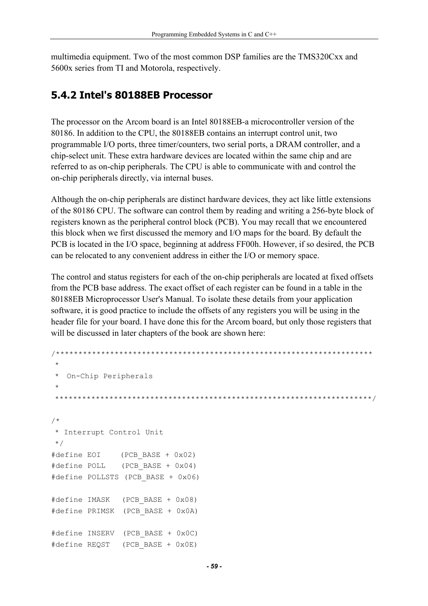multimedia equipment. Two of the most common DSP families are the TMS320Cxx and 5600x series from TI and Motorola, respectively.

#### **5.4.2 Intel's 80188EB Processor**

The processor on the Arcom board is an Intel 80188EB-a microcontroller version of the 80186. In addition to the CPU, the 80188EB contains an interrupt control unit, two programmable I/O ports, three timer/counters, two serial ports, a DRAM controller, and a chip-select unit. These extra hardware devices are located within the same chip and are referred to as on-chip peripherals. The CPU is able to communicate with and control the on-chip peripherals directly, via internal buses.

Although the on-chip peripherals are distinct hardware devices, they act like little extensions of the 80186 CPU. The software can control them by reading and writing a 256-byte block of registers known as the peripheral control block (PCB). You may recall that we encountered this block when we first discussed the memory and I/O maps for the board. By default the PCB is located in the I/O space, beginning at address FF00h. However, if so desired, the PCB can be relocated to any convenient address in either the I/O or memory space.

The control and status registers for each of the on-chip peripherals are located at fixed offsets from the PCB base address. The exact offset of each register can be found in a table in the 80188EB Microprocessor User's Manual. To isolate these details from your application software, it is good practice to include the offsets of any registers you will be using in the header file for your board. I have done this for the Arcom board, but only those registers that will be discussed in later chapters of the book are shown here:

```
/********************************************************************** 
 * 
  On-Chip Peripherals
 * 
 **********************************************************************/ 
/* 
 * Interrupt Control Unit 
 */ 
#define EOI (PCB_BASE + 0x02) 
#define POLL (PCB_BASE + 0x04) 
#define POLLSTS (PCB_BASE + 0x06) 
#define IMASK (PCB_BASE + 0x08) 
#define PRIMSK (PCB_BASE + 0x0A) 
#define INSERV (PCB_BASE + 0x0C) 
#define REQST (PCB_BASE + 0x0E)
```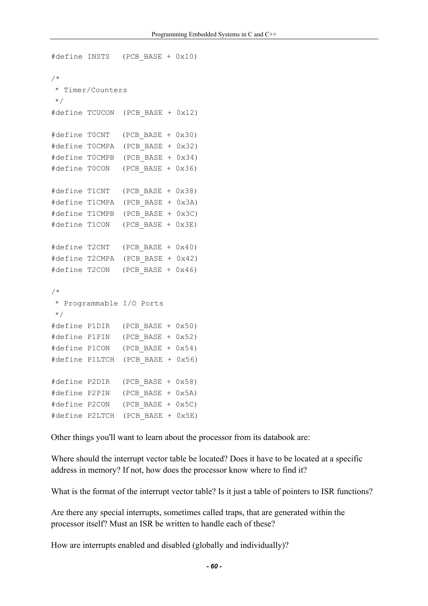```
#define INSTS (PCB_BASE + 0x10) 
/* 
 * Timer/Counters 
 */ 
#define TCUCON (PCB_BASE + 0x12) 
#define T0CNT (PCB_BASE + 0x30) 
#define T0CMPA (PCB_BASE + 0x32) 
#define T0CMPB (PCB_BASE + 0x34) 
#define T0CON (PCB_BASE + 0x36) 
#define T1CNT (PCB_BASE + 0x38) 
#define T1CMPA (PCB_BASE + 0x3A) 
#define T1CMPB (PCB_BASE + 0x3C) 
#define T1CON (PCB_BASE + 0x3E) 
#define T2CNT (PCB_BASE + 0x40) 
#define T2CMPA (PCB_BASE + 0x42) 
#define T2CON (PCB_BASE + 0x46) 
/* 
 * Programmable I/O Ports 
 */ 
#define P1DIR (PCB_BASE + 0x50) 
#define P1PIN (PCB_BASE + 0x52) 
#define P1CON (PCB_BASE + 0x54) 
#define P1LTCH (PCB_BASE + 0x56) 
#define P2DIR (PCB_BASE + 0x58) 
#define P2PIN (PCB_BASE + 0x5A) 
#define P2CON (PCB_BASE + 0x5C) 
#define P2LTCH (PCB_BASE + 0x5E)
```
Other things you'll want to learn about the processor from its databook are:

Where should the interrupt vector table be located? Does it have to be located at a specific address in memory? If not, how does the processor know where to find it?

What is the format of the interrupt vector table? Is it just a table of pointers to ISR functions?

Are there any special interrupts, sometimes called traps, that are generated within the processor itself? Must an ISR be written to handle each of these?

How are interrupts enabled and disabled (globally and individually)?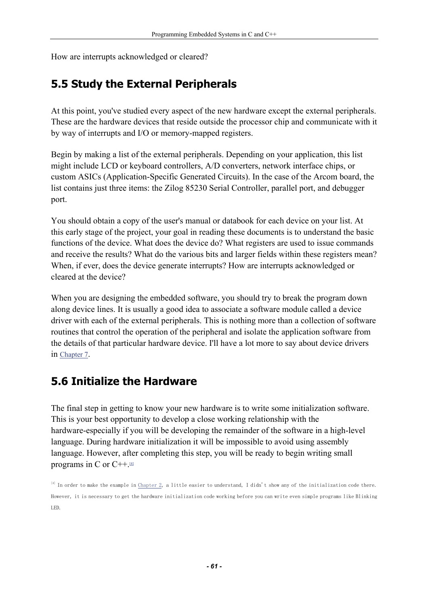How are interrupts acknowledged or cleared?

# **5.5 Study the External Peripherals**

At this point, you've studied every aspect of the new hardware except the external peripherals. These are the hardware devices that reside outside the processor chip and communicate with it by way of interrupts and I/O or memory-mapped registers.

Begin by making a list of the external peripherals. Depending on your application, this list might include LCD or keyboard controllers, A/D converters, network interface chips, or custom ASICs (Application-Specific Generated Circuits). In the case of the Arcom board, the list contains just three items: the Zilog 85230 Serial Controller, parallel port, and debugger port.

You should obtain a copy of the user's manual or databook for each device on your list. At this early stage of the project, your goal in reading these documents is to understand the basic functions of the device. What does the device do? What registers are used to issue commands and receive the results? What do the various bits and larger fields within these registers mean? When, if ever, does the device generate interrupts? How are interrupts acknowledged or cleared at the device?

When you are designing the embedded software, you should try to break the program down along device lines. It is usually a good idea to associate a software module called a device driver with each of the external peripherals. This is nothing more than a collection of software routines that control the operation of the peripheral and isolate the application software from the details of that particular hardware device. I'll have a lot more to say about device drivers in Chapter 7.

## **5.6 Initialize the Hardware**

The final step in getting to know your new hardware is to write some initialization software. This is your best opportunity to develop a close working relationship with the hardware-especially if you will be developing the remainder of the software in a high-level language. During hardware initialization it will be impossible to avoid using assembly language. However, after completing this step, you will be ready to begin writing small programs in C or  $C_{++}$ .[4]

<sup>[4]</sup> In order to make the example in Chapter 2, a little easier to understand, I didn't show any of the initialization code there. However, it is necessary to get the hardware initialization code working before you can write even simple programs like Blinking LED.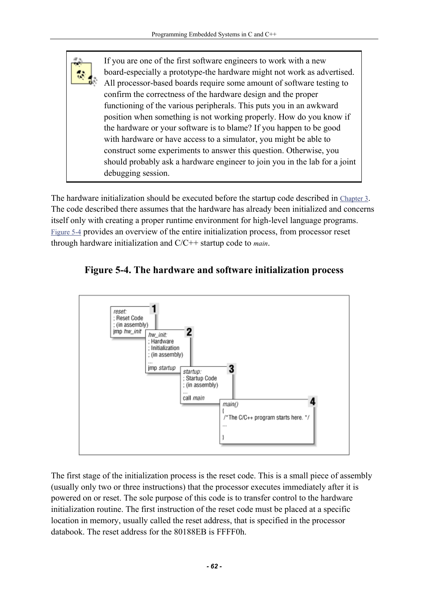If you are one of the first software engineers to work with a new board-especially a prototype-the hardware might not work as advertised. All processor-based boards require some amount of software testing to confirm the correctness of the hardware design and the proper functioning of the various peripherals. This puts you in an awkward position when something is not working properly. How do you know if the hardware or your software is to blame? If you happen to be good with hardware or have access to a simulator, you might be able to construct some experiments to answer this question. Otherwise, you should probably ask a hardware engineer to join you in the lab for a joint debugging session.

The hardware initialization should be executed before the startup code described in Chapter 3. The code described there assumes that the hardware has already been initialized and concerns itself only with creating a proper runtime environment for high-level language programs. Figure 5-4 provides an overview of the entire initialization process, from processor reset through hardware initialization and C/C++ startup code to *main*.



#### **Figure 5-4. The hardware and software initialization process**

The first stage of the initialization process is the reset code. This is a small piece of assembly (usually only two or three instructions) that the processor executes immediately after it is powered on or reset. The sole purpose of this code is to transfer control to the hardware initialization routine. The first instruction of the reset code must be placed at a specific location in memory, usually called the reset address, that is specified in the processor databook. The reset address for the 80188EB is FFFF0h.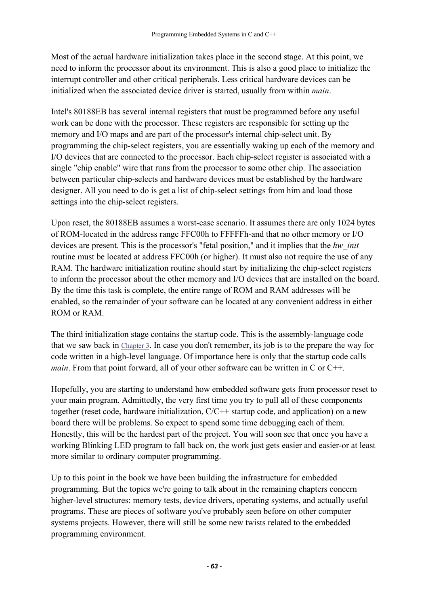Most of the actual hardware initialization takes place in the second stage. At this point, we need to inform the processor about its environment. This is also a good place to initialize the interrupt controller and other critical peripherals. Less critical hardware devices can be initialized when the associated device driver is started, usually from within *main*.

Intel's 80188EB has several internal registers that must be programmed before any useful work can be done with the processor. These registers are responsible for setting up the memory and I/O maps and are part of the processor's internal chip-select unit. By programming the chip-select registers, you are essentially waking up each of the memory and I/O devices that are connected to the processor. Each chip-select register is associated with a single "chip enable" wire that runs from the processor to some other chip. The association between particular chip-selects and hardware devices must be established by the hardware designer. All you need to do is get a list of chip-select settings from him and load those settings into the chip-select registers.

Upon reset, the 80188EB assumes a worst-case scenario. It assumes there are only 1024 bytes of ROM-located in the address range FFC00h to FFFFFh-and that no other memory or I/O devices are present. This is the processor's "fetal position," and it implies that the *hw\_init*  routine must be located at address FFC00h (or higher). It must also not require the use of any RAM. The hardware initialization routine should start by initializing the chip-select registers to inform the processor about the other memory and I/O devices that are installed on the board. By the time this task is complete, the entire range of ROM and RAM addresses will be enabled, so the remainder of your software can be located at any convenient address in either ROM or RAM.

The third initialization stage contains the startup code. This is the assembly-language code that we saw back in Chapter 3. In case you don't remember, its job is to the prepare the way for code written in a high-level language. Of importance here is only that the startup code calls *main*. From that point forward, all of your other software can be written in C or C++.

Hopefully, you are starting to understand how embedded software gets from processor reset to your main program. Admittedly, the very first time you try to pull all of these components together (reset code, hardware initialization, C/C++ startup code, and application) on a new board there will be problems. So expect to spend some time debugging each of them. Honestly, this will be the hardest part of the project. You will soon see that once you have a working Blinking LED program to fall back on, the work just gets easier and easier-or at least more similar to ordinary computer programming.

Up to this point in the book we have been building the infrastructure for embedded programming. But the topics we're going to talk about in the remaining chapters concern higher-level structures: memory tests, device drivers, operating systems, and actually useful programs. These are pieces of software you've probably seen before on other computer systems projects. However, there will still be some new twists related to the embedded programming environment.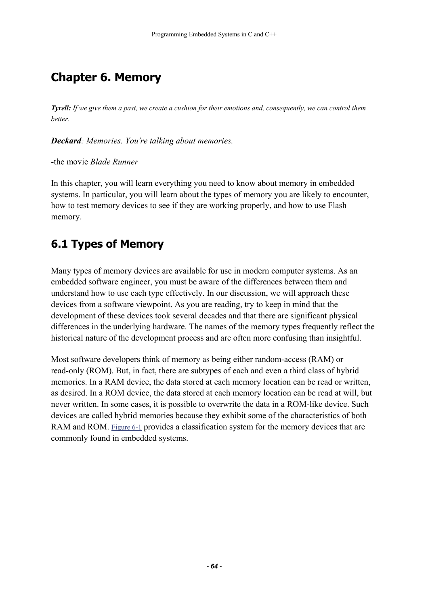# **Chapter 6. Memory**

*Tyrell: If we give them a past, we create a cushion for their emotions and, consequently, we can control them better.* 

*Deckard: Memories. You're talking about memories.* 

-the movie *Blade Runner*

In this chapter, you will learn everything you need to know about memory in embedded systems. In particular, you will learn about the types of memory you are likely to encounter, how to test memory devices to see if they are working properly, and how to use Flash memory.

# **6.1 Types of Memory**

Many types of memory devices are available for use in modern computer systems. As an embedded software engineer, you must be aware of the differences between them and understand how to use each type effectively. In our discussion, we will approach these devices from a software viewpoint. As you are reading, try to keep in mind that the development of these devices took several decades and that there are significant physical differences in the underlying hardware. The names of the memory types frequently reflect the historical nature of the development process and are often more confusing than insightful.

Most software developers think of memory as being either random-access (RAM) or read-only (ROM). But, in fact, there are subtypes of each and even a third class of hybrid memories. In a RAM device, the data stored at each memory location can be read or written, as desired. In a ROM device, the data stored at each memory location can be read at will, but never written. In some cases, it is possible to overwrite the data in a ROM-like device. Such devices are called hybrid memories because they exhibit some of the characteristics of both RAM and ROM. Figure 6-1 provides a classification system for the memory devices that are commonly found in embedded systems.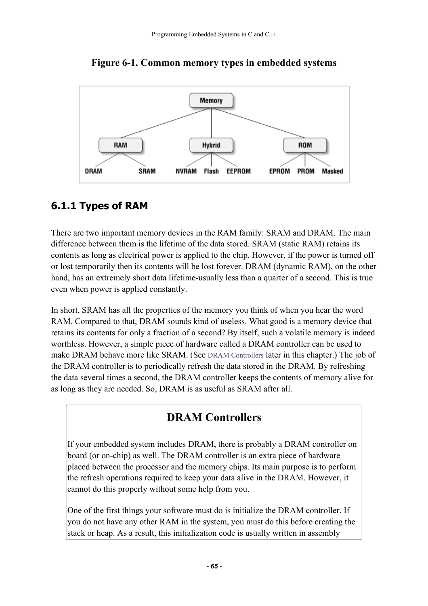

**Figure 6-1. Common memory types in embedded systems**

### **6.1.1 Types of RAM**

There are two important memory devices in the RAM family: SRAM and DRAM. The main difference between them is the lifetime of the data stored. SRAM (static RAM) retains its contents as long as electrical power is applied to the chip. However, if the power is turned off or lost temporarily then its contents will be lost forever. DRAM (dynamic RAM), on the other hand, has an extremely short data lifetime-usually less than a quarter of a second. This is true even when power is applied constantly.

In short, SRAM has all the properties of the memory you think of when you hear the word RAM. Compared to that, DRAM sounds kind of useless. What good is a memory device that retains its contents for only a fraction of a second? By itself, such a volatile memory is indeed worthless. However, a simple piece of hardware called a DRAM controller can be used to make DRAM behave more like SRAM. (See DRAM Controllers later in this chapter.) The job of the DRAM controller is to periodically refresh the data stored in the DRAM. By refreshing the data several times a second, the DRAM controller keeps the contents of memory alive for as long as they are needed. So, DRAM is as useful as SRAM after all.

## **DRAM Controllers**

If your embedded system includes DRAM, there is probably a DRAM controller on board (or on-chip) as well. The DRAM controller is an extra piece of hardware placed between the processor and the memory chips. Its main purpose is to perform the refresh operations required to keep your data alive in the DRAM. However, it cannot do this properly without some help from you.

One of the first things your software must do is initialize the DRAM controller. If you do not have any other RAM in the system, you must do this before creating the stack or heap. As a result, this initialization code is usually written in assembly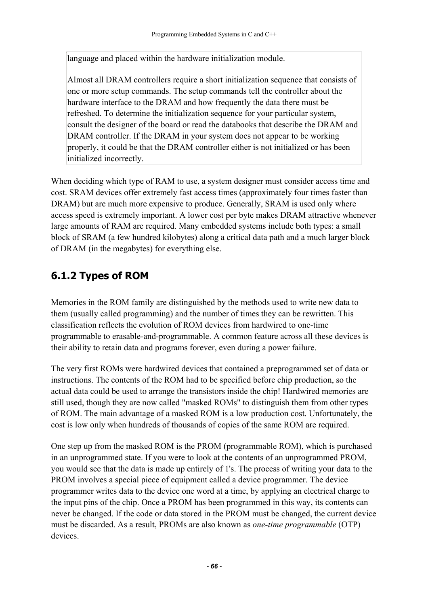language and placed within the hardware initialization module.

Almost all DRAM controllers require a short initialization sequence that consists of one or more setup commands. The setup commands tell the controller about the hardware interface to the DRAM and how frequently the data there must be refreshed. To determine the initialization sequence for your particular system, consult the designer of the board or read the databooks that describe the DRAM and DRAM controller. If the DRAM in your system does not appear to be working properly, it could be that the DRAM controller either is not initialized or has been initialized incorrectly.

When deciding which type of RAM to use, a system designer must consider access time and cost. SRAM devices offer extremely fast access times (approximately four times faster than DRAM) but are much more expensive to produce. Generally, SRAM is used only where access speed is extremely important. A lower cost per byte makes DRAM attractive whenever large amounts of RAM are required. Many embedded systems include both types: a small block of SRAM (a few hundred kilobytes) along a critical data path and a much larger block of DRAM (in the megabytes) for everything else.

## **6.1.2 Types of ROM**

Memories in the ROM family are distinguished by the methods used to write new data to them (usually called programming) and the number of times they can be rewritten. This classification reflects the evolution of ROM devices from hardwired to one-time programmable to erasable-and-programmable. A common feature across all these devices is their ability to retain data and programs forever, even during a power failure.

The very first ROMs were hardwired devices that contained a preprogrammed set of data or instructions. The contents of the ROM had to be specified before chip production, so the actual data could be used to arrange the transistors inside the chip! Hardwired memories are still used, though they are now called "masked ROMs" to distinguish them from other types of ROM. The main advantage of a masked ROM is a low production cost. Unfortunately, the cost is low only when hundreds of thousands of copies of the same ROM are required.

One step up from the masked ROM is the PROM (programmable ROM), which is purchased in an unprogrammed state. If you were to look at the contents of an unprogrammed PROM, you would see that the data is made up entirely of 1's. The process of writing your data to the PROM involves a special piece of equipment called a device programmer. The device programmer writes data to the device one word at a time, by applying an electrical charge to the input pins of the chip. Once a PROM has been programmed in this way, its contents can never be changed. If the code or data stored in the PROM must be changed, the current device must be discarded. As a result, PROMs are also known as *one-time programmable* (OTP) devices.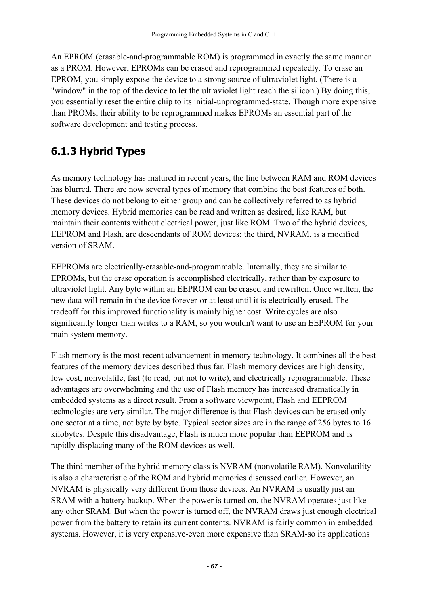An EPROM (erasable-and-programmable ROM) is programmed in exactly the same manner as a PROM. However, EPROMs can be erased and reprogrammed repeatedly. To erase an EPROM, you simply expose the device to a strong source of ultraviolet light. (There is a "window" in the top of the device to let the ultraviolet light reach the silicon.) By doing this, you essentially reset the entire chip to its initial-unprogrammed-state. Though more expensive than PROMs, their ability to be reprogrammed makes EPROMs an essential part of the software development and testing process.

# **6.1.3 Hybrid Types**

As memory technology has matured in recent years, the line between RAM and ROM devices has blurred. There are now several types of memory that combine the best features of both. These devices do not belong to either group and can be collectively referred to as hybrid memory devices. Hybrid memories can be read and written as desired, like RAM, but maintain their contents without electrical power, just like ROM. Two of the hybrid devices, EEPROM and Flash, are descendants of ROM devices; the third, NVRAM, is a modified version of SRAM.

EEPROMs are electrically-erasable-and-programmable. Internally, they are similar to EPROMs, but the erase operation is accomplished electrically, rather than by exposure to ultraviolet light. Any byte within an EEPROM can be erased and rewritten. Once written, the new data will remain in the device forever-or at least until it is electrically erased. The tradeoff for this improved functionality is mainly higher cost. Write cycles are also significantly longer than writes to a RAM, so you wouldn't want to use an EEPROM for your main system memory.

Flash memory is the most recent advancement in memory technology. It combines all the best features of the memory devices described thus far. Flash memory devices are high density, low cost, nonvolatile, fast (to read, but not to write), and electrically reprogrammable. These advantages are overwhelming and the use of Flash memory has increased dramatically in embedded systems as a direct result. From a software viewpoint, Flash and EEPROM technologies are very similar. The major difference is that Flash devices can be erased only one sector at a time, not byte by byte. Typical sector sizes are in the range of 256 bytes to 16 kilobytes. Despite this disadvantage, Flash is much more popular than EEPROM and is rapidly displacing many of the ROM devices as well.

The third member of the hybrid memory class is NVRAM (nonvolatile RAM). Nonvolatility is also a characteristic of the ROM and hybrid memories discussed earlier. However, an NVRAM is physically very different from those devices. An NVRAM is usually just an SRAM with a battery backup. When the power is turned on, the NVRAM operates just like any other SRAM. But when the power is turned off, the NVRAM draws just enough electrical power from the battery to retain its current contents. NVRAM is fairly common in embedded systems. However, it is very expensive-even more expensive than SRAM-so its applications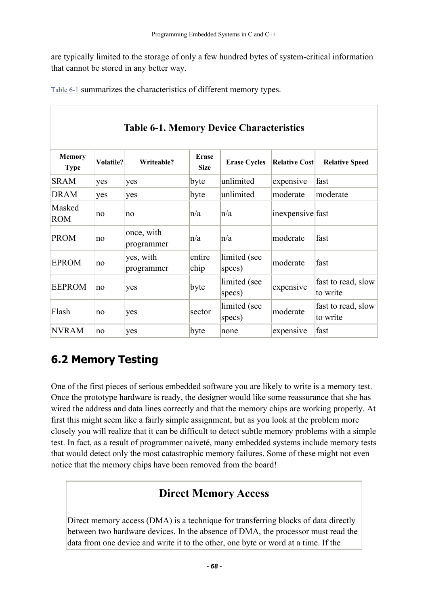are typically limited to the storage of only a few hundred bytes of system-critical information that cannot be stored in any better way.

Table 6-1 summarizes the characteristics of different memory types.

| <b>Table 6-1. Memory Device Characteristics</b> |           |                          |                             |                        |                      |                                |
|-------------------------------------------------|-----------|--------------------------|-----------------------------|------------------------|----------------------|--------------------------------|
| <b>Memory</b><br><b>Type</b>                    | Volatile? | Writeable?               | <b>Erase</b><br><b>Size</b> | <b>Erase Cycles</b>    | <b>Relative Cost</b> | <b>Relative Speed</b>          |
| <b>SRAM</b>                                     | yes       | yes                      | byte                        | unlimited              | expensive            | fast                           |
| <b>DRAM</b>                                     | yes       | yes                      | byte                        | unlimited              | moderate             | moderate                       |
| Masked<br><b>ROM</b>                            | no        | no                       | n/a                         | $\ln/a$                | inexpensive fast     |                                |
| <b>PROM</b>                                     | no        | once, with<br>programmer | n/a                         | n/a                    | moderate             | fast                           |
| <b>EPROM</b>                                    | no        | yes, with<br>programmer  | entire<br>chip              | limited (see<br>specs) | moderate             | fast                           |
| <b>EEPROM</b>                                   | no        | yes                      | byte                        | limited (see<br>specs) | expensive            | fast to read, slow<br>to write |
| Flash                                           | no        | yes                      | sector                      | limited (see<br>specs) | moderate             | fast to read, slow<br>to write |
| <b>NVRAM</b>                                    | no        | yes                      | byte                        | none                   | expensive            | fast                           |

# **6.2 Memory Testing**

One of the first pieces of serious embedded software you are likely to write is a memory test. Once the prototype hardware is ready, the designer would like some reassurance that she has wired the address and data lines correctly and that the memory chips are working properly. At first this might seem like a fairly simple assignment, but as you look at the problem more closely you will realize that it can be difficult to detect subtle memory problems with a simple test. In fact, as a result of programmer naiveté, many embedded systems include memory tests that would detect only the most catastrophic memory failures. Some of these might not even notice that the memory chips have been removed from the board!

## **Direct Memory Access**

Direct memory access (DMA) is a technique for transferring blocks of data directly between two hardware devices. In the absence of DMA, the processor must read the data from one device and write it to the other, one byte or word at a time. If the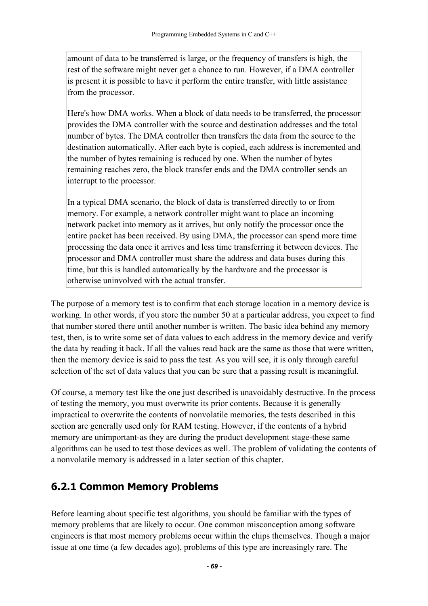amount of data to be transferred is large, or the frequency of transfers is high, the rest of the software might never get a chance to run. However, if a DMA controller is present it is possible to have it perform the entire transfer, with little assistance from the processor.

Here's how DMA works. When a block of data needs to be transferred, the processor provides the DMA controller with the source and destination addresses and the total number of bytes. The DMA controller then transfers the data from the source to the destination automatically. After each byte is copied, each address is incremented and the number of bytes remaining is reduced by one. When the number of bytes remaining reaches zero, the block transfer ends and the DMA controller sends an interrupt to the processor.

In a typical DMA scenario, the block of data is transferred directly to or from memory. For example, a network controller might want to place an incoming network packet into memory as it arrives, but only notify the processor once the entire packet has been received. By using DMA, the processor can spend more time processing the data once it arrives and less time transferring it between devices. The processor and DMA controller must share the address and data buses during this time, but this is handled automatically by the hardware and the processor is otherwise uninvolved with the actual transfer.

The purpose of a memory test is to confirm that each storage location in a memory device is working. In other words, if you store the number 50 at a particular address, you expect to find that number stored there until another number is written. The basic idea behind any memory test, then, is to write some set of data values to each address in the memory device and verify the data by reading it back. If all the values read back are the same as those that were written, then the memory device is said to pass the test. As you will see, it is only through careful selection of the set of data values that you can be sure that a passing result is meaningful.

Of course, a memory test like the one just described is unavoidably destructive. In the process of testing the memory, you must overwrite its prior contents. Because it is generally impractical to overwrite the contents of nonvolatile memories, the tests described in this section are generally used only for RAM testing. However, if the contents of a hybrid memory are unimportant-as they are during the product development stage-these same algorithms can be used to test those devices as well. The problem of validating the contents of a nonvolatile memory is addressed in a later section of this chapter.

### **6.2.1 Common Memory Problems**

Before learning about specific test algorithms, you should be familiar with the types of memory problems that are likely to occur. One common misconception among software engineers is that most memory problems occur within the chips themselves. Though a major issue at one time (a few decades ago), problems of this type are increasingly rare. The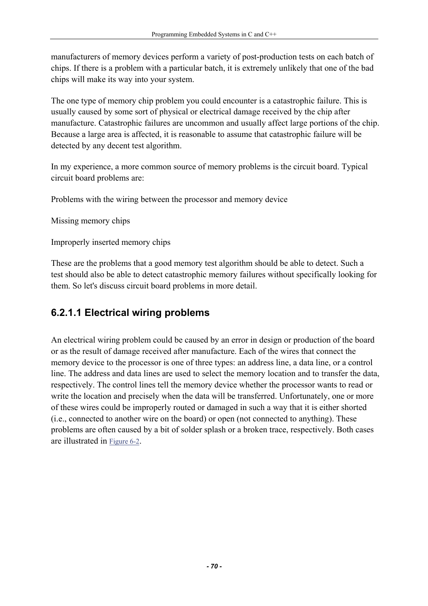manufacturers of memory devices perform a variety of post-production tests on each batch of chips. If there is a problem with a particular batch, it is extremely unlikely that one of the bad chips will make its way into your system.

The one type of memory chip problem you could encounter is a catastrophic failure. This is usually caused by some sort of physical or electrical damage received by the chip after manufacture. Catastrophic failures are uncommon and usually affect large portions of the chip. Because a large area is affected, it is reasonable to assume that catastrophic failure will be detected by any decent test algorithm.

In my experience, a more common source of memory problems is the circuit board. Typical circuit board problems are:

Problems with the wiring between the processor and memory device

Missing memory chips

Improperly inserted memory chips

These are the problems that a good memory test algorithm should be able to detect. Such a test should also be able to detect catastrophic memory failures without specifically looking for them. So let's discuss circuit board problems in more detail.

### **6.2.1.1 Electrical wiring problems**

An electrical wiring problem could be caused by an error in design or production of the board or as the result of damage received after manufacture. Each of the wires that connect the memory device to the processor is one of three types: an address line, a data line, or a control line. The address and data lines are used to select the memory location and to transfer the data, respectively. The control lines tell the memory device whether the processor wants to read or write the location and precisely when the data will be transferred. Unfortunately, one or more of these wires could be improperly routed or damaged in such a way that it is either shorted (i.e., connected to another wire on the board) or open (not connected to anything). These problems are often caused by a bit of solder splash or a broken trace, respectively. Both cases are illustrated in Figure 6-2.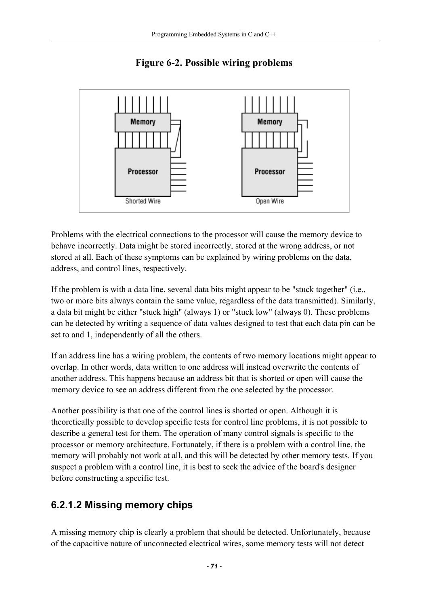

**Figure 6-2. Possible wiring problems**

Problems with the electrical connections to the processor will cause the memory device to behave incorrectly. Data might be stored incorrectly, stored at the wrong address, or not stored at all. Each of these symptoms can be explained by wiring problems on the data, address, and control lines, respectively.

If the problem is with a data line, several data bits might appear to be "stuck together" (i.e., two or more bits always contain the same value, regardless of the data transmitted). Similarly, a data bit might be either "stuck high" (always 1) or "stuck low" (always 0). These problems can be detected by writing a sequence of data values designed to test that each data pin can be set to and 1, independently of all the others.

If an address line has a wiring problem, the contents of two memory locations might appear to overlap. In other words, data written to one address will instead overwrite the contents of another address. This happens because an address bit that is shorted or open will cause the memory device to see an address different from the one selected by the processor.

Another possibility is that one of the control lines is shorted or open. Although it is theoretically possible to develop specific tests for control line problems, it is not possible to describe a general test for them. The operation of many control signals is specific to the processor or memory architecture. Fortunately, if there is a problem with a control line, the memory will probably not work at all, and this will be detected by other memory tests. If you suspect a problem with a control line, it is best to seek the advice of the board's designer before constructing a specific test.

### **6.2.1.2 Missing memory chips**

A missing memory chip is clearly a problem that should be detected. Unfortunately, because of the capacitive nature of unconnected electrical wires, some memory tests will not detect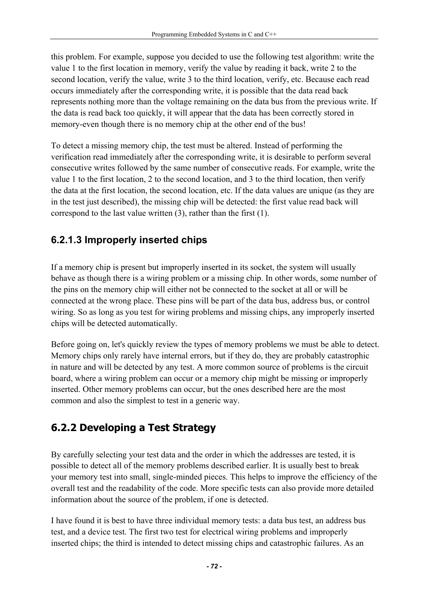this problem. For example, suppose you decided to use the following test algorithm: write the value 1 to the first location in memory, verify the value by reading it back, write 2 to the second location, verify the value, write 3 to the third location, verify, etc. Because each read occurs immediately after the corresponding write, it is possible that the data read back represents nothing more than the voltage remaining on the data bus from the previous write. If the data is read back too quickly, it will appear that the data has been correctly stored in memory-even though there is no memory chip at the other end of the bus!

To detect a missing memory chip, the test must be altered. Instead of performing the verification read immediately after the corresponding write, it is desirable to perform several consecutive writes followed by the same number of consecutive reads. For example, write the value 1 to the first location, 2 to the second location, and 3 to the third location, then verify the data at the first location, the second location, etc. If the data values are unique (as they are in the test just described), the missing chip will be detected: the first value read back will correspond to the last value written (3), rather than the first (1).

### **6.2.1.3 Improperly inserted chips**

If a memory chip is present but improperly inserted in its socket, the system will usually behave as though there is a wiring problem or a missing chip. In other words, some number of the pins on the memory chip will either not be connected to the socket at all or will be connected at the wrong place. These pins will be part of the data bus, address bus, or control wiring. So as long as you test for wiring problems and missing chips, any improperly inserted chips will be detected automatically.

Before going on, let's quickly review the types of memory problems we must be able to detect. Memory chips only rarely have internal errors, but if they do, they are probably catastrophic in nature and will be detected by any test. A more common source of problems is the circuit board, where a wiring problem can occur or a memory chip might be missing or improperly inserted. Other memory problems can occur, but the ones described here are the most common and also the simplest to test in a generic way.

## **6.2.2 Developing a Test Strategy**

By carefully selecting your test data and the order in which the addresses are tested, it is possible to detect all of the memory problems described earlier. It is usually best to break your memory test into small, single-minded pieces. This helps to improve the efficiency of the overall test and the readability of the code. More specific tests can also provide more detailed information about the source of the problem, if one is detected.

I have found it is best to have three individual memory tests: a data bus test, an address bus test, and a device test. The first two test for electrical wiring problems and improperly inserted chips; the third is intended to detect missing chips and catastrophic failures. As an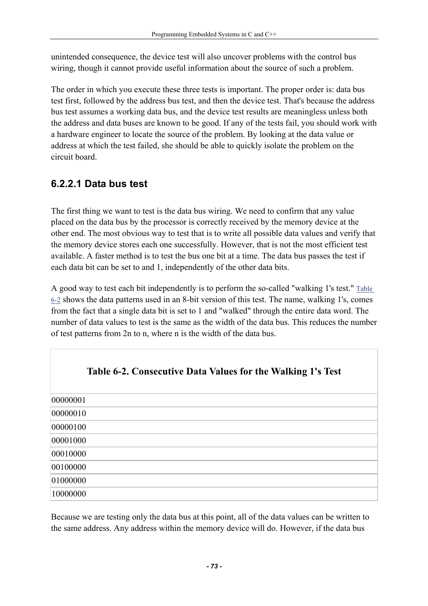unintended consequence, the device test will also uncover problems with the control bus wiring, though it cannot provide useful information about the source of such a problem.

The order in which you execute these three tests is important. The proper order is: data bus test first, followed by the address bus test, and then the device test. That's because the address bus test assumes a working data bus, and the device test results are meaningless unless both the address and data buses are known to be good. If any of the tests fail, you should work with a hardware engineer to locate the source of the problem. By looking at the data value or address at which the test failed, she should be able to quickly isolate the problem on the circuit board.

## **6.2.2.1 Data bus test**

The first thing we want to test is the data bus wiring. We need to confirm that any value placed on the data bus by the processor is correctly received by the memory device at the other end. The most obvious way to test that is to write all possible data values and verify that the memory device stores each one successfully. However, that is not the most efficient test available. A faster method is to test the bus one bit at a time. The data bus passes the test if each data bit can be set to and 1, independently of the other data bits.

A good way to test each bit independently is to perform the so-called "walking 1's test." Table 6-2 shows the data patterns used in an 8-bit version of this test. The name, walking 1's, comes from the fact that a single data bit is set to 1 and "walked" through the entire data word. The number of data values to test is the same as the width of the data bus. This reduces the number of test patterns from 2n to n, where n is the width of the data bus.

| Table 6-2. Consecutive Data Values for the Walking I's Test |  |  |  |  |
|-------------------------------------------------------------|--|--|--|--|
| 00000001                                                    |  |  |  |  |
|                                                             |  |  |  |  |
| 00000010                                                    |  |  |  |  |
| 00000100                                                    |  |  |  |  |
| 00001000                                                    |  |  |  |  |
| 00010000                                                    |  |  |  |  |
| 00100000                                                    |  |  |  |  |
| 01000000                                                    |  |  |  |  |
| 10000000                                                    |  |  |  |  |

## **Table 6-2. Consecutive Data Values for the Walking 1's Test**

Because we are testing only the data bus at this point, all of the data values can be written to the same address. Any address within the memory device will do. However, if the data bus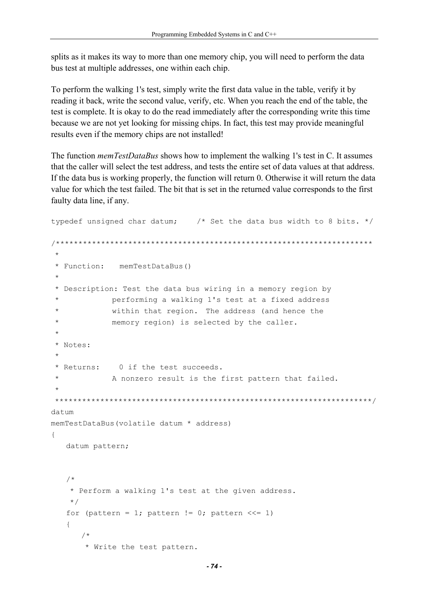splits as it makes its way to more than one memory chip, you will need to perform the data bus test at multiple addresses, one within each chip.

To perform the walking 1's test, simply write the first data value in the table, verify it by reading it back, write the second value, verify, etc. When you reach the end of the table, the test is complete. It is okay to do the read immediately after the corresponding write this time because we are not yet looking for missing chips. In fact, this test may provide meaningful results even if the memory chips are not installed!

The function *memTestDataBus* shows how to implement the walking 1's test in C. It assumes that the caller will select the test address, and tests the entire set of data values at that address. If the data bus is working properly, the function will return 0. Otherwise it will return the data value for which the test failed. The bit that is set in the returned value corresponds to the first faulty data line, if any.

```
typedef unsigned char datum;
                           /* Set the data bus width to 8 bits. */* Function:
             memTestDataBus()
* Description: Test the data bus wiring in a memory region by
           performing a walking 1's test at a fixed address
           within that region. The address (and hence the
\star\starmemory region) is selected by the caller.
* Notes:
             0 if the test succeeds.
* Returns:
           A nonzero result is the first pattern that failed.
datum
memTestDataBus(volatile datum * address)
\{datum pattern;
   / *
   * Perform a walking 1's test at the given address.
   \star /
   for (pattern = 1; pattern != 0; pattern \langle\langle=1\rangle\left\{ \right./ *
      * Write the test pattern.
```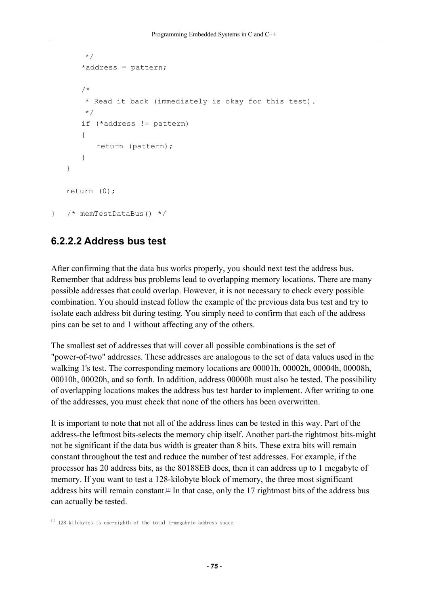```
 */ 
        *address = pattern; 
        /* 
         * Read it back (immediately is okay for this test). 
         */ 
        if (*address != pattern) 
        { 
            return (pattern); 
 } 
    } 
    return (0); 
} /* memTestDataBus() */
```
## **6.2.2.2 Address bus test**

After confirming that the data bus works properly, you should next test the address bus. Remember that address bus problems lead to overlapping memory locations. There are many possible addresses that could overlap. However, it is not necessary to check every possible combination. You should instead follow the example of the previous data bus test and try to isolate each address bit during testing. You simply need to confirm that each of the address pins can be set to and 1 without affecting any of the others.

The smallest set of addresses that will cover all possible combinations is the set of "power-of-two" addresses. These addresses are analogous to the set of data values used in the walking 1's test. The corresponding memory locations are 00001h, 00002h, 00004h, 00008h, 00010h, 00020h, and so forth. In addition, address 00000h must also be tested. The possibility of overlapping locations makes the address bus test harder to implement. After writing to one of the addresses, you must check that none of the others has been overwritten.

It is important to note that not all of the address lines can be tested in this way. Part of the address-the leftmost bits-selects the memory chip itself. Another part-the rightmost bits-might not be significant if the data bus width is greater than 8 bits. These extra bits will remain constant throughout the test and reduce the number of test addresses. For example, if the processor has 20 address bits, as the 80188EB does, then it can address up to 1 megabyte of memory. If you want to test a 128-kilobyte block of memory, the three most significant address bits will remain constant.<sup>[1]</sup> In that case, only the 17 rightmost bits of the address bus can actually be tested.

```
[1] 128 kilobytes is one-eighth of the total 1-megabyte address space.
```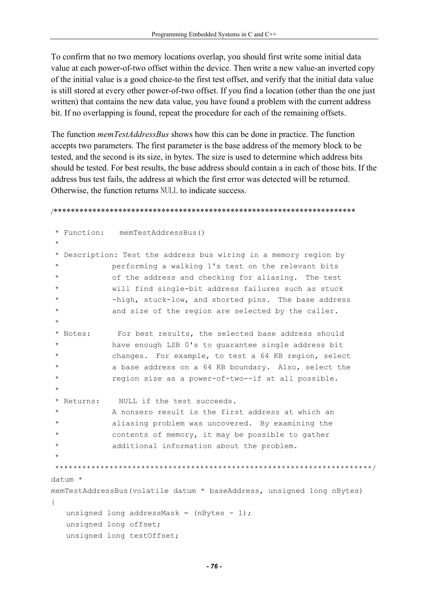To confirm that no two memory locations overlap, you should first write some initial data value at each power-of-two offset within the device. Then write a new value-an inverted copy of the initial value is a good choice-to the first test offset, and verify that the initial data value is still stored at every other power-of-two offset. If you find a location (other than the one just written) that contains the new data value, you have found a problem with the current address bit. If no overlapping is found, repeat the procedure for each of the remaining offsets.

The function *memTestAddressBus* shows how this can be done in practice. The function accepts two parameters. The first parameter is the base address of the memory block to be tested, and the second is its size, in bytes. The size is used to determine which address bits should be tested. For best results, the base address should contain a in each of those bits. If the address bus test fails, the address at which the first error was detected will be returned. Otherwise, the function returns NULL to indicate success.

```
/********************************************************************** 
  * Function: memTestAddressBus() 
 * 
  * Description: Test the address bus wiring in a memory region by 
  * performing a walking 1's test on the relevant bits 
  * of the address and checking for aliasing. The test 
  * will find single-bit address failures such as stuck 
             -high, stuck-low, and shorted pins. The base address
  * and size of the region are selected by the caller. 
 * 
  * Notes: For best results, the selected base address should 
  * have enough LSB 0's to guarantee single address bit 
             changes. For example, to test a 64 KB region, select
             a base address on a 64 KB boundary. Also, select the
             region size as a power-of-two--if at all possible.
 * 
  * Returns: NULL if the test succeeds. 
             A nonzero result is the first address at which an
             aliasing problem was uncovered. By examining the
             contents of memory, it may be possible to gather
             additional information about the problem.
 * 
       **********************************************************************/ 
datum *memTestAddressBus(volatile datum * baseAddress, unsigned long nBytes) 
{ 
   unsigned long addressMask = (nBytes - 1); unsigned long offset; 
    unsigned long testOffset;
```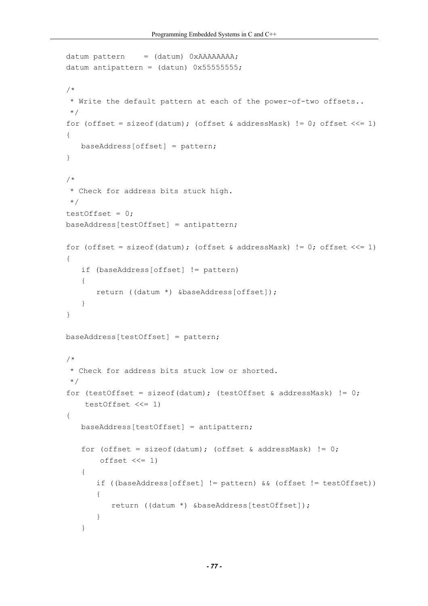```
datum pattern = (datum) 0xAAAAAAAA;
   datum antipattern = (datan) 0x55555555;
    /* 
     * Write the default pattern at each of the power-of-two offsets.. 
     */ 
   for (offset = sizeof(datum); (offset & addressMask) != 0; offset \leq 1)
    { 
       baseAddress[offset] = pattern; 
    } 
    /* 
    * Check for address bits stuck high. 
     */ 
   testOffset = 0; baseAddress[testOffset] = antipattern; 
   for (offset = sizeof(datum); (offset & addressMask) != 0; offset <<= 1)
    { 
       if (baseAddress[offset] != pattern) 
       { 
          return ((datum *) &baseAddress[offset]); 
       } 
    } 
    baseAddress[testOffset] = pattern; 
    /* 
     * Check for address bits stuck low or shorted. 
     */ 
   for (testOffset = sizeof(datum); (testOffset & addressMask) != 0;
        testOffset <<= 1) 
    { 
       baseAddress[testOffset] = antipattern; 
      for (offset = sizeof(datum); (offset & addressMask) != 0;
          offset \leq 1) { 
           if ((baseAddress[offset] != pattern) && (offset != testOffset)) 
\{ return ((datum *) &baseAddress[testOffset]); 
 } 
       }
```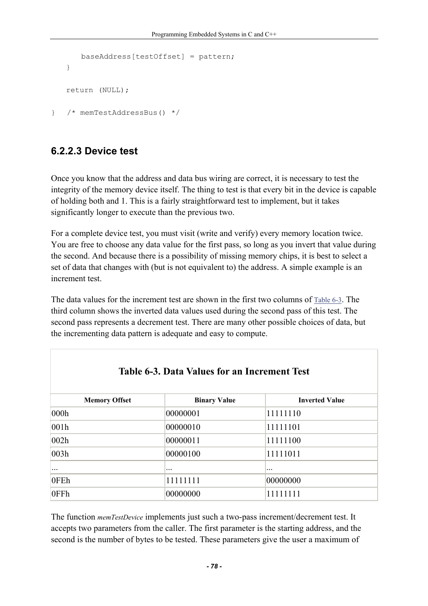```
 baseAddress[testOffset] = pattern; 
    } 
    return (NULL); 
} /* memTestAddressBus() */
```
## **6.2.2.3 Device test**

Once you know that the address and data bus wiring are correct, it is necessary to test the integrity of the memory device itself. The thing to test is that every bit in the device is capable of holding both and 1. This is a fairly straightforward test to implement, but it takes significantly longer to execute than the previous two.

For a complete device test, you must visit (write and verify) every memory location twice. You are free to choose any data value for the first pass, so long as you invert that value during the second. And because there is a possibility of missing memory chips, it is best to select a set of data that changes with (but is not equivalent to) the address. A simple example is an increment test.

The data values for the increment test are shown in the first two columns of Table 6-3. The third column shows the inverted data values used during the second pass of this test. The second pass represents a decrement test. There are many other possible choices of data, but the incrementing data pattern is adequate and easy to compute.

| <b>Table 6-3. Data Values for an Increment Test</b> |                     |                       |  |  |  |
|-----------------------------------------------------|---------------------|-----------------------|--|--|--|
| <b>Memory Offset</b>                                | <b>Binary Value</b> | <b>Inverted Value</b> |  |  |  |
| 000h                                                | 00000001            | 11111110              |  |  |  |
| 001 <sub>h</sub>                                    | 00000010            | 11111101              |  |  |  |
| 002h                                                | 00000011            | 11111100              |  |  |  |
| 003h                                                | 00000100            | 11111011              |  |  |  |
|                                                     |                     | $\cdots$              |  |  |  |
| 0FEh                                                | 11111111            | 00000000              |  |  |  |
| $0$ FFh                                             | 00000000            | 11111111              |  |  |  |

The function *memTestDevice* implements just such a two-pass increment/decrement test. It accepts two parameters from the caller. The first parameter is the starting address, and the second is the number of bytes to be tested. These parameters give the user a maximum of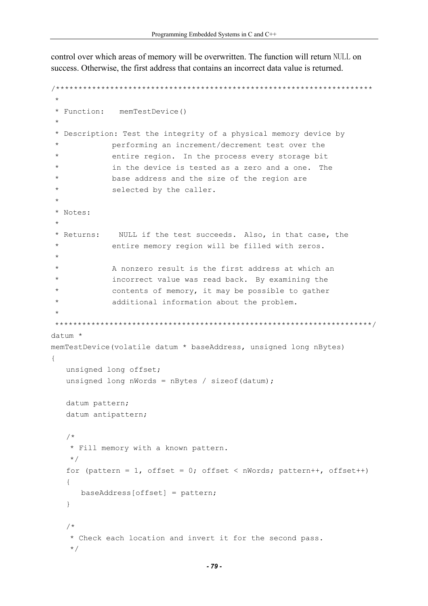control over which areas of memory will be overwritten. The function will return NULL on success. Otherwise, the first address that contains an incorrect data value is returned.

```
* Function:
             memTestDevice()
 * Description: Test the integrity of a physical memory device by
            performing an increment/decrement test over the
 \starentire region. In the process every storage bit
             in the device is tested as a zero and a one. The
 \starbase address and the size of the region are
 \starselected by the caller.
* Notes:
 * Returns:
            NULL if the test succeeds. Also, in that case, the
 \starentire memory region will be filled with zeros.
 \starA nonzero result is the first address at which an
            incorrect value was read back. By examining the
 \starcontents of memory, it may be possible to gather
 \ddot{\phantom{0}}additional information about the problem.
datum *
memTestDevice(volatile datum * baseAddress, unsigned long nBytes)
\left\{ \right.unsigned long offset;
   unsigned long nWords = nBytes / sizeof (datum) ;
   datum pattern;
   datum antipattern;
   / *
    * Fill memory with a known pattern.
    \star /
   for (pattern = 1, offset = 0; offset < nWords; pattern++, offset++)
   \left\{ \right.baseAddress[offset] = pattern;
   \}/ \star* Check each location and invert it for the second pass.
    \star /
```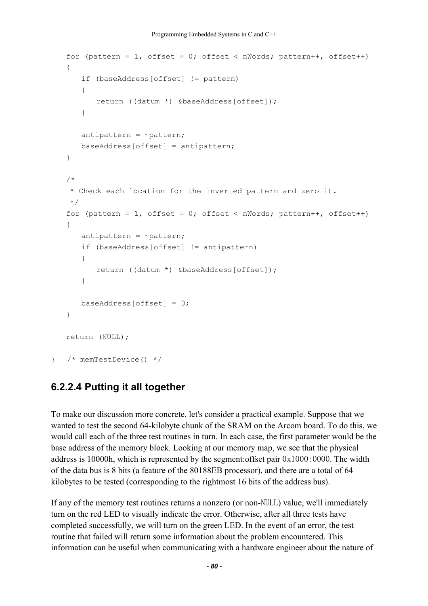```
for (pattern = 1, offset = 0; offset < nWords; pattern++, offset++)
    { 
        if (baseAddress[offset] != pattern) 
        { 
           return ((datum *) &baseAddress[offset]); 
        } 
       antipattern = \simpattern;
        baseAddress[offset] = antipattern; 
    } 
    /* 
     * Check each location for the inverted pattern and zero it. 
     */ 
   for (pattern = 1, offset = 0; offset < nWords; pattern++, offset++)
    { 
       antipattern = \simpattern;
        if (baseAddress[offset] != antipattern) 
        { 
           return ((datum *) &baseAddress[offset]); 
 } 
        baseAddress[offset] = 0; 
    } 
    return (NULL); 
} /* memTestDevice() */
```
### **6.2.2.4 Putting it all together**

To make our discussion more concrete, let's consider a practical example. Suppose that we wanted to test the second 64-kilobyte chunk of the SRAM on the Arcom board. To do this, we would call each of the three test routines in turn. In each case, the first parameter would be the base address of the memory block. Looking at our memory map, we see that the physical address is 10000h, which is represented by the segment:offset pair 0x1000:0000. The width of the data bus is 8 bits (a feature of the 80188EB processor), and there are a total of 64 kilobytes to be tested (corresponding to the rightmost 16 bits of the address bus).

If any of the memory test routines returns a nonzero (or non-NULL) value, we'll immediately turn on the red LED to visually indicate the error. Otherwise, after all three tests have completed successfully, we will turn on the green LED. In the event of an error, the test routine that failed will return some information about the problem encountered. This information can be useful when communicating with a hardware engineer about the nature of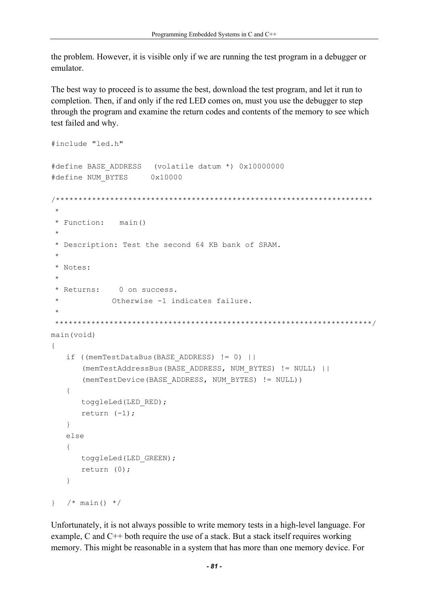the problem. However, it is visible only if we are running the test program in a debugger or emulator.

The best way to proceed is to assume the best, download the test program, and let it run to completion. Then, if and only if the red LED comes on, must you use the debugger to step through the program and examine the return codes and contents of the memory to see which test failed and why.

```
#include "led.h"
                   (volatile datum \star) 0x10000000
#define BASE ADDRESS
#define NUM BYTES
                   0x10000
* Function: main()
* Description: Test the second 64 KB bank of SRAM.
* Notes:
* Returns: 0 on success.
            Otherwise -1 indicates failure.
main (void)
\left\{ \right.if ((memTestDataBus(BASE ADDRESS) != 0) ||
      (memTestAddressBus(BASE ADDRESS, NUM BYTES) != NULL) ||
      (memTestDevice(BASE ADDRESS, NUM BYTES) != NULL))
   \left\{ \right.toggleLed(LED RED);
      return (-1);
   \lambdaelse
   \left\{ \right.toggleLed (LED GREEN) ;
      return (0);
   \left\{ \right\}/* \text{main}() * /\uparrow
```
Unfortunately, it is not always possible to write memory tests in a high-level language. For example, C and C++ both require the use of a stack. But a stack itself requires working memory. This might be reasonable in a system that has more than one memory device. For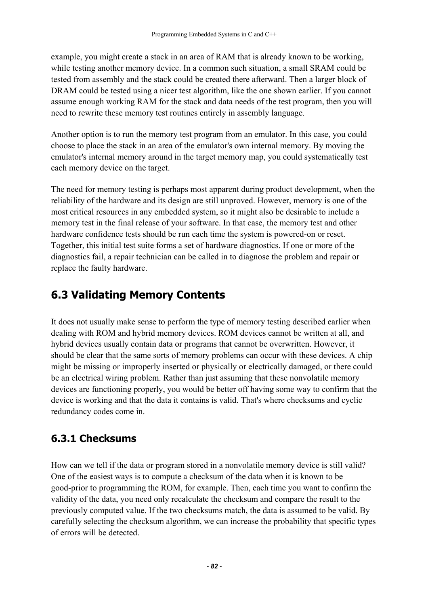example, you might create a stack in an area of RAM that is already known to be working, while testing another memory device. In a common such situation, a small SRAM could be tested from assembly and the stack could be created there afterward. Then a larger block of DRAM could be tested using a nicer test algorithm, like the one shown earlier. If you cannot assume enough working RAM for the stack and data needs of the test program, then you will need to rewrite these memory test routines entirely in assembly language.

Another option is to run the memory test program from an emulator. In this case, you could choose to place the stack in an area of the emulator's own internal memory. By moving the emulator's internal memory around in the target memory map, you could systematically test each memory device on the target.

The need for memory testing is perhaps most apparent during product development, when the reliability of the hardware and its design are still unproved. However, memory is one of the most critical resources in any embedded system, so it might also be desirable to include a memory test in the final release of your software. In that case, the memory test and other hardware confidence tests should be run each time the system is powered-on or reset. Together, this initial test suite forms a set of hardware diagnostics. If one or more of the diagnostics fail, a repair technician can be called in to diagnose the problem and repair or replace the faulty hardware.

# **6.3 Validating Memory Contents**

It does not usually make sense to perform the type of memory testing described earlier when dealing with ROM and hybrid memory devices. ROM devices cannot be written at all, and hybrid devices usually contain data or programs that cannot be overwritten. However, it should be clear that the same sorts of memory problems can occur with these devices. A chip might be missing or improperly inserted or physically or electrically damaged, or there could be an electrical wiring problem. Rather than just assuming that these nonvolatile memory devices are functioning properly, you would be better off having some way to confirm that the device is working and that the data it contains is valid. That's where checksums and cyclic redundancy codes come in.

## **6.3.1 Checksums**

How can we tell if the data or program stored in a nonvolatile memory device is still valid? One of the easiest ways is to compute a checksum of the data when it is known to be good-prior to programming the ROM, for example. Then, each time you want to confirm the validity of the data, you need only recalculate the checksum and compare the result to the previously computed value. If the two checksums match, the data is assumed to be valid. By carefully selecting the checksum algorithm, we can increase the probability that specific types of errors will be detected.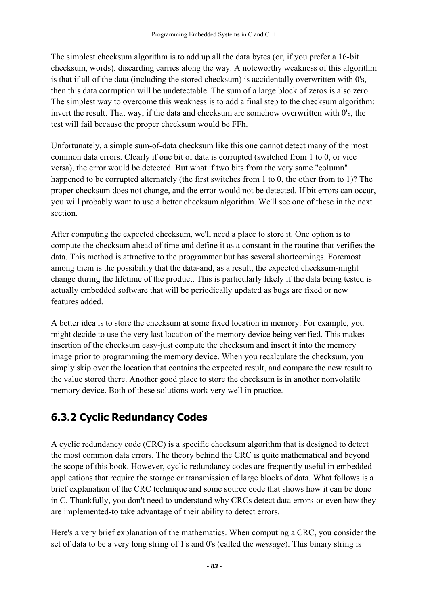The simplest checksum algorithm is to add up all the data bytes (or, if you prefer a 16-bit checksum, words), discarding carries along the way. A noteworthy weakness of this algorithm is that if all of the data (including the stored checksum) is accidentally overwritten with 0's, then this data corruption will be undetectable. The sum of a large block of zeros is also zero. The simplest way to overcome this weakness is to add a final step to the checksum algorithm: invert the result. That way, if the data and checksum are somehow overwritten with 0's, the test will fail because the proper checksum would be FFh.

Unfortunately, a simple sum-of-data checksum like this one cannot detect many of the most common data errors. Clearly if one bit of data is corrupted (switched from 1 to 0, or vice versa), the error would be detected. But what if two bits from the very same "column" happened to be corrupted alternately (the first switches from 1 to 0, the other from to 1)? The proper checksum does not change, and the error would not be detected. If bit errors can occur, you will probably want to use a better checksum algorithm. We'll see one of these in the next section.

After computing the expected checksum, we'll need a place to store it. One option is to compute the checksum ahead of time and define it as a constant in the routine that verifies the data. This method is attractive to the programmer but has several shortcomings. Foremost among them is the possibility that the data-and, as a result, the expected checksum-might change during the lifetime of the product. This is particularly likely if the data being tested is actually embedded software that will be periodically updated as bugs are fixed or new features added.

A better idea is to store the checksum at some fixed location in memory. For example, you might decide to use the very last location of the memory device being verified. This makes insertion of the checksum easy-just compute the checksum and insert it into the memory image prior to programming the memory device. When you recalculate the checksum, you simply skip over the location that contains the expected result, and compare the new result to the value stored there. Another good place to store the checksum is in another nonvolatile memory device. Both of these solutions work very well in practice.

# **6.3.2 Cyclic Redundancy Codes**

A cyclic redundancy code (CRC) is a specific checksum algorithm that is designed to detect the most common data errors. The theory behind the CRC is quite mathematical and beyond the scope of this book. However, cyclic redundancy codes are frequently useful in embedded applications that require the storage or transmission of large blocks of data. What follows is a brief explanation of the CRC technique and some source code that shows how it can be done in C. Thankfully, you don't need to understand why CRCs detect data errors-or even how they are implemented-to take advantage of their ability to detect errors.

Here's a very brief explanation of the mathematics. When computing a CRC, you consider the set of data to be a very long string of 1's and 0's (called the *message*). This binary string is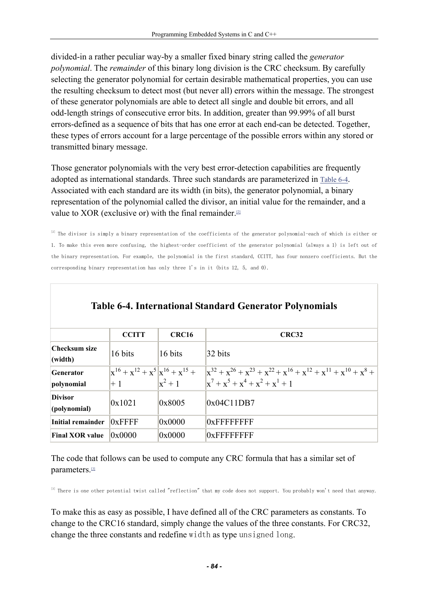divided-in a rather peculiar way-by a smaller fixed binary string called the *generator polynomial*. The *remainder* of this binary long division is the CRC checksum. By carefully selecting the generator polynomial for certain desirable mathematical properties, you can use the resulting checksum to detect most (but never all) errors within the message. The strongest of these generator polynomials are able to detect all single and double bit errors, and all odd-length strings of consecutive error bits. In addition, greater than 99.99% of all burst errors-defined as a sequence of bits that has one error at each end-can be detected. Together, these types of errors account for a large percentage of the possible errors within any stored or transmitted binary message.

Those generator polynomials with the very best error-detection capabilities are frequently adopted as international standards. Three such standards are parameterized in Table 6-4. Associated with each standard are its width (in bits), the generator polynomial, a binary representation of the polynomial called the divisor, an initial value for the remainder, and a value to XOR (exclusive or) with the final remainder.<sup>[2]</sup>

 $[2]$  The divisor is simply a binary representation of the coefficients of the generator polynomial-each of which is either or 1. To make this even more confusing, the highest-order coefficient of the generator polynomial (always a 1) is left out of the binary representation. For example, the polynomial in the first standard, CCITT, has four nonzero coefficients. But the corresponding binary representation has only three 1's in it (bits 12, 5, and 0).

|                          | <b>CCITT</b>                                                                             | <b>CRC16</b>         | CRC32                                                                           |
|--------------------------|------------------------------------------------------------------------------------------|----------------------|---------------------------------------------------------------------------------|
| Checksum size<br>(width) | 16 bits                                                                                  | 16 bits              | 32 bits                                                                         |
| <b>Generator</b>         | $ \mathbf{x}^{16} + \mathbf{x}^{12} + \mathbf{x}^5  \mathbf{x}^{16} + \mathbf{x}^{15} +$ |                      | $x^{32} + x^{26} + x^{23} + x^{22} + x^{16} + x^{12} + x^{11} + x^{10} + x^8 +$ |
| polynomial               | $\begin{vmatrix} 1 \\ 1 \end{vmatrix}$ $\begin{vmatrix} x^2 + 1 \\ x^3 \end{vmatrix}$    |                      | $x^7 + x^5 + x^4 + x^2 + x^1 + 1$                                               |
| <b>Divisor</b>           | 0x1021                                                                                   | $\vert 0x8005 \vert$ | 0x04C11DB7                                                                      |
| (polynomial)             |                                                                                          |                      |                                                                                 |
| Initial remainder        | $0x$ FFFF                                                                                | 0x0000               | $0x$ FFFFFFFFF                                                                  |
| <b>Final XOR value</b>   | 10x0000                                                                                  | 0x0000               | $0x$ FFFFFFFFF                                                                  |

## **Table 6-4. International Standard Generator Polynomials**

The code that follows can be used to compute any CRC formula that has a similar set of parameters.[3]

[3] There is one other potential twist called "reflection" that my code does not support. You probably won't need that anyway.

To make this as easy as possible, I have defined all of the CRC parameters as constants. To change to the CRC16 standard, simply change the values of the three constants. For CRC32, change the three constants and redefine width as type unsigned long.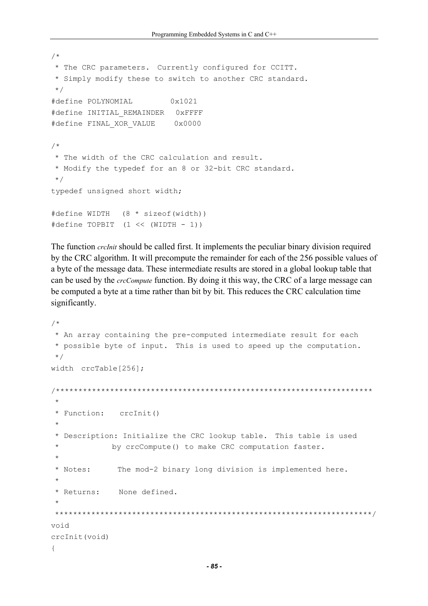```
/*
* The CRC parameters. Currently configured for CCITT.
* Simply modify these to switch to another CRC standard.
\star/#define POLYNOMIAL
                           0x1021#define INITIAL REMAINDER
                             0xFFFF
#define FINAL XOR VALUE
                            0 \times 0000/ *
* The width of the CRC calculation and result.
* Modify the typedef for an 8 or 32-bit CRC standard.
\star /
typedef unsigned short width;
#define WIDTH (8 * sizeof(width))
#define TOPBIT (1 \lt\lt (WIDTH - 1))
```
The function *crethit* should be called first. It implements the peculiar binary division required by the CRC algorithm. It will precompute the remainder for each of the 256 possible values of a byte of the message data. These intermediate results are stored in a global lookup table that can be used by the *crcCompute* function. By doing it this way, the CRC of a large message can be computed a byte at a time rather than bit by bit. This reduces the CRC calculation time significantly.

```
/ *
* An array containing the pre-computed intermediate result for each
* possible byte of input. This is used to speed up the computation.
\star/width crcTable[256];
* Function: crcInit()
* Description: Initialize the CRC lookup table. This table is used
          by crcCompute() to make CRC computation faster.
\ddot{\phantom{0}}* Notes:
           The mod-2 binary long division is implemented here.
* Returns:
           None defined.
void
crcInit (void)
\{
```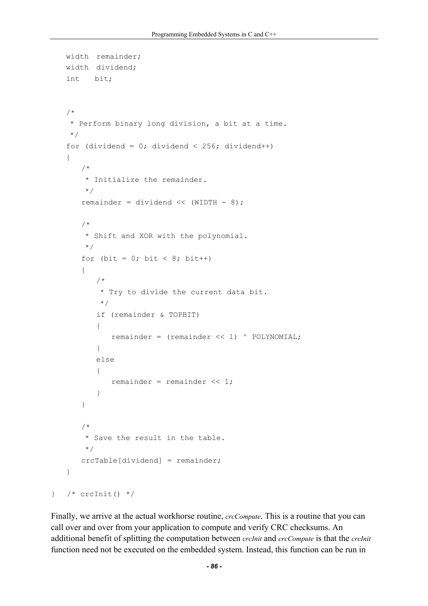```
 width remainder; 
    width dividend; 
    int bit; 
    /* 
     * Perform binary long division, a bit at a time. 
     */ 
   for (dividend = 0; dividend < 256; dividend++)
    { 
        /* 
        * Initialize the remainder. 
        */ 
       remainder = dividend << (WIDTH - 8);
        /* 
         * Shift and XOR with the polynomial. 
        */ 
       for (bit = 0; bit < 8; bit++)
        { 
           /* 
            * Try to divide the current data bit. 
            */ 
           if (remainder & TOPBIT) 
\{remainder = (remainder \leq 1) \wedge POLYNOMIAL;
 } 
           else 
\{remainder = remainder << 1;
 } 
        } 
        /* 
         * Save the result in the table. 
        */ 
        crcTable[dividend] = remainder; 
    } 
\} /* crcInit() */
```
Finally, we arrive at the actual workhorse routine, *crcCompute*. This is a routine that you can call over and over from your application to compute and verify CRC checksums. An additional benefit of splitting the computation between *crcInit* and *crcCompute* is that the *crcInit* function need not be executed on the embedded system. Instead, this function can be run in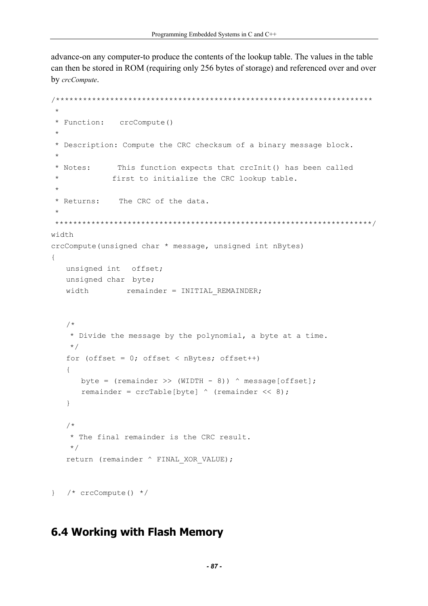advance-on any computer-to produce the contents of the lookup table. The values in the table can then be stored in ROM (requiring only 256 bytes of storage) and referenced over and over by crcCompute.

```
* Function: crcCompute()
* Description: Compute the CRC checksum of a binary message block.
* Notes:
            This function expects that crcInit() has been called
            first to initialize the CRC lookup table.
            The CRC of the data.
* Returns:
width
crcCompute (unsigned char * message, unsigned int nBytes)
\left\{ \right.unsigned int offset;
   unsigned char byte;
              remainder = INITIAL REMAINDER;
   width
   /*
   * Divide the message by the polynomial, a byte at a time.
   \star/for (offset = 0; offset < nBytes; offset++)
   \left\{ \right.byte = (remainder \gg (WIDTH - 8)) ^ message[offset];
      remainder = crcTable[byte] \land (remainder \lt\lt 8);
   \lambda/*
   * The final remainder is the CRC result.
   \star /
   return (remainder ^ FINAL XOR VALUE);
 /* crcCompute() */\lambda
```
### **6.4 Working with Flash Memory**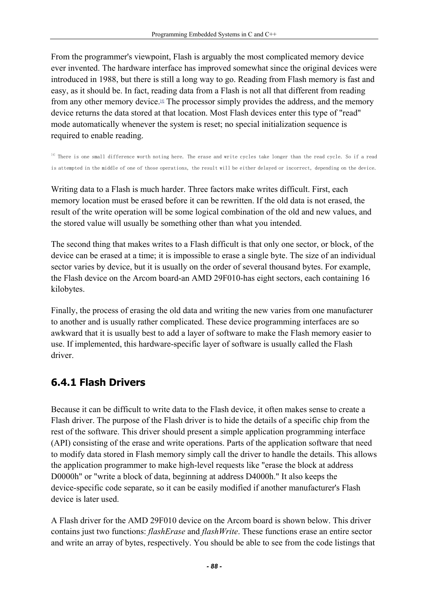From the programmer's viewpoint, Flash is arguably the most complicated memory device ever invented. The hardware interface has improved somewhat since the original devices were introduced in 1988, but there is still a long way to go. Reading from Flash memory is fast and easy, as it should be. In fact, reading data from a Flash is not all that different from reading from any other memory device.<sup>[4]</sup> The processor simply provides the address, and the memory device returns the data stored at that location. Most Flash devices enter this type of "read" mode automatically whenever the system is reset; no special initialization sequence is required to enable reading.

[4] There is one small difference worth noting here. The erase and write cycles take longer than the read cycle. So if a read is attempted in the middle of one of those operations, the result will be either delayed or incorrect, depending on the device.

Writing data to a Flash is much harder. Three factors make writes difficult. First, each memory location must be erased before it can be rewritten. If the old data is not erased, the result of the write operation will be some logical combination of the old and new values, and the stored value will usually be something other than what you intended.

The second thing that makes writes to a Flash difficult is that only one sector, or block, of the device can be erased at a time; it is impossible to erase a single byte. The size of an individual sector varies by device, but it is usually on the order of several thousand bytes. For example, the Flash device on the Arcom board-an AMD 29F010-has eight sectors, each containing 16 kilobytes.

Finally, the process of erasing the old data and writing the new varies from one manufacturer to another and is usually rather complicated. These device programming interfaces are so awkward that it is usually best to add a layer of software to make the Flash memory easier to use. If implemented, this hardware-specific layer of software is usually called the Flash driver.

## **6.4.1 Flash Drivers**

Because it can be difficult to write data to the Flash device, it often makes sense to create a Flash driver. The purpose of the Flash driver is to hide the details of a specific chip from the rest of the software. This driver should present a simple application programming interface (API) consisting of the erase and write operations. Parts of the application software that need to modify data stored in Flash memory simply call the driver to handle the details. This allows the application programmer to make high-level requests like "erase the block at address D0000h" or "write a block of data, beginning at address D4000h." It also keeps the device-specific code separate, so it can be easily modified if another manufacturer's Flash device is later used.

A Flash driver for the AMD 29F010 device on the Arcom board is shown below. This driver contains just two functions: *flashErase* and *flashWrite*. These functions erase an entire sector and write an array of bytes, respectively. You should be able to see from the code listings that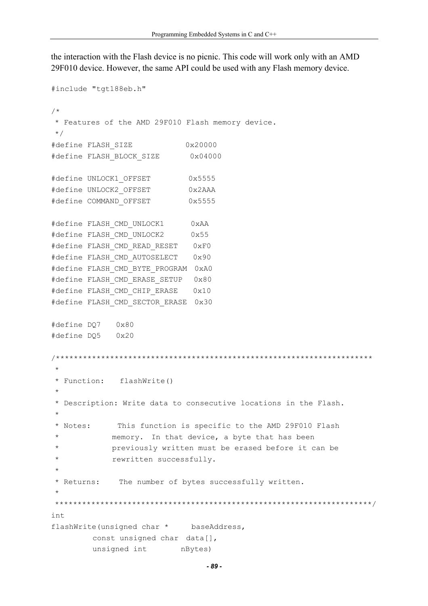the interaction with the Flash device is no picnic. This code will work only with an AMD 29F010 device. However, the same API could be used with any Flash memory device.

```
#include "tgt188eb.h"
/ *
* Features of the AMD 29F010 Flash memory device.
\star /
#define FLASH SIZE
                        0x20000
#define FLASH BLOCK SIZE 0x04000
#define UNLOCK1 OFFSET
                         0x5555
#define UNLOCK2 OFFSET
                         0x2AAA#define COMMAND OFFSET
                         0x5555
#define FLASH CMD UNLOCK1
                         0xAA#define FLASH CMD UNLOCK2
                         0 \times 55#define FLASH CMD READ RESET 0xF0
#define FLASH CMD AUTOSELECT 0x90
#define FLASH CMD BYTE PROGRAM 0xA0
#define FLASH CMD ERASE SETUP
                           0 \times 80#define FLASH CMD CHIP ERASE
                          0x10#define FLASH CMD SECTOR ERASE 0x30
#define DO7 0x80
#define DO5 0x20
* Function: flashWrite()
* Description: Write data to consecutive locations in the Flash.
           This function is specific to the AMD 29F010 Flash
* Notes:
           memory. In that device, a byte that has been
           previously written must be erased before it can be
\starrewritten successfully.
* Returns: The number of bytes successfully written.
int
flashWrite(unsigned char * baseAddress,
       const unsigned char data[],
       unsigned int nBytes)
```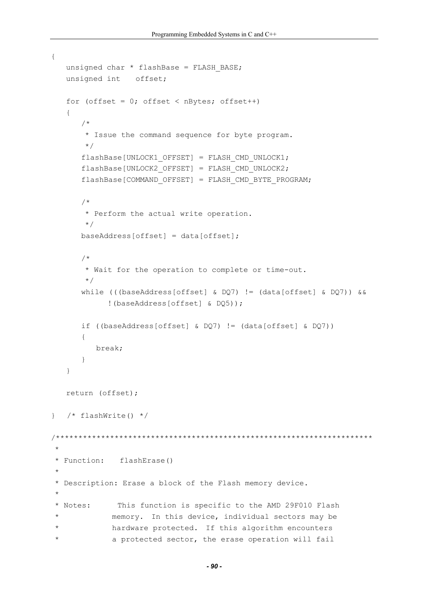```
{ 
   unsigned char * flashBase = FLASH BASE;
    unsigned int offset; 
   for (offset = 0; offset < nBytes; offset++)
    { 
       /* 
        * Issue the command sequence for byte program. 
        */ 
       flashBase[UNLOCK1_OFFSET] = FLASH_CMD_UNLOCK1; 
       flashBase[UNLOCK2_OFFSET] = FLASH_CMD_UNLOCK2; 
       flashBase[COMMAND_OFFSET] = FLASH_CMD_BYTE_PROGRAM; 
       /* 
        * Perform the actual write operation. 
        */ 
      baseAddress[offset] = data[offset]; /* 
        * Wait for the operation to complete or time-out. 
        */ 
       while (((baseAddress[offset] & DQ7) != (data[offset] & DQ7)) && 
              !(baseAddress[offset] & DQ5)); 
       if ((baseAddress[offset] & DQ7) != (data[offset] & DQ7)) 
\{ break; 
 } 
    } 
    return (offset); 
\} /* flashWrite() */
/********************************************************************** 
 * 
 * Function: flashErase() 
 * 
 * Description: Erase a block of the Flash memory device. 
 * 
 * Notes: This function is specific to the AMD 29F010 Flash 
             memory. In this device, individual sectors may be
             hardware protected. If this algorithm encounters
 * a protected sector, the erase operation will fail
```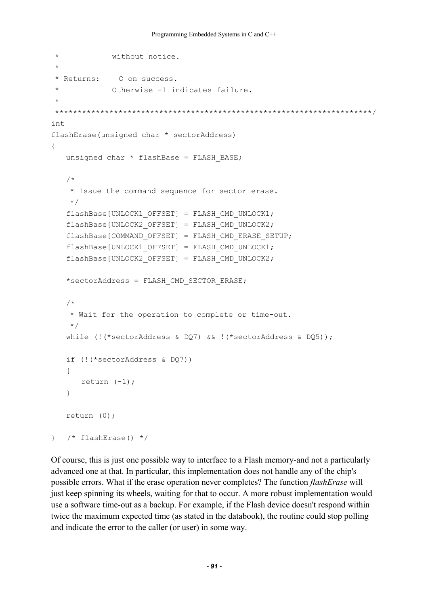```
 * without notice. 
 * 
  * Returns: O on success. 
              Otherwise -1 indicates failure.
 * 
 **********************************************************************/ 
int 
flashErase(unsigned char * sectorAddress) 
{ 
   unsigned char * flashBase = FLASH BASE;
    /* 
     * Issue the command sequence for sector erase. 
     */ 
    flashBase[UNLOCK1_OFFSET] = FLASH_CMD_UNLOCK1; 
    flashBase[UNLOCK2_OFFSET] = FLASH_CMD_UNLOCK2; 
   flashBase[COMMAND_OFFSET] = FLASH_CMD_ERASE_SETUP;
    flashBase[UNLOCK1_OFFSET] = FLASH_CMD_UNLOCK1; 
    flashBase[UNLOCK2_OFFSET] = FLASH_CMD_UNLOCK2; 
    *sectorAddress = FLASH_CMD_SECTOR_ERASE; 
    /* 
     * Wait for the operation to complete or time-out. 
     */ 
   while (!(*sectorAddress & DQ7) && !(*sectorAddress & DQ5));
    if (!(*sectorAddress & DQ7)) 
    { 
      return (-1);
    } 
    return (0); 
\} /* flashErase() */
```
Of course, this is just one possible way to interface to a Flash memory-and not a particularly advanced one at that. In particular, this implementation does not handle any of the chip's possible errors. What if the erase operation never completes? The function *flashErase* will just keep spinning its wheels, waiting for that to occur. A more robust implementation would use a software time-out as a backup. For example, if the Flash device doesn't respond within twice the maximum expected time (as stated in the databook), the routine could stop polling and indicate the error to the caller (or user) in some way.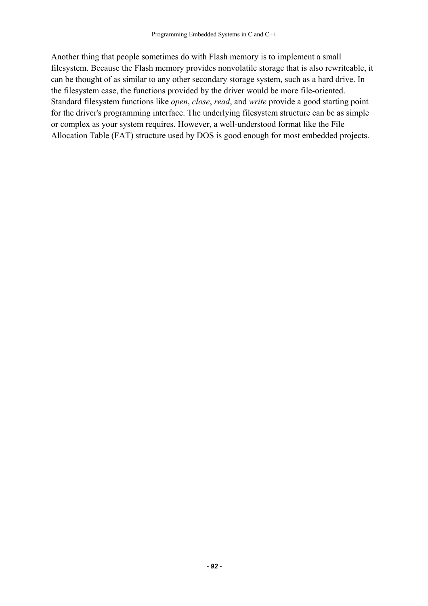Another thing that people sometimes do with Flash memory is to implement a small filesystem. Because the Flash memory provides nonvolatile storage that is also rewriteable, it can be thought of as similar to any other secondary storage system, such as a hard drive. In the filesystem case, the functions provided by the driver would be more file-oriented. Standard filesystem functions like *open*, *close*, *read*, and *write* provide a good starting point for the driver's programming interface. The underlying filesystem structure can be as simple or complex as your system requires. However, a well-understood format like the File Allocation Table (FAT) structure used by DOS is good enough for most embedded projects.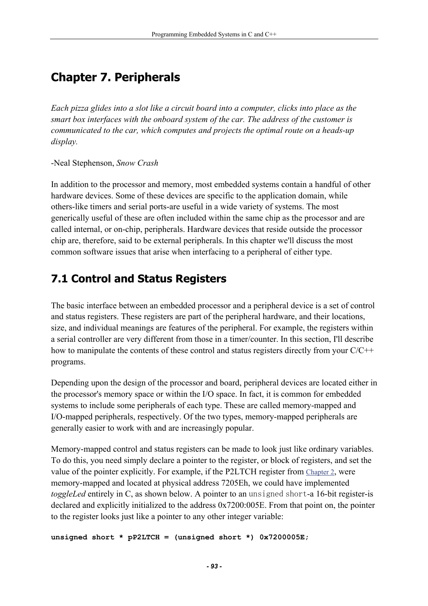# **Chapter 7. Peripherals**

*Each pizza glides into a slot like a circuit board into a computer, clicks into place as the smart box interfaces with the onboard system of the car. The address of the customer is communicated to the car, which computes and projects the optimal route on a heads-up display.* 

### -Neal Stephenson, *Snow Crash*

In addition to the processor and memory, most embedded systems contain a handful of other hardware devices. Some of these devices are specific to the application domain, while others-like timers and serial ports-are useful in a wide variety of systems. The most generically useful of these are often included within the same chip as the processor and are called internal, or on-chip, peripherals. Hardware devices that reside outside the processor chip are, therefore, said to be external peripherals. In this chapter we'll discuss the most common software issues that arise when interfacing to a peripheral of either type.

# **7.1 Control and Status Registers**

The basic interface between an embedded processor and a peripheral device is a set of control and status registers. These registers are part of the peripheral hardware, and their locations, size, and individual meanings are features of the peripheral. For example, the registers within a serial controller are very different from those in a timer/counter. In this section, I'll describe how to manipulate the contents of these control and status registers directly from your C/C++ programs.

Depending upon the design of the processor and board, peripheral devices are located either in the processor's memory space or within the I/O space. In fact, it is common for embedded systems to include some peripherals of each type. These are called memory-mapped and I/O-mapped peripherals, respectively. Of the two types, memory-mapped peripherals are generally easier to work with and are increasingly popular.

Memory-mapped control and status registers can be made to look just like ordinary variables. To do this, you need simply declare a pointer to the register, or block of registers, and set the value of the pointer explicitly. For example, if the P2LTCH register from Chapter 2, were memory-mapped and located at physical address 7205Eh, we could have implemented *toggleLed* entirely in C, as shown below. A pointer to an unsigned short-a 16-bit register-is declared and explicitly initialized to the address 0x7200:005E. From that point on, the pointer to the register looks just like a pointer to any other integer variable:

**unsigned short \* pP2LTCH = (unsigned short \*) 0x7200005E;**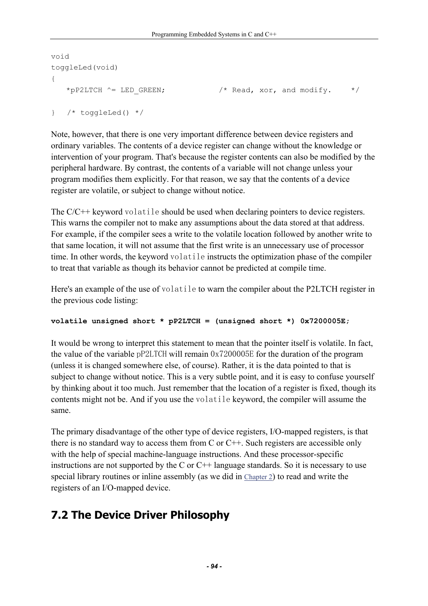```
void 
toggleLed(void) 
{ 
   *pP2LTCH ^{\wedge} = LED GREEN; ^{\wedge} /* Read, xor, and modify. */
} /* toggleLed() */
```
Note, however, that there is one very important difference between device registers and ordinary variables. The contents of a device register can change without the knowledge or intervention of your program. That's because the register contents can also be modified by the peripheral hardware. By contrast, the contents of a variable will not change unless your program modifies them explicitly. For that reason, we say that the contents of a device register are volatile, or subject to change without notice.

The C/C++ keyword volatile should be used when declaring pointers to device registers. This warns the compiler not to make any assumptions about the data stored at that address. For example, if the compiler sees a write to the volatile location followed by another write to that same location, it will not assume that the first write is an unnecessary use of processor time. In other words, the keyword volatile instructs the optimization phase of the compiler to treat that variable as though its behavior cannot be predicted at compile time.

Here's an example of the use of volatile to warn the compiler about the P2LTCH register in the previous code listing:

### **volatile unsigned short \* pP2LTCH = (unsigned short \*) 0x7200005E;**

It would be wrong to interpret this statement to mean that the pointer itself is volatile. In fact, the value of the variable pP2LTCH will remain 0x7200005E for the duration of the program (unless it is changed somewhere else, of course). Rather, it is the data pointed to that is subject to change without notice. This is a very subtle point, and it is easy to confuse yourself by thinking about it too much. Just remember that the location of a register is fixed, though its contents might not be. And if you use the volatile keyword, the compiler will assume the same.

The primary disadvantage of the other type of device registers, I/O-mapped registers, is that there is no standard way to access them from C or C++. Such registers are accessible only with the help of special machine-language instructions. And these processor-specific instructions are not supported by the C or  $C_{++}$  language standards. So it is necessary to use special library routines or inline assembly (as we did in Chapter 2) to read and write the registers of an I/O-mapped device.

## **7.2 The Device Driver Philosophy**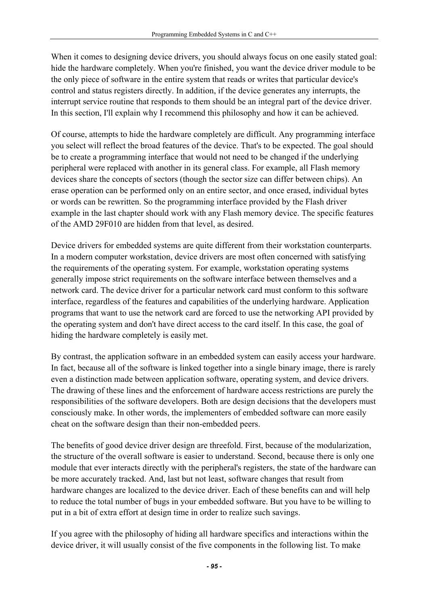When it comes to designing device drivers, you should always focus on one easily stated goal: hide the hardware completely. When you're finished, you want the device driver module to be the only piece of software in the entire system that reads or writes that particular device's control and status registers directly. In addition, if the device generates any interrupts, the interrupt service routine that responds to them should be an integral part of the device driver. In this section, I'll explain why I recommend this philosophy and how it can be achieved.

Of course, attempts to hide the hardware completely are difficult. Any programming interface you select will reflect the broad features of the device. That's to be expected. The goal should be to create a programming interface that would not need to be changed if the underlying peripheral were replaced with another in its general class. For example, all Flash memory devices share the concepts of sectors (though the sector size can differ between chips). An erase operation can be performed only on an entire sector, and once erased, individual bytes or words can be rewritten. So the programming interface provided by the Flash driver example in the last chapter should work with any Flash memory device. The specific features of the AMD 29F010 are hidden from that level, as desired.

Device drivers for embedded systems are quite different from their workstation counterparts. In a modern computer workstation, device drivers are most often concerned with satisfying the requirements of the operating system. For example, workstation operating systems generally impose strict requirements on the software interface between themselves and a network card. The device driver for a particular network card must conform to this software interface, regardless of the features and capabilities of the underlying hardware. Application programs that want to use the network card are forced to use the networking API provided by the operating system and don't have direct access to the card itself. In this case, the goal of hiding the hardware completely is easily met.

By contrast, the application software in an embedded system can easily access your hardware. In fact, because all of the software is linked together into a single binary image, there is rarely even a distinction made between application software, operating system, and device drivers. The drawing of these lines and the enforcement of hardware access restrictions are purely the responsibilities of the software developers. Both are design decisions that the developers must consciously make. In other words, the implementers of embedded software can more easily cheat on the software design than their non-embedded peers.

The benefits of good device driver design are threefold. First, because of the modularization, the structure of the overall software is easier to understand. Second, because there is only one module that ever interacts directly with the peripheral's registers, the state of the hardware can be more accurately tracked. And, last but not least, software changes that result from hardware changes are localized to the device driver. Each of these benefits can and will help to reduce the total number of bugs in your embedded software. But you have to be willing to put in a bit of extra effort at design time in order to realize such savings.

If you agree with the philosophy of hiding all hardware specifics and interactions within the device driver, it will usually consist of the five components in the following list. To make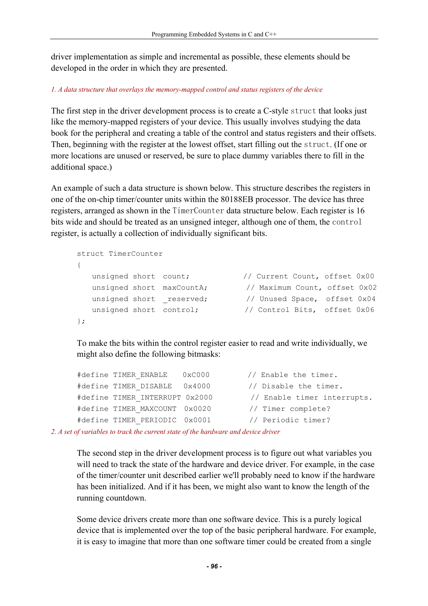driver implementation as simple and incremental as possible, these elements should be developed in the order in which they are presented.

### *1. A data structure that overlays the memory-mapped control and status registers of the device*

The first step in the driver development process is to create a C-style struct that looks just like the memory-mapped registers of your device. This usually involves studying the data book for the peripheral and creating a table of the control and status registers and their offsets. Then, beginning with the register at the lowest offset, start filling out the struct. (If one or more locations are unused or reserved, be sure to place dummy variables there to fill in the additional space.)

An example of such a data structure is shown below. This structure describes the registers in one of the on-chip timer/counter units within the 80188EB processor. The device has three registers, arranged as shown in the TimerCounter data structure below. Each register is 16 bits wide and should be treated as an unsigned integer, although one of them, the control register, is actually a collection of individually significant bits.

```
struct TimerCounter 
{ 
   unsigned short count; \frac{1}{2} // Current Count, offset 0x00
   unsigned short maxCountA; \frac{1}{100} Maximum Count, offset 0x02
   unsigned short _reserved; \frac{1}{2} // Unused Space, offset 0x04
    unsigned short control; // Control Bits, offset 0x06 
};
```
To make the bits within the control register easier to read and write individually, we might also define the following bitmasks:

| #define TIMER ENABLE           | $0 \times 0000$ | // Enable the timer.        |
|--------------------------------|-----------------|-----------------------------|
| #define TIMER DISABLE 0x4000   |                 | // Disable the timer.       |
| #define TIMER INTERRUPT 0x2000 |                 | // Enable timer interrupts. |
| #define TIMER MAXCOUNT 0x0020  |                 | // Timer complete?          |
| #define TIMER PERIODIC 0x0001  |                 | // Periodic timer?          |

*2. A set of variables to track the current state of the hardware and device driver*

The second step in the driver development process is to figure out what variables you will need to track the state of the hardware and device driver. For example, in the case of the timer/counter unit described earlier we'll probably need to know if the hardware has been initialized. And if it has been, we might also want to know the length of the running countdown.

Some device drivers create more than one software device. This is a purely logical device that is implemented over the top of the basic peripheral hardware. For example, it is easy to imagine that more than one software timer could be created from a single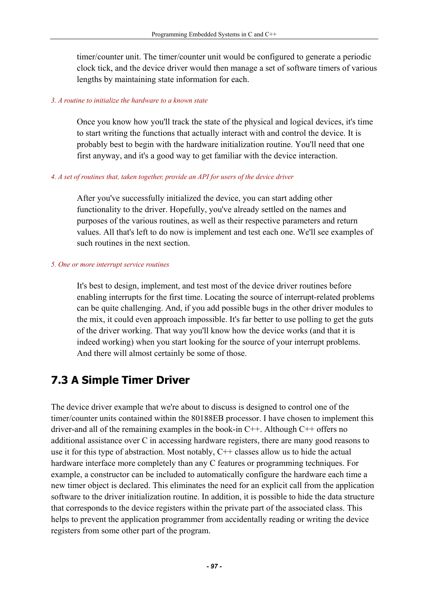timer/counter unit. The timer/counter unit would be configured to generate a periodic clock tick, and the device driver would then manage a set of software timers of various lengths by maintaining state information for each.

#### *3. A routine to initialize the hardware to a known state*

Once you know how you'll track the state of the physical and logical devices, it's time to start writing the functions that actually interact with and control the device. It is probably best to begin with the hardware initialization routine. You'll need that one first anyway, and it's a good way to get familiar with the device interaction.

### *4. A set of routines that, taken together, provide an API for users of the device driver*

After you've successfully initialized the device, you can start adding other functionality to the driver. Hopefully, you've already settled on the names and purposes of the various routines, as well as their respective parameters and return values. All that's left to do now is implement and test each one. We'll see examples of such routines in the next section.

#### *5. One or more interrupt service routines*

It's best to design, implement, and test most of the device driver routines before enabling interrupts for the first time. Locating the source of interrupt-related problems can be quite challenging. And, if you add possible bugs in the other driver modules to the mix, it could even approach impossible. It's far better to use polling to get the guts of the driver working. That way you'll know how the device works (and that it is indeed working) when you start looking for the source of your interrupt problems. And there will almost certainly be some of those.

## **7.3 A Simple Timer Driver**

The device driver example that we're about to discuss is designed to control one of the timer/counter units contained within the 80188EB processor. I have chosen to implement this driver-and all of the remaining examples in the book-in C++. Although C++ offers no additional assistance over C in accessing hardware registers, there are many good reasons to use it for this type of abstraction. Most notably,  $C++$  classes allow us to hide the actual hardware interface more completely than any C features or programming techniques. For example, a constructor can be included to automatically configure the hardware each time a new timer object is declared. This eliminates the need for an explicit call from the application software to the driver initialization routine. In addition, it is possible to hide the data structure that corresponds to the device registers within the private part of the associated class. This helps to prevent the application programmer from accidentally reading or writing the device registers from some other part of the program.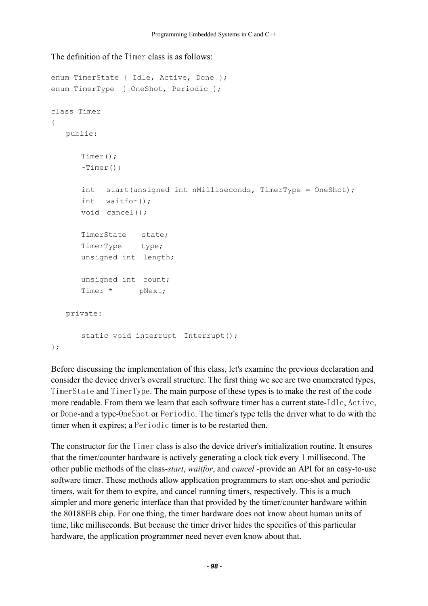The definition of the Timer class is as follows:

```
enum TimerState { Idle, Active, Done };
enum TimerType { OneShot, Periodic }; 
class Timer 
{ 
    public: 
        Timer(); 
        ~Timer(); 
        int start(unsigned int nMilliseconds, TimerType = OneShot); 
        int waitfor(); 
       void cancel(); 
        TimerState state; 
       TimerType type;
       unsigned int length; 
        unsigned int count; 
       Timer * pNext;
    private: 
       static void interrupt Interrupt();
};
```
Before discussing the implementation of this class, let's examine the previous declaration and consider the device driver's overall structure. The first thing we see are two enumerated types, TimerState and TimerType. The main purpose of these types is to make the rest of the code more readable. From them we learn that each software timer has a current state-Idle, Active, or Done-and a type-OneShot or Periodic. The timer's type tells the driver what to do with the timer when it expires; a Periodic timer is to be restarted then.

The constructor for the Timer class is also the device driver's initialization routine. It ensures that the timer/counter hardware is actively generating a clock tick every 1 millisecond. The other public methods of the class-*start*, *waitfor*, and *cancel -*provide an API for an easy-to-use software timer. These methods allow application programmers to start one-shot and periodic timers, wait for them to expire, and cancel running timers, respectively. This is a much simpler and more generic interface than that provided by the timer/counter hardware within the 80188EB chip. For one thing, the timer hardware does not know about human units of time, like milliseconds. But because the timer driver hides the specifics of this particular hardware, the application programmer need never even know about that.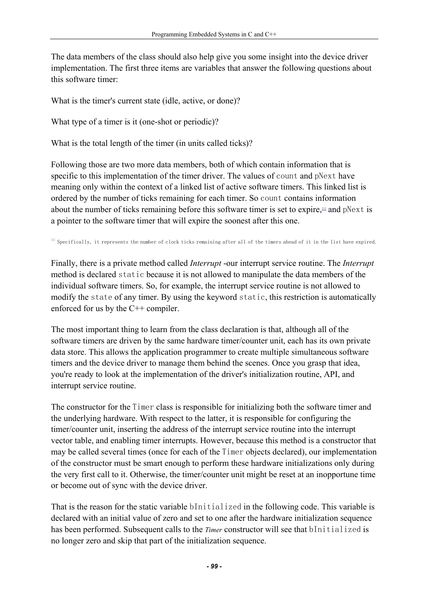The data members of the class should also help give you some insight into the device driver implementation. The first three items are variables that answer the following questions about this software timer:

What is the timer's current state (idle, active, or done)?

What type of a timer is it (one-shot or periodic)?

What is the total length of the timer (in units called ticks)?

Following those are two more data members, both of which contain information that is specific to this implementation of the timer driver. The values of count and pNext have meaning only within the context of a linked list of active software timers. This linked list is ordered by the number of ticks remaining for each timer. So count contains information about the number of ticks remaining before this software timer is set to expire.<sup> $\mu$ </sup> and pNext is a pointer to the software timer that will expire the soonest after this one.

 $^{[1]}$  Specifically, it represents the number of clock ticks remaining after all of the timers ahead of it in the list have expired.

Finally, there is a private method called *Interrupt* -our interrupt service routine. The *Interrupt* method is declared static because it is not allowed to manipulate the data members of the individual software timers. So, for example, the interrupt service routine is not allowed to modify the state of any timer. By using the keyword static, this restriction is automatically enforced for us by the C++ compiler.

The most important thing to learn from the class declaration is that, although all of the software timers are driven by the same hardware timer/counter unit, each has its own private data store. This allows the application programmer to create multiple simultaneous software timers and the device driver to manage them behind the scenes. Once you grasp that idea, you're ready to look at the implementation of the driver's initialization routine, API, and interrupt service routine.

The constructor for the Timer class is responsible for initializing both the software timer and the underlying hardware. With respect to the latter, it is responsible for configuring the timer/counter unit, inserting the address of the interrupt service routine into the interrupt vector table, and enabling timer interrupts. However, because this method is a constructor that may be called several times (once for each of the Timer objects declared), our implementation of the constructor must be smart enough to perform these hardware initializations only during the very first call to it. Otherwise, the timer/counter unit might be reset at an inopportune time or become out of sync with the device driver.

That is the reason for the static variable bInitialized in the following code. This variable is declared with an initial value of zero and set to one after the hardware initialization sequence has been performed. Subsequent calls to the *Timer* constructor will see that bInitialized is no longer zero and skip that part of the initialization sequence.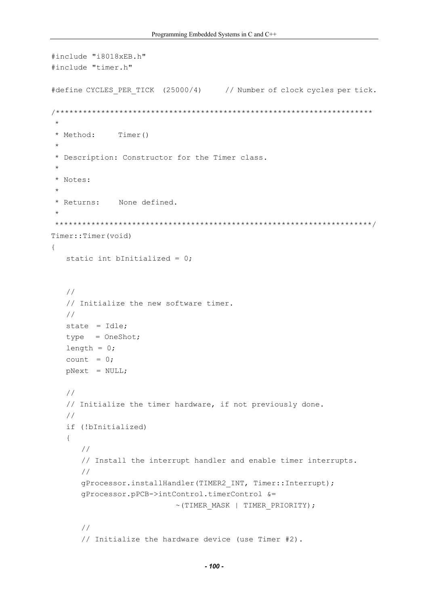```
#include "i8018xEB.h"
#include "timer.h"
#define CYCLES_PER_TICK (25000/4) // Number of clock cycles per tick.
* Method: Timer()
* Description: Constructor for the Timer class.
\star* Notes:
* Returns: None defined.
Timer::Timer(void)
\left\{ \right.static int bInitialized = 0;
   \frac{1}{2}// Initialize the new software timer.
   11state = Idle;type = OneShort;length = 0;count = 0:pNext = NULL;\frac{1}{2}// Initialize the timer hardware, if not previously done.
   \frac{1}{2}if (!bInitialized)
   \left\{ \right.\frac{1}{2}// Install the interrupt handler and enable timer interrupts.
      \frac{1}{2}gProcessor.installHandler(TIMER2 INT, Timer::Interrupt);
      gProcessor.pPCB->intControl.timerControl &=
                         \sim (TIMER MASK | TIMER PRIORITY);
      \frac{1}{2}// Initialize the hardware device (use Timer #2).
```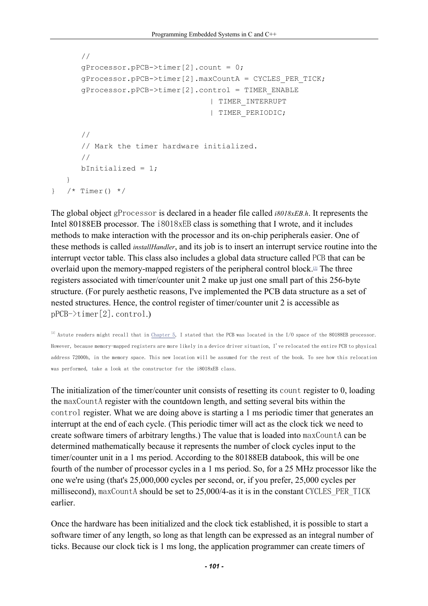```
 // 
        gProcessor.pPCB->timer[2].count = 0; 
        gProcessor.pPCB->timer[2].maxCountA = CYCLES_PER_TICK; 
        gProcessor.pPCB->timer[2].control = TIMER_ENABLE 
                                        | TIMER_INTERRUPT 
                                        | TIMER_PERIODIC; 
        // 
        // Mark the timer hardware initialized. 
        // 
        bInitialized = 1; 
    } 
\} /* Timer() */
```
The global object gProcessor is declared in a header file called *i8018xEB.h*. It represents the Intel 80188EB processor. The i8018xEB class is something that I wrote, and it includes methods to make interaction with the processor and its on-chip peripherals easier. One of these methods is called *installHandler*, and its job is to insert an interrupt service routine into the interrupt vector table. This class also includes a global data structure called PCB that can be overlaid upon the memory-mapped registers of the peripheral control block.[2] The three registers associated with timer/counter unit 2 make up just one small part of this 256-byte structure. (For purely aesthetic reasons, I've implemented the PCB data structure as a set of nested structures. Hence, the control register of timer/counter unit 2 is accessible as pPCB->timer[2].control.)

 $[2]$  Astute readers might recall that in Chapter 5, I stated that the PCB was located in the I/O space of the 80188EB processor. However, because memory-mapped registers are more likely in a device driver situation, I've relocated the entire PCB to physical address 72000h, in the memory space. This new location will be assumed for the rest of the book. To see how this relocation was performed, take a look at the constructor for the i8018xEB class.

The initialization of the timer/counter unit consists of resetting its count register to 0, loading the maxCountA register with the countdown length, and setting several bits within the control register. What we are doing above is starting a 1 ms periodic timer that generates an interrupt at the end of each cycle. (This periodic timer will act as the clock tick we need to create software timers of arbitrary lengths.) The value that is loaded into maxCountA can be determined mathematically because it represents the number of clock cycles input to the timer/counter unit in a 1 ms period. According to the 80188EB databook, this will be one fourth of the number of processor cycles in a 1 ms period. So, for a 25 MHz processor like the one we're using (that's 25,000,000 cycles per second, or, if you prefer, 25,000 cycles per millisecond), maxCountA should be set to 25,000/4-as it is in the constant CYCLES\_PER\_TICK earlier.

Once the hardware has been initialized and the clock tick established, it is possible to start a software timer of any length, so long as that length can be expressed as an integral number of ticks. Because our clock tick is 1 ms long, the application programmer can create timers of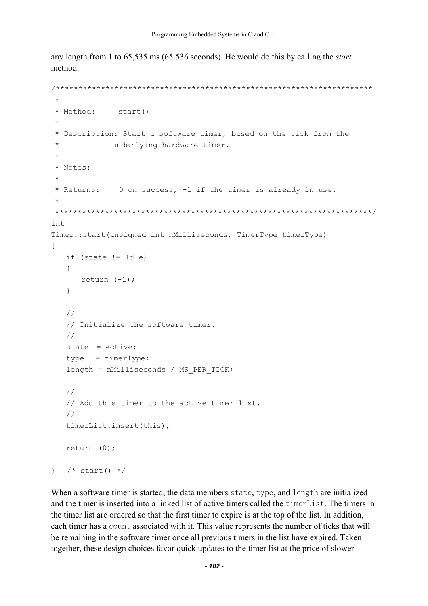any length from 1 to 65,535 ms (65.536 seconds). He would do this by calling the *start* method:

```
* Method:
             start()* Description: Start a software timer, based on the tick from the
\starunderlying hardware timer.
* Notes:
            0 on success, -1 if the timer is already in use.
* Returns:
int
Timer::start(unsigned int nMilliseconds, TimerType timerType)
\{if (state != Idle)\left\{ \right.return (-1);
   \lambda\frac{1}{2}// Initialize the software timer.
   \frac{1}{2}state = Active;type = timerType;length = nMilliseconds / MS PER TICK;
   \frac{1}{2}// Add this timer to the active timer list.
   \frac{1}{2}timerList.insert(this);
   return (0);
   /* start() * /\lambda
```
When a software timer is started, the data members state, type, and length are initialized and the timer is inserted into a linked list of active timers called the timerList. The timers in the timer list are ordered so that the first timer to expire is at the top of the list. In addition, each timer has a count associated with it. This value represents the number of ticks that will be remaining in the software timer once all previous timers in the list have expired. Taken together, these design choices favor quick updates to the timer list at the price of slower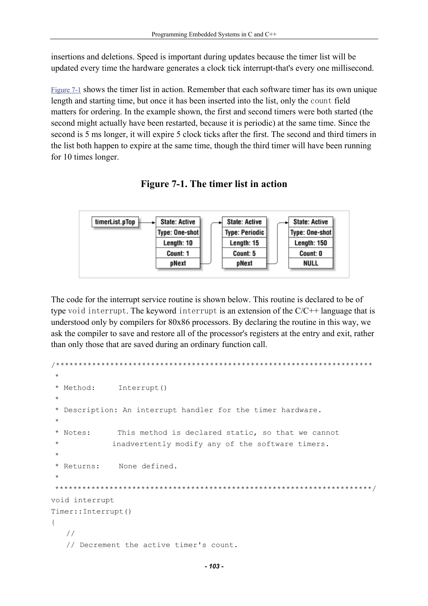insertions and deletions. Speed is important during updates because the timer list will be updated every time the hardware generates a clock tick interrupt-that's every one millisecond.

Figure 7-1 shows the timer list in action. Remember that each software timer has its own unique length and starting time, but once it has been inserted into the list, only the count field matters for ordering. In the example shown, the first and second timers were both started (the second might actually have been restarted, because it is periodic) at the same time. Since the second is 5 ms longer, it will expire 5 clock ticks after the first. The second and third timers in the list both happen to expire at the same time, though the third timer will have been running for 10 times longer.





The code for the interrupt service routine is shown below. This routine is declared to be of type void interrupt. The keyword interrupt is an extension of the  $C/C++$  language that is understood only by compilers for 80x86 processors. By declaring the routine in this way, we ask the compiler to save and restore all of the processor's registers at the entry and exit, rather than only those that are saved during an ordinary function call.

```
* Method:
           Interrupt()
* Description: An interrupt handler for the timer hardware.
          This method is declared static, so that we cannot
* Notes:
\starinadvertently modify any of the software timers.
* Returns:
           None defined.
void interrupt
Timer::Interrupt()
\left\{ \right.\frac{1}{2}// Decrement the active timer's count.
```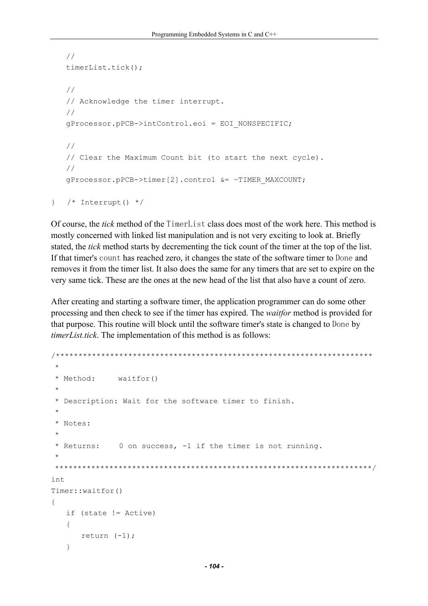```
\frac{1}{2}timerList.tick();
\sqrt{}// Acknowledge the timer interrupt.
\frac{1}{2}aProcessor.pPCB->intControl.eoi = EOI NONSPECIFIC;
\frac{1}{2}// Clear the Maximum Count bit (to start the next cycle).
\frac{1}{2}qProcessor.pPCB->timer[2].control &= ~TIMER MAXCOUNT;
/* Interrupt() */
```
 $\lambda$ 

Of course, the *tick* method of the TimerList class does most of the work here. This method is mostly concerned with linked list manipulation and is not very exciting to look at. Briefly stated, the tick method starts by decrementing the tick count of the timer at the top of the list. If that timer's count has reached zero, it changes the state of the software timer to Done and removes it from the timer list. It also does the same for any timers that are set to expire on the very same tick. These are the ones at the new head of the list that also have a count of zero.

After creating and starting a software timer, the application programmer can do some other processing and then check to see if the timer has expired. The *waitfor* method is provided for that purpose. This routine will block until the software timer's state is changed to Done by *timerList.tick*. The implementation of this method is as follows:

```
* Method:
          waitfor()
* Description: Wait for the software timer to finish.
\star* Notes:
          0 on success, -1 if the timer is not running.
* Returns:
intTimer::waitfor()
\left\{ \right.if (state != Active)\left\{ \right.return (-1);
  \left\{ \right\}
```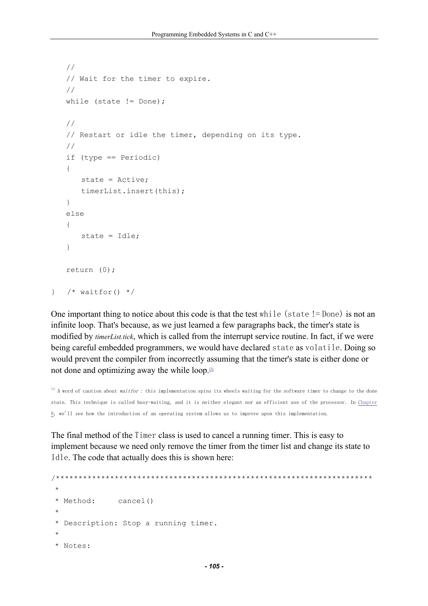```
 // 
    // Wait for the timer to expire. 
    // 
    while (state != Done); 
    // 
    // Restart or idle the timer, depending on its type. 
    // 
    if (type == Periodic) 
     { 
        state = Active; 
        timerList.insert(this); 
     } 
    else 
     { 
        state = Idle; 
    } 
    return (0); 
} /* waitfor() */
```
One important thing to notice about this code is that the test while (state != Done) is not an infinite loop. That's because, as we just learned a few paragraphs back, the timer's state is modified by *timerList.tick*, which is called from the interrupt service routine. In fact, if we were being careful embedded programmers, we would have declared state as volatile. Doing so would prevent the compiler from incorrectly assuming that the timer's state is either done or not done and optimizing away the while loop.[3]

 $^{[3]}$  A word of caution about *waitfor* : this implementation spins its wheels waiting for the software timer to change to the done state. This technique is called busy-waiting, and it is neither elegant nor an efficient use of the processor. In Chapter 8, we'll see how the introduction of an operating system allows us to improve upon this implementation.

The final method of the Timer class is used to cancel a running timer. This is easy to implement because we need only remove the timer from the timer list and change its state to Idle. The code that actually does this is shown here:

```
/********************************************************************** 
 * 
 * Method: cancel() 
 * 
 * Description: Stop a running timer. 
 * 
 * Notes:
```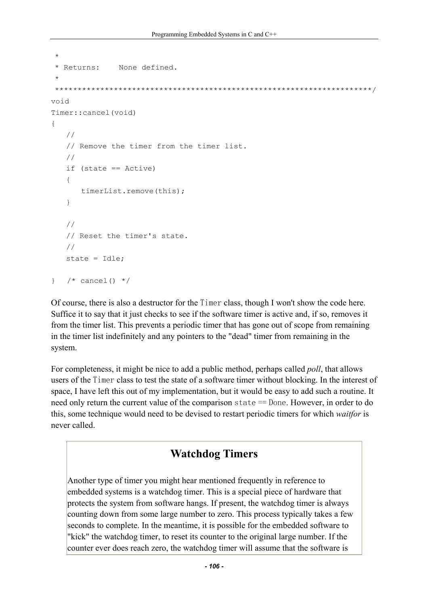```
 * 
  * Returns: None defined. 
 * 
  **********************************************************************/ 
void 
Timer::cancel(void) 
{ 
    // 
    // Remove the timer from the timer list. 
    // 
    if (state == Active) 
    { 
        timerList.remove(this); 
    } 
    // 
    // Reset the timer's state. 
    // 
    state = Idle; 
\} /* cancel() */
```
Of course, there is also a destructor for the Timer class, though I won't show the code here. Suffice it to say that it just checks to see if the software timer is active and, if so, removes it from the timer list. This prevents a periodic timer that has gone out of scope from remaining in the timer list indefinitely and any pointers to the "dead" timer from remaining in the system.

For completeness, it might be nice to add a public method, perhaps called *poll*, that allows users of the Timer class to test the state of a software timer without blocking. In the interest of space, I have left this out of my implementation, but it would be easy to add such a routine. It need only return the current value of the comparison state == Done. However, in order to do this, some technique would need to be devised to restart periodic timers for which *waitfor* is never called.

# **Watchdog Timers**

Another type of timer you might hear mentioned frequently in reference to embedded systems is a watchdog timer. This is a special piece of hardware that protects the system from software hangs. If present, the watchdog timer is always counting down from some large number to zero. This process typically takes a few seconds to complete. In the meantime, it is possible for the embedded software to "kick" the watchdog timer, to reset its counter to the original large number. If the counter ever does reach zero, the watchdog timer will assume that the software is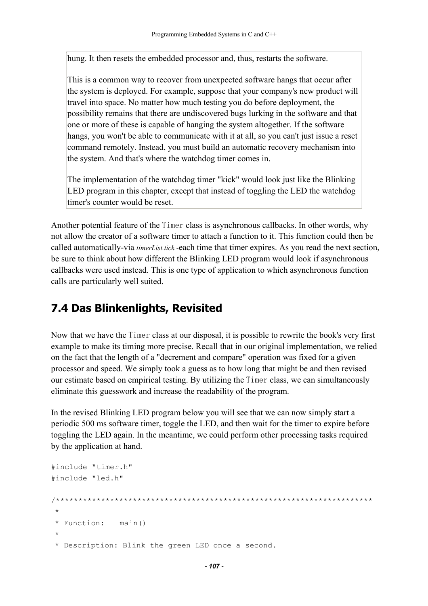hung. It then resets the embedded processor and, thus, restarts the software.

This is a common way to recover from unexpected software hangs that occur after the system is deployed. For example, suppose that your company's new product will travel into space. No matter how much testing you do before deployment, the possibility remains that there are undiscovered bugs lurking in the software and that one or more of these is capable of hanging the system altogether. If the software hangs, you won't be able to communicate with it at all, so you can't just issue a reset command remotely. Instead, you must build an automatic recovery mechanism into the system. And that's where the watchdog timer comes in.

The implementation of the watchdog timer "kick" would look just like the Blinking LED program in this chapter, except that instead of toggling the LED the watchdog timer's counter would be reset.

Another potential feature of the Timer class is asynchronous callbacks. In other words, why not allow the creator of a software timer to attach a function to it. This function could then be called automatically-via *timerList.tick -*each time that timer expires. As you read the next section, be sure to think about how different the Blinking LED program would look if asynchronous callbacks were used instead. This is one type of application to which asynchronous function calls are particularly well suited.

## **7.4 Das Blinkenlights, Revisited**

Now that we have the Timer class at our disposal, it is possible to rewrite the book's very first example to make its timing more precise. Recall that in our original implementation, we relied on the fact that the length of a "decrement and compare" operation was fixed for a given processor and speed. We simply took a guess as to how long that might be and then revised our estimate based on empirical testing. By utilizing the Timer class, we can simultaneously eliminate this guesswork and increase the readability of the program.

In the revised Blinking LED program below you will see that we can now simply start a periodic 500 ms software timer, toggle the LED, and then wait for the timer to expire before toggling the LED again. In the meantime, we could perform other processing tasks required by the application at hand.

```
#include "timer.h" 
#include "led.h" 
/********************************************************************** 
 * 
 * Function: main() 
 * 
 * Description: Blink the green LED once a second.
```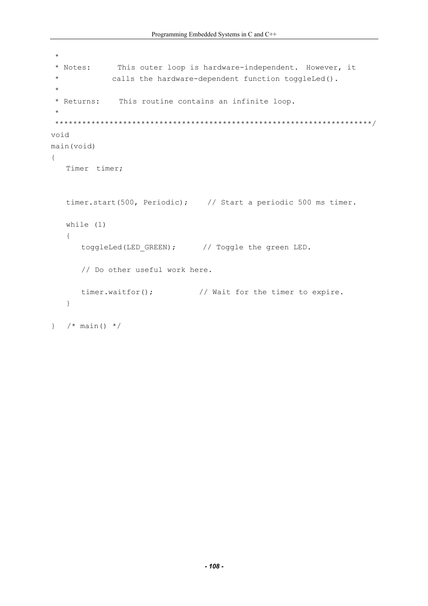```
 * 
 * Notes: This outer loop is hardware-independent. However, it 
  * calls the hardware-dependent function toggleLed(). 
  * 
 * Returns: This routine contains an infinite loop. 
  * 
 **********************************************************************/ 
void 
main(void) 
{ 
   Timer timer; 
   timer.start(500, Periodic); // Start a periodic 500 ms timer.
    while (1) 
    { 
      toggleLed(LED GREEN); // Toggle the green LED.
       // Do other useful work here. 
      timer.waitfor(); \frac{1}{2} // Wait for the timer to expire.
    }
```

```
} /* main() */
```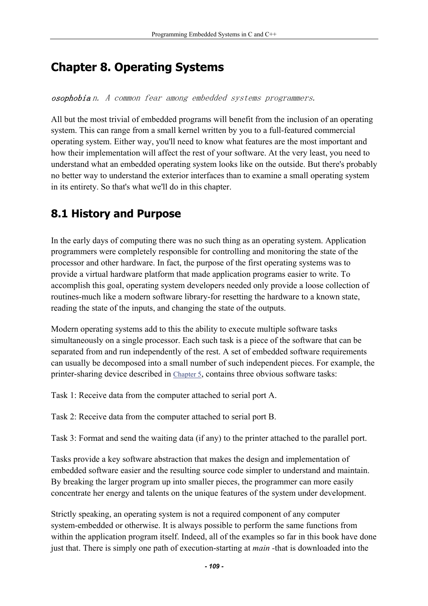# **Chapter 8. Operating Systems**

osophobia n. A common fear among embedded systems programmers.

All but the most trivial of embedded programs will benefit from the inclusion of an operating system. This can range from a small kernel written by you to a full-featured commercial operating system. Either way, you'll need to know what features are the most important and how their implementation will affect the rest of your software. At the very least, you need to understand what an embedded operating system looks like on the outside. But there's probably no better way to understand the exterior interfaces than to examine a small operating system in its entirety. So that's what we'll do in this chapter.

# **8.1 History and Purpose**

In the early days of computing there was no such thing as an operating system. Application programmers were completely responsible for controlling and monitoring the state of the processor and other hardware. In fact, the purpose of the first operating systems was to provide a virtual hardware platform that made application programs easier to write. To accomplish this goal, operating system developers needed only provide a loose collection of routines-much like a modern software library-for resetting the hardware to a known state, reading the state of the inputs, and changing the state of the outputs.

Modern operating systems add to this the ability to execute multiple software tasks simultaneously on a single processor. Each such task is a piece of the software that can be separated from and run independently of the rest. A set of embedded software requirements can usually be decomposed into a small number of such independent pieces. For example, the printer-sharing device described in Chapter 5, contains three obvious software tasks:

Task 1: Receive data from the computer attached to serial port A.

Task 2: Receive data from the computer attached to serial port B.

Task 3: Format and send the waiting data (if any) to the printer attached to the parallel port.

Tasks provide a key software abstraction that makes the design and implementation of embedded software easier and the resulting source code simpler to understand and maintain. By breaking the larger program up into smaller pieces, the programmer can more easily concentrate her energy and talents on the unique features of the system under development.

Strictly speaking, an operating system is not a required component of any computer system-embedded or otherwise. It is always possible to perform the same functions from within the application program itself. Indeed, all of the examples so far in this book have done just that. There is simply one path of execution-starting at *main -*that is downloaded into the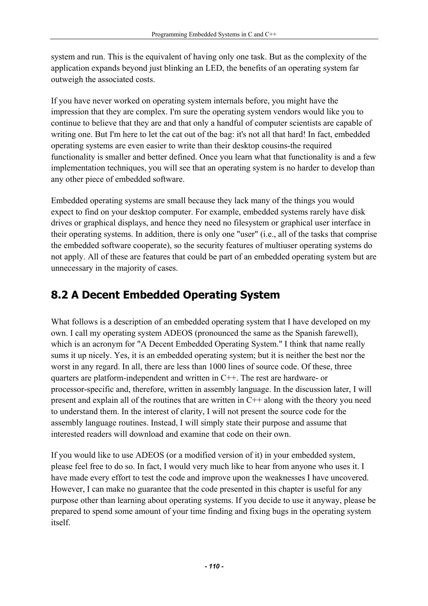system and run. This is the equivalent of having only one task. But as the complexity of the application expands beyond just blinking an LED, the benefits of an operating system far outweigh the associated costs.

If you have never worked on operating system internals before, you might have the impression that they are complex. I'm sure the operating system vendors would like you to continue to believe that they are and that only a handful of computer scientists are capable of writing one. But I'm here to let the cat out of the bag: it's not all that hard! In fact, embedded operating systems are even easier to write than their desktop cousins-the required functionality is smaller and better defined. Once you learn what that functionality is and a few implementation techniques, you will see that an operating system is no harder to develop than any other piece of embedded software.

Embedded operating systems are small because they lack many of the things you would expect to find on your desktop computer. For example, embedded systems rarely have disk drives or graphical displays, and hence they need no filesystem or graphical user interface in their operating systems. In addition, there is only one "user" (i.e., all of the tasks that comprise the embedded software cooperate), so the security features of multiuser operating systems do not apply. All of these are features that could be part of an embedded operating system but are unnecessary in the majority of cases.

## **8.2 A Decent Embedded Operating System**

What follows is a description of an embedded operating system that I have developed on my own. I call my operating system ADEOS (pronounced the same as the Spanish farewell), which is an acronym for "A Decent Embedded Operating System." I think that name really sums it up nicely. Yes, it is an embedded operating system; but it is neither the best nor the worst in any regard. In all, there are less than 1000 lines of source code. Of these, three quarters are platform-independent and written in C++. The rest are hardware- or processor-specific and, therefore, written in assembly language. In the discussion later, I will present and explain all of the routines that are written in C++ along with the theory you need to understand them. In the interest of clarity, I will not present the source code for the assembly language routines. Instead, I will simply state their purpose and assume that interested readers will download and examine that code on their own.

If you would like to use ADEOS (or a modified version of it) in your embedded system, please feel free to do so. In fact, I would very much like to hear from anyone who uses it. I have made every effort to test the code and improve upon the weaknesses I have uncovered. However, I can make no guarantee that the code presented in this chapter is useful for any purpose other than learning about operating systems. If you decide to use it anyway, please be prepared to spend some amount of your time finding and fixing bugs in the operating system itself.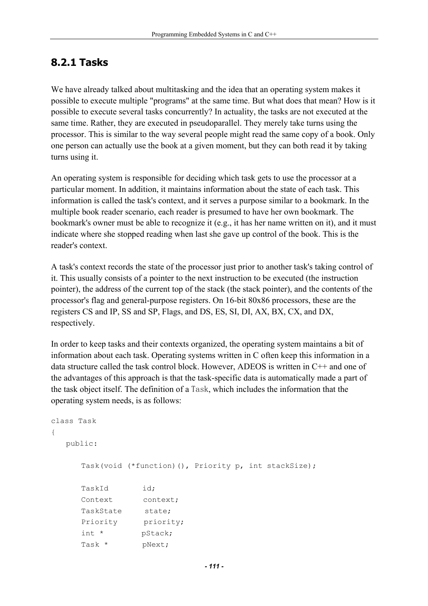### **8.2.1 Tasks**

We have already talked about multitasking and the idea that an operating system makes it possible to execute multiple "programs" at the same time. But what does that mean? How is it possible to execute several tasks concurrently? In actuality, the tasks are not executed at the same time. Rather, they are executed in pseudoparallel. They merely take turns using the processor. This is similar to the way several people might read the same copy of a book. Only one person can actually use the book at a given moment, but they can both read it by taking turns using it.

An operating system is responsible for deciding which task gets to use the processor at a particular moment. In addition, it maintains information about the state of each task. This information is called the task's context, and it serves a purpose similar to a bookmark. In the multiple book reader scenario, each reader is presumed to have her own bookmark. The bookmark's owner must be able to recognize it (e.g., it has her name written on it), and it must indicate where she stopped reading when last she gave up control of the book. This is the reader's context.

A task's context records the state of the processor just prior to another task's taking control of it. This usually consists of a pointer to the next instruction to be executed (the instruction pointer), the address of the current top of the stack (the stack pointer), and the contents of the processor's flag and general-purpose registers. On 16-bit 80x86 processors, these are the registers CS and IP, SS and SP, Flags, and DS, ES, SI, DI, AX, BX, CX, and DX, respectively.

In order to keep tasks and their contexts organized, the operating system maintains a bit of information about each task. Operating systems written in C often keep this information in a data structure called the task control block. However, ADEOS is written in C++ and one of the advantages of this approach is that the task-specific data is automatically made a part of the task object itself. The definition of a Task, which includes the information that the operating system needs, is as follows:

```
class Task 
{ 
   public: 
     Task(void (*function)(), Priority p, int stackSize);
     TaskId id;
     Context context;
     TaskState state;
      Priority priority; 
      int * pStack;
     Task * pNext;
```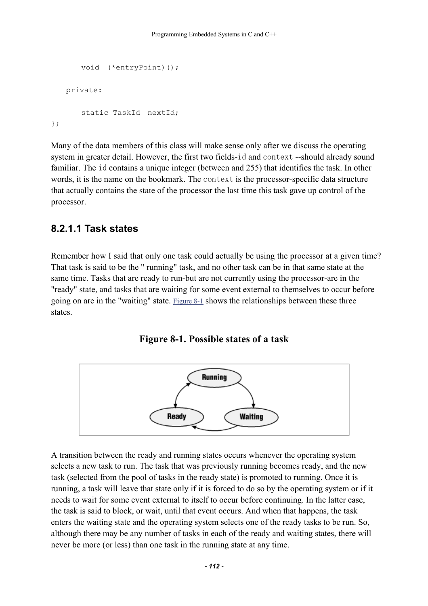```
 void (*entryPoint)(); 
    private: 
        static TaskId nextId; 
};
```
Many of the data members of this class will make sense only after we discuss the operating system in greater detail. However, the first two fields-id and context --should already sound familiar. The id contains a unique integer (between and 255) that identifies the task. In other words, it is the name on the bookmark. The context is the processor-specific data structure that actually contains the state of the processor the last time this task gave up control of the processor.

#### **8.2.1.1 Task states**

Remember how I said that only one task could actually be using the processor at a given time? That task is said to be the " running" task, and no other task can be in that same state at the same time. Tasks that are ready to run-but are not currently using the processor-are in the "ready" state, and tasks that are waiting for some event external to themselves to occur before going on are in the "waiting" state. Figure 8-1 shows the relationships between these three states.

**Figure 8-1. Possible states of a task** 



A transition between the ready and running states occurs whenever the operating system selects a new task to run. The task that was previously running becomes ready, and the new task (selected from the pool of tasks in the ready state) is promoted to running. Once it is running, a task will leave that state only if it is forced to do so by the operating system or if it needs to wait for some event external to itself to occur before continuing. In the latter case, the task is said to block, or wait, until that event occurs. And when that happens, the task enters the waiting state and the operating system selects one of the ready tasks to be run. So, although there may be any number of tasks in each of the ready and waiting states, there will never be more (or less) than one task in the running state at any time.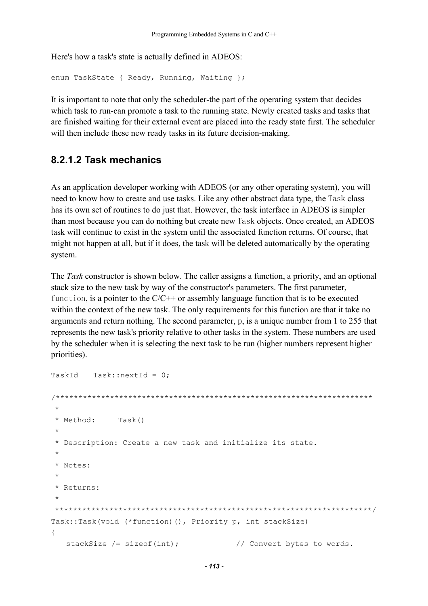Here's how a task's state is actually defined in ADEOS:

enum TaskState { Ready, Running, Waiting };

It is important to note that only the scheduler-the part of the operating system that decides which task to run-can promote a task to the running state. Newly created tasks and tasks that are finished waiting for their external event are placed into the ready state first. The scheduler will then include these new ready tasks in its future decision-making.

#### 8.2.1.2 Task mechanics

As an application developer working with ADEOS (or any other operating system), you will need to know how to create and use tasks. Like any other abstract data type, the Task class has its own set of routines to do just that. However, the task interface in ADEOS is simpler than most because you can do nothing but create new Task objects. Once created, an ADEOS task will continue to exist in the system until the associated function returns. Of course, that might not happen at all, but if it does, the task will be deleted automatically by the operating system.

The Task constructor is shown below. The caller assigns a function, a priority, and an optional stack size to the new task by way of the constructor's parameters. The first parameter, function, is a pointer to the  $C/C$ ++ or assembly language function that is to be executed within the context of the new task. The only requirements for this function are that it take no arguments and return nothing. The second parameter, p, is a unique number from 1 to 255 that represents the new task's priority relative to other tasks in the system. These numbers are used by the scheduler when it is selecting the next task to be run (higher numbers represent higher priorities).

```
TaskId
      Task:: nextId = 0:
* Method:
         Task()
* Description: Create a new task and initialize its state.
* Notes:
* Returns:
Task::Task(void (*function)(), Priority p, int stackSize)
\left\{ \right.stackSize /= sizeof(int);
                           // Convert bytes to words.
```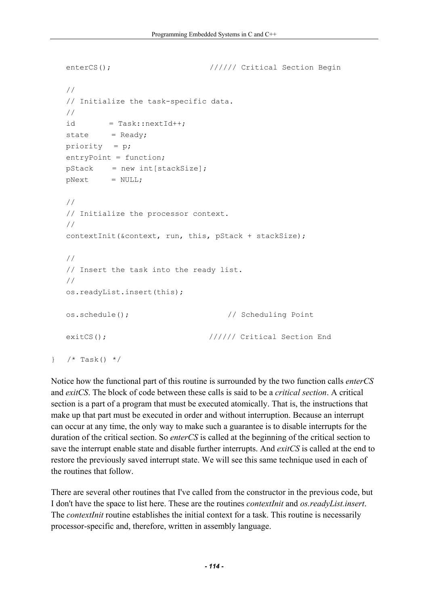```
enterCS(); \frac{1}{1} ////// Critical Section Begin
    // 
    // Initialize the task-specific data. 
    // 
   id = Task::nextId++;state = Ready;
    priority = p; 
    entryPoint = function; 
    pStack = new int[stackSize]; 
   pNext = NULL; // 
    // Initialize the processor context. 
    // 
    contextInit(&context, run, this, pStack + stackSize); 
    // 
    // Insert the task into the ready list. 
    // 
    os.readyList.insert(this); 
    os.schedule(); // Scheduling Point 
   exitCS(); \frac{1}{1} ////// Critical Section End
\frac{1}{2} /* Task() */
```
Notice how the functional part of this routine is surrounded by the two function calls *enterCS* and *exitCS*. The block of code between these calls is said to be a *critical section*. A critical section is a part of a program that must be executed atomically. That is, the instructions that make up that part must be executed in order and without interruption. Because an interrupt can occur at any time, the only way to make such a guarantee is to disable interrupts for the duration of the critical section. So *enterCS* is called at the beginning of the critical section to save the interrupt enable state and disable further interrupts. And *exitCS* is called at the end to restore the previously saved interrupt state. We will see this same technique used in each of the routines that follow.

There are several other routines that I've called from the constructor in the previous code, but I don't have the space to list here. These are the routines *contextInit* and *os.readyList.insert*. The *contextInit* routine establishes the initial context for a task. This routine is necessarily processor-specific and, therefore, written in assembly language.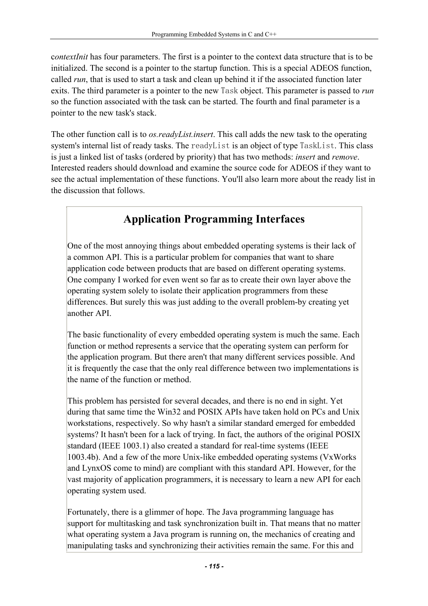c*ontextInit* has four parameters. The first is a pointer to the context data structure that is to be initialized. The second is a pointer to the startup function. This is a special ADEOS function, called *run*, that is used to start a task and clean up behind it if the associated function later exits. The third parameter is a pointer to the new Task object. This parameter is passed to *run* so the function associated with the task can be started. The fourth and final parameter is a pointer to the new task's stack.

The other function call is to *os.readyList.insert*. This call adds the new task to the operating system's internal list of ready tasks. The readyList is an object of type TaskList. This class is just a linked list of tasks (ordered by priority) that has two methods: *insert* and *remove*. Interested readers should download and examine the source code for ADEOS if they want to see the actual implementation of these functions. You'll also learn more about the ready list in the discussion that follows.

# **Application Programming Interfaces**

One of the most annoying things about embedded operating systems is their lack of a common API. This is a particular problem for companies that want to share application code between products that are based on different operating systems. One company I worked for even went so far as to create their own layer above the operating system solely to isolate their application programmers from these differences. But surely this was just adding to the overall problem-by creating yet another API.

The basic functionality of every embedded operating system is much the same. Each function or method represents a service that the operating system can perform for the application program. But there aren't that many different services possible. And it is frequently the case that the only real difference between two implementations is the name of the function or method.

This problem has persisted for several decades, and there is no end in sight. Yet during that same time the Win32 and POSIX APIs have taken hold on PCs and Unix workstations, respectively. So why hasn't a similar standard emerged for embedded systems? It hasn't been for a lack of trying. In fact, the authors of the original POSIX standard (IEEE 1003.1) also created a standard for real-time systems (IEEE 1003.4b). And a few of the more Unix-like embedded operating systems (VxWorks and LynxOS come to mind) are compliant with this standard API. However, for the vast majority of application programmers, it is necessary to learn a new API for each operating system used.

Fortunately, there is a glimmer of hope. The Java programming language has support for multitasking and task synchronization built in. That means that no matter what operating system a Java program is running on, the mechanics of creating and manipulating tasks and synchronizing their activities remain the same. For this and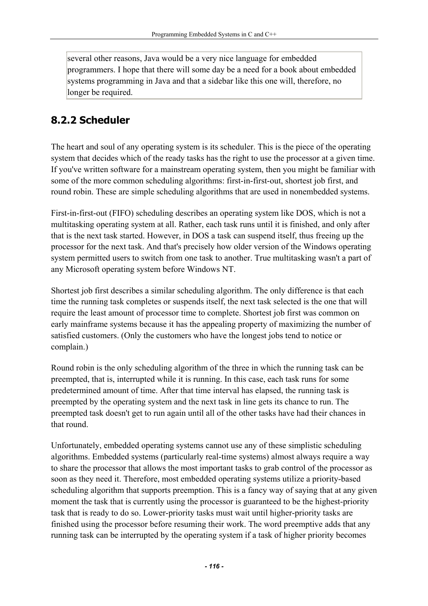several other reasons, Java would be a very nice language for embedded programmers. I hope that there will some day be a need for a book about embedded systems programming in Java and that a sidebar like this one will, therefore, no longer be required.

### **8.2.2 Scheduler**

The heart and soul of any operating system is its scheduler. This is the piece of the operating system that decides which of the ready tasks has the right to use the processor at a given time. If you've written software for a mainstream operating system, then you might be familiar with some of the more common scheduling algorithms: first-in-first-out, shortest job first, and round robin. These are simple scheduling algorithms that are used in nonembedded systems.

First-in-first-out (FIFO) scheduling describes an operating system like DOS, which is not a multitasking operating system at all. Rather, each task runs until it is finished, and only after that is the next task started. However, in DOS a task can suspend itself, thus freeing up the processor for the next task. And that's precisely how older version of the Windows operating system permitted users to switch from one task to another. True multitasking wasn't a part of any Microsoft operating system before Windows NT.

Shortest job first describes a similar scheduling algorithm. The only difference is that each time the running task completes or suspends itself, the next task selected is the one that will require the least amount of processor time to complete. Shortest job first was common on early mainframe systems because it has the appealing property of maximizing the number of satisfied customers. (Only the customers who have the longest jobs tend to notice or complain.)

Round robin is the only scheduling algorithm of the three in which the running task can be preempted, that is, interrupted while it is running. In this case, each task runs for some predetermined amount of time. After that time interval has elapsed, the running task is preempted by the operating system and the next task in line gets its chance to run. The preempted task doesn't get to run again until all of the other tasks have had their chances in that round.

Unfortunately, embedded operating systems cannot use any of these simplistic scheduling algorithms. Embedded systems (particularly real-time systems) almost always require a way to share the processor that allows the most important tasks to grab control of the processor as soon as they need it. Therefore, most embedded operating systems utilize a priority-based scheduling algorithm that supports preemption. This is a fancy way of saying that at any given moment the task that is currently using the processor is guaranteed to be the highest-priority task that is ready to do so. Lower-priority tasks must wait until higher-priority tasks are finished using the processor before resuming their work. The word preemptive adds that any running task can be interrupted by the operating system if a task of higher priority becomes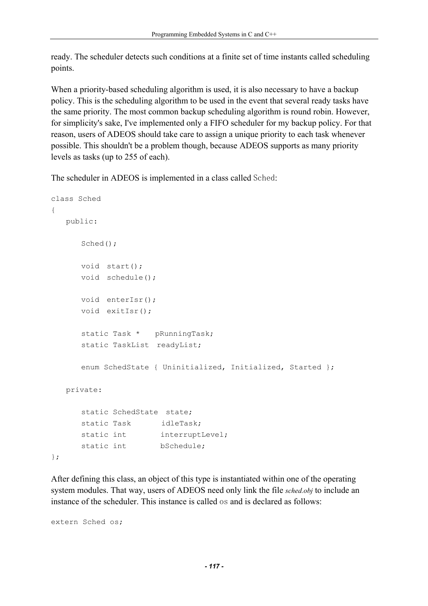ready. The scheduler detects such conditions at a finite set of time instants called scheduling points.

When a priority-based scheduling algorithm is used, it is also necessary to have a backup policy. This is the scheduling algorithm to be used in the event that several ready tasks have the same priority. The most common backup scheduling algorithm is round robin. However, for simplicity's sake, I've implemented only a FIFO scheduler for my backup policy. For that reason, users of ADEOS should take care to assign a unique priority to each task whenever possible. This shouldn't be a problem though, because ADEOS supports as many priority levels as tasks (up to 255 of each).

The scheduler in ADEOS is implemented in a class called Sched:

```
class Sched 
{ 
    public: 
      Sched();
       void start(); 
       void schedule(); 
       void enterIsr(); 
       void exitIsr(); 
      static Task * pRunningTask;
       static TaskList readyList; 
      enum SchedState { Uninitialized, Initialized, Started };
    private: 
       static SchedState state; 
      static Task idleTask;
      static int interruptLevel;
      static int bSchedule;
};
```
After defining this class, an object of this type is instantiated within one of the operating system modules. That way, users of ADEOS need only link the file *sched.obj* to include an instance of the scheduler. This instance is called os and is declared as follows:

extern Sched os;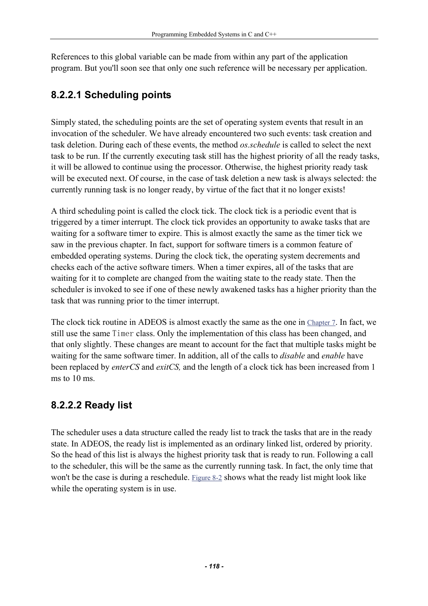References to this global variable can be made from within any part of the application program. But you'll soon see that only one such reference will be necessary per application.

### **8.2.2.1 Scheduling points**

Simply stated, the scheduling points are the set of operating system events that result in an invocation of the scheduler. We have already encountered two such events: task creation and task deletion. During each of these events, the method *os.schedule* is called to select the next task to be run. If the currently executing task still has the highest priority of all the ready tasks, it will be allowed to continue using the processor. Otherwise, the highest priority ready task will be executed next. Of course, in the case of task deletion a new task is always selected: the currently running task is no longer ready, by virtue of the fact that it no longer exists!

A third scheduling point is called the clock tick. The clock tick is a periodic event that is triggered by a timer interrupt. The clock tick provides an opportunity to awake tasks that are waiting for a software timer to expire. This is almost exactly the same as the timer tick we saw in the previous chapter. In fact, support for software timers is a common feature of embedded operating systems. During the clock tick, the operating system decrements and checks each of the active software timers. When a timer expires, all of the tasks that are waiting for it to complete are changed from the waiting state to the ready state. Then the scheduler is invoked to see if one of these newly awakened tasks has a higher priority than the task that was running prior to the timer interrupt.

The clock tick routine in ADEOS is almost exactly the same as the one in Chapter 7. In fact, we still use the same Timer class. Only the implementation of this class has been changed, and that only slightly. These changes are meant to account for the fact that multiple tasks might be waiting for the same software timer. In addition, all of the calls to *disable* and *enable* have been replaced by *enterCS* and *exitCS,* and the length of a clock tick has been increased from 1 ms to 10 ms.

### **8.2.2.2 Ready list**

The scheduler uses a data structure called the ready list to track the tasks that are in the ready state. In ADEOS, the ready list is implemented as an ordinary linked list, ordered by priority. So the head of this list is always the highest priority task that is ready to run. Following a call to the scheduler, this will be the same as the currently running task. In fact, the only time that won't be the case is during a reschedule. Figure 8-2 shows what the ready list might look like while the operating system is in use.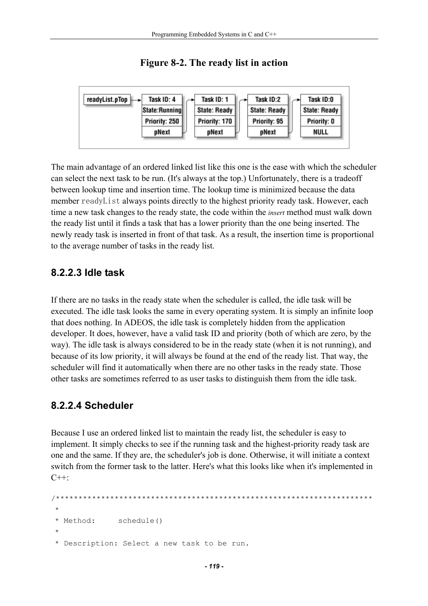readvList.pTop Task ID: 4 Task ID: 1 Task ID:2 Task ID:0 State:Running **State: Readv State: Readv State: Readv** Priority: 250 Priority: 170 Priority: 95 Priority: 0 pNext oNext pNext **NULL** 

**Figure 8-2. The ready list in action**

The main advantage of an ordered linked list like this one is the ease with which the scheduler can select the next task to be run. (It's always at the top.) Unfortunately, there is a tradeoff between lookup time and insertion time. The lookup time is minimized because the data member readyList always points directly to the highest priority ready task. However, each time a new task changes to the ready state, the code within the *insert* method must walk down the ready list until it finds a task that has a lower priority than the one being inserted. The newly ready task is inserted in front of that task. As a result, the insertion time is proportional to the average number of tasks in the ready list.

#### **8.2.2.3 Idle task**

If there are no tasks in the ready state when the scheduler is called, the idle task will be executed. The idle task looks the same in every operating system. It is simply an infinite loop that does nothing. In ADEOS, the idle task is completely hidden from the application developer. It does, however, have a valid task ID and priority (both of which are zero, by the way). The idle task is always considered to be in the ready state (when it is not running), and because of its low priority, it will always be found at the end of the ready list. That way, the scheduler will find it automatically when there are no other tasks in the ready state. Those other tasks are sometimes referred to as user tasks to distinguish them from the idle task.

#### **8.2.2.4 Scheduler**

Because I use an ordered linked list to maintain the ready list, the scheduler is easy to implement. It simply checks to see if the running task and the highest-priority ready task are one and the same. If they are, the scheduler's job is done. Otherwise, it will initiate a context switch from the former task to the latter. Here's what this looks like when it's implemented in  $C++:$ 

```
/********************************************************************** 
 * 
  * Method: schedule() 
 * 
 * Description: Select a new task to be run.
```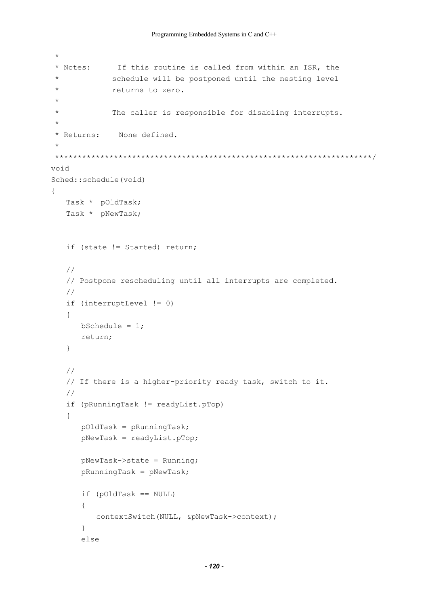```
 * 
  * Notes: If this routine is called from within an ISR, the 
  * schedule will be postponed until the nesting level 
  * returns to zero. 
 * 
  * The caller is responsible for disabling interrupts. 
 * 
  * Returns: None defined. 
 * 
  **********************************************************************/ 
void 
Sched::schedule(void) 
{ 
    Task * pOldTask; 
    Task * pNewTask; 
    if (state != Started) return; 
    // 
    // Postpone rescheduling until all interrupts are completed. 
    // 
    if (interruptLevel != 0) 
    { 
      bSchedule = 1;
       return; 
    } 
    // 
    // If there is a higher-priority ready task, switch to it. 
    // 
    if (pRunningTask != readyList.pTop) 
    { 
       pOldTask = pRunningTask; 
        pNewTask = readyList.pTop; 
        pNewTask->state = Running; 
        pRunningTask = pNewTask; 
        if (pOldTask == NULL) 
        { 
           contextSwitch(NULL, &pNewTask->context); 
        } 
        else
```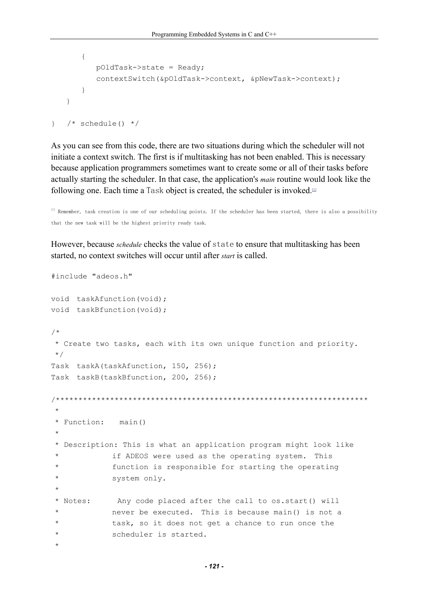```
 { 
            pOldTask->state = Ready; 
            contextSwitch(&pOldTask->context, &pNewTask->context); 
 } 
    } 
\frac{1}{2} /* schedule() */
```
As you can see from this code, there are two situations during which the scheduler will not initiate a context switch. The first is if multitasking has not been enabled. This is necessary because application programmers sometimes want to create some or all of their tasks before actually starting the scheduler. In that case, the application's *main* routine would look like the following one. Each time a Task object is created, the scheduler is invoked. $\mathbb{I}$ 

```
[1] Remember, task creation is one of our scheduling points. If the scheduler has been started, there is also a possibility
that the new task will be the highest priority ready task.
```
However, because *schedule* checks the value of state to ensure that multitasking has been started, no context switches will occur until after *start* is called.

#include "adeos.h"

```
void taskAfunction(void); 
void taskBfunction(void); 
/* 
 * Create two tasks, each with its own unique function and priority. 
 */ 
Task taskA(taskAfunction, 150, 256);
Task taskB(taskBfunction, 200, 256);
/********************************************************************* 
 * 
  * Function: main() 
 * 
  * Description: This is what an application program might look like 
  * if ADEOS were used as the operating system. This 
  * function is responsible for starting the operating 
  * system only. 
 * 
  * Notes: Any code placed after the call to os.start() will 
             never be executed. This is because main() is not a
  * task, so it does not get a chance to run once the 
             scheduler is started.
 *
```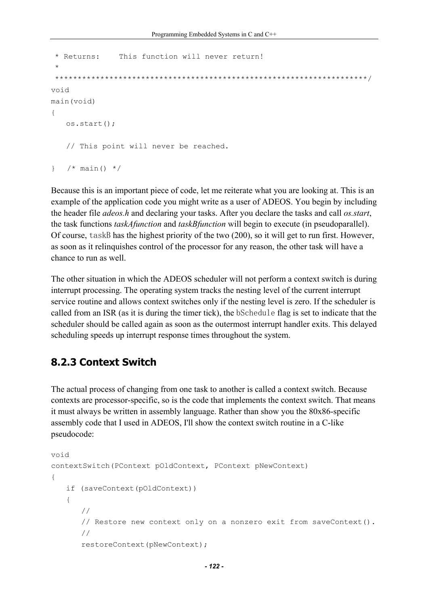```
 * Returns: This function will never return! 
 * 
  *********************************************************************/ 
void 
main(void) 
{ 
    os.start(); 
    // This point will never be reached. 
\} /* main() */
```
Because this is an important piece of code, let me reiterate what you are looking at. This is an example of the application code you might write as a user of ADEOS. You begin by including the header file *adeos.h* and declaring your tasks. After you declare the tasks and call *os.start*, the task functions *taskAfunction* and *taskBfunction* will begin to execute (in pseudoparallel). Of course, taskB has the highest priority of the two (200), so it will get to run first. However, as soon as it relinquishes control of the processor for any reason, the other task will have a chance to run as well.

The other situation in which the ADEOS scheduler will not perform a context switch is during interrupt processing. The operating system tracks the nesting level of the current interrupt service routine and allows context switches only if the nesting level is zero. If the scheduler is called from an ISR (as it is during the timer tick), the bSchedule flag is set to indicate that the scheduler should be called again as soon as the outermost interrupt handler exits. This delayed scheduling speeds up interrupt response times throughout the system.

#### **8.2.3 Context Switch**

The actual process of changing from one task to another is called a context switch. Because contexts are processor-specific, so is the code that implements the context switch. That means it must always be written in assembly language. Rather than show you the 80x86-specific assembly code that I used in ADEOS, I'll show the context switch routine in a C-like pseudocode:

```
void 
contextSwitch(PContext pOldContext, PContext pNewContext) 
{ 
    if (saveContext(pOldContext)) 
    { 
        // 
        // Restore new context only on a nonzero exit from saveContext(). 
        // 
        restoreContext(pNewContext);
```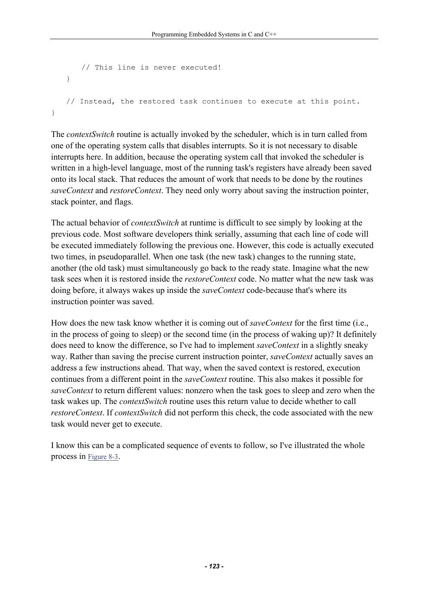```
 // This line is never executed! 
    } 
    // Instead, the restored task continues to execute at this point. 
}
```
The *contextSwitch* routine is actually invoked by the scheduler, which is in turn called from one of the operating system calls that disables interrupts. So it is not necessary to disable interrupts here. In addition, because the operating system call that invoked the scheduler is written in a high-level language, most of the running task's registers have already been saved onto its local stack. That reduces the amount of work that needs to be done by the routines *saveContext* and *restoreContext*. They need only worry about saving the instruction pointer, stack pointer, and flags.

The actual behavior of *contextSwitch* at runtime is difficult to see simply by looking at the previous code. Most software developers think serially, assuming that each line of code will be executed immediately following the previous one. However, this code is actually executed two times, in pseudoparallel. When one task (the new task) changes to the running state, another (the old task) must simultaneously go back to the ready state. Imagine what the new task sees when it is restored inside the *restoreContext* code. No matter what the new task was doing before, it always wakes up inside the *saveContext* code-because that's where its instruction pointer was saved.

How does the new task know whether it is coming out of *saveContext* for the first time (i.e., in the process of going to sleep) or the second time (in the process of waking up)? It definitely does need to know the difference, so I've had to implement *saveContext* in a slightly sneaky way. Rather than saving the precise current instruction pointer, *saveContext* actually saves an address a few instructions ahead. That way, when the saved context is restored, execution continues from a different point in the *saveContext* routine. This also makes it possible for *saveContext* to return different values: nonzero when the task goes to sleep and zero when the task wakes up. The *contextSwitch* routine uses this return value to decide whether to call *restoreContext*. If *contextSwitch* did not perform this check, the code associated with the new task would never get to execute.

I know this can be a complicated sequence of events to follow, so I've illustrated the whole process in Figure 8-3.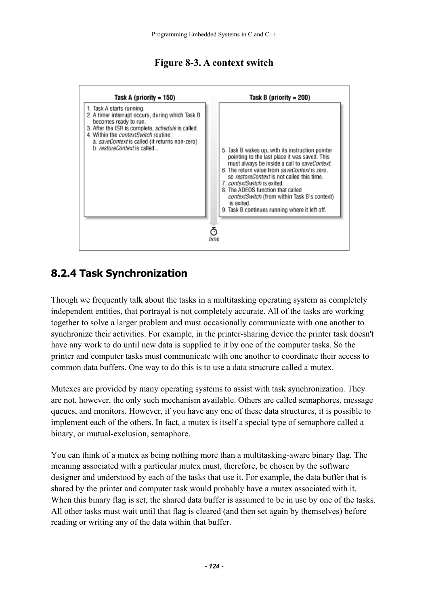#### **Figure 8-3. A context switch**



### **8.2.4 Task Synchronization**

Though we frequently talk about the tasks in a multitasking operating system as completely independent entities, that portrayal is not completely accurate. All of the tasks are working together to solve a larger problem and must occasionally communicate with one another to synchronize their activities. For example, in the printer-sharing device the printer task doesn't have any work to do until new data is supplied to it by one of the computer tasks. So the printer and computer tasks must communicate with one another to coordinate their access to common data buffers. One way to do this is to use a data structure called a mutex.

Mutexes are provided by many operating systems to assist with task synchronization. They are not, however, the only such mechanism available. Others are called semaphores, message queues, and monitors. However, if you have any one of these data structures, it is possible to implement each of the others. In fact, a mutex is itself a special type of semaphore called a binary, or mutual-exclusion, semaphore.

You can think of a mutex as being nothing more than a multitasking-aware binary flag. The meaning associated with a particular mutex must, therefore, be chosen by the software designer and understood by each of the tasks that use it. For example, the data buffer that is shared by the printer and computer task would probably have a mutex associated with it. When this binary flag is set, the shared data buffer is assumed to be in use by one of the tasks. All other tasks must wait until that flag is cleared (and then set again by themselves) before reading or writing any of the data within that buffer.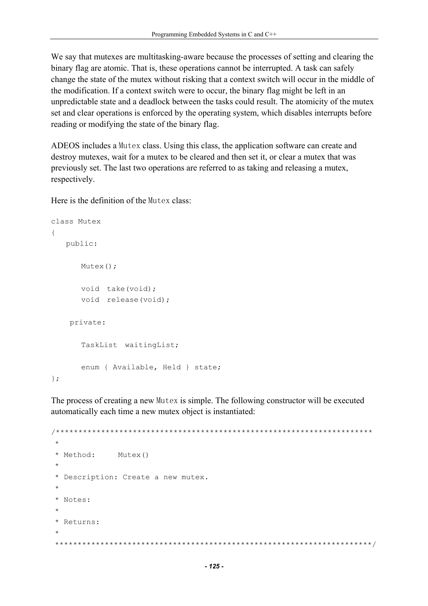We say that mutexes are multitasking-aware because the processes of setting and clearing the binary flag are atomic. That is, these operations cannot be interrupted. A task can safely change the state of the mutex without risking that a context switch will occur in the middle of the modification. If a context switch were to occur, the binary flag might be left in an unpredictable state and a deadlock between the tasks could result. The atomicity of the mutex set and clear operations is enforced by the operating system, which disables interrupts before reading or modifying the state of the binary flag.

ADEOS includes a Mutex class. Using this class, the application software can create and destroy mutexes, wait for a mutex to be cleared and then set it, or clear a mutex that was previously set. The last two operations are referred to as taking and releasing a mutex, respectively.

Here is the definition of the Mutex class:

```
class Mutex
\left\{ \right.public:
       Mutex();
       void take (void);
       void release(void);
    private:
       TaskList waitingList;
       enum { Available, Held } state;
\};
```
The process of creating a new Mutex is simple. The following constructor will be executed automatically each time a new mutex object is instantiated:

```
* Method:
    Mutex()
* Description: Create a new mutex.
* Notes:
* Returns:
```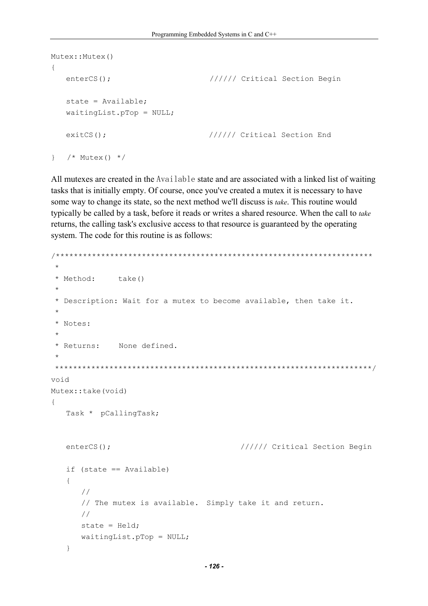```
Mutex:: Mutex()
\{entercS();
                                       ////// Critical Section Begin
   state = Available:waitingList.pTop = NULL;exists();
                                      ////// Critical Section End
   /* Mutex() */\left| \right|
```
All mutexes are created in the Available state and are associated with a linked list of waiting tasks that is initially empty. Of course, once you've created a mutex it is necessary to have some way to change its state, so the next method we'll discuss is *take*. This routine would typically be called by a task, before it reads or writes a shared resource. When the call to take returns, the calling task's exclusive access to that resource is guaranteed by the operating system. The code for this routine is as follows:

```
* Method:
            take()* Description: Wait for a mutex to become available, then take it.
\star* Notes:
* Returns:
           None defined.
void
Mutex::take(void)
\left\{ \right.Task * pCallingTask;
  entercS();
                                  ////// Critical Section Begin
  if (state == Available)\left\{ \right.\frac{1}{2}// The mutex is available. Simply take it and return.
     \frac{1}{2}state = \text{Hello:}waitingList.pTop = NULL;\lambda
```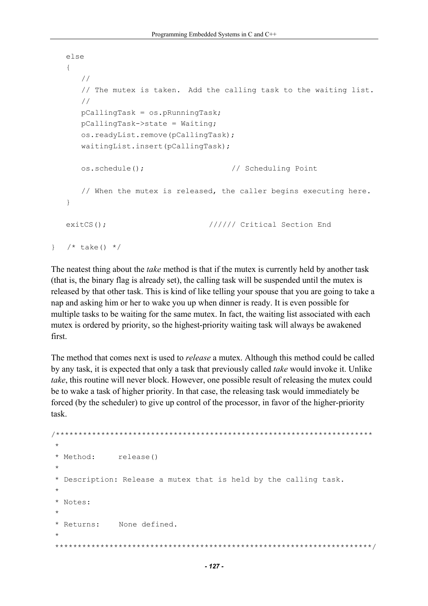```
else
\overline{A}\frac{1}{2}// The mutex is taken. Add the calling task to the waiting list.
   \frac{1}{2}pCallingTask = os.pRunningTask;pCallinqTask->state = Waitina;os.readyList.remove(pCallingTask);
   waitingList.insert(pCallingTask);
   os.schedule();
                                        // Scheduling Point
   // When the mutex is released, the caller begins executing here.
\lambda////// Critical Section End
exists();
/* take() */
```
The neatest thing about the *take* method is that if the mutex is currently held by another task (that is, the binary flag is already set), the calling task will be suspended until the mutex is released by that other task. This is kind of like telling your spouse that you are going to take a nap and asking him or her to wake you up when dinner is ready. It is even possible for multiple tasks to be waiting for the same mutex. In fact, the waiting list associated with each mutex is ordered by priority, so the highest-priority waiting task will always be awakened first.

 $\left\{ \right.$ 

The method that comes next is used to *release* a mutex. Although this method could be called by any task, it is expected that only a task that previously called *take* would invoke it. Unlike take, this routine will never block. However, one possible result of releasing the mutex could be to wake a task of higher priority. In that case, the releasing task would immediately be forced (by the scheduler) to give up control of the processor, in favor of the higher-priority task.

```
* Method:
       release()
\star* Description: Release a mutex that is held by the calling task.
\star* Notes\cdotNone defined.
* Returns:
```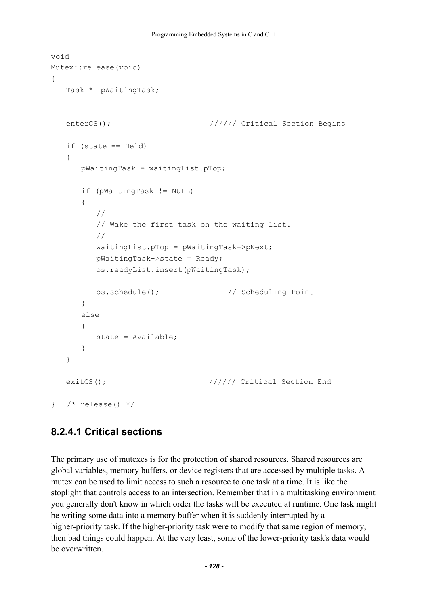```
void 
Mutex::release(void) 
{ 
    Task * pWaitingTask; 
   enterCS(); \frac{1}{1} ////// Critical Section Begins
    if (state == Held) 
    { 
        pWaitingTask = waitingList.pTop; 
        if (pWaitingTask != NULL) 
        { 
           // 
           // Wake the first task on the waiting list. 
           // 
           waitingList.pTop = pWaitingTask->pNext; 
           pWaitingTask->state = Ready; 
           os.readyList.insert(pWaitingTask); 
           os.schedule(); // Scheduling Point 
        } 
        else 
        { 
           state = Available; 
 } 
    } 
   exitCS(); \frac{1}{1} ////// Critical Section End
} /* release() */
```
### **8.2.4.1 Critical sections**

The primary use of mutexes is for the protection of shared resources. Shared resources are global variables, memory buffers, or device registers that are accessed by multiple tasks. A mutex can be used to limit access to such a resource to one task at a time. It is like the stoplight that controls access to an intersection. Remember that in a multitasking environment you generally don't know in which order the tasks will be executed at runtime. One task might be writing some data into a memory buffer when it is suddenly interrupted by a higher-priority task. If the higher-priority task were to modify that same region of memory, then bad things could happen. At the very least, some of the lower-priority task's data would be overwritten.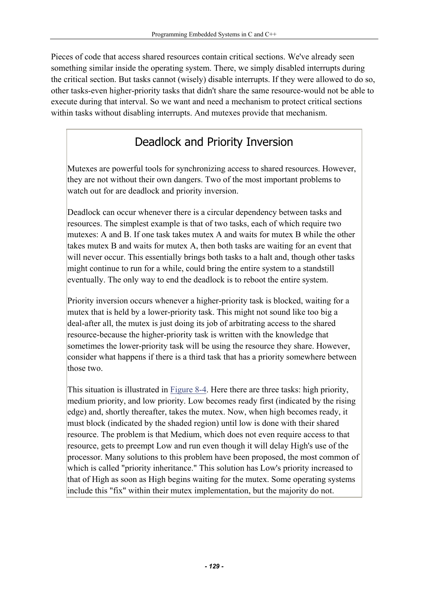Pieces of code that access shared resources contain critical sections. We've already seen something similar inside the operating system. There, we simply disabled interrupts during the critical section. But tasks cannot (wisely) disable interrupts. If they were allowed to do so, other tasks-even higher-priority tasks that didn't share the same resource-would not be able to execute during that interval. So we want and need a mechanism to protect critical sections within tasks without disabling interrupts. And mutexes provide that mechanism.

# Deadlock and Priority Inversion

Mutexes are powerful tools for synchronizing access to shared resources. However, they are not without their own dangers. Two of the most important problems to watch out for are deadlock and priority inversion.

Deadlock can occur whenever there is a circular dependency between tasks and resources. The simplest example is that of two tasks, each of which require two mutexes: A and B. If one task takes mutex A and waits for mutex B while the other takes mutex B and waits for mutex A, then both tasks are waiting for an event that will never occur. This essentially brings both tasks to a halt and, though other tasks might continue to run for a while, could bring the entire system to a standstill eventually. The only way to end the deadlock is to reboot the entire system.

Priority inversion occurs whenever a higher-priority task is blocked, waiting for a mutex that is held by a lower-priority task. This might not sound like too big a deal-after all, the mutex is just doing its job of arbitrating access to the shared resource-because the higher-priority task is written with the knowledge that sometimes the lower-priority task will be using the resource they share. However, consider what happens if there is a third task that has a priority somewhere between those two.

This situation is illustrated in Figure 8-4. Here there are three tasks: high priority, medium priority, and low priority. Low becomes ready first (indicated by the rising edge) and, shortly thereafter, takes the mutex. Now, when high becomes ready, it must block (indicated by the shaded region) until low is done with their shared resource. The problem is that Medium, which does not even require access to that resource, gets to preempt Low and run even though it will delay High's use of the processor. Many solutions to this problem have been proposed, the most common of which is called "priority inheritance." This solution has Low's priority increased to that of High as soon as High begins waiting for the mutex. Some operating systems include this "fix" within their mutex implementation, but the majority do not.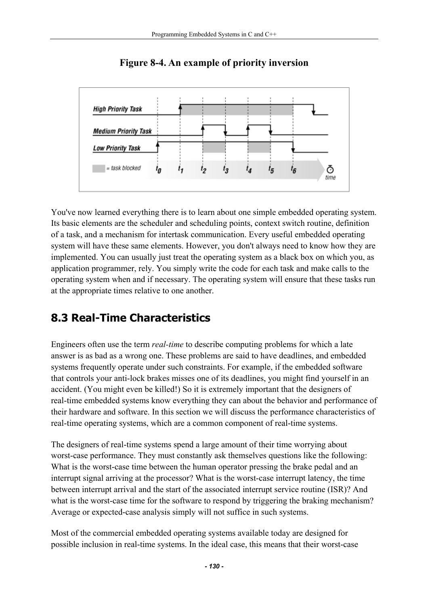

**Figure 8-4. An example of priority inversion**

You've now learned everything there is to learn about one simple embedded operating system. Its basic elements are the scheduler and scheduling points, context switch routine, definition of a task, and a mechanism for intertask communication. Every useful embedded operating system will have these same elements. However, you don't always need to know how they are implemented. You can usually just treat the operating system as a black box on which you, as application programmer, rely. You simply write the code for each task and make calls to the operating system when and if necessary. The operating system will ensure that these tasks run at the appropriate times relative to one another.

### **8.3 Real-Time Characteristics**

Engineers often use the term *real-time* to describe computing problems for which a late answer is as bad as a wrong one. These problems are said to have deadlines, and embedded systems frequently operate under such constraints. For example, if the embedded software that controls your anti-lock brakes misses one of its deadlines, you might find yourself in an accident. (You might even be killed!) So it is extremely important that the designers of real-time embedded systems know everything they can about the behavior and performance of their hardware and software. In this section we will discuss the performance characteristics of real-time operating systems, which are a common component of real-time systems.

The designers of real-time systems spend a large amount of their time worrying about worst-case performance. They must constantly ask themselves questions like the following: What is the worst-case time between the human operator pressing the brake pedal and an interrupt signal arriving at the processor? What is the worst-case interrupt latency, the time between interrupt arrival and the start of the associated interrupt service routine (ISR)? And what is the worst-case time for the software to respond by triggering the braking mechanism? Average or expected-case analysis simply will not suffice in such systems.

Most of the commercial embedded operating systems available today are designed for possible inclusion in real-time systems. In the ideal case, this means that their worst-case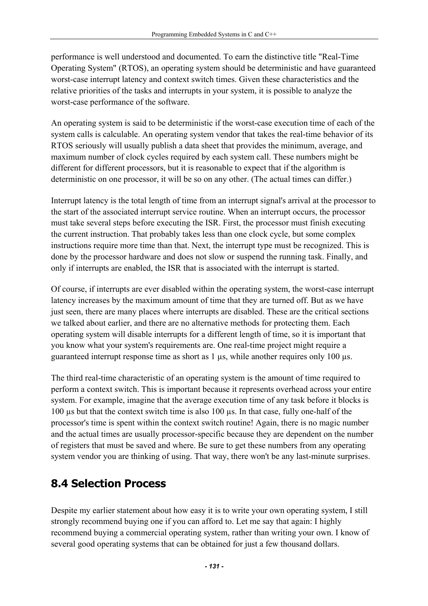performance is well understood and documented. To earn the distinctive title "Real-Time Operating System" (RTOS), an operating system should be deterministic and have guaranteed worst-case interrupt latency and context switch times. Given these characteristics and the relative priorities of the tasks and interrupts in your system, it is possible to analyze the worst-case performance of the software.

An operating system is said to be deterministic if the worst-case execution time of each of the system calls is calculable. An operating system vendor that takes the real-time behavior of its RTOS seriously will usually publish a data sheet that provides the minimum, average, and maximum number of clock cycles required by each system call. These numbers might be different for different processors, but it is reasonable to expect that if the algorithm is deterministic on one processor, it will be so on any other. (The actual times can differ.)

Interrupt latency is the total length of time from an interrupt signal's arrival at the processor to the start of the associated interrupt service routine. When an interrupt occurs, the processor must take several steps before executing the ISR. First, the processor must finish executing the current instruction. That probably takes less than one clock cycle, but some complex instructions require more time than that. Next, the interrupt type must be recognized. This is done by the processor hardware and does not slow or suspend the running task. Finally, and only if interrupts are enabled, the ISR that is associated with the interrupt is started.

Of course, if interrupts are ever disabled within the operating system, the worst-case interrupt latency increases by the maximum amount of time that they are turned off. But as we have just seen, there are many places where interrupts are disabled. These are the critical sections we talked about earlier, and there are no alternative methods for protecting them. Each operating system will disable interrupts for a different length of time, so it is important that you know what your system's requirements are. One real-time project might require a guaranteed interrupt response time as short as 1 µs, while another requires only 100 µs.

The third real-time characteristic of an operating system is the amount of time required to perform a context switch. This is important because it represents overhead across your entire system. For example, imagine that the average execution time of any task before it blocks is 100 µs but that the context switch time is also 100 µs. In that case, fully one-half of the processor's time is spent within the context switch routine! Again, there is no magic number and the actual times are usually processor-specific because they are dependent on the number of registers that must be saved and where. Be sure to get these numbers from any operating system vendor you are thinking of using. That way, there won't be any last-minute surprises.

# **8.4 Selection Process**

Despite my earlier statement about how easy it is to write your own operating system, I still strongly recommend buying one if you can afford to. Let me say that again: I highly recommend buying a commercial operating system, rather than writing your own. I know of several good operating systems that can be obtained for just a few thousand dollars.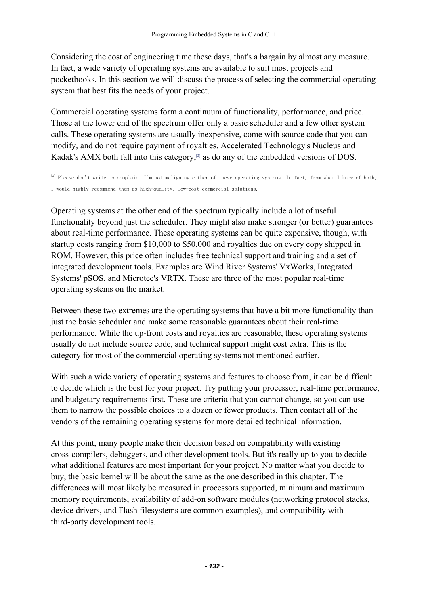Considering the cost of engineering time these days, that's a bargain by almost any measure. In fact, a wide variety of operating systems are available to suit most projects and pocketbooks. In this section we will discuss the process of selecting the commercial operating system that best fits the needs of your project.

Commercial operating systems form a continuum of functionality, performance, and price. Those at the lower end of the spectrum offer only a basic scheduler and a few other system calls. These operating systems are usually inexpensive, come with source code that you can modify, and do not require payment of royalties. Accelerated Technology's Nucleus and Kadak's AMX both fall into this category, $\mathbb{P}$  as do any of the embedded versions of DOS.

 $[2]$  Please don't write to complain. I'm not maligning either of these operating systems. In fact, from what I know of both, I would highly recommend them as high-quality, low-cost commercial solutions.

Operating systems at the other end of the spectrum typically include a lot of useful functionality beyond just the scheduler. They might also make stronger (or better) guarantees about real-time performance. These operating systems can be quite expensive, though, with startup costs ranging from \$10,000 to \$50,000 and royalties due on every copy shipped in ROM. However, this price often includes free technical support and training and a set of integrated development tools. Examples are Wind River Systems' VxWorks, Integrated Systems' pSOS, and Microtec's VRTX. These are three of the most popular real-time operating systems on the market.

Between these two extremes are the operating systems that have a bit more functionality than just the basic scheduler and make some reasonable guarantees about their real-time performance. While the up-front costs and royalties are reasonable, these operating systems usually do not include source code, and technical support might cost extra. This is the category for most of the commercial operating systems not mentioned earlier.

With such a wide variety of operating systems and features to choose from, it can be difficult to decide which is the best for your project. Try putting your processor, real-time performance, and budgetary requirements first. These are criteria that you cannot change, so you can use them to narrow the possible choices to a dozen or fewer products. Then contact all of the vendors of the remaining operating systems for more detailed technical information.

At this point, many people make their decision based on compatibility with existing cross-compilers, debuggers, and other development tools. But it's really up to you to decide what additional features are most important for your project. No matter what you decide to buy, the basic kernel will be about the same as the one described in this chapter. The differences will most likely be measured in processors supported, minimum and maximum memory requirements, availability of add-on software modules (networking protocol stacks, device drivers, and Flash filesystems are common examples), and compatibility with third-party development tools.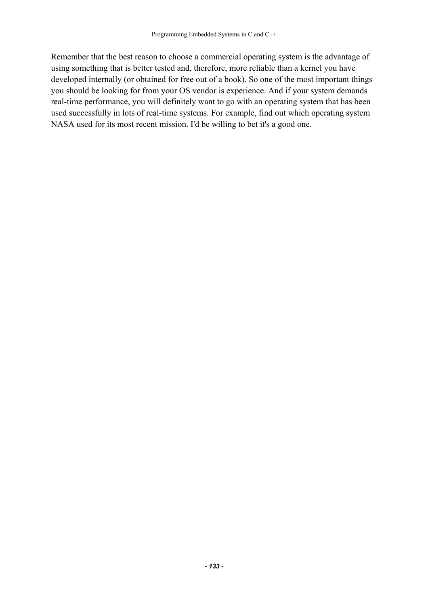Remember that the best reason to choose a commercial operating system is the advantage of using something that is better tested and, therefore, more reliable than a kernel you have developed internally (or obtained for free out of a book). So one of the most important things you should be looking for from your OS vendor is experience. And if your system demands real-time performance, you will definitely want to go with an operating system that has been used successfully in lots of real-time systems. For example, find out which operating system NASA used for its most recent mission. I'd be willing to bet it's a good one.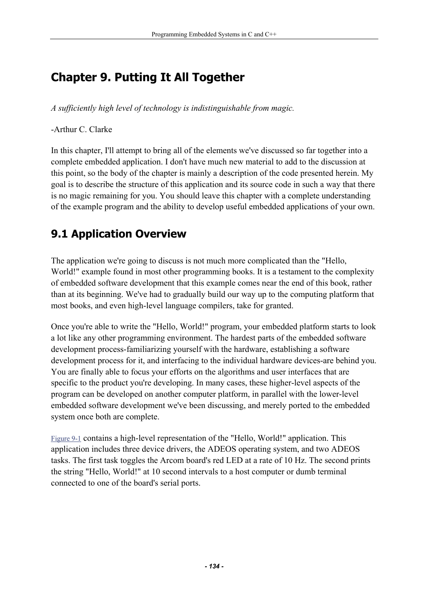# **Chapter 9. Putting It All Together**

*A sufficiently high level of technology is indistinguishable from magic.* 

#### -Arthur C. Clarke

In this chapter, I'll attempt to bring all of the elements we've discussed so far together into a complete embedded application. I don't have much new material to add to the discussion at this point, so the body of the chapter is mainly a description of the code presented herein. My goal is to describe the structure of this application and its source code in such a way that there is no magic remaining for you. You should leave this chapter with a complete understanding of the example program and the ability to develop useful embedded applications of your own.

# **9.1 Application Overview**

The application we're going to discuss is not much more complicated than the "Hello, World!" example found in most other programming books. It is a testament to the complexity of embedded software development that this example comes near the end of this book, rather than at its beginning. We've had to gradually build our way up to the computing platform that most books, and even high-level language compilers, take for granted.

Once you're able to write the "Hello, World!" program, your embedded platform starts to look a lot like any other programming environment. The hardest parts of the embedded software development process-familiarizing yourself with the hardware, establishing a software development process for it, and interfacing to the individual hardware devices-are behind you. You are finally able to focus your efforts on the algorithms and user interfaces that are specific to the product you're developing. In many cases, these higher-level aspects of the program can be developed on another computer platform, in parallel with the lower-level embedded software development we've been discussing, and merely ported to the embedded system once both are complete.

Figure 9-1 contains a high-level representation of the "Hello, World!" application. This application includes three device drivers, the ADEOS operating system, and two ADEOS tasks. The first task toggles the Arcom board's red LED at a rate of 10 Hz. The second prints the string "Hello, World!" at 10 second intervals to a host computer or dumb terminal connected to one of the board's serial ports.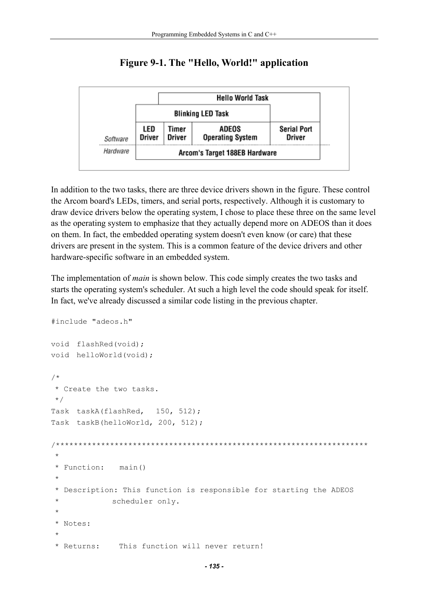

#### Figure 9-1. The "Hello, World!" application

In addition to the two tasks, there are three device drivers shown in the figure. These control the Arcom board's LEDs, timers, and serial ports, respectively. Although it is customary to draw device drivers below the operating system, I chose to place these three on the same level as the operating system to emphasize that they actually depend more on ADEOS than it does on them. In fact, the embedded operating system doesn't even know (or care) that these drivers are present in the system. This is a common feature of the device drivers and other hardware-specific software in an embedded system.

The implementation of *main* is shown below. This code simply creates the two tasks and starts the operating system's scheduler. At such a high level the code should speak for itself. In fact, we've already discussed a similar code listing in the previous chapter.

```
#include "adeos.h"
void flashRed(void);
void helloWorld(void);
/*
* Create the two tasks.
\star /
Task taskA(flashRed, 150, 512);
Task taskB(helloWorld, 200, 512);
* Function:
           main()* Description: This function is responsible for starting the ADEOS
\starscheduler only.
* Notes:
            This function will never return!
* Returns:
```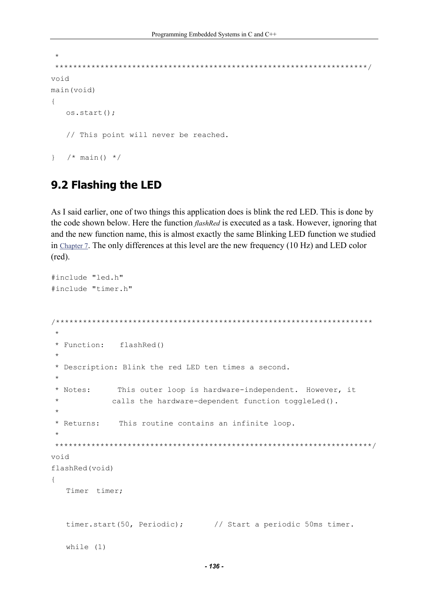```
\starvoid
main (void)
\{os.start();
  // This point will never be reached.
  /* main() */\lambda
```
#### 9.2 Flashing the LED

As I said earlier, one of two things this application does is blink the red LED. This is done by the code shown below. Here the function *flashRed* is executed as a task. However, ignoring that and the new function name, this is almost exactly the same Blinking LED function we studied in Chapter 7. The only differences at this level are the new frequency (10 Hz) and LED color  $(\text{red})$ .

```
#include "led.h"
#include "timer.h"
* Function:
           flashRed()
* Description: Blink the red LED ten times a second.
\starThis outer loop is hardware-independent. However, it
* Notes:
          calls the hardware-dependent function toggleLed().
* Returns:
           This routine contains an infinite loop.
void
flashRed(void)
\left\{ \right.Timer timer;
  timer.start(50, Periodic); // Start a periodic 50ms timer.
  while (1)
```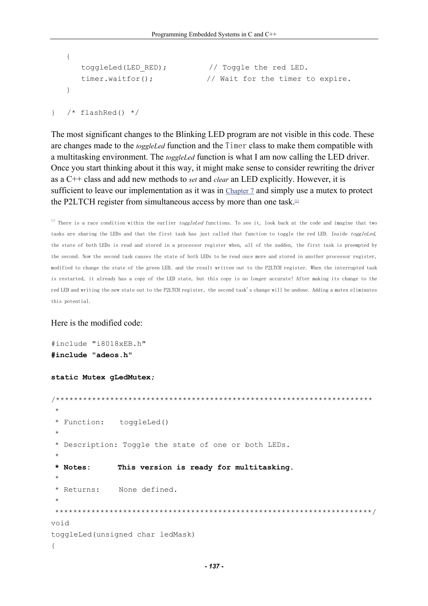```
\{toggleLed(LED RED);
                                // Toggle the red LED.
                                // Wait for the timer to expire.
   timer. waitfor();
\}
```

```
\lambda/* flashRed() */
```
The most significant changes to the Blinking LED program are not visible in this code. These are changes made to the *toggleLed* function and the Timer class to make them compatible with a multitasking environment. The *toggleLed* function is what I am now calling the LED driver. Once you start thinking about it this way, it might make sense to consider rewriting the driver as a  $C++$  class and add new methods to *set* and *clear* an LED explicitly. However, it is sufficient to leave our implementation as it was in Chapter 7 and simply use a mutex to protect the P2LTCH register from simultaneous access by more than one task.<sup>III</sup>

[1] There is a race condition within the earlier toggleLed functions. To see it, look back at the code and imagine that two tasks are sharing the LEDs and that the first task has just called that function to toggle the red LED. Inside toggleLed, the state of both LEDs is read and stored in a processor register when, all of the sudden, the first task is preempted by the second. Now the second task causes the state of both LEDs to be read once more and stored in another processor register, modified to change the state of the green LED, and the result written out to the P2LTCH register. When the interrupted task is restarted, it already has a copy of the LED state, but this copy is no longer accurate! After making its change to the red LED and writing the new state out to the P2LTCH register, the second task's change will be undone. Adding a mutex eliminates this potential.

#### Here is the modified code:

#include "i8018xEB.h" #include "adeos.h"

```
static Mutex gLedMutex;
```

```
toggleLed()
\starFunction:
* Description: Toggle the state of one or both LEDs.
\starNotes:
         This version is ready for multitasking.
         None defined.
* Returns:
void
toggleLed (unsigned char ledMask)
\left\{ \right.
```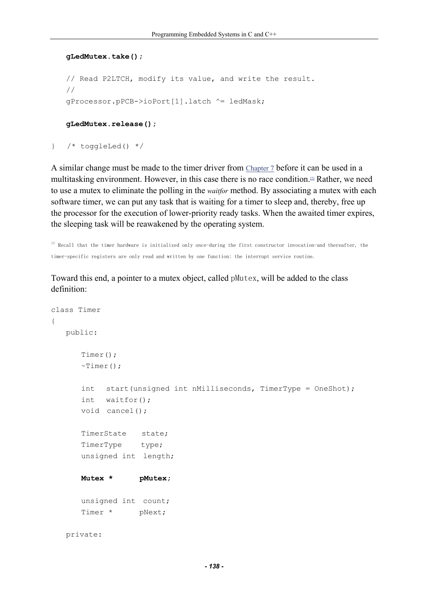```
 gLedMutex.take();
 // Read P2LTCH, modify its value, and write the result. 
 // 
 gProcessor.pPCB->ioPort[1].latch ^= ledMask; 
 gLedMutex.release();
```
 $}$  /\* toggleLed() \*/

A similar change must be made to the timer driver from Chapter 7 before it can be used in a multitasking environment. However, in this case there is no race condition.[2] Rather, we need to use a mutex to eliminate the polling in the *waitfor* method. By associating a mutex with each software timer, we can put any task that is waiting for a timer to sleep and, thereby, free up the processor for the execution of lower-priority ready tasks. When the awaited timer expires, the sleeping task will be reawakened by the operating system.

 $[2]$  Recall that the timer hardware is initialized only once-during the first constructor invocation-and thereafter, the timer-specific registers are only read and written by one function: the interrupt service routine.

Toward this end, a pointer to a mutex object, called pMutex, will be added to the class definition:

```
class Timer 
{ 
    public: 
        Timer(); 
       ~Timer(); 
        int start(unsigned int nMilliseconds, TimerType = OneShot); 
        int waitfor(); 
       void cancel(); 
       TimerState state; 
      TimerType type;
       unsigned int length;
       Mutex * pMutex;
       unsigned int count; 
       Timer * pNext;
    private:
```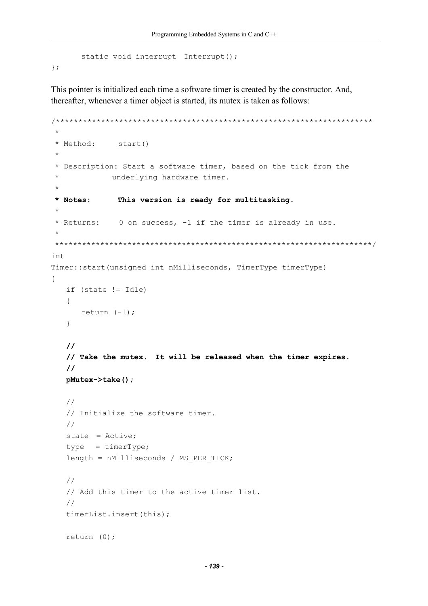```
static void interrupt Interrupt();
```
 $\}$ ;

This pointer is initialized each time a software timer is created by the constructor. And, thereafter, whenever a timer object is started, its mutex is taken as follows:

```
* Method: start()
* Description: Start a software timer, based on the tick from the
           underlying hardware timer.
\star* Notes:
            This version is ready for multitasking.
* Returns: 0 on success, -1 if the timer is already in use.
int
Timer::start(unsigned int nMilliseconds, TimerType timerType)
\{if (state != Idle)\left\{ \right.return (-1);
   \}\frac{1}{2}// Take the mutex. It will be released when the timer expires.
   \frac{1}{2}pMutes->take()\frac{1}{2}// Initialize the software timer.
   11state = Active;type = timerType;length = nMilliseconds / MS PER TICK;
   11// Add this timer to the active timer list.
   \frac{1}{2}timerList.insert(this);
   return (0);
```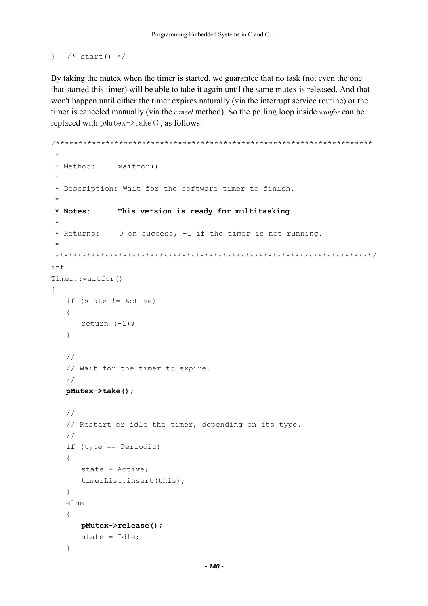$\}$  $/* start() */$ 

By taking the mutex when the timer is started, we guarantee that no task (not even the one that started this timer) will be able to take it again until the same mutex is released. And that won't happen until either the timer expires naturally (via the interrupt service routine) or the timer is canceled manually (via the *cancel* method). So the polling loop inside *waitfor* can be replaced with  $pMutex \rightarrow take()$ , as follows:

```
* Method:
              waitfor()* Description: Wait for the software timer to finish.
\starThis version is ready for multitasking.
* Notes:
               0 on success, -1 if the timer is not running.
* Returns:
int
Timer::waitfor()
\left\{ \right.if (state != Active)\left\{ \right.return (-1);
   \lambda\frac{1}{2}// Wait for the timer to expire.
   \frac{1}{2}pMutex->take();
   \frac{1}{2}// Restart or idle the timer, depending on its type.
   \frac{1}{2}if (type == Periodic)
   \left\{ \right.state = Active;timerList.insert(this);
   \lambdaelse
   \left\{ \right.pMutes \rightarrow release()state = Idle;\overline{\phantom{a}}
```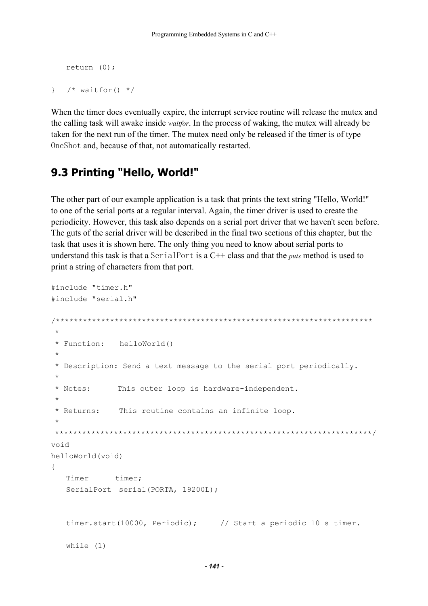```
return (0);
\left\{ \right./* waitfor() */
```
When the timer does eventually expire, the interrupt service routine will release the mutex and the calling task will awake inside *waitfor*. In the process of waking, the mutex will already be taken for the next run of the timer. The mutex need only be released if the timer is of type OneShot and, because of that, not automatically restarted.

### 9.3 Printing "Hello, World!"

The other part of our example application is a task that prints the text string "Hello, World!" to one of the serial ports at a regular interval. Again, the timer driver is used to create the periodicity. However, this task also depends on a serial port driver that we haven't seen before. The guts of the serial driver will be described in the final two sections of this chapter, but the task that uses it is shown here. The only thing you need to know about serial ports to understand this task is that a SerialPort is a  $C++$  class and that the *puts* method is used to print a string of characters from that port.

```
#include "timer.h"
#include "serial.h"
* Function:
           helloWorld()
* Description: Send a text message to the serial port periodically.
\star* Notes:
           This outer loop is hardware-independent.
           This routine contains an infinite loop.
* Returns:
void
helloWorld(void)
\left\{ \right.Timer
          timer;
  SerialPort serial(PORTA, 19200L);
  timer.start(10000, Periodic); // Start a periodic 10 s timer.
  while (1)
```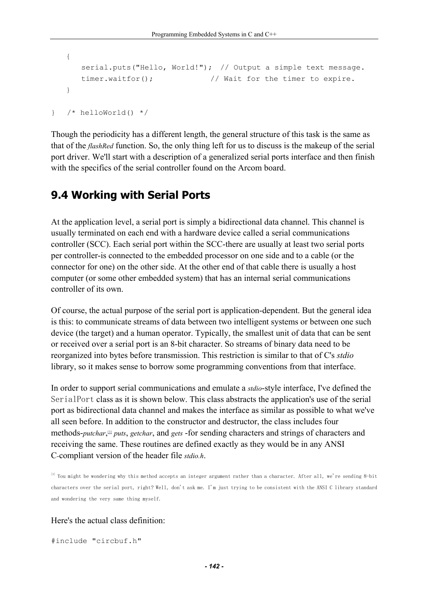```
 { 
      serial.puts("Hello, World!"); // Output a simple text message.
      timer.waitfor(); \frac{1}{2} // Wait for the timer to expire.
    } 
\} /* helloWorld() */
```
Though the periodicity has a different length, the general structure of this task is the same as that of the *flashRed* function. So, the only thing left for us to discuss is the makeup of the serial port driver. We'll start with a description of a generalized serial ports interface and then finish with the specifics of the serial controller found on the Arcom board.

## **9.4 Working with Serial Ports**

At the application level, a serial port is simply a bidirectional data channel. This channel is usually terminated on each end with a hardware device called a serial communications controller (SCC). Each serial port within the SCC-there are usually at least two serial ports per controller-is connected to the embedded processor on one side and to a cable (or the connector for one) on the other side. At the other end of that cable there is usually a host computer (or some other embedded system) that has an internal serial communications controller of its own.

Of course, the actual purpose of the serial port is application-dependent. But the general idea is this: to communicate streams of data between two intelligent systems or between one such device (the target) and a human operator. Typically, the smallest unit of data that can be sent or received over a serial port is an 8-bit character. So streams of binary data need to be reorganized into bytes before transmission. This restriction is similar to that of C's *stdio* library, so it makes sense to borrow some programming conventions from that interface.

In order to support serial communications and emulate a *stdio*-style interface, I've defined the SerialPort class as it is shown below. This class abstracts the application's use of the serial port as bidirectional data channel and makes the interface as similar as possible to what we've all seen before. In addition to the constructor and destructor, the class includes four methods-*putchar*, [3] *puts*, *getchar*, and *gets* -for sending characters and strings of characters and receiving the same. These routines are defined exactly as they would be in any ANSI C*-*compliant version of the header file *stdio.h*.

<sup>[3]</sup> You might be wondering why this method accepts an integer argument rather than a character. After all, we're sending 8-bit characters over the serial port, right? Well, don't ask me. I'm just trying to be consistent with the ANSI C library standard and wondering the very same thing myself.

#### Here's the actual class definition:

```
#include "circbuf.h"
```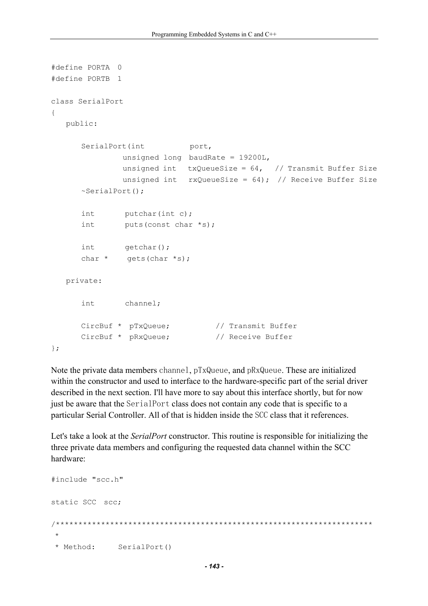```
#define PORTA 0 
#define PORTB 1 
class SerialPort 
{ 
    public: 
      SerialPort(int port,
               unsigned long baudRate = 19200L, 
              unsigned int txQueueSize = 64, // Transmit Buffer Size
              unsigned int rxOueueSize = 64); // Receive Buffer Size
       ~SerialPort(); 
       int putchar(int c); 
       int puts(const char *s); 
       int getchar(); 
      char * gets (char *s);
   private: 
       int channel; 
      CircBuf * pTxQueue; // Transmit Buffer
      CircBuf * pRxQueue; // Receive Buffer
};
```
Note the private data members channel, pTxQueue, and pRxQueue. These are initialized within the constructor and used to interface to the hardware-specific part of the serial driver described in the next section. I'll have more to say about this interface shortly, but for now just be aware that the SerialPort class does not contain any code that is specific to a particular Serial Controller. All of that is hidden inside the SCC class that it references.

Let's take a look at the *SerialPort* constructor. This routine is responsible for initializing the three private data members and configuring the requested data channel within the SCC hardware:

```
#include "scc.h" 
static SCC scc; 
/********************************************************************** 
 * 
  * Method: SerialPort()
```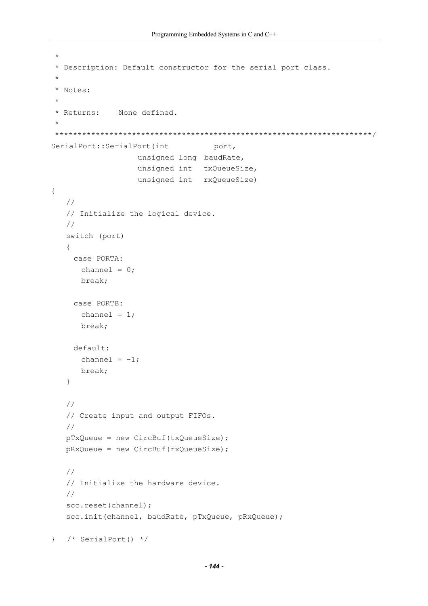\*

```
 * Description: Default constructor for the serial port class. 
 * 
  * Notes: 
 * 
  * Returns: None defined. 
 * 
  **********************************************************************/ 
SerialPort::SerialPort(int port,
                     unsigned long baudRate, 
                     unsigned int txQueueSize, 
                     unsigned int rxQueueSize) 
{ 
    // 
    // Initialize the logical device. 
    // 
    switch (port) 
    { 
      case PORTA: 
       channel = 0; break; 
      case PORTB: 
       channel = 1;
        break; 
      default: 
       channel = -1;
        break; 
    } 
    // 
    // Create input and output FIFOs. 
    // 
    pTxQueue = new CircBuf(txQueueSize); 
    pRxQueue = new CircBuf(rxQueueSize); 
    // 
    // Initialize the hardware device. 
    // 
    scc.reset(channel); 
   scc.init(channel, baudRate, pTxQueue, pRxQueue);
} /* SerialPort() */
```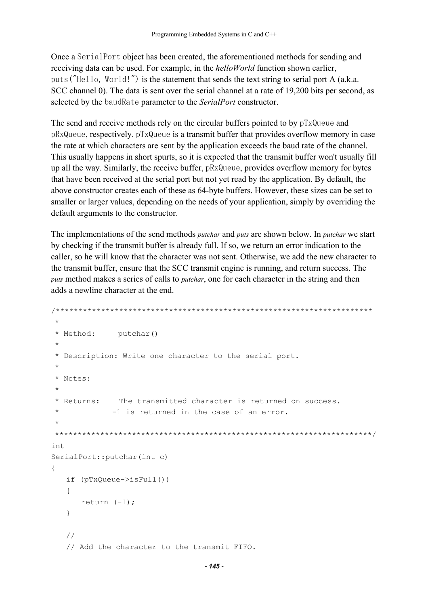Once a SerialPort object has been created, the aforementioned methods for sending and receiving data can be used. For example, in the *helloWorld* function shown earlier, puts("Hello, World!") is the statement that sends the text string to serial port A (a.k.a. SCC channel 0). The data is sent over the serial channel at a rate of 19,200 bits per second, as selected by the baudRate parameter to the *SerialPort* constructor.

The send and receive methods rely on the circular buffers pointed to by pTxQueue and pRxQueue, respectively. pTxQueue is a transmit buffer that provides overflow memory in case the rate at which characters are sent by the application exceeds the baud rate of the channel. This usually happens in short spurts, so it is expected that the transmit buffer won't usually fill up all the way. Similarly, the receive buffer, pRxQueue, provides overflow memory for bytes that have been received at the serial port but not yet read by the application. By default, the above constructor creates each of these as 64-byte buffers. However, these sizes can be set to smaller or larger values, depending on the needs of your application, simply by overriding the default arguments to the constructor.

The implementations of the send methods *putchar* and *puts* are shown below. In *putchar* we start by checking if the transmit buffer is already full. If so, we return an error indication to the caller, so he will know that the character was not sent. Otherwise, we add the new character to the transmit buffer, ensure that the SCC transmit engine is running, and return success. The *puts* method makes a series of calls to *putchar*, one for each character in the string and then adds a newline character at the end.

```
/********************************************************************** 
 * 
  * Method: putchar() 
 * 
  * Description: Write one character to the serial port. 
 * 
  * Notes: 
 * 
  * Returns: The transmitted character is returned on success. 
  * -1 is returned in the case of an error. 
 * 
  **********************************************************************/ 
int 
SerialPort::putchar(int c) 
{ 
    if (pTxQueue->isFull()) 
    { 
      return (-1);
    } 
    // 
    // Add the character to the transmit FIFO.
```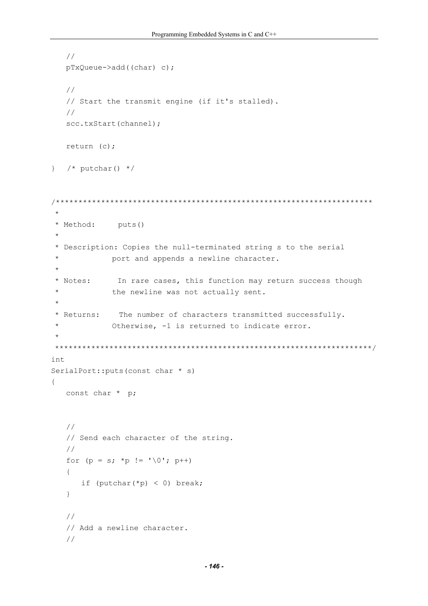```
 // 
    pTxQueue->add((char) c); 
    // 
    // Start the transmit engine (if it's stalled). 
    // 
    scc.txStart(channel); 
    return (c); 
} /* putchar() */
/********************************************************************** 
 * 
  * Method: puts() 
 * 
  * Description: Copies the null-terminated string s to the serial 
  * port and appends a newline character. 
 * 
  * Notes: In rare cases, this function may return success though 
  * the newline was not actually sent. 
 * 
  * Returns: The number of characters transmitted successfully. 
  * Otherwise, -1 is returned to indicate error. 
 * 
 **********************************************************************/ 
int 
SerialPort::puts(const char * s) 
{ 
    const char * p; 
    // 
    // Send each character of the string. 
    // 
   for (p = s; *p != '\\0'; p++) { 
       if (putchar(*p) < 0) break; 
    } 
    // 
    // Add a newline character. 
    //
```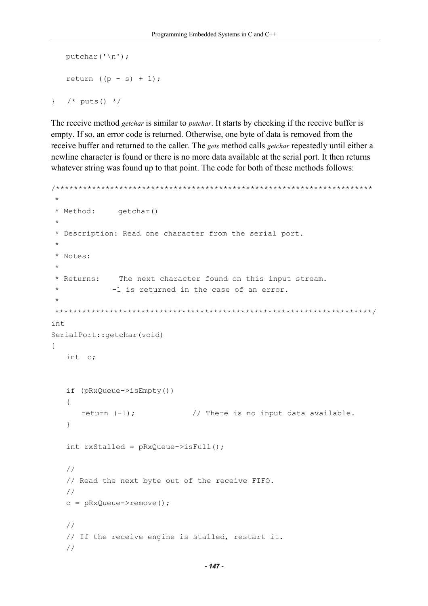```
 putchar('\n'); 
   return ((p - s) + 1);
} /* puts() */
```
The receive method *getchar* is similar to *putchar*. It starts by checking if the receive buffer is empty. If so, an error code is returned. Otherwise, one byte of data is removed from the receive buffer and returned to the caller. The *gets* method calls *getchar* repeatedly until either a newline character is found or there is no more data available at the serial port. It then returns whatever string was found up to that point. The code for both of these methods follows:

```
/********************************************************************** 
  * 
 * Method: getchar() 
 * 
  * Description: Read one character from the serial port. 
 * 
 * Notes: 
 * 
  * Returns: The next character found on this input stream. 
              -1 is returned in the case of an error.
  * 
 **********************************************************************/ 
int 
SerialPort::getchar(void) 
{ 
    int c; 
    if (pRxQueue->isEmpty()) 
    { 
       return (-1); // There is no input data available.
    } 
    int rxStalled = pRxQueue->isFull(); 
    // 
    // Read the next byte out of the receive FIFO. 
    // 
   c = pRxQueue->remove();
    // 
    // If the receive engine is stalled, restart it. 
    //
```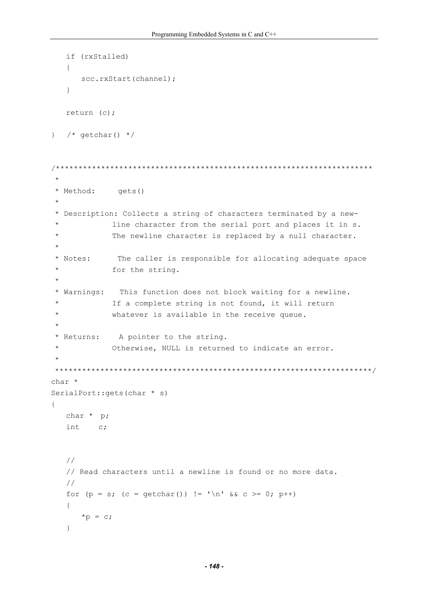```
 if (rxStalled) 
    { 
       scc.rxStart(channel); 
    } 
    return (c); 
\} /* getchar() */
/********************************************************************** 
 * 
 * Method: gets() 
 * 
 * Description: Collects a string of characters terminated by a new- 
             line character from the serial port and places it in s.
  * The newline character is replaced by a null character. 
 * 
 * Notes: The caller is responsible for allocating adequate space 
             for the string.
  * 
 * Warnings: This function does not block waiting for a newline. 
             If a complete string is not found, it will return
  * whatever is available in the receive queue. 
 * 
 * Returns: A pointer to the string. 
             Otherwise, NULL is returned to indicate an error.
 * 
 **********************************************************************/ 
char * 
SerialPort::gets(char * s) 
{ 
    char * p; 
    int c; 
    // 
    // Read characters until a newline is found or no more data. 
    // 
   for (p = s; (c = getchar()) != ' \n\times c >= 0; p++) { 
      *_{p} = c; }
```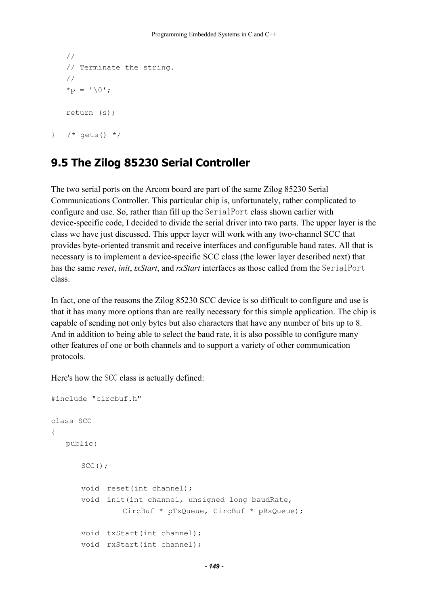```
 // 
     // Terminate the string. 
     // 
    *_{p} = ' \setminus 0';
     return (s); 
} /* qets() */
```
## **9.5 The Zilog 85230 Serial Controller**

The two serial ports on the Arcom board are part of the same Zilog 85230 Serial Communications Controller. This particular chip is, unfortunately, rather complicated to configure and use. So, rather than fill up the SerialPort class shown earlier with device-specific code, I decided to divide the serial driver into two parts. The upper layer is the class we have just discussed. This upper layer will work with any two-channel SCC that provides byte-oriented transmit and receive interfaces and configurable baud rates. All that is necessary is to implement a device-specific SCC class (the lower layer described next) that has the same *reset*, *init*, *txStart*, and *rxStart* interfaces as those called from the SerialPort class.

In fact, one of the reasons the Zilog 85230 SCC device is so difficult to configure and use is that it has many more options than are really necessary for this simple application. The chip is capable of sending not only bytes but also characters that have any number of bits up to 8. And in addition to being able to select the baud rate, it is also possible to configure many other features of one or both channels and to support a variety of other communication protocols.

Here's how the SCC class is actually defined:

```
#include "circbuf.h" 
class SCC 
{ 
    public: 
       SCC();
       void reset(int channel);
        void init(int channel, unsigned long baudRate, 
                  CircBuf * pTxQueue, CircBuf * pRxQueue); 
        void txStart(int channel); 
       void rxStart(int channel);
```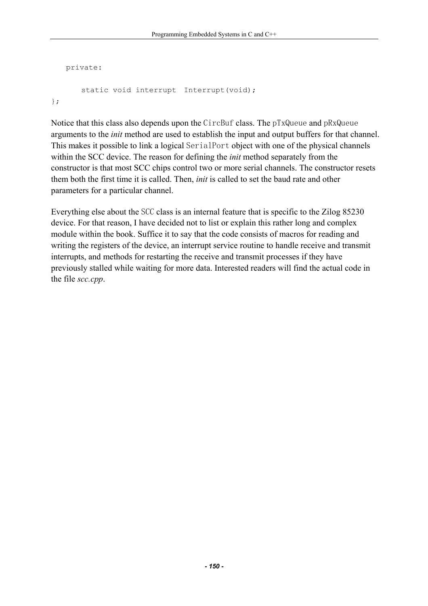```
 private: 
       static void interrupt Interrupt (void);
};
```
Notice that this class also depends upon the CircBuf class. The pTxQueue and pRxQueue arguments to the *init* method are used to establish the input and output buffers for that channel. This makes it possible to link a logical SerialPort object with one of the physical channels within the SCC device. The reason for defining the *init* method separately from the constructor is that most SCC chips control two or more serial channels. The constructor resets them both the first time it is called. Then, *init* is called to set the baud rate and other parameters for a particular channel.

Everything else about the SCC class is an internal feature that is specific to the Zilog 85230 device. For that reason, I have decided not to list or explain this rather long and complex module within the book. Suffice it to say that the code consists of macros for reading and writing the registers of the device, an interrupt service routine to handle receive and transmit interrupts, and methods for restarting the receive and transmit processes if they have previously stalled while waiting for more data. Interested readers will find the actual code in the file *scc.cpp*.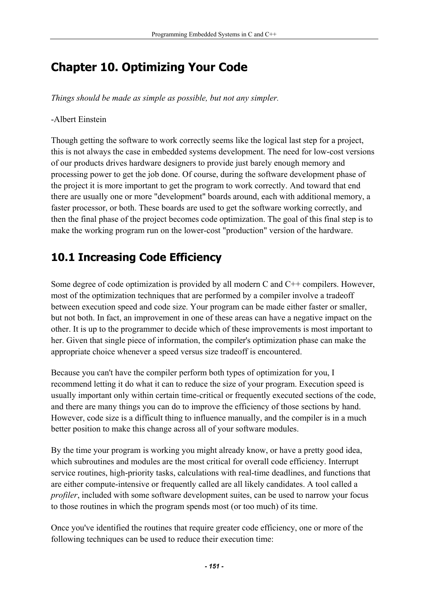# **Chapter 10. Optimizing Your Code**

*Things should be made as simple as possible, but not any simpler.*

## -Albert Einstein

Though getting the software to work correctly seems like the logical last step for a project, this is not always the case in embedded systems development. The need for low-cost versions of our products drives hardware designers to provide just barely enough memory and processing power to get the job done. Of course, during the software development phase of the project it is more important to get the program to work correctly. And toward that end there are usually one or more "development" boards around, each with additional memory, a faster processor, or both. These boards are used to get the software working correctly, and then the final phase of the project becomes code optimization. The goal of this final step is to make the working program run on the lower-cost "production" version of the hardware.

# **10.1 Increasing Code Efficiency**

Some degree of code optimization is provided by all modern C and C++ compilers. However, most of the optimization techniques that are performed by a compiler involve a tradeoff between execution speed and code size. Your program can be made either faster or smaller, but not both. In fact, an improvement in one of these areas can have a negative impact on the other. It is up to the programmer to decide which of these improvements is most important to her. Given that single piece of information, the compiler's optimization phase can make the appropriate choice whenever a speed versus size tradeoff is encountered.

Because you can't have the compiler perform both types of optimization for you, I recommend letting it do what it can to reduce the size of your program. Execution speed is usually important only within certain time-critical or frequently executed sections of the code, and there are many things you can do to improve the efficiency of those sections by hand. However, code size is a difficult thing to influence manually, and the compiler is in a much better position to make this change across all of your software modules.

By the time your program is working you might already know, or have a pretty good idea, which subroutines and modules are the most critical for overall code efficiency. Interrupt service routines, high-priority tasks, calculations with real-time deadlines, and functions that are either compute-intensive or frequently called are all likely candidates. A tool called a *profiler*, included with some software development suites, can be used to narrow your focus to those routines in which the program spends most (or too much) of its time.

Once you've identified the routines that require greater code efficiency, one or more of the following techniques can be used to reduce their execution time: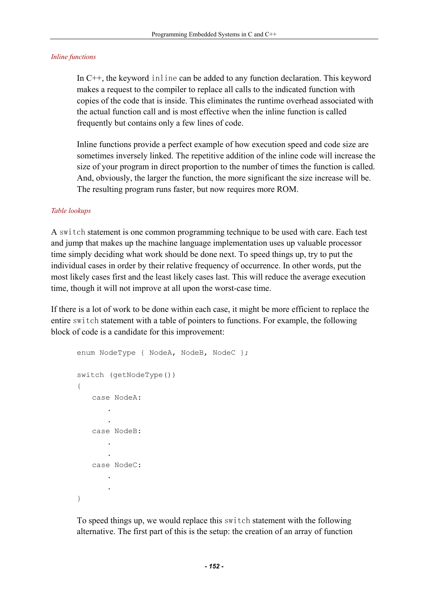#### *Inline functions*

In C++, the keyword inline can be added to any function declaration. This keyword makes a request to the compiler to replace all calls to the indicated function with copies of the code that is inside. This eliminates the runtime overhead associated with the actual function call and is most effective when the inline function is called frequently but contains only a few lines of code.

Inline functions provide a perfect example of how execution speed and code size are sometimes inversely linked. The repetitive addition of the inline code will increase the size of your program in direct proportion to the number of times the function is called. And, obviously, the larger the function, the more significant the size increase will be. The resulting program runs faster, but now requires more ROM.

#### *Table lookups*

A switch statement is one common programming technique to be used with care. Each test and jump that makes up the machine language implementation uses up valuable processor time simply deciding what work should be done next. To speed things up, try to put the individual cases in order by their relative frequency of occurrence. In other words, put the most likely cases first and the least likely cases last. This will reduce the average execution time, though it will not improve at all upon the worst-case time.

If there is a lot of work to be done within each case, it might be more efficient to replace the entire switch statement with a table of pointers to functions. For example, the following block of code is a candidate for this improvement:

```
enum NodeType { NodeA, NodeB, NodeC };
switch (getNodeType()) 
{ 
   case NodeA: 
 . 
 . 
   case NodeB: 
 . 
 . 
   case NodeC: 
 . 
 . 
}
```
To speed things up, we would replace this switch statement with the following alternative. The first part of this is the setup: the creation of an array of function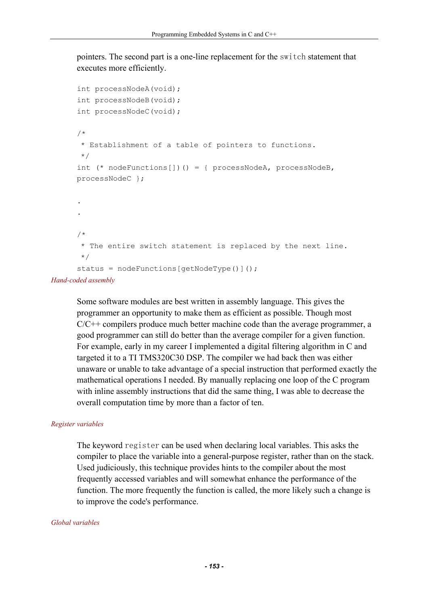pointers. The second part is a one-line replacement for the switch statement that executes more efficiently.

```
int processNodeA(void); 
int processNodeB(void); 
int processNodeC(void); 
/* 
 * Establishment of a table of pointers to functions. 
 */ 
int (* nodeFunctions[])() = { processNodeA, processNodeB, 
processNodeC }; 
. 
. 
/* 
 * The entire switch statement is replaced by the next line. 
 */ 
status = nodeFunctions[getNodeType()]();
```
*Hand-coded assembly*

Some software modules are best written in assembly language. This gives the programmer an opportunity to make them as efficient as possible. Though most  $C/C++$  compilers produce much better machine code than the average programmer, a good programmer can still do better than the average compiler for a given function. For example, early in my career I implemented a digital filtering algorithm in C and targeted it to a TI TMS320C30 DSP. The compiler we had back then was either unaware or unable to take advantage of a special instruction that performed exactly the mathematical operations I needed. By manually replacing one loop of the C program with inline assembly instructions that did the same thing, I was able to decrease the overall computation time by more than a factor of ten.

#### *Register variables*

The keyword register can be used when declaring local variables. This asks the compiler to place the variable into a general-purpose register, rather than on the stack. Used judiciously, this technique provides hints to the compiler about the most frequently accessed variables and will somewhat enhance the performance of the function. The more frequently the function is called, the more likely such a change is to improve the code's performance.

#### *Global variables*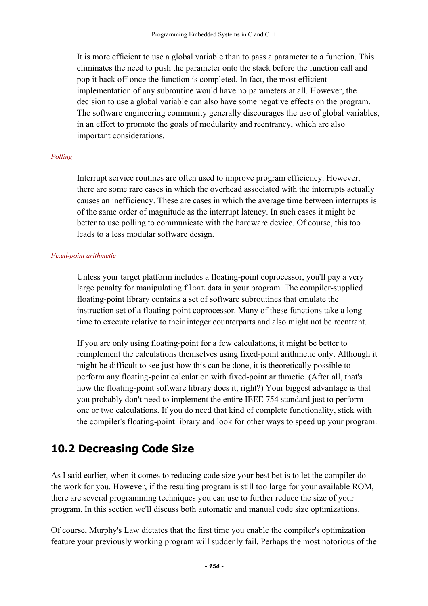It is more efficient to use a global variable than to pass a parameter to a function. This eliminates the need to push the parameter onto the stack before the function call and pop it back off once the function is completed. In fact, the most efficient implementation of any subroutine would have no parameters at all. However, the decision to use a global variable can also have some negative effects on the program. The software engineering community generally discourages the use of global variables, in an effort to promote the goals of modularity and reentrancy, which are also important considerations.

### *Polling*

Interrupt service routines are often used to improve program efficiency. However, there are some rare cases in which the overhead associated with the interrupts actually causes an inefficiency. These are cases in which the average time between interrupts is of the same order of magnitude as the interrupt latency. In such cases it might be better to use polling to communicate with the hardware device. Of course, this too leads to a less modular software design.

#### *Fixed-point arithmetic*

Unless your target platform includes a floating-point coprocessor, you'll pay a very large penalty for manipulating float data in your program. The compiler-supplied floating-point library contains a set of software subroutines that emulate the instruction set of a floating-point coprocessor. Many of these functions take a long time to execute relative to their integer counterparts and also might not be reentrant.

If you are only using floating-point for a few calculations, it might be better to reimplement the calculations themselves using fixed-point arithmetic only. Although it might be difficult to see just how this can be done, it is theoretically possible to perform any floating-point calculation with fixed-point arithmetic. (After all, that's how the floating-point software library does it, right?) Your biggest advantage is that you probably don't need to implement the entire IEEE 754 standard just to perform one or two calculations. If you do need that kind of complete functionality, stick with the compiler's floating-point library and look for other ways to speed up your program.

# **10.2 Decreasing Code Size**

As I said earlier, when it comes to reducing code size your best bet is to let the compiler do the work for you. However, if the resulting program is still too large for your available ROM, there are several programming techniques you can use to further reduce the size of your program. In this section we'll discuss both automatic and manual code size optimizations.

Of course, Murphy's Law dictates that the first time you enable the compiler's optimization feature your previously working program will suddenly fail. Perhaps the most notorious of the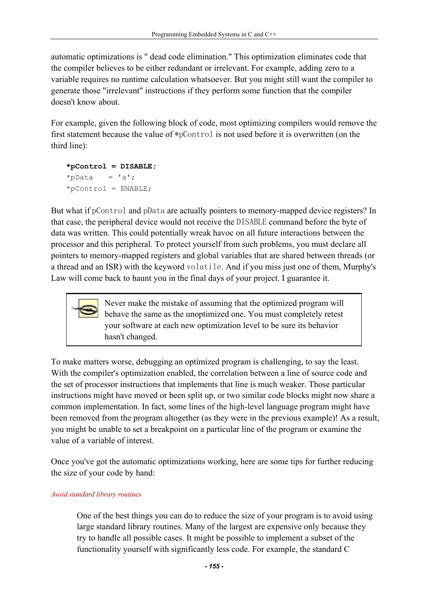automatic optimizations is " dead code elimination." This optimization eliminates code that the compiler believes to be either redundant or irrelevant. For example, adding zero to a variable requires no runtime calculation whatsoever. But you might still want the compiler to generate those "irrelevant" instructions if they perform some function that the compiler doesn't know about.

For example, given the following block of code, most optimizing compilers would remove the first statement because the value of \*pControl is not used before it is overwritten (on the third line):

```
 *pControl = DISABLE;
*pData = 'a;
*pControl = ENABLE;
```
But what if pControl and pData are actually pointers to memory-mapped device registers? In that case, the peripheral device would not receive the DISABLE command before the byte of data was written. This could potentially wreak havoc on all future interactions between the processor and this peripheral. To protect yourself from such problems, you must declare all pointers to memory-mapped registers and global variables that are shared between threads (or a thread and an ISR) with the keyword volatile. And if you miss just one of them, Murphy's Law will come back to haunt you in the final days of your project. I guarantee it.

> Never make the mistake of assuming that the optimized program will behave the same as the unoptimized one. You must completely retest your software at each new optimization level to be sure its behavior hasn't changed.

To make matters worse, debugging an optimized program is challenging, to say the least. With the compiler's optimization enabled, the correlation between a line of source code and the set of processor instructions that implements that line is much weaker. Those particular instructions might have moved or been split up, or two similar code blocks might now share a common implementation. In fact, some lines of the high-level language program might have been removed from the program altogether (as they were in the previous example)! As a result, you might be unable to set a breakpoint on a particular line of the program or examine the value of a variable of interest.

Once you've got the automatic optimizations working, here are some tips for further reducing the size of your code by hand:

#### *Avoid standard library routines*

One of the best things you can do to reduce the size of your program is to avoid using large standard library routines. Many of the largest are expensive only because they try to handle all possible cases. It might be possible to implement a subset of the functionality yourself with significantly less code. For example, the standard C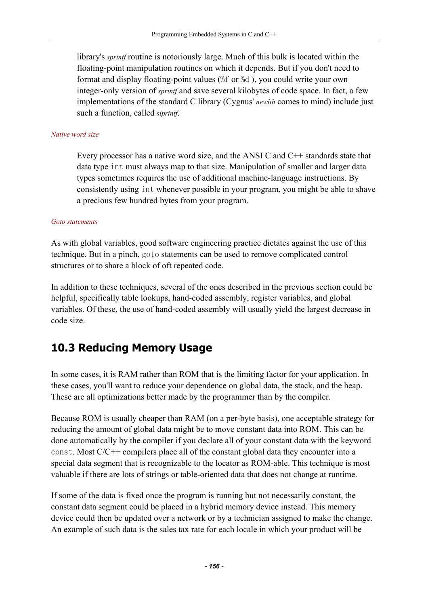library's *sprintf* routine is notoriously large. Much of this bulk is located within the floating-point manipulation routines on which it depends. But if you don't need to format and display floating-point values (%f or %d ), you could write your own integer-only version of *sprintf* and save several kilobytes of code space. In fact, a few implementations of the standard C library (Cygnus' *newlib* comes to mind) include just such a function, called *siprintf*.

#### *Native word size*

Every processor has a native word size, and the ANSI C and C++ standards state that data type int must always map to that size. Manipulation of smaller and larger data types sometimes requires the use of additional machine-language instructions. By consistently using int whenever possible in your program, you might be able to shave a precious few hundred bytes from your program.

#### *Goto statements*

As with global variables, good software engineering practice dictates against the use of this technique. But in a pinch, goto statements can be used to remove complicated control structures or to share a block of oft repeated code.

In addition to these techniques, several of the ones described in the previous section could be helpful, specifically table lookups, hand-coded assembly, register variables, and global variables. Of these, the use of hand-coded assembly will usually yield the largest decrease in code size.

# **10.3 Reducing Memory Usage**

In some cases, it is RAM rather than ROM that is the limiting factor for your application. In these cases, you'll want to reduce your dependence on global data, the stack, and the heap. These are all optimizations better made by the programmer than by the compiler.

Because ROM is usually cheaper than RAM (on a per-byte basis), one acceptable strategy for reducing the amount of global data might be to move constant data into ROM. This can be done automatically by the compiler if you declare all of your constant data with the keyword const. Most  $C/C++$  compilers place all of the constant global data they encounter into a special data segment that is recognizable to the locator as ROM-able. This technique is most valuable if there are lots of strings or table-oriented data that does not change at runtime.

If some of the data is fixed once the program is running but not necessarily constant, the constant data segment could be placed in a hybrid memory device instead. This memory device could then be updated over a network or by a technician assigned to make the change. An example of such data is the sales tax rate for each locale in which your product will be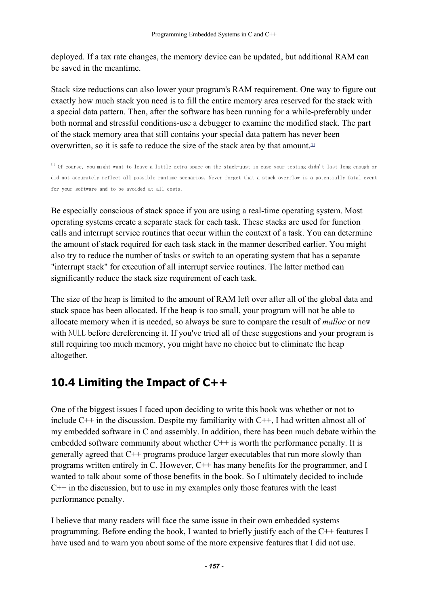deployed. If a tax rate changes, the memory device can be updated, but additional RAM can be saved in the meantime.

Stack size reductions can also lower your program's RAM requirement. One way to figure out exactly how much stack you need is to fill the entire memory area reserved for the stack with a special data pattern. Then, after the software has been running for a while-preferably under both normal and stressful conditions-use a debugger to examine the modified stack. The part of the stack memory area that still contains your special data pattern has never been overwritten, so it is safe to reduce the size of the stack area by that amount. $\mathbb{I}$ 

[1] Of course, you might want to leave a little extra space on the stack-just in case your testing didn't last long enough or did not accurately reflect all possible runtime scenarios. Never forget that a stack overflow is a potentially fatal event for your software and to be avoided at all costs.

Be especially conscious of stack space if you are using a real-time operating system. Most operating systems create a separate stack for each task. These stacks are used for function calls and interrupt service routines that occur within the context of a task. You can determine the amount of stack required for each task stack in the manner described earlier. You might also try to reduce the number of tasks or switch to an operating system that has a separate "interrupt stack" for execution of all interrupt service routines. The latter method can significantly reduce the stack size requirement of each task.

The size of the heap is limited to the amount of RAM left over after all of the global data and stack space has been allocated. If the heap is too small, your program will not be able to allocate memory when it is needed, so always be sure to compare the result of *malloc* or new with NULL before dereferencing it. If you've tried all of these suggestions and your program is still requiring too much memory, you might have no choice but to eliminate the heap altogether.

# **10.4 Limiting the Impact of C++**

One of the biggest issues I faced upon deciding to write this book was whether or not to include  $C_{++}$  in the discussion. Despite my familiarity with  $C_{++}$ , I had written almost all of my embedded software in C and assembly. In addition, there has been much debate within the embedded software community about whether  $C++$  is worth the performance penalty. It is generally agreed that C++ programs produce larger executables that run more slowly than programs written entirely in C. However, C++ has many benefits for the programmer, and I wanted to talk about some of those benefits in the book. So I ultimately decided to include C++ in the discussion, but to use in my examples only those features with the least performance penalty.

I believe that many readers will face the same issue in their own embedded systems programming. Before ending the book, I wanted to briefly justify each of the C++ features I have used and to warn you about some of the more expensive features that I did not use.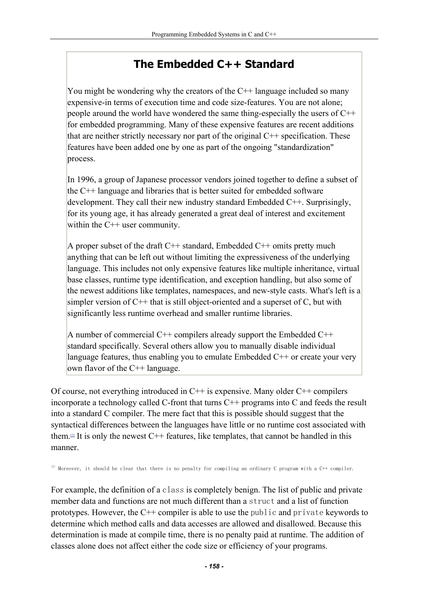# **The Embedded C++ Standard**

You might be wondering why the creators of the  $C++$  language included so many expensive-in terms of execution time and code size-features. You are not alone; people around the world have wondered the same thing-especially the users of  $C^{++}$ for embedded programming. Many of these expensive features are recent additions that are neither strictly necessary nor part of the original  $C++$  specification. These features have been added one by one as part of the ongoing "standardization" process.

In 1996, a group of Japanese processor vendors joined together to define a subset of the C++ language and libraries that is better suited for embedded software development. They call their new industry standard Embedded C++. Surprisingly, for its young age, it has already generated a great deal of interest and excitement within the C<sup>++</sup> user community.

A proper subset of the draft  $C++$  standard, Embedded  $C++$  omits pretty much anything that can be left out without limiting the expressiveness of the underlying language. This includes not only expensive features like multiple inheritance, virtual base classes, runtime type identification, and exception handling, but also some of the newest additions like templates, namespaces, and new-style casts. What's left is a simpler version of  $C++$  that is still object-oriented and a superset of C, but with significantly less runtime overhead and smaller runtime libraries.

A number of commercial  $C++$  compilers already support the Embedded  $C++$ standard specifically. Several others allow you to manually disable individual language features, thus enabling you to emulate Embedded  $C++$  or create your very own flavor of the C++ language.

Of course, not everything introduced in C++ is expensive. Many older C++ compilers incorporate a technology called C-front that turns  $C^{++}$  programs into C and feeds the result into a standard C compiler. The mere fact that this is possible should suggest that the syntactical differences between the languages have little or no runtime cost associated with them.<sup>[2]</sup> It is only the newest  $C++$  features, like templates, that cannot be handled in this manner.

 $[2]$  Moreover, it should be clear that there is no penalty for compiling an ordinary C program with a C++ compiler.

For example, the definition of a class is completely benign. The list of public and private member data and functions are not much different than a struct and a list of function prototypes. However, the C++ compiler is able to use the public and private keywords to determine which method calls and data accesses are allowed and disallowed. Because this determination is made at compile time, there is no penalty paid at runtime. The addition of classes alone does not affect either the code size or efficiency of your programs.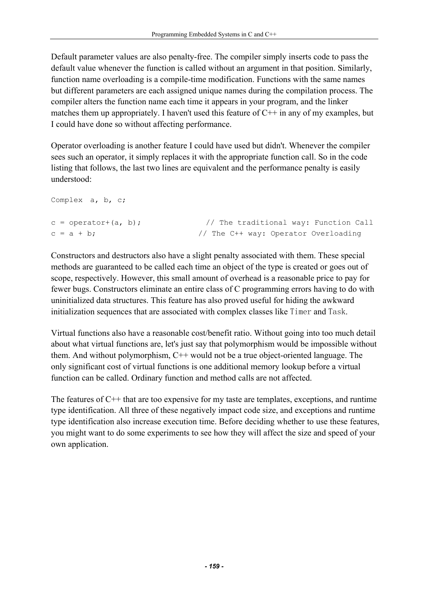Default parameter values are also penalty-free. The compiler simply inserts code to pass the default value whenever the function is called without an argument in that position. Similarly, function name overloading is a compile-time modification. Functions with the same names but different parameters are each assigned unique names during the compilation process. The compiler alters the function name each time it appears in your program, and the linker matches them up appropriately. I haven't used this feature of  $C++$  in any of my examples, but I could have done so without affecting performance.

Operator overloading is another feature I could have used but didn't. Whenever the compiler sees such an operator, it simply replaces it with the appropriate function call. So in the code listing that follows, the last two lines are equivalent and the performance penalty is easily understood:

| Complex $a, b, c;$     |                                       |
|------------------------|---------------------------------------|
| $c = operator+(a, b);$ | // The traditional way: Function Call |
| $c = a + b$ ;          | // The C++ way: Operator Overloading  |

Constructors and destructors also have a slight penalty associated with them. These special methods are guaranteed to be called each time an object of the type is created or goes out of scope, respectively. However, this small amount of overhead is a reasonable price to pay for fewer bugs. Constructors eliminate an entire class of C programming errors having to do with uninitialized data structures. This feature has also proved useful for hiding the awkward initialization sequences that are associated with complex classes like Timer and Task.

Virtual functions also have a reasonable cost/benefit ratio. Without going into too much detail about what virtual functions are, let's just say that polymorphism would be impossible without them. And without polymorphism, C++ would not be a true object-oriented language. The only significant cost of virtual functions is one additional memory lookup before a virtual function can be called. Ordinary function and method calls are not affected.

The features of C++ that are too expensive for my taste are templates, exceptions, and runtime type identification. All three of these negatively impact code size, and exceptions and runtime type identification also increase execution time. Before deciding whether to use these features, you might want to do some experiments to see how they will affect the size and speed of your own application.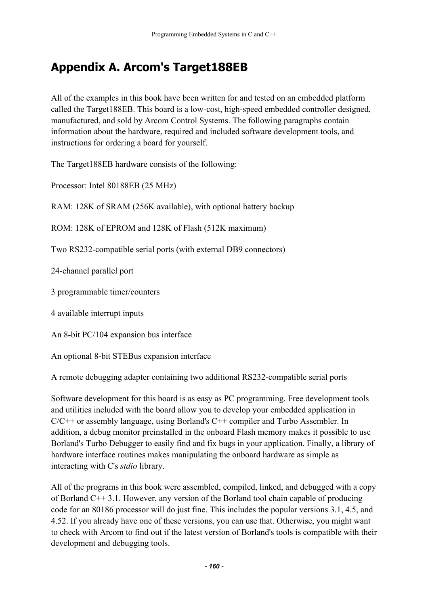# **Appendix A. Arcom's Target188EB**

All of the examples in this book have been written for and tested on an embedded platform called the Target188EB. This board is a low-cost, high-speed embedded controller designed, manufactured, and sold by Arcom Control Systems. The following paragraphs contain information about the hardware, required and included software development tools, and instructions for ordering a board for yourself.

The Target188EB hardware consists of the following:

Processor: Intel 80188EB (25 MHz)

RAM: 128K of SRAM (256K available), with optional battery backup

ROM: 128K of EPROM and 128K of Flash (512K maximum)

Two RS232-compatible serial ports (with external DB9 connectors)

24-channel parallel port

3 programmable timer/counters

4 available interrupt inputs

An 8-bit PC/104 expansion bus interface

An optional 8-bit STEBus expansion interface

A remote debugging adapter containing two additional RS232-compatible serial ports

Software development for this board is as easy as PC programming. Free development tools and utilities included with the board allow you to develop your embedded application in C/C++ or assembly language, using Borland's C++ compiler and Turbo Assembler. In addition, a debug monitor preinstalled in the onboard Flash memory makes it possible to use Borland's Turbo Debugger to easily find and fix bugs in your application. Finally, a library of hardware interface routines makes manipulating the onboard hardware as simple as interacting with C's *stdio* library.

All of the programs in this book were assembled, compiled, linked, and debugged with a copy of Borland C++ 3.1. However, any version of the Borland tool chain capable of producing code for an 80186 processor will do just fine. This includes the popular versions 3.1, 4.5, and 4.52. If you already have one of these versions, you can use that. Otherwise, you might want to check with Arcom to find out if the latest version of Borland's tools is compatible with their development and debugging tools.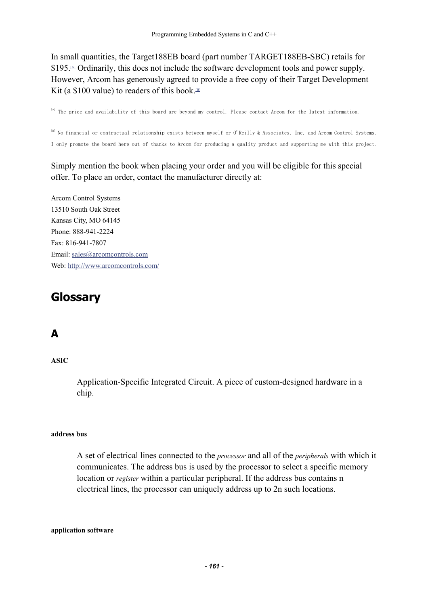In small quantities, the Target188EB board (part number TARGET188EB-SBC) retails for  $$195<sub>4</sub>$  Ordinarily, this does not include the software development tools and power supply. However, Arcom has generously agreed to provide a free copy of their Target Development Kit (a \$100 value) to readers of this book.<sup>[B]</sup>

[A] The price and availability of this board are beyond my control. Please contact Arcom for the latest information.

[B] No financial or contractual relationship exists between myself or O'Reilly & Associates, Inc. and Arcom Control Systems. I only promote the board here out of thanks to Arcom for producing a quality product and supporting me with this project.

## Simply mention the book when placing your order and you will be eligible for this special offer. To place an order, contact the manufacturer directly at:

Arcom Control Systems 13510 South Oak Street Kansas City, MO 64145 Phone: 888-941-2224 Fax: 816-941-7807 Email: sales@arcomcontrols.com Web: http://www.arcomcontrols.com/

# **Glossary**

# **A**

### **ASIC**

Application-Specific Integrated Circuit. A piece of custom-designed hardware in a chip.

#### **address bus**

A set of electrical lines connected to the *processor* and all of the *peripherals* with which it communicates. The address bus is used by the processor to select a specific memory location or *register* within a particular peripheral. If the address bus contains n electrical lines, the processor can uniquely address up to 2n such locations.

#### **application software**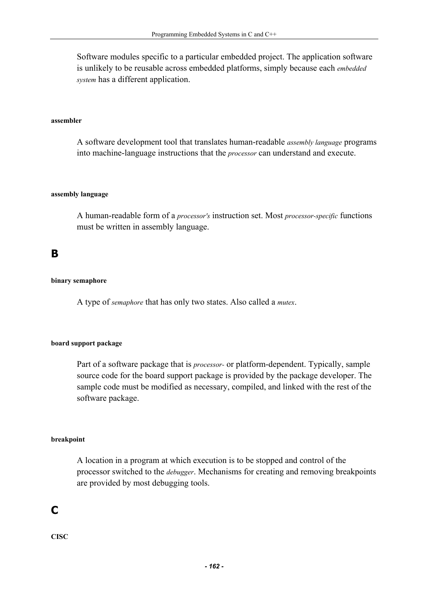Software modules specific to a particular embedded project. The application software is unlikely to be reusable across embedded platforms, simply because each *embedded system* has a different application.

#### **assembler**

A software development tool that translates human-readable *assembly language* programs into machine-language instructions that the *processor* can understand and execute.

#### **assembly language**

A human-readable form of a *processor's* instruction set. Most *processor-specific* functions must be written in assembly language.

## **B**

#### **binary semaphore**

A type of *semaphore* that has only two states. Also called a *mutex*.

#### **board support package**

Part of a software package that is *processor-* or platform-dependent. Typically, sample source code for the board support package is provided by the package developer. The sample code must be modified as necessary, compiled, and linked with the rest of the software package.

#### **breakpoint**

A location in a program at which execution is to be stopped and control of the processor switched to the *debugger*. Mechanisms for creating and removing breakpoints are provided by most debugging tools.

## **C**

**CISC**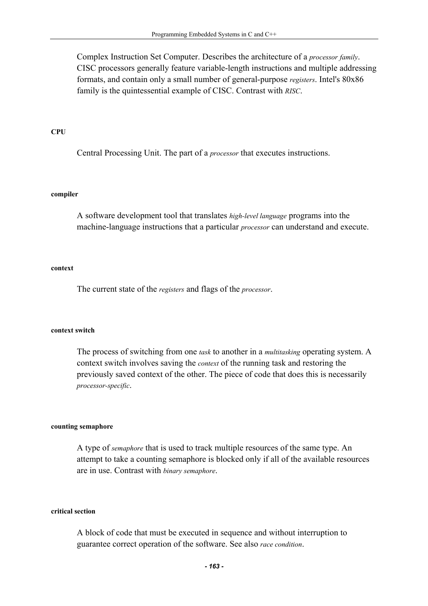Complex Instruction Set Computer. Describes the architecture of a *processor family*. CISC processors generally feature variable-length instructions and multiple addressing formats, and contain only a small number of general-purpose *registers*. Intel's 80x86 family is the quintessential example of CISC. Contrast with *RISC*.

#### **CPU**

Central Processing Unit. The part of a *processor* that executes instructions.

#### **compiler**

A software development tool that translates *high-level language* programs into the machine-language instructions that a particular *processor* can understand and execute.

#### **context**

The current state of the *registers* and flags of the *processor*.

#### **context switch**

The process of switching from one *task* to another in a *multitasking* operating system. A context switch involves saving the *context* of the running task and restoring the previously saved context of the other. The piece of code that does this is necessarily *processor-specific*.

#### **counting semaphore**

A type of *semaphore* that is used to track multiple resources of the same type. An attempt to take a counting semaphore is blocked only if all of the available resources are in use. Contrast with *binary semaphore*.

#### **critical section**

A block of code that must be executed in sequence and without interruption to guarantee correct operation of the software. See also *race condition*.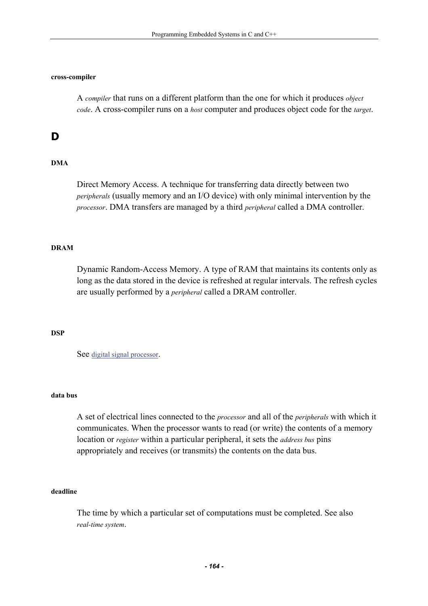#### **cross-compiler**

A *compiler* that runs on a different platform than the one for which it produces *object code*. A cross-compiler runs on a *host* computer and produces object code for the *target*.

## **D**

#### **DMA**

Direct Memory Access. A technique for transferring data directly between two *peripherals* (usually memory and an I/O device) with only minimal intervention by the *processor*. DMA transfers are managed by a third *peripheral* called a DMA controller.

#### **DRAM**

Dynamic Random-Access Memory. A type of RAM that maintains its contents only as long as the data stored in the device is refreshed at regular intervals. The refresh cycles are usually performed by a *peripheral* called a DRAM controller.

#### **DSP**

See digital signal processor.

#### **data bus**

A set of electrical lines connected to the *processor* and all of the *peripherals* with which it communicates. When the processor wants to read (or write) the contents of a memory location or *register* within a particular peripheral, it sets the *address bus* pins appropriately and receives (or transmits) the contents on the data bus.

#### **deadline**

The time by which a particular set of computations must be completed. See also *real-time system*.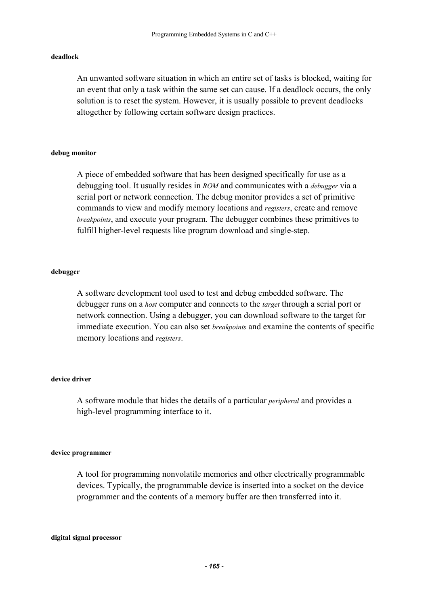#### **deadlock**

An unwanted software situation in which an entire set of tasks is blocked, waiting for an event that only a task within the same set can cause. If a deadlock occurs, the only solution is to reset the system. However, it is usually possible to prevent deadlocks altogether by following certain software design practices.

#### **debug monitor**

A piece of embedded software that has been designed specifically for use as a debugging tool. It usually resides in *ROM* and communicates with a *debugger* via a serial port or network connection. The debug monitor provides a set of primitive commands to view and modify memory locations and *registers*, create and remove *breakpoints*, and execute your program. The debugger combines these primitives to fulfill higher-level requests like program download and single-step.

#### **debugger**

A software development tool used to test and debug embedded software. The debugger runs on a *host* computer and connects to the *target* through a serial port or network connection. Using a debugger, you can download software to the target for immediate execution. You can also set *breakpoints* and examine the contents of specific memory locations and *registers*.

#### **device driver**

A software module that hides the details of a particular *peripheral* and provides a high-level programming interface to it.

#### **device programmer**

A tool for programming nonvolatile memories and other electrically programmable devices. Typically, the programmable device is inserted into a socket on the device programmer and the contents of a memory buffer are then transferred into it.

#### **digital signal processor**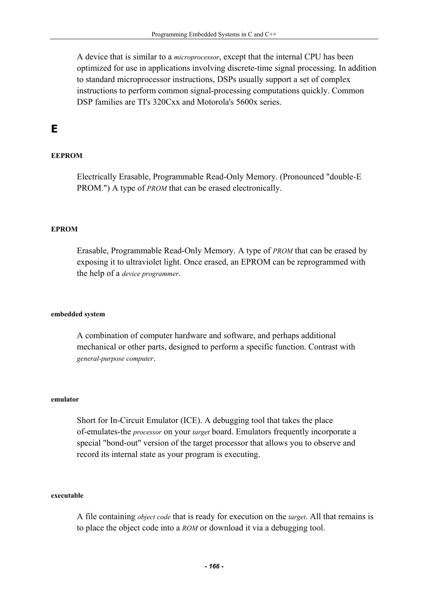A device that is similar to a *microprocessor*, except that the internal CPU has been optimized for use in applications involving discrete-time signal processing. In addition to standard microprocessor instructions, DSPs usually support a set of complex instructions to perform common signal-processing computations quickly. Common DSP families are TI's 320Cxx and Motorola's 5600x series.

## **E**

#### **EEPROM**

Electrically Erasable, Programmable Read-Only Memory. (Pronounced "double-E PROM.") A type of *PROM* that can be erased electronically.

#### **EPROM**

Erasable, Programmable Read-Only Memory. A type of *PROM* that can be erased by exposing it to ultraviolet light. Once erased, an EPROM can be reprogrammed with the help of a *device programmer*.

#### **embedded system**

A combination of computer hardware and software, and perhaps additional mechanical or other parts, designed to perform a specific function. Contrast with *general-purpose computer*.

#### **emulator**

Short for In-Circuit Emulator (ICE). A debugging tool that takes the place of-emulates-the *processor* on your *target* board. Emulators frequently incorporate a special "bond-out" version of the target processor that allows you to observe and record its internal state as your program is executing.

#### **executable**

A file containing *object code* that is ready for execution on the *target*. All that remains is to place the object code into a *ROM* or download it via a debugging tool.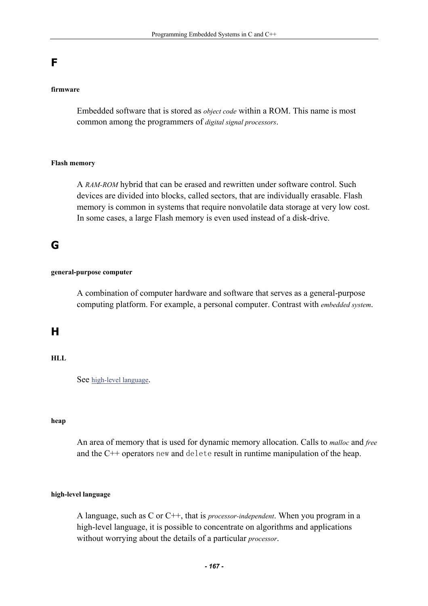## **F**

#### **firmware**

Embedded software that is stored as *object code* within a ROM. This name is most common among the programmers of *digital signal processors*.

#### **Flash memory**

A *RAM-ROM* hybrid that can be erased and rewritten under software control. Such devices are divided into blocks, called sectors, that are individually erasable. Flash memory is common in systems that require nonvolatile data storage at very low cost. In some cases, a large Flash memory is even used instead of a disk-drive.

## **G**

#### **general-purpose computer**

A combination of computer hardware and software that serves as a general-purpose computing platform. For example, a personal computer. Contrast with *embedded system*.

## **H**

### **HLL**

See high-level language.

#### **heap**

An area of memory that is used for dynamic memory allocation. Calls to *malloc* and *free* and the C++ operators new and delete result in runtime manipulation of the heap.

#### **high-level language**

A language, such as C or C++, that is *processor-independent*. When you program in a high-level language, it is possible to concentrate on algorithms and applications without worrying about the details of a particular *processor*.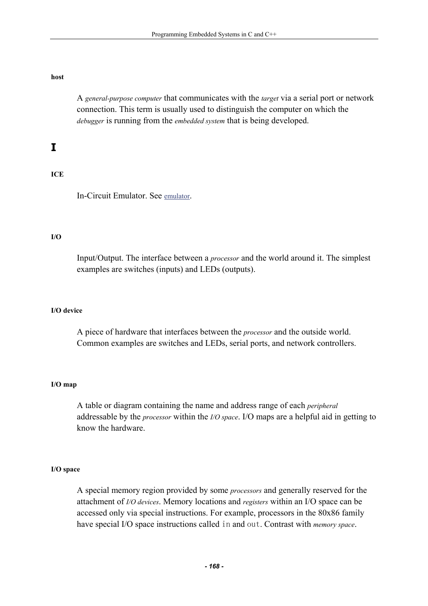#### **host**

A *general-purpose computer* that communicates with the *target* via a serial port or network connection. This term is usually used to distinguish the computer on which the *debugger* is running from the *embedded system* that is being developed.

## **I**

### **ICE**

In-Circuit Emulator. See emulator.

#### **I/O**

Input/Output. The interface between a *processor* and the world around it. The simplest examples are switches (inputs) and LEDs (outputs).

#### **I/O device**

A piece of hardware that interfaces between the *processor* and the outside world. Common examples are switches and LEDs, serial ports, and network controllers.

#### **I/O map**

A table or diagram containing the name and address range of each *peripheral* addressable by the *processor* within the *I/O space*. I/O maps are a helpful aid in getting to know the hardware.

#### **I/O space**

A special memory region provided by some *processors* and generally reserved for the attachment of *I/O devices*. Memory locations and *registers* within an I/O space can be accessed only via special instructions. For example, processors in the 80x86 family have special I/O space instructions called in and out. Contrast with *memory space*.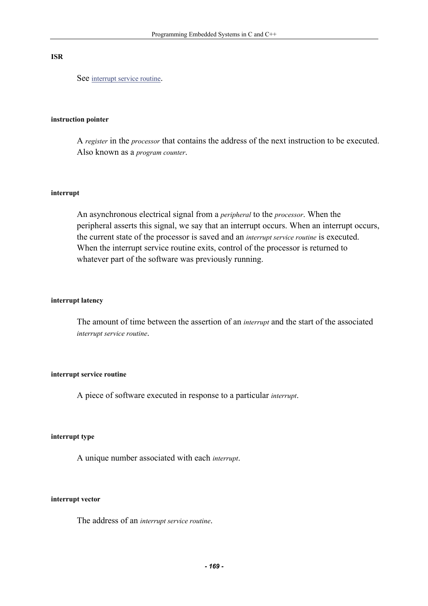#### **ISR**

See interrupt service routine.

#### **instruction pointer**

A *register* in the *processor* that contains the address of the next instruction to be executed. Also known as a *program counter*.

#### **interrupt**

An asynchronous electrical signal from a *peripheral* to the *processor*. When the peripheral asserts this signal, we say that an interrupt occurs. When an interrupt occurs, the current state of the processor is saved and an *interrupt service routine* is executed. When the interrupt service routine exits, control of the processor is returned to whatever part of the software was previously running.

#### **interrupt latency**

The amount of time between the assertion of an *interrupt* and the start of the associated *interrupt service routine*.

#### **interrupt service routine**

A piece of software executed in response to a particular *interrupt*.

#### **interrupt type**

A unique number associated with each *interrupt*.

#### **interrupt vector**

The address of an *interrupt service routine*.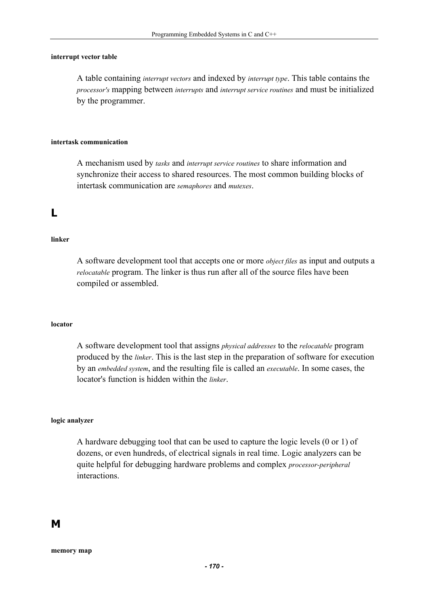#### **interrupt vector table**

A table containing *interrupt vectors* and indexed by *interrupt type*. This table contains the *processor's* mapping between *interrupts* and *interrupt service routines* and must be initialized by the programmer.

#### **intertask communication**

A mechanism used by *tasks* and *interrupt service routines* to share information and synchronize their access to shared resources. The most common building blocks of intertask communication are *semaphores* and *mutexes*.

## **L**

#### **linker**

A software development tool that accepts one or more *object files* as input and outputs a *relocatable* program. The linker is thus run after all of the source files have been compiled or assembled.

#### **locator**

A software development tool that assigns *physical addresses* to the *relocatable* program produced by the *linker*. This is the last step in the preparation of software for execution by an *embedded system*, and the resulting file is called an *executable*. In some cases, the locator's function is hidden within the *linker*.

#### **logic analyzer**

A hardware debugging tool that can be used to capture the logic levels (0 or 1) of dozens, or even hundreds, of electrical signals in real time. Logic analyzers can be quite helpful for debugging hardware problems and complex *processor-peripheral* interactions.

## **M**

**memory map**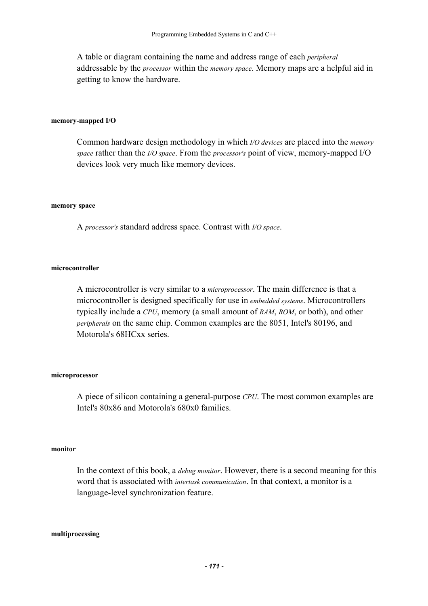A table or diagram containing the name and address range of each *peripheral* addressable by the *processor* within the *memory space*. Memory maps are a helpful aid in getting to know the hardware.

#### **memory-mapped I/O**

Common hardware design methodology in which *I/O devices* are placed into the *memory space* rather than the *I/O space*. From the *processor's* point of view, memory-mapped I/O devices look very much like memory devices.

#### **memory space**

A *processor's* standard address space. Contrast with *I/O space*.

#### **microcontroller**

A microcontroller is very similar to a *microprocessor*. The main difference is that a microcontroller is designed specifically for use in *embedded systems*. Microcontrollers typically include a *CPU*, memory (a small amount of *RAM*, *ROM*, or both), and other *peripherals* on the same chip. Common examples are the 8051, Intel's 80196, and Motorola's 68HCxx series.

#### **microprocessor**

A piece of silicon containing a general-purpose *CPU*. The most common examples are Intel's 80x86 and Motorola's 680x0 families.

#### **monitor**

In the context of this book, a *debug monitor*. However, there is a second meaning for this word that is associated with *intertask communication*. In that context, a monitor is a language-level synchronization feature.

#### **multiprocessing**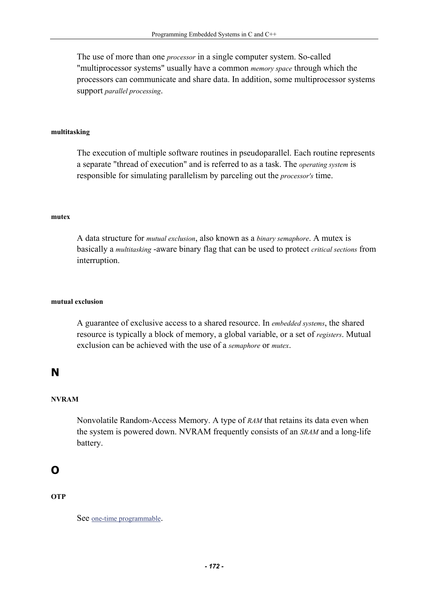The use of more than one *processor* in a single computer system. So-called "multiprocessor systems" usually have a common *memory space* through which the processors can communicate and share data. In addition, some multiprocessor systems support *parallel processing*.

#### **multitasking**

The execution of multiple software routines in pseudoparallel. Each routine represents a separate "thread of execution" and is referred to as a task. The *operating system* is responsible for simulating parallelism by parceling out the *processor's* time.

#### **mutex**

A data structure for *mutual exclusion*, also known as a *binary semaphore*. A mutex is basically a *multitasking* -aware binary flag that can be used to protect *critical sections* from interruption.

#### **mutual exclusion**

A guarantee of exclusive access to a shared resource. In *embedded systems*, the shared resource is typically a block of memory, a global variable, or a set of *registers*. Mutual exclusion can be achieved with the use of a *semaphore* or *mutex*.

## **N**

### **NVRAM**

Nonvolatile Random-Access Memory. A type of *RAM* that retains its data even when the system is powered down. NVRAM frequently consists of an *SRAM* and a long-life battery.

## **O**

#### **OTP**

See one-time programmable.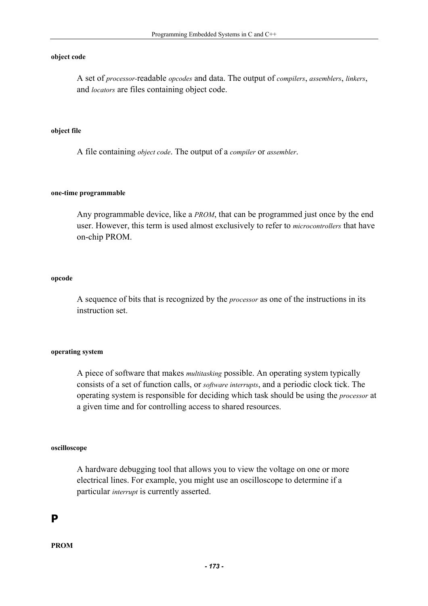#### **object code**

A set of *processor-*readable *opcodes* and data. The output of *compilers*, *assemblers*, *linkers*, and *locators* are files containing object code.

#### **object file**

A file containing *object code*. The output of a *compiler* or *assembler*.

#### **one-time programmable**

Any programmable device, like a *PROM*, that can be programmed just once by the end user. However, this term is used almost exclusively to refer to *microcontrollers* that have on-chip PROM.

#### **opcode**

A sequence of bits that is recognized by the *processor* as one of the instructions in its instruction set.

#### **operating system**

A piece of software that makes *multitasking* possible. An operating system typically consists of a set of function calls, or *software interrupts*, and a periodic clock tick. The operating system is responsible for deciding which task should be using the *processor* at a given time and for controlling access to shared resources.

#### **oscilloscope**

A hardware debugging tool that allows you to view the voltage on one or more electrical lines. For example, you might use an oscilloscope to determine if a particular *interrupt* is currently asserted.

### **P**

#### **PROM**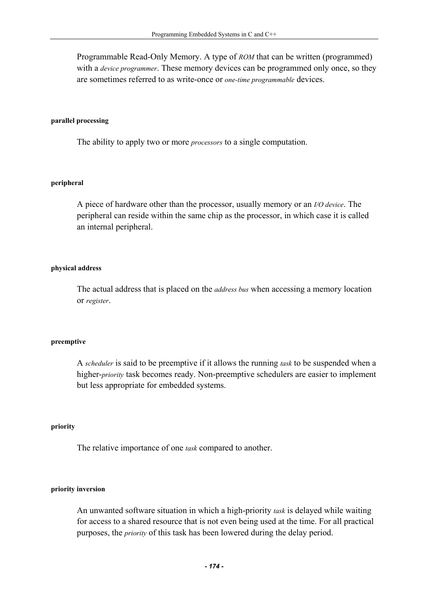Programmable Read-Only Memory. A type of *ROM* that can be written (programmed) with a *device programmer*. These memory devices can be programmed only once, so they are sometimes referred to as write-once or *one-time programmable* devices.

#### **parallel processing**

The ability to apply two or more *processors* to a single computation.

#### **peripheral**

A piece of hardware other than the processor, usually memory or an *I/O device*. The peripheral can reside within the same chip as the processor, in which case it is called an internal peripheral.

#### **physical address**

The actual address that is placed on the *address bus* when accessing a memory location or *register*.

#### **preemptive**

A *scheduler* is said to be preemptive if it allows the running *task* to be suspended when a higher-*priority* task becomes ready. Non-preemptive schedulers are easier to implement but less appropriate for embedded systems.

#### **priority**

The relative importance of one *task* compared to another.

#### **priority inversion**

An unwanted software situation in which a high-priority *task* is delayed while waiting for access to a shared resource that is not even being used at the time. For all practical purposes, the *priority* of this task has been lowered during the delay period.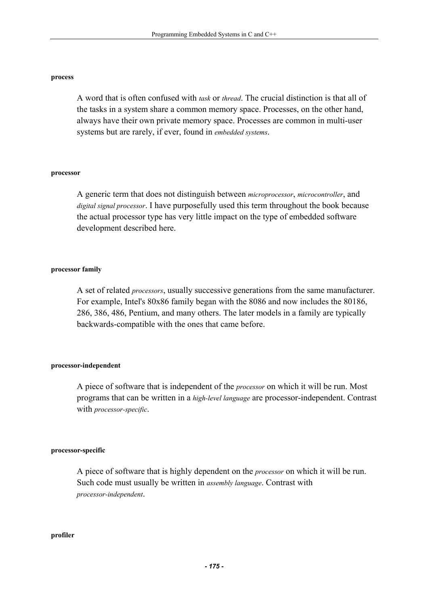#### **process**

A word that is often confused with *task* or *thread*. The crucial distinction is that all of the tasks in a system share a common memory space. Processes, on the other hand, always have their own private memory space. Processes are common in multi-user systems but are rarely, if ever, found in *embedded systems*.

#### **processor**

A generic term that does not distinguish between *microprocessor*, *microcontroller*, and *digital signal processor*. I have purposefully used this term throughout the book because the actual processor type has very little impact on the type of embedded software development described here.

#### **processor family**

A set of related *processors*, usually successive generations from the same manufacturer. For example, Intel's 80x86 family began with the 8086 and now includes the 80186, 286, 386, 486, Pentium, and many others. The later models in a family are typically backwards-compatible with the ones that came before.

#### **processor-independent**

A piece of software that is independent of the *processor* on which it will be run. Most programs that can be written in a *high-level language* are processor-independent. Contrast with *processor-specific*.

#### **processor-specific**

A piece of software that is highly dependent on the *processor* on which it will be run. Such code must usually be written in *assembly language*. Contrast with *processor-independent*.

#### **profiler**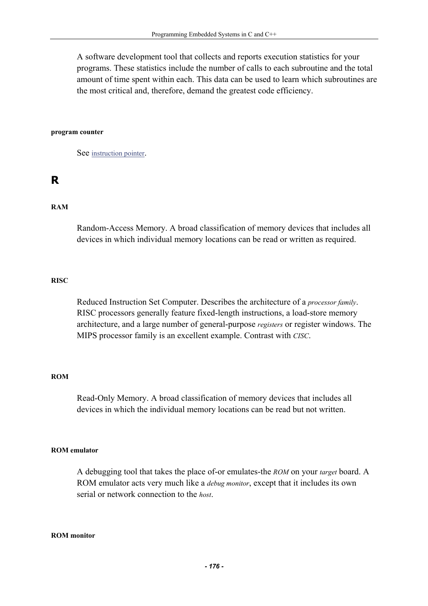A software development tool that collects and reports execution statistics for your programs. These statistics include the number of calls to each subroutine and the total amount of time spent within each. This data can be used to learn which subroutines are the most critical and, therefore, demand the greatest code efficiency.

#### **program counter**

See instruction pointer.

## **R**

#### **RAM**

Random-Access Memory. A broad classification of memory devices that includes all devices in which individual memory locations can be read or written as required.

#### **RISC**

Reduced Instruction Set Computer. Describes the architecture of a *processor family*. RISC processors generally feature fixed-length instructions, a load-store memory architecture, and a large number of general-purpose *registers* or register windows. The MIPS processor family is an excellent example. Contrast with *CISC*.

#### **ROM**

Read-Only Memory. A broad classification of memory devices that includes all devices in which the individual memory locations can be read but not written.

#### **ROM emulator**

A debugging tool that takes the place of-or emulates-the *ROM* on your *target* board. A ROM emulator acts very much like a *debug monitor*, except that it includes its own serial or network connection to the *host*.

#### **ROM monitor**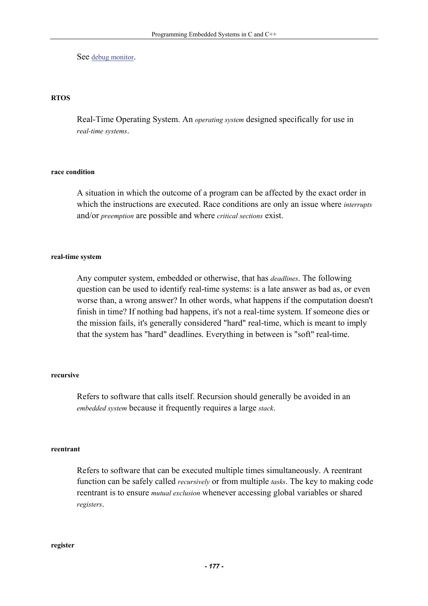See debug monitor.

#### **RTOS**

Real-Time Operating System. An *operating system* designed specifically for use in *real-time systems*.

#### **race condition**

A situation in which the outcome of a program can be affected by the exact order in which the instructions are executed. Race conditions are only an issue where *interrupts* and/or *preemption* are possible and where *critical sections* exist.

#### **real-time system**

Any computer system, embedded or otherwise, that has *deadlines*. The following question can be used to identify real-time systems: is a late answer as bad as, or even worse than, a wrong answer? In other words, what happens if the computation doesn't finish in time? If nothing bad happens, it's not a real-time system. If someone dies or the mission fails, it's generally considered "hard" real-time, which is meant to imply that the system has "hard" deadlines. Everything in between is "soft" real-time.

#### **recursive**

Refers to software that calls itself. Recursion should generally be avoided in an *embedded system* because it frequently requires a large *stack*.

#### **reentrant**

Refers to software that can be executed multiple times simultaneously. A reentrant function can be safely called *recursively* or from multiple *tasks*. The key to making code reentrant is to ensure *mutual exclusion* whenever accessing global variables or shared *registers*.

#### **register**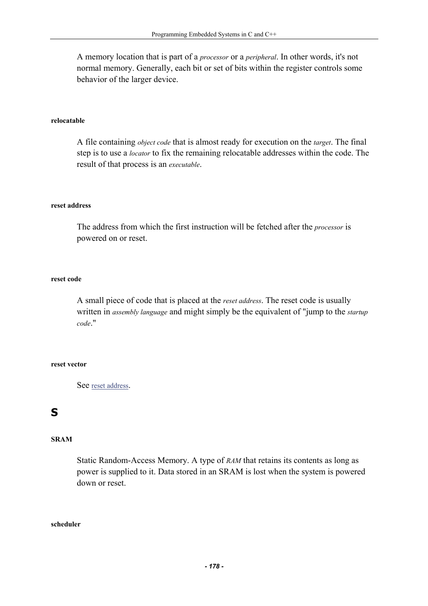A memory location that is part of a *processor* or a *peripheral*. In other words, it's not normal memory. Generally, each bit or set of bits within the register controls some behavior of the larger device.

#### **relocatable**

A file containing *object code* that is almost ready for execution on the *target*. The final step is to use a *locator* to fix the remaining relocatable addresses within the code. The result of that process is an *executable*.

#### **reset address**

The address from which the first instruction will be fetched after the *processor* is powered on or reset.

#### **reset code**

A small piece of code that is placed at the *reset address*. The reset code is usually written in *assembly language* and might simply be the equivalent of "jump to the *startup code*."

#### **reset vector**

See reset address.

## **S**

#### **SRAM**

Static Random-Access Memory. A type of *RAM* that retains its contents as long as power is supplied to it. Data stored in an SRAM is lost when the system is powered down or reset.

#### **scheduler**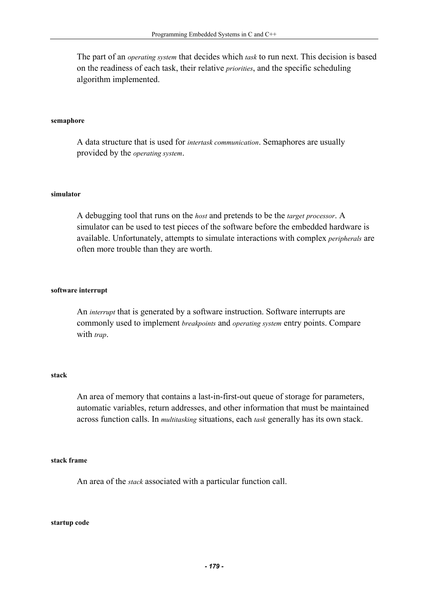The part of an *operating system* that decides which *task* to run next. This decision is based on the readiness of each task, their relative *priorities*, and the specific scheduling algorithm implemented.

#### **semaphore**

A data structure that is used for *intertask communication*. Semaphores are usually provided by the *operating system*.

#### **simulator**

A debugging tool that runs on the *host* and pretends to be the *target processor*. A simulator can be used to test pieces of the software before the embedded hardware is available. Unfortunately, attempts to simulate interactions with complex *peripherals* are often more trouble than they are worth.

#### **software interrupt**

An *interrupt* that is generated by a software instruction. Software interrupts are commonly used to implement *breakpoints* and *operating system* entry points. Compare with *trap*.

#### **stack**

An area of memory that contains a last-in-first-out queue of storage for parameters, automatic variables, return addresses, and other information that must be maintained across function calls. In *multitasking* situations, each *task* generally has its own stack.

#### **stack frame**

An area of the *stack* associated with a particular function call.

#### **startup code**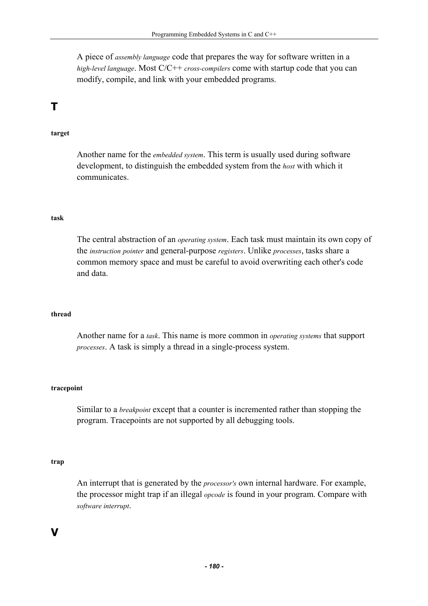A piece of *assembly language* code that prepares the way for software written in a *high-level language*. Most C/C++ *cross-compilers* come with startup code that you can modify, compile, and link with your embedded programs.

## **T**

#### **target**

Another name for the *embedded system*. This term is usually used during software development, to distinguish the embedded system from the *host* with which it communicates.

#### **task**

The central abstraction of an *operating system*. Each task must maintain its own copy of the *instruction pointer* and general-purpose *registers*. Unlike *processes*, tasks share a common memory space and must be careful to avoid overwriting each other's code and data.

#### **thread**

Another name for a *task*. This name is more common in *operating systems* that support *processes*. A task is simply a thread in a single-process system.

#### **tracepoint**

Similar to a *breakpoint* except that a counter is incremented rather than stopping the program. Tracepoints are not supported by all debugging tools.

#### **trap**

An interrupt that is generated by the *processor's* own internal hardware. For example, the processor might trap if an illegal *opcode* is found in your program. Compare with *software interrupt*.

## **V**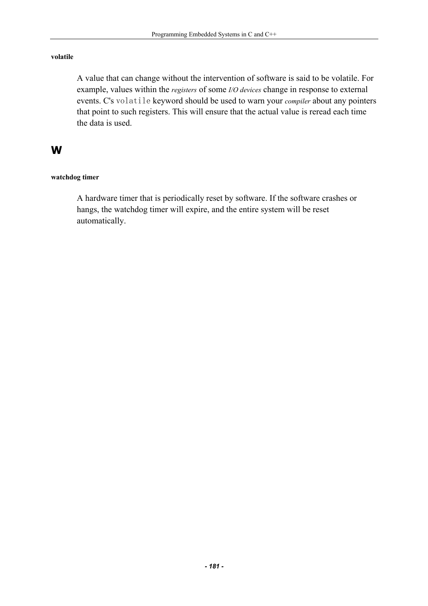#### **volatile**

A value that can change without the intervention of software is said to be volatile. For example, values within the *registers* of some *I/O devices* change in response to external events. C's volatile keyword should be used to warn your *compiler* about any pointers that point to such registers. This will ensure that the actual value is reread each time the data is used.

### **W**

#### **watchdog timer**

A hardware timer that is periodically reset by software. If the software crashes or hangs, the watchdog timer will expire, and the entire system will be reset automatically.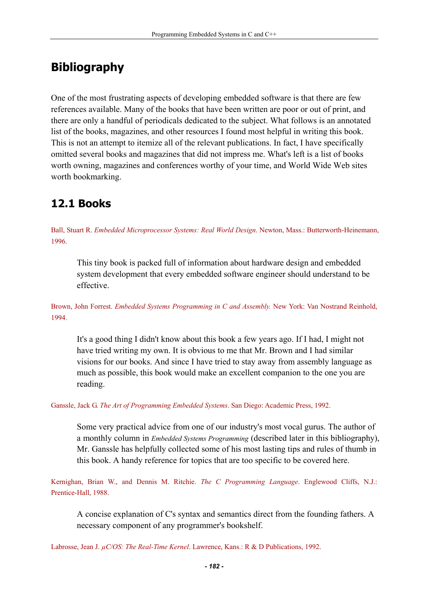## **Bibliography**

One of the most frustrating aspects of developing embedded software is that there are few references available. Many of the books that have been written are poor or out of print, and there are only a handful of periodicals dedicated to the subject. What follows is an annotated list of the books, magazines, and other resources I found most helpful in writing this book. This is not an attempt to itemize all of the relevant publications. In fact, I have specifically omitted several books and magazines that did not impress me. What's left is a list of books worth owning, magazines and conferences worthy of your time, and World Wide Web sites worth bookmarking.

### **12.1 Books**

Ball, Stuart R. *Embedded Microprocessor Systems: Real World Design*. Newton, Mass.: Butterworth-Heinemann, 1996.

This tiny book is packed full of information about hardware design and embedded system development that every embedded software engineer should understand to be effective.

Brown, John Forrest. *Embedded Systems Programming in C and Assembly.* New York: Van Nostrand Reinhold, 1994.

It's a good thing I didn't know about this book a few years ago. If I had, I might not have tried writing my own. It is obvious to me that Mr. Brown and I had similar visions for our books. And since I have tried to stay away from assembly language as much as possible, this book would make an excellent companion to the one you are reading.

Ganssle, Jack G. *The Art of Programming Embedded Systems*. San Diego: Academic Press, 1992.

Some very practical advice from one of our industry's most vocal gurus. The author of a monthly column in *Embedded Systems Programming* (described later in this bibliography), Mr. Ganssle has helpfully collected some of his most lasting tips and rules of thumb in this book. A handy reference for topics that are too specific to be covered here.

Kernighan, Brian W., and Dennis M. Ritchie. *The C Programming Language*. Englewood Cliffs, N.J.: Prentice-Hall, 1988.

A concise explanation of C's syntax and semantics direct from the founding fathers. A necessary component of any programmer's bookshelf.

Labrosse, Jean J. *µC/OS: The Real-Time Kernel*. Lawrence, Kans.: R & D Publications, 1992.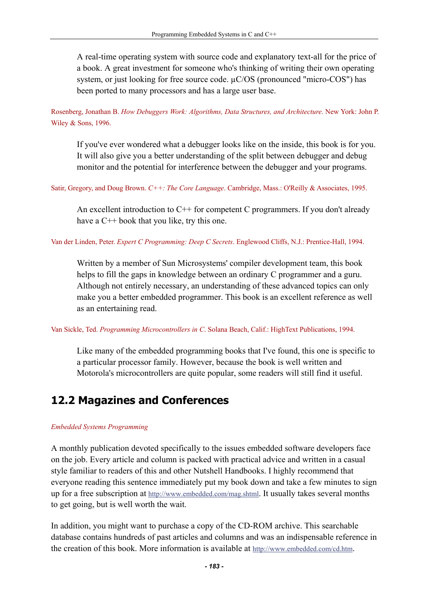A real-time operating system with source code and explanatory text-all for the price of a book. A great investment for someone who's thinking of writing their own operating system, or just looking for free source code.  $\mu$ C/OS (pronounced "micro-COS") has been ported to many processors and has a large user base.

Rosenberg, Jonathan B. *How Debuggers Work: Algorithms, Data Structures, and Architecture*. New York: John P. Wiley & Sons, 1996.

If you've ever wondered what a debugger looks like on the inside, this book is for you. It will also give you a better understanding of the split between debugger and debug monitor and the potential for interference between the debugger and your programs.

Satir, Gregory, and Doug Brown. *C++: The Core Language*. Cambridge, Mass.: O'Reilly & Associates, 1995.

An excellent introduction to  $C^{++}$  for competent C programmers. If you don't already have a C<sup>++</sup> book that you like, try this one.

Van der Linden, Peter. *Expert C Programming: Deep C Secrets*. Englewood Cliffs, N.J.: Prentice-Hall, 1994.

Written by a member of Sun Microsystems' compiler development team, this book helps to fill the gaps in knowledge between an ordinary C programmer and a guru. Although not entirely necessary, an understanding of these advanced topics can only make you a better embedded programmer. This book is an excellent reference as well as an entertaining read.

Van Sickle, Ted. *Programming Microcontrollers in C*. Solana Beach, Calif.: HighText Publications, 1994.

Like many of the embedded programming books that I've found, this one is specific to a particular processor family. However, because the book is well written and Motorola's microcontrollers are quite popular, some readers will still find it useful.

## **12.2 Magazines and Conferences**

### *Embedded Systems Programming*

A monthly publication devoted specifically to the issues embedded software developers face on the job. Every article and column is packed with practical advice and written in a casual style familiar to readers of this and other Nutshell Handbooks. I highly recommend that everyone reading this sentence immediately put my book down and take a few minutes to sign up for a free subscription at http://www.embedded.com/mag.shtml. It usually takes several months to get going, but is well worth the wait.

In addition, you might want to purchase a copy of the CD-ROM archive. This searchable database contains hundreds of past articles and columns and was an indispensable reference in the creation of this book. More information is available at http://www.embedded.com/cd.htm.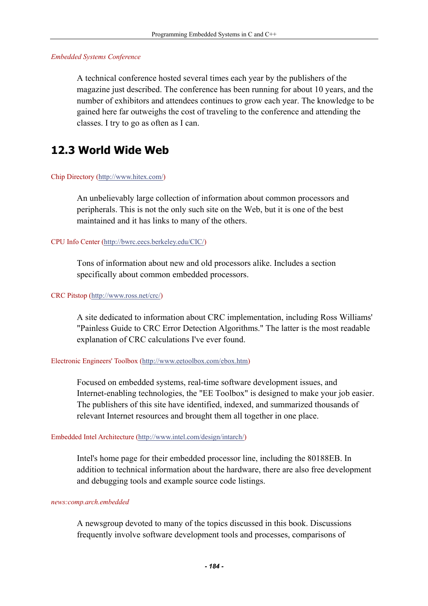#### *Embedded Systems Conference*

A technical conference hosted several times each year by the publishers of the magazine just described. The conference has been running for about 10 years, and the number of exhibitors and attendees continues to grow each year. The knowledge to be gained here far outweighs the cost of traveling to the conference and attending the classes. I try to go as often as I can.

## **12.3 World Wide Web**

#### Chip Directory (http://www.hitex.com/)

An unbelievably large collection of information about common processors and peripherals. This is not the only such site on the Web, but it is one of the best maintained and it has links to many of the others.

#### CPU Info Center (http://bwrc.eecs.berkeley.edu/CIC/)

Tons of information about new and old processors alike. Includes a section specifically about common embedded processors.

#### CRC Pitstop (http://www.ross.net/crc/)

A site dedicated to information about CRC implementation, including Ross Williams' "Painless Guide to CRC Error Detection Algorithms." The latter is the most readable explanation of CRC calculations I've ever found.

#### Electronic Engineers' Toolbox (http://www.eetoolbox.com/ebox.htm)

Focused on embedded systems, real-time software development issues, and Internet-enabling technologies, the "EE Toolbox" is designed to make your job easier. The publishers of this site have identified, indexed, and summarized thousands of relevant Internet resources and brought them all together in one place.

#### Embedded Intel Architecture (http://www.intel.com/design/intarch/)

Intel's home page for their embedded processor line, including the 80188EB. In addition to technical information about the hardware, there are also free development and debugging tools and example source code listings.

#### *news:comp.arch.embedded*

A newsgroup devoted to many of the topics discussed in this book. Discussions frequently involve software development tools and processes, comparisons of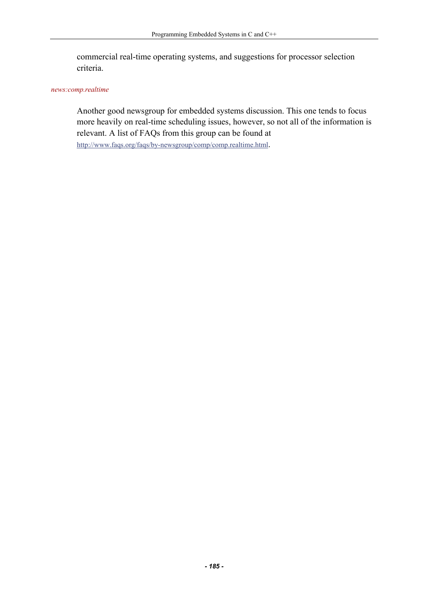commercial real-time operating systems, and suggestions for processor selection criteria.

#### *news:comp.realtime*

Another good newsgroup for embedded systems discussion. This one tends to focus more heavily on real-time scheduling issues, however, so not all of the information is relevant. A list of FAQs from this group can be found at http://www.faqs.org/faqs/by-newsgroup/comp/comp.realtime.html.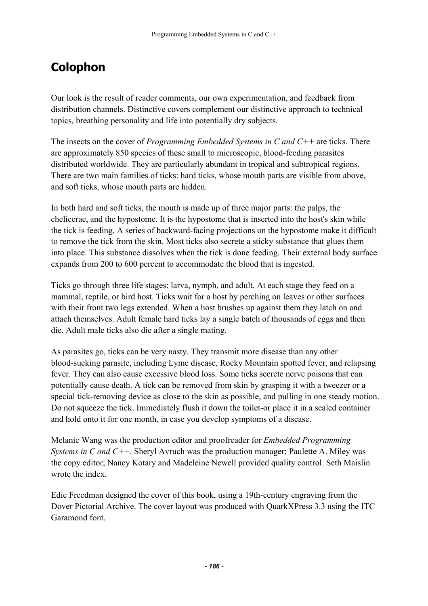# **Colophon**

Our look is the result of reader comments, our own experimentation, and feedback from distribution channels. Distinctive covers complement our distinctive approach to technical topics, breathing personality and life into potentially dry subjects.

The insects on the cover of *Programming Embedded Systems in C and C++* are ticks. There are approximately 850 species of these small to microscopic, blood-feeding parasites distributed worldwide. They are particularly abundant in tropical and subtropical regions. There are two main families of ticks: hard ticks, whose mouth parts are visible from above, and soft ticks, whose mouth parts are hidden.

In both hard and soft ticks, the mouth is made up of three major parts: the palps, the chelicerae, and the hypostome. It is the hypostome that is inserted into the host's skin while the tick is feeding. A series of backward-facing projections on the hypostome make it difficult to remove the tick from the skin. Most ticks also secrete a sticky substance that glues them into place. This substance dissolves when the tick is done feeding. Their external body surface expands from 200 to 600 percent to accommodate the blood that is ingested.

Ticks go through three life stages: larva, nymph, and adult. At each stage they feed on a mammal, reptile, or bird host. Ticks wait for a host by perching on leaves or other surfaces with their front two legs extended. When a host brushes up against them they latch on and attach themselves. Adult female hard ticks lay a single batch of thousands of eggs and then die. Adult male ticks also die after a single mating.

As parasites go, ticks can be very nasty. They transmit more disease than any other blood-sucking parasite, including Lyme disease, Rocky Mountain spotted fever, and relapsing fever. They can also cause excessive blood loss. Some ticks secrete nerve poisons that can potentially cause death. A tick can be removed from skin by grasping it with a tweezer or a special tick-removing device as close to the skin as possible, and pulling in one steady motion. Do not squeeze the tick. Immediately flush it down the toilet-or place it in a sealed container and hold onto it for one month, in case you develop symptoms of a disease.

Melanie Wang was the production editor and proofreader for *Embedded Programming Systems in C and C++*. Sheryl Avruch was the production manager; Paulette A. Miley was the copy editor; Nancy Kotary and Madeleine Newell provided quality control. Seth Maislin wrote the index.

Edie Freedman designed the cover of this book, using a 19th-century engraving from the Dover Pictorial Archive. The cover layout was produced with QuarkXPress 3.3 using the ITC Garamond font.